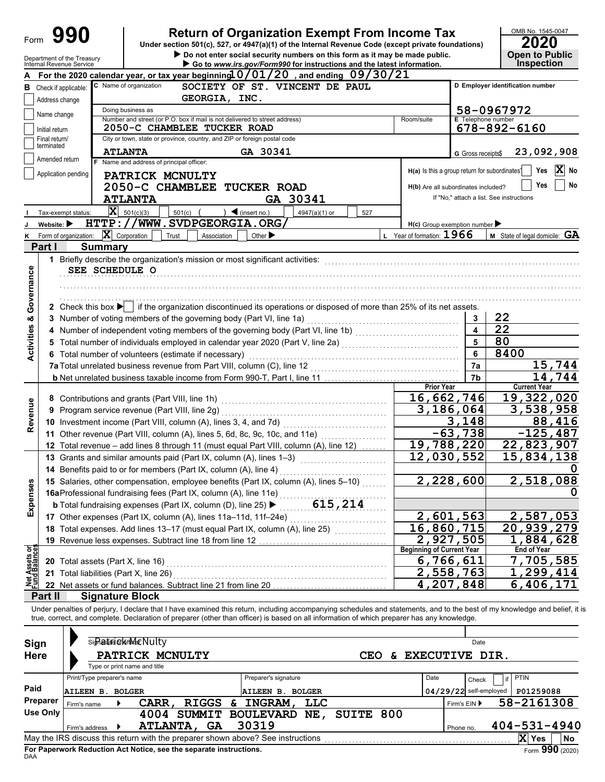| Form                                   |                                                                                                                                              | 990                                                                          | <b>Return of Organization Exempt From Income Tax</b>                                                                                                                              |                              | OMB No. 1545-0047<br>2020              |  |  |  |  |  |  |  |  |
|----------------------------------------|----------------------------------------------------------------------------------------------------------------------------------------------|------------------------------------------------------------------------------|-----------------------------------------------------------------------------------------------------------------------------------------------------------------------------------|------------------------------|----------------------------------------|--|--|--|--|--|--|--|--|
|                                        |                                                                                                                                              |                                                                              | Under section 501(c), 527, or 4947(a)(1) of the Internal Revenue Code (except private foundations)<br>Do not enter social security numbers on this form as it may be made public. |                              | <b>Open to Public</b>                  |  |  |  |  |  |  |  |  |
|                                        |                                                                                                                                              | Department of the Treasury<br>Internal Revenue Service                       | Go to www.irs.gov/Form990 for instructions and the latest information.                                                                                                            |                              | <b>Inspection</b>                      |  |  |  |  |  |  |  |  |
| A                                      |                                                                                                                                              |                                                                              | For the 2020 calendar year, or tax year beginning 10/01/20, and ending 09/30/21                                                                                                   |                              |                                        |  |  |  |  |  |  |  |  |
|                                        | <b>B</b> Check if applicable:                                                                                                                |                                                                              | C Name of organization<br>SOCIETY OF ST. VINCENT DE PAUL                                                                                                                          |                              | D Employer identification number       |  |  |  |  |  |  |  |  |
|                                        | GEORGIA, INC.<br>Address change<br>58-0967972<br>Doing business as                                                                           |                                                                              |                                                                                                                                                                                   |                              |                                        |  |  |  |  |  |  |  |  |
|                                        | Name change<br>Number and street (or P.O. box if mail is not delivered to street address)<br><b>E</b> Telephone number<br>Room/suite         |                                                                              |                                                                                                                                                                                   |                              |                                        |  |  |  |  |  |  |  |  |
|                                        | Initial return                                                                                                                               |                                                                              | $678 - 892 - 6160$                                                                                                                                                                |                              |                                        |  |  |  |  |  |  |  |  |
|                                        | Final return/<br>terminated                                                                                                                  |                                                                              | City or town, state or province, country, and ZIP or foreign postal code                                                                                                          |                              |                                        |  |  |  |  |  |  |  |  |
|                                        | Amended return                                                                                                                               |                                                                              | GA 30341<br><b>ATLANTA</b>                                                                                                                                                        | G Gross receipts\$           | 23,092,908                             |  |  |  |  |  |  |  |  |
|                                        |                                                                                                                                              | Application pending                                                          | F Name and address of principal officer:<br>H(a) Is this a group return for subordinates <sup>1</sup>                                                                             |                              | $ \mathbf{X} $ No<br>Yes               |  |  |  |  |  |  |  |  |
|                                        |                                                                                                                                              |                                                                              | PATRICK MCNULTY                                                                                                                                                                   |                              | Yes<br>No                              |  |  |  |  |  |  |  |  |
|                                        | 2050-C CHAMBLEE TUCKER ROAD<br>H(b) Are all subordinates included?<br>If "No," attach a list. See instructions<br>GA 30341<br><b>ATLANTA</b> |                                                                              |                                                                                                                                                                                   |                              |                                        |  |  |  |  |  |  |  |  |
|                                        |                                                                                                                                              | Tax-exempt status:                                                           | $\mathbf{X}$ 501(c)(3)<br>$501(c)$ (<br>$\big)$ (insert no.)<br>4947(a)(1) or<br>527                                                                                              |                              |                                        |  |  |  |  |  |  |  |  |
|                                        | Website: $\blacktriangleright$                                                                                                               |                                                                              | HTTP://WWW.SVDPGEORGIA.ORG/<br>$H(c)$ Group exemption number                                                                                                                      |                              |                                        |  |  |  |  |  |  |  |  |
|                                        |                                                                                                                                              | <b>K</b> Form of organization: $ \mathbf{X} $ Corporation                    | L Year of formation: $1966$<br>Other $\blacktriangleright$<br>Trust<br>Association                                                                                                |                              | <b>M</b> State of legal domicile: $GA$ |  |  |  |  |  |  |  |  |
|                                        | Part I                                                                                                                                       | <b>Summary</b>                                                               |                                                                                                                                                                                   |                              |                                        |  |  |  |  |  |  |  |  |
|                                        |                                                                                                                                              |                                                                              | 1 Briefly describe the organization's mission or most significant activities: www.communities.com/www.communities.com                                                             |                              |                                        |  |  |  |  |  |  |  |  |
|                                        |                                                                                                                                              | SEE SCHEDULE O                                                               |                                                                                                                                                                                   |                              |                                        |  |  |  |  |  |  |  |  |
|                                        |                                                                                                                                              |                                                                              |                                                                                                                                                                                   |                              |                                        |  |  |  |  |  |  |  |  |
| Governance                             |                                                                                                                                              |                                                                              |                                                                                                                                                                                   |                              |                                        |  |  |  |  |  |  |  |  |
|                                        |                                                                                                                                              |                                                                              | 2 Check this box $\blacktriangleright$ if the organization discontinued its operations or disposed of more than 25% of its net assets.                                            |                              |                                        |  |  |  |  |  |  |  |  |
| න්                                     |                                                                                                                                              |                                                                              | 3 Number of voting members of the governing body (Part VI, line 1a)                                                                                                               | 3                            | 22                                     |  |  |  |  |  |  |  |  |
| <b>Activities</b>                      |                                                                                                                                              |                                                                              | 4 Number of independent voting members of the governing body (Part VI, line 1b) [[[[[[[[[[[[[[[[[[[[[[[[[[[[[                                                                     | $\overline{\mathbf{4}}$<br>5 | $\overline{22}$<br>80                  |  |  |  |  |  |  |  |  |
|                                        |                                                                                                                                              |                                                                              | 6 Total number of volunteers (estimate if necessary)                                                                                                                              | 6                            | 8400                                   |  |  |  |  |  |  |  |  |
|                                        |                                                                                                                                              |                                                                              |                                                                                                                                                                                   | 7a                           | 15,744                                 |  |  |  |  |  |  |  |  |
|                                        |                                                                                                                                              |                                                                              |                                                                                                                                                                                   | 7b                           | 14,744                                 |  |  |  |  |  |  |  |  |
|                                        |                                                                                                                                              |                                                                              | <b>Prior Year</b>                                                                                                                                                                 |                              | <b>Current Year</b>                    |  |  |  |  |  |  |  |  |
|                                        |                                                                                                                                              |                                                                              | 16,662,746<br>8 Contributions and grants (Part VIII, line 1h)                                                                                                                     |                              | 19, 322, 020                           |  |  |  |  |  |  |  |  |
|                                        |                                                                                                                                              |                                                                              | 3,186,064<br>9 Program service revenue (Part VIII, line 2g)                                                                                                                       |                              | 3,538,958                              |  |  |  |  |  |  |  |  |
| Revenue                                |                                                                                                                                              |                                                                              | 10 Investment income (Part VIII, column (A), lines 3, 4, and 7d)                                                                                                                  | 3,148                        | 88,416                                 |  |  |  |  |  |  |  |  |
|                                        |                                                                                                                                              |                                                                              | $-63,738$<br>11 Other revenue (Part VIII, column (A), lines 5, 6d, 8c, 9c, 10c, and 11e)                                                                                          |                              | $-125,487$                             |  |  |  |  |  |  |  |  |
|                                        |                                                                                                                                              |                                                                              | 19,788,220<br>12 Total revenue - add lines 8 through 11 (must equal Part VIII, column (A), line 12)<br>12,030,552                                                                 |                              | 22,823,907<br>15,834,138               |  |  |  |  |  |  |  |  |
|                                        |                                                                                                                                              |                                                                              | 13 Grants and similar amounts paid (Part IX, column (A), lines 1-3)<br>14 Benefits paid to or for members (Part IX, column (A), line 4)                                           |                              |                                        |  |  |  |  |  |  |  |  |
|                                        |                                                                                                                                              |                                                                              | 2,228,600<br>15 Salaries, other compensation, employee benefits (Part IX, column (A), lines 5–10)                                                                                 |                              | 2,518,088                              |  |  |  |  |  |  |  |  |
| Expenses                               |                                                                                                                                              |                                                                              | 16aProfessional fundraising fees (Part IX, column (A), line 11e)                                                                                                                  |                              |                                        |  |  |  |  |  |  |  |  |
|                                        |                                                                                                                                              |                                                                              | 615,214<br><b>b</b> Total fundraising expenses (Part IX, column (D), line 25) ▶                                                                                                   |                              |                                        |  |  |  |  |  |  |  |  |
|                                        |                                                                                                                                              |                                                                              | 2,601,563<br>17 Other expenses (Part IX, column (A), lines 11a-11d, 11f-24e)<br>.                                                                                                 |                              | 2,587,053                              |  |  |  |  |  |  |  |  |
|                                        |                                                                                                                                              | 18 Total expenses. Add lines 13-17 (must equal Part IX, column (A), line 25) | 16,860,715                                                                                                                                                                        | 20,939,279                   |                                        |  |  |  |  |  |  |  |  |
|                                        |                                                                                                                                              |                                                                              | 2,927,505<br>19 Revenue less expenses. Subtract line 18 from line 12                                                                                                              |                              | 1,884,628                              |  |  |  |  |  |  |  |  |
| <b>Net Assets or<br/>Fund Balances</b> |                                                                                                                                              |                                                                              | <b>Beginning of Current Year</b>                                                                                                                                                  |                              | <b>End of Year</b>                     |  |  |  |  |  |  |  |  |
|                                        |                                                                                                                                              | 20 Total assets (Part X, line 16)                                            | 6,766,611<br>2,558,763                                                                                                                                                            |                              | 7,705,585                              |  |  |  |  |  |  |  |  |
|                                        |                                                                                                                                              | 21 Total liabilities (Part X, line 26)                                       | 4,207,848<br>22 Net assets or fund balances. Subtract line 21 from line 20                                                                                                        |                              | 1,299,414<br>6,406,171                 |  |  |  |  |  |  |  |  |
|                                        | Part II                                                                                                                                      | <b>Signature Block</b>                                                       |                                                                                                                                                                                   |                              |                                        |  |  |  |  |  |  |  |  |
|                                        |                                                                                                                                              |                                                                              | Under penalties of perjury, I declare that I have examined this return, including accompanying schedules and statements, and to the best of my knowledge and belief, it is        |                              |                                        |  |  |  |  |  |  |  |  |
|                                        |                                                                                                                                              |                                                                              | true, correct, and complete. Declaration of preparer (other than officer) is based on all information of which preparer has any knowledge.                                        |                              |                                        |  |  |  |  |  |  |  |  |
|                                        |                                                                                                                                              |                                                                              |                                                                                                                                                                                   |                              |                                        |  |  |  |  |  |  |  |  |
| Sign                                   |                                                                                                                                              |                                                                              | signatriokindecNulty                                                                                                                                                              | Date                         |                                        |  |  |  |  |  |  |  |  |
| <b>Here</b>                            |                                                                                                                                              |                                                                              | PATRICK MCNULTY<br>& EXECUTIVE DIR.<br>CEO                                                                                                                                        |                              |                                        |  |  |  |  |  |  |  |  |
|                                        |                                                                                                                                              |                                                                              | Type or print name and title                                                                                                                                                      |                              |                                        |  |  |  |  |  |  |  |  |
|                                        |                                                                                                                                              | Print/Type preparer's name                                                   | Preparer's signature<br>Date                                                                                                                                                      | Check                        | <b>PTIN</b><br>if                      |  |  |  |  |  |  |  |  |
| Paid                                   |                                                                                                                                              | <b>AILEEN B. BOLGER</b>                                                      | $04/29/22$ self-employed<br><b>AILEEN B. BOLGER</b>                                                                                                                               |                              | P01259088                              |  |  |  |  |  |  |  |  |
| Preparer<br><b>Use Only</b>            |                                                                                                                                              | Firm's name                                                                  | <b>RIGGS</b><br>& INGRAM,<br>CARR,<br><b>TTC</b>                                                                                                                                  | Firm's EIN ▶                 | 58-2161308                             |  |  |  |  |  |  |  |  |
|                                        |                                                                                                                                              |                                                                              | 4004 SUMMIT BOULEVARD NE, SUITE 800                                                                                                                                               |                              |                                        |  |  |  |  |  |  |  |  |
|                                        |                                                                                                                                              | Firm's address                                                               | 30319<br>ATLANTA, GA<br>Phone no.<br>May the IRS discuss this return with the preparer shown above? See instructions                                                              |                              | $404 - 531 - 4940$<br>$X$ Yes<br>No    |  |  |  |  |  |  |  |  |

| . .<br><b>Here</b> |                                                                                                                 |                              | PATRICK MCNULTY |  |              |                  |                      |     | CEO           |  |  |      |              | EXECUTIVE DIR.           |                    |                           |
|--------------------|-----------------------------------------------------------------------------------------------------------------|------------------------------|-----------------|--|--------------|------------------|----------------------|-----|---------------|--|--|------|--------------|--------------------------|--------------------|---------------------------|
|                    |                                                                                                                 | Type or print name and title |                 |  |              |                  |                      |     |               |  |  |      |              |                          |                    |                           |
|                    | Print/Type preparer's name                                                                                      |                              |                 |  |              |                  | Preparer's signature |     |               |  |  | Date |              | Check                    | PTIN               |                           |
| Paid               | AILEEN B. BOLGER                                                                                                |                              |                 |  |              |                  | AILEEN B. BOLGER     |     |               |  |  |      |              | $04/29/22$ self-employed | P01259088          |                           |
| Preparer           | Firm's name                                                                                                     |                              | CARR,           |  | <b>RIGGS</b> | r.               | INGRAM.              | LLC |               |  |  |      | Firm's $EIN$ |                          | 58-2161308         |                           |
| Use Only           |                                                                                                                 |                              | 4004            |  |              | SUMMIT BOULEVARD |                      |     | NE, SUITE 800 |  |  |      |              |                          |                    |                           |
|                    | Firm's address                                                                                                  |                              | <b>ATLANTA,</b> |  | GA           | 30319            |                      |     |               |  |  |      | Phone no.    |                          | $404 - 531 - 4940$ |                           |
|                    | X<br>May the IRS discuss this return with the preparer shown above? See instructions<br><b>No</b><br><b>Yes</b> |                              |                 |  |              |                  |                      |     |               |  |  |      |              |                          |                    |                           |
|                    | <b>For Panerwork Reduction Act Notice, see the senarate instructions</b>                                        |                              |                 |  |              |                  |                      |     |               |  |  |      |              |                          |                    | $F_{\text{c}}$ 990 (2020) |

**For Paperwork Reduction Act Notice, see the separate instructions.**<br><sub>DAA</sub>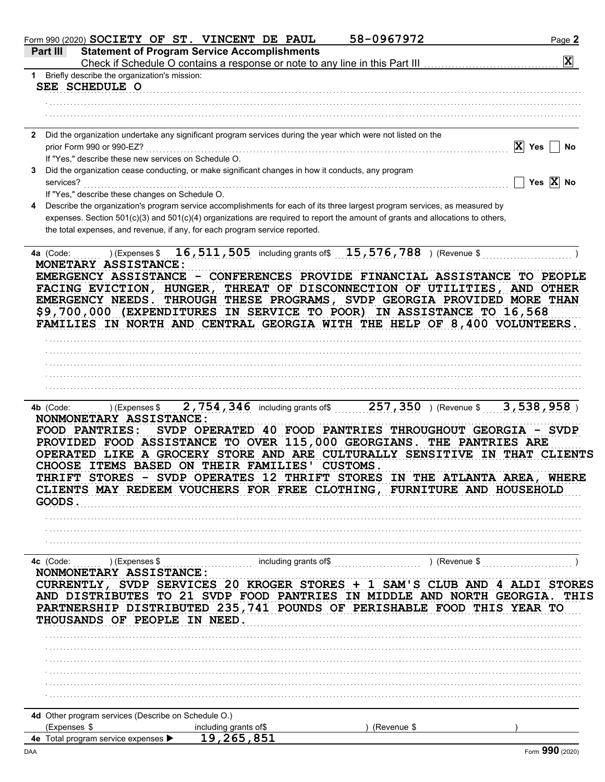| Form 990 (2020) SOCIETY OF ST. VINCENT DE PAUL                                                                 |                                                     | 58-0967972                                                                                                                     | Page 2                |
|----------------------------------------------------------------------------------------------------------------|-----------------------------------------------------|--------------------------------------------------------------------------------------------------------------------------------|-----------------------|
| Part III                                                                                                       | <b>Statement of Program Service Accomplishments</b> |                                                                                                                                |                       |
|                                                                                                                |                                                     |                                                                                                                                | $\mathbf{x}$          |
| 1 Briefly describe the organization's mission:                                                                 |                                                     |                                                                                                                                |                       |
| SEE SCHEDULE O                                                                                                 |                                                     |                                                                                                                                |                       |
|                                                                                                                |                                                     |                                                                                                                                |                       |
|                                                                                                                |                                                     |                                                                                                                                |                       |
|                                                                                                                |                                                     |                                                                                                                                |                       |
| 2 Did the organization undertake any significant program services during the year which were not listed on the |                                                     |                                                                                                                                |                       |
| prior Form 990 or 990-EZ?                                                                                      |                                                     |                                                                                                                                | $X$ Yes<br>No         |
| If "Yes," describe these new services on Schedule O.                                                           |                                                     |                                                                                                                                |                       |
| Did the organization cease conducting, or make significant changes in how it conducts, any program<br>3        |                                                     |                                                                                                                                |                       |
| services?                                                                                                      |                                                     |                                                                                                                                | Yes $\overline{X}$ No |
| If "Yes," describe these changes on Schedule O.                                                                |                                                     |                                                                                                                                |                       |
| 4                                                                                                              |                                                     | Describe the organization's program service accomplishments for each of its three largest program services, as measured by     |                       |
|                                                                                                                |                                                     | expenses. Section 501(c)(3) and 501(c)(4) organizations are required to report the amount of grants and allocations to others, |                       |
| the total expenses, and revenue, if any, for each program service reported.                                    |                                                     |                                                                                                                                |                       |
|                                                                                                                |                                                     |                                                                                                                                |                       |
| 4a (Code:                                                                                                      |                                                     | ) (Expenses \$ $16,511,505$ including grants of \$ $15,576,788$ ) (Revenue \$                                                  |                       |
| MONETARY ASSISTANCE:                                                                                           |                                                     |                                                                                                                                |                       |
|                                                                                                                |                                                     | EMERGENCY ASSISTANCE - CONFERENCES PROVIDE FINANCIAL ASSISTANCE TO PEOPLE                                                      |                       |
|                                                                                                                |                                                     | FACING EVICTION, HUNGER, THREAT OF DISCONNECTION OF UTILITIES, AND OTHER                                                       |                       |
|                                                                                                                |                                                     | EMERGENCY NEEDS. THROUGH THESE PROGRAMS, SVDP GEORGIA PROVIDED MORE THAN                                                       |                       |
|                                                                                                                |                                                     |                                                                                                                                |                       |
|                                                                                                                |                                                     | \$9,700,000 (EXPENDITURES IN SERVICE TO POOR) IN ASSISTANCE TO 16,568                                                          |                       |
|                                                                                                                |                                                     | FAMILIES IN NORTH AND CENTRAL GEORGIA WITH THE HELP OF 8,400 VOLUNTEERS.                                                       |                       |
|                                                                                                                |                                                     |                                                                                                                                |                       |
|                                                                                                                |                                                     |                                                                                                                                |                       |
|                                                                                                                |                                                     |                                                                                                                                |                       |
|                                                                                                                |                                                     |                                                                                                                                |                       |
|                                                                                                                |                                                     |                                                                                                                                |                       |
|                                                                                                                |                                                     |                                                                                                                                |                       |
| 4b (Code:                                                                                                      |                                                     | ) (Expenses \$ 2,754,346 including grants of \$ 257,350 ) (Revenue \$ 3,538,958 )                                              |                       |
| NONMONETARY ASSISTANCE:                                                                                        |                                                     |                                                                                                                                |                       |
| FOOD PANTRIES:                                                                                                 |                                                     | SVDP OPERATED 40 FOOD PANTRIES THROUGHOUT GEORGIA - SVDP                                                                       |                       |
|                                                                                                                |                                                     | PROVIDED FOOD ASSISTANCE TO OVER 115,000 GEORGIANS. THE PANTRIES ARE                                                           |                       |
|                                                                                                                |                                                     | OPERATED LIKE A GROCERY STORE AND ARE CULTURALLY SENSITIVE IN THAT CLIENTS                                                     |                       |
| CHOOSE ITEMS BASED ON THEIR FAMILIES' CUSTOMS.                                                                 |                                                     |                                                                                                                                |                       |
|                                                                                                                |                                                     | THRIFT STORES - SVDP OPERATES 12 THRIFT STORES IN THE ATLANTA AREA, WHERE                                                      |                       |
|                                                                                                                |                                                     | CLIENTS MAY REDEEM VOUCHERS FOR FREE CLOTHING, FURNITURE AND HOUSEHOLD                                                         |                       |
| GOODS.                                                                                                         |                                                     |                                                                                                                                |                       |
|                                                                                                                |                                                     |                                                                                                                                |                       |
|                                                                                                                |                                                     |                                                                                                                                |                       |
|                                                                                                                |                                                     |                                                                                                                                |                       |
|                                                                                                                |                                                     |                                                                                                                                |                       |
| 4c (Code:<br>) (Expenses \$                                                                                    | including grants of\$                               | ) (Revenue \$                                                                                                                  |                       |
| NONMONETARY ASSISTANCE:                                                                                        |                                                     |                                                                                                                                |                       |
|                                                                                                                |                                                     | CURRENTLY, SVDP SERVICES 20 KROGER STORES + 1 SAM'S CLUB AND 4 ALDI STORES                                                     |                       |
|                                                                                                                |                                                     | AND DISTRIBUTES TO 21 SVDP FOOD PANTRIES IN MIDDLE AND NORTH GEORGIA. THIS                                                     |                       |
|                                                                                                                |                                                     | PARTNERSHIP DISTRIBUTED 235,741 POUNDS OF PERISHABLE FOOD THIS YEAR TO                                                         |                       |
| THOUSANDS OF PEOPLE IN NEED.                                                                                   |                                                     |                                                                                                                                |                       |
|                                                                                                                |                                                     |                                                                                                                                |                       |
|                                                                                                                |                                                     |                                                                                                                                |                       |
|                                                                                                                |                                                     |                                                                                                                                |                       |
|                                                                                                                |                                                     |                                                                                                                                |                       |
|                                                                                                                |                                                     |                                                                                                                                |                       |
|                                                                                                                |                                                     |                                                                                                                                |                       |
|                                                                                                                |                                                     |                                                                                                                                |                       |
|                                                                                                                |                                                     |                                                                                                                                |                       |
|                                                                                                                |                                                     |                                                                                                                                |                       |
| 4d Other program services (Describe on Schedule O.)                                                            |                                                     |                                                                                                                                |                       |
| (Expenses \$<br>4e Total program service expenses ▶                                                            | including grants of\$<br>19,265,851                 | (Revenue \$                                                                                                                    |                       |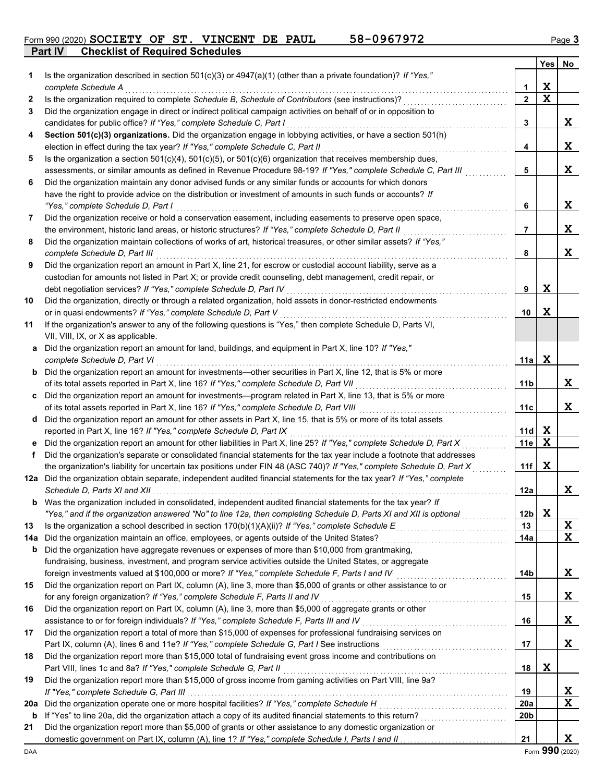Form 990 (2020) **SOCIETY OF ST. VINCENT DE PAUL 58-0967972** Page 3

**Part IV Checklist of Required Schedules**

|--|

|     |                                                                                                                                                                                                                |                     | Yes I  | No |
|-----|----------------------------------------------------------------------------------------------------------------------------------------------------------------------------------------------------------------|---------------------|--------|----|
| 1   | Is the organization described in section $501(c)(3)$ or $4947(a)(1)$ (other than a private foundation)? If "Yes,"                                                                                              |                     |        |    |
|     | complete Schedule A                                                                                                                                                                                            | 1<br>$\overline{2}$ | X<br>X |    |
| 2   | Is the organization required to complete Schedule B, Schedule of Contributors (see instructions)?                                                                                                              |                     |        |    |
| 3   | Did the organization engage in direct or indirect political campaign activities on behalf of or in opposition to<br>candidates for public office? If "Yes," complete Schedule C, Part I                        | 3                   |        | X  |
| 4   | Section 501(c)(3) organizations. Did the organization engage in lobbying activities, or have a section 501(h)                                                                                                  |                     |        |    |
|     | election in effect during the tax year? If "Yes," complete Schedule C, Part II                                                                                                                                 | 4                   |        | X  |
| 5   | Is the organization a section $501(c)(4)$ , $501(c)(5)$ , or $501(c)(6)$ organization that receives membership dues,                                                                                           |                     |        |    |
|     | assessments, or similar amounts as defined in Revenue Procedure 98-19? If "Yes," complete Schedule C, Part III                                                                                                 | 5                   |        | X  |
| 6   | Did the organization maintain any donor advised funds or any similar funds or accounts for which donors                                                                                                        |                     |        |    |
|     | have the right to provide advice on the distribution or investment of amounts in such funds or accounts? If                                                                                                    |                     |        |    |
|     | "Yes," complete Schedule D, Part I                                                                                                                                                                             | 6                   |        | X  |
| 7   | Did the organization receive or hold a conservation easement, including easements to preserve open space,                                                                                                      |                     |        |    |
|     | the environment, historic land areas, or historic structures? If "Yes," complete Schedule D, Part II                                                                                                           | $\overline{7}$      |        | X  |
| 8   | Did the organization maintain collections of works of art, historical treasures, or other similar assets? If "Yes,"                                                                                            |                     |        |    |
|     | complete Schedule D, Part III                                                                                                                                                                                  | 8                   |        | X  |
| 9   | Did the organization report an amount in Part X, line 21, for escrow or custodial account liability, serve as a                                                                                                |                     |        |    |
|     | custodian for amounts not listed in Part X; or provide credit counseling, debt management, credit repair, or                                                                                                   |                     |        |    |
|     | debt negotiation services? If "Yes," complete Schedule D, Part IV                                                                                                                                              | 9                   | X      |    |
| 10  | Did the organization, directly or through a related organization, hold assets in donor-restricted endowments                                                                                                   |                     |        |    |
|     | or in quasi endowments? If "Yes," complete Schedule D, Part V                                                                                                                                                  | 10                  | X      |    |
| 11  | If the organization's answer to any of the following questions is "Yes," then complete Schedule D, Parts VI,                                                                                                   |                     |        |    |
|     | VII, VIII, IX, or X as applicable.                                                                                                                                                                             |                     |        |    |
| a   | Did the organization report an amount for land, buildings, and equipment in Part X, line 10? If "Yes,"                                                                                                         |                     |        |    |
|     | complete Schedule D, Part VI                                                                                                                                                                                   | 11a                 | X      |    |
|     | <b>b</b> Did the organization report an amount for investments—other securities in Part X, line 12, that is 5% or more                                                                                         |                     |        |    |
|     | of its total assets reported in Part X, line 16? If "Yes," complete Schedule D, Part VII                                                                                                                       | 11b                 |        | X  |
| c   | Did the organization report an amount for investments—program related in Part X, line 13, that is 5% or more                                                                                                   |                     |        | X  |
| d   | of its total assets reported in Part X, line 16? If "Yes," complete Schedule D, Part VIII<br>Did the organization report an amount for other assets in Part X, line 15, that is 5% or more of its total assets | 11c                 |        |    |
|     | reported in Part X, line 16? If "Yes," complete Schedule D, Part IX                                                                                                                                            | 11d                 | X      |    |
|     | Did the organization report an amount for other liabilities in Part X, line 25? If "Yes," complete Schedule D, Part X                                                                                          | 11e                 | X      |    |
| f   | Did the organization's separate or consolidated financial statements for the tax year include a footnote that addresses                                                                                        |                     |        |    |
|     | the organization's liability for uncertain tax positions under FIN 48 (ASC 740)? If "Yes," complete Schedule D, Part X                                                                                         | 11f                 | X      |    |
|     | 12a Did the organization obtain separate, independent audited financial statements for the tax year? If "Yes," complete                                                                                        |                     |        |    |
|     | Schedule D, Parts XI and XII                                                                                                                                                                                   | 12a                 |        | X  |
|     | <b>b</b> Was the organization included in consolidated, independent audited financial statements for the tax year? If                                                                                          |                     |        |    |
|     | "Yes," and if the organization answered "No" to line 12a, then completing Schedule D, Parts XI and XII is optional                                                                                             | 12 <sub>b</sub>     | X      |    |
| 13  |                                                                                                                                                                                                                | 13                  |        | X  |
| 14a | Did the organization maintain an office, employees, or agents outside of the United States?                                                                                                                    | 14a                 |        | X  |
| b   | Did the organization have aggregate revenues or expenses of more than \$10,000 from grantmaking,                                                                                                               |                     |        |    |
|     | fundraising, business, investment, and program service activities outside the United States, or aggregate                                                                                                      |                     |        |    |
|     | foreign investments valued at \$100,000 or more? If "Yes," complete Schedule F, Parts I and IV                                                                                                                 | 14b                 |        | X  |
| 15  | Did the organization report on Part IX, column (A), line 3, more than \$5,000 of grants or other assistance to or                                                                                              |                     |        |    |
|     | for any foreign organization? If "Yes," complete Schedule F, Parts II and IV                                                                                                                                   | 15                  |        | X  |
| 16  | Did the organization report on Part IX, column (A), line 3, more than \$5,000 of aggregate grants or other                                                                                                     |                     |        |    |
|     | assistance to or for foreign individuals? If "Yes," complete Schedule F, Parts III and IV                                                                                                                      | 16                  |        | X  |
| 17  | Did the organization report a total of more than \$15,000 of expenses for professional fundraising services on                                                                                                 | 17                  |        | X  |
| 18  | Did the organization report more than \$15,000 total of fundraising event gross income and contributions on                                                                                                    |                     |        |    |
|     | Part VIII, lines 1c and 8a? If "Yes," complete Schedule G, Part II                                                                                                                                             | 18                  | X      |    |
| 19  | Did the organization report more than \$15,000 of gross income from gaming activities on Part VIII, line 9a?                                                                                                   |                     |        |    |
|     |                                                                                                                                                                                                                | 19                  |        | X  |
| 20a | Did the organization operate one or more hospital facilities? If "Yes," complete Schedule H                                                                                                                    | 20a                 |        | X  |
| b   |                                                                                                                                                                                                                | 20b                 |        |    |
| 21  | Did the organization report more than \$5,000 of grants or other assistance to any domestic organization or                                                                                                    |                     |        |    |
|     |                                                                                                                                                                                                                | 21                  |        | X  |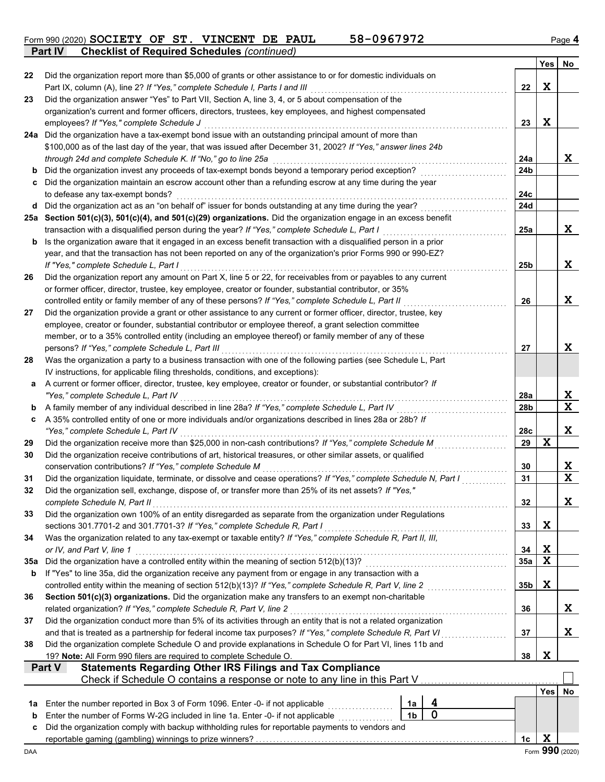**Part IV Checklist of Required Schedules** *(continued)*

|     |                                                                                                                                                                                         |                |   |                                                               | Yes        | No              |
|-----|-----------------------------------------------------------------------------------------------------------------------------------------------------------------------------------------|----------------|---|---------------------------------------------------------------|------------|-----------------|
| 22  | Did the organization report more than \$5,000 of grants or other assistance to or for domestic individuals on                                                                           |                |   |                                                               |            |                 |
|     | Part IX, column (A), line 2? If "Yes," complete Schedule I, Parts I and III                                                                                                             |                |   | 22                                                            | X          |                 |
| 23  | Did the organization answer "Yes" to Part VII, Section A, line 3, 4, or 5 about compensation of the                                                                                     |                |   |                                                               |            |                 |
|     | organization's current and former officers, directors, trustees, key employees, and highest compensated                                                                                 |                |   |                                                               |            |                 |
|     | employees? If "Yes," complete Schedule J                                                                                                                                                |                |   | 23                                                            | X          |                 |
|     | 24a Did the organization have a tax-exempt bond issue with an outstanding principal amount of more than                                                                                 |                |   |                                                               |            |                 |
|     | \$100,000 as of the last day of the year, that was issued after December 31, 2002? If "Yes," answer lines 24b<br>through 24d and complete Schedule K. If "No," go to line 25a           |                |   | 24a                                                           |            | X               |
| b   | Did the organization invest any proceeds of tax-exempt bonds beyond a temporary period exception?                                                                                       |                |   | 24 <sub>b</sub>                                               |            |                 |
| c   | Did the organization maintain an escrow account other than a refunding escrow at any time during the year                                                                               |                |   |                                                               |            |                 |
|     | to defease any tax-exempt bonds?                                                                                                                                                        |                |   | 24c                                                           |            |                 |
|     | d Did the organization act as an "on behalf of" issuer for bonds outstanding at any time during the year?                                                                               |                |   | 24d                                                           |            |                 |
|     | 25a Section 501(c)(3), 501(c)(4), and 501(c)(29) organizations. Did the organization engage in an excess benefit                                                                        |                |   |                                                               |            |                 |
|     | transaction with a disqualified person during the year? If "Yes," complete Schedule L, Part I                                                                                           |                |   | 25a                                                           |            | X               |
|     | <b>b</b> Is the organization aware that it engaged in an excess benefit transaction with a disqualified person in a prior                                                               |                |   |                                                               |            |                 |
|     | year, and that the transaction has not been reported on any of the organization's prior Forms 990 or 990-EZ?                                                                            |                |   |                                                               |            |                 |
|     | If "Yes," complete Schedule L, Part I                                                                                                                                                   |                |   | 25 <sub>b</sub>                                               |            | X               |
| 26  | Did the organization report any amount on Part X, line 5 or 22, for receivables from or payables to any current                                                                         |                |   |                                                               |            |                 |
|     | or former officer, director, trustee, key employee, creator or founder, substantial contributor, or 35%                                                                                 |                |   |                                                               |            |                 |
|     | controlled entity or family member of any of these persons? If "Yes," complete Schedule L, Part II                                                                                      |                |   | 26                                                            |            | X               |
| 27  | Did the organization provide a grant or other assistance to any current or former officer, director, trustee, key                                                                       |                |   |                                                               |            |                 |
|     | employee, creator or founder, substantial contributor or employee thereof, a grant selection committee                                                                                  |                |   |                                                               |            |                 |
|     | member, or to a 35% controlled entity (including an employee thereof) or family member of any of these<br>persons? If "Yes," complete Schedule L, Part III                              |                |   | 27                                                            |            | X               |
| 28  | Was the organization a party to a business transaction with one of the following parties (see Schedule L, Part                                                                          |                |   |                                                               |            |                 |
|     | IV instructions, for applicable filing thresholds, conditions, and exceptions):                                                                                                         |                |   |                                                               |            |                 |
| a   | A current or former officer, director, trustee, key employee, creator or founder, or substantial contributor? If                                                                        |                |   |                                                               |            |                 |
|     | "Yes," complete Schedule L, Part IV                                                                                                                                                     |                |   | 28a                                                           |            | X               |
| b   | A family member of any individual described in line 28a? If "Yes," complete Schedule L, Part IV                                                                                         |                |   | 28b                                                           |            | $\mathbf x$     |
| c   | A 35% controlled entity of one or more individuals and/or organizations described in lines 28a or 28b? If                                                                               |                |   |                                                               |            |                 |
|     | "Yes," complete Schedule L, Part IV                                                                                                                                                     |                |   | 28c                                                           |            | X               |
| 29  | Did the organization receive more than \$25,000 in non-cash contributions? If "Yes," complete Schedule M                                                                                |                |   | 29                                                            | X          |                 |
| 30  | Did the organization receive contributions of art, historical treasures, or other similar assets, or qualified                                                                          |                |   |                                                               |            |                 |
|     | conservation contributions? If "Yes," complete Schedule M                                                                                                                               |                |   | 30                                                            |            | X               |
| 31  | Did the organization liquidate, terminate, or dissolve and cease operations? If "Yes," complete Schedule N, Part I                                                                      |                |   | 31                                                            |            | $\mathbf x$     |
| 32  | Did the organization sell, exchange, dispose of, or transfer more than 25% of its net assets? If "Yes,"                                                                                 |                |   |                                                               |            |                 |
|     | complete Schedule N, Part II                                                                                                                                                            |                |   | 32                                                            |            | X               |
| 33  | Did the organization own 100% of an entity disregarded as separate from the organization under Regulations<br>sections 301.7701-2 and 301.7701-3? If "Yes," complete Schedule R, Part I |                |   | 33                                                            | X          |                 |
| 34  | Was the organization related to any tax-exempt or taxable entity? If "Yes," complete Schedule R, Part II, III,                                                                          |                |   |                                                               |            |                 |
|     | or IV, and Part V, line 1                                                                                                                                                               |                |   | 34                                                            | X          |                 |
| 35а | Did the organization have a controlled entity within the meaning of section 512(b)(13)?                                                                                                 |                |   | 35a                                                           | X          |                 |
| b   | If "Yes" to line 35a, did the organization receive any payment from or engage in any transaction with a                                                                                 |                |   |                                                               |            |                 |
|     |                                                                                                                                                                                         |                |   | 35 <sub>b</sub>                                               | X          |                 |
| 36  | Section 501(c)(3) organizations. Did the organization make any transfers to an exempt non-charitable                                                                                    |                |   |                                                               |            |                 |
|     | related organization? If "Yes," complete Schedule R, Part V, line 2                                                                                                                     |                |   | 36                                                            |            | X               |
| 37  | Did the organization conduct more than 5% of its activities through an entity that is not a related organization                                                                        |                |   |                                                               |            |                 |
|     | and that is treated as a partnership for federal income tax purposes? If "Yes," complete Schedule R, Part VI                                                                            |                |   | 37<br><u>.</u><br>1980 - Paul Barbara, papa pada ang panganan |            | X               |
| 38  | Did the organization complete Schedule O and provide explanations in Schedule O for Part VI, lines 11b and                                                                              |                |   |                                                               |            |                 |
|     | 19? Note: All Form 990 filers are required to complete Schedule O.<br><b>Statements Regarding Other IRS Filings and Tax Compliance</b>                                                  |                |   | 38                                                            | X          |                 |
|     | <b>Part V</b><br>Check if Schedule O contains a response or note to any line in this Part V                                                                                             |                |   |                                                               |            |                 |
|     |                                                                                                                                                                                         |                |   |                                                               | <b>Yes</b> | No              |
| 1а  | Enter the number reported in Box 3 of Form 1096. Enter -0- if not applicable                                                                                                            | 1a             | 4 |                                                               |            |                 |
| b   | Enter the number of Forms W-2G included in line 1a. Enter -0- if not applicable                                                                                                         | 1 <sub>b</sub> | 0 |                                                               |            |                 |
| c   | Did the organization comply with backup withholding rules for reportable payments to vendors and                                                                                        |                |   |                                                               |            |                 |
|     |                                                                                                                                                                                         |                |   | 1c                                                            | X          |                 |
| DAA |                                                                                                                                                                                         |                |   |                                                               |            | Form 990 (2020) |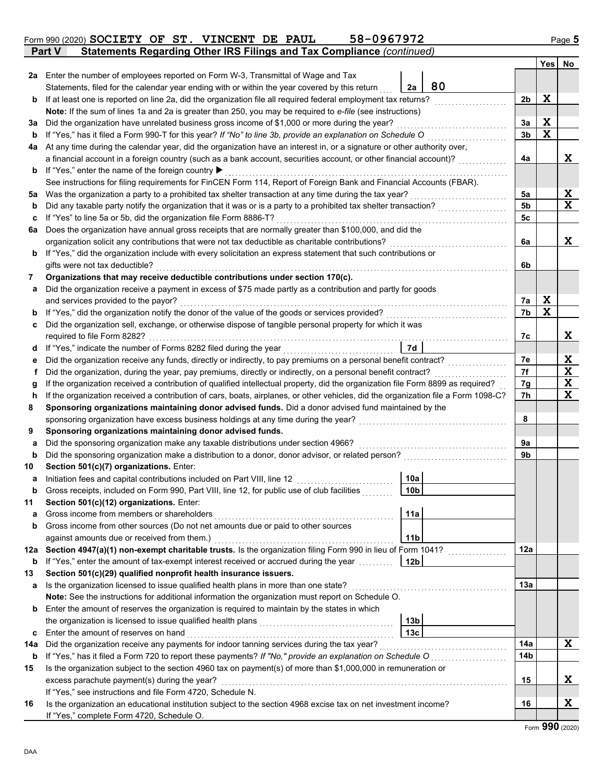|     |                                                                                                                                                 |                 |    |                | Yes | No |  |  |  |  |
|-----|-------------------------------------------------------------------------------------------------------------------------------------------------|-----------------|----|----------------|-----|----|--|--|--|--|
| 2a  | Enter the number of employees reported on Form W-3, Transmittal of Wage and Tax                                                                 |                 |    |                |     |    |  |  |  |  |
|     | Statements, filed for the calendar year ending with or within the year covered by this return                                                   | 2a              | 80 |                |     |    |  |  |  |  |
| b   | If at least one is reported on line 2a, did the organization file all required federal employment tax returns?                                  |                 |    | 2 <sub>b</sub> | X   |    |  |  |  |  |
|     | Note: If the sum of lines 1a and 2a is greater than 250, you may be required to e-file (see instructions)                                       |                 |    |                |     |    |  |  |  |  |
| За  | Did the organization have unrelated business gross income of \$1,000 or more during the year?                                                   |                 |    | 3a             | X   |    |  |  |  |  |
| b   | If "Yes," has it filed a Form 990-T for this year? If "No" to line 3b, provide an explanation on Schedule O                                     |                 |    |                |     |    |  |  |  |  |
| 4a  | At any time during the calendar year, did the organization have an interest in, or a signature or other authority over,                         |                 |    |                |     |    |  |  |  |  |
|     | a financial account in a foreign country (such as a bank account, securities account, or other financial account)?                              |                 |    | 4a             |     | X  |  |  |  |  |
| b   | If "Yes," enter the name of the foreign country ▶                                                                                               |                 |    |                |     |    |  |  |  |  |
|     | See instructions for filing requirements for FinCEN Form 114, Report of Foreign Bank and Financial Accounts (FBAR).                             |                 |    |                |     |    |  |  |  |  |
| 5a  | Was the organization a party to a prohibited tax shelter transaction at any time during the tax year?<br>.                                      |                 |    |                |     |    |  |  |  |  |
| b   | Did any taxable party notify the organization that it was or is a party to a prohibited tax shelter transaction?                                |                 |    | 5 <sub>b</sub> |     | X  |  |  |  |  |
| с   | If "Yes" to line 5a or 5b, did the organization file Form 8886-T?                                                                               |                 |    | 5c             |     |    |  |  |  |  |
| 6a  | Does the organization have annual gross receipts that are normally greater than \$100,000, and did the                                          |                 |    |                |     |    |  |  |  |  |
|     | organization solicit any contributions that were not tax deductible as charitable contributions?                                                |                 |    | 6a             |     | X  |  |  |  |  |
| b   | If "Yes," did the organization include with every solicitation an express statement that such contributions or                                  |                 |    |                |     |    |  |  |  |  |
|     | gifts were not tax deductible?                                                                                                                  |                 |    | 6b             |     |    |  |  |  |  |
| 7   | Organizations that may receive deductible contributions under section 170(c).                                                                   |                 |    |                |     |    |  |  |  |  |
| a   | Did the organization receive a payment in excess of \$75 made partly as a contribution and partly for goods                                     |                 |    |                |     |    |  |  |  |  |
|     | and services provided to the payor?                                                                                                             |                 |    | 7a             | X   |    |  |  |  |  |
| b   | If "Yes," did the organization notify the donor of the value of the goods or services provided?                                                 |                 |    | 7b             | X   |    |  |  |  |  |
| c   | Did the organization sell, exchange, or otherwise dispose of tangible personal property for which it was                                        |                 |    |                |     |    |  |  |  |  |
|     | required to file Form 8282?                                                                                                                     |                 |    | 7c             |     | X  |  |  |  |  |
| d   | If "Yes," indicate the number of Forms 8282 filed during the year                                                                               | 7d              |    | 7e             |     | X  |  |  |  |  |
| е   | Did the organization receive any funds, directly or indirectly, to pay premiums on a personal benefit contract?                                 |                 |    |                |     |    |  |  |  |  |
| f   | Did the organization, during the year, pay premiums, directly or indirectly, on a personal benefit contract?                                    |                 |    |                |     |    |  |  |  |  |
| g   | If the organization received a contribution of qualified intellectual property, did the organization file Form 8899 as required?                |                 |    |                |     |    |  |  |  |  |
| h   | If the organization received a contribution of cars, boats, airplanes, or other vehicles, did the organization file a Form 1098-C?              |                 |    |                |     |    |  |  |  |  |
| 8   | Sponsoring organizations maintaining donor advised funds. Did a donor advised fund maintained by the                                            |                 |    | 8              |     |    |  |  |  |  |
| 9   | sponsoring organization have excess business holdings at any time during the year?<br>Sponsoring organizations maintaining donor advised funds. |                 |    |                |     |    |  |  |  |  |
| а   | Did the sponsoring organization make any taxable distributions under section 4966?                                                              |                 |    | 9a             |     |    |  |  |  |  |
| b   | Did the sponsoring organization make a distribution to a donor, donor advisor, or related person?                                               |                 |    | 9b             |     |    |  |  |  |  |
| 10  | Section 501(c)(7) organizations. Enter:                                                                                                         |                 |    |                |     |    |  |  |  |  |
| а   | Initiation fees and capital contributions included on Part VIII, line 12                                                                        | 10a             |    |                |     |    |  |  |  |  |
| b   | Gross receipts, included on Form 990, Part VIII, line 12, for public use of club facilities                                                     | 10 <sub>b</sub> |    |                |     |    |  |  |  |  |
| 11  | Section 501(c)(12) organizations. Enter:                                                                                                        |                 |    |                |     |    |  |  |  |  |
| а   | Gross income from members or shareholders                                                                                                       | 11a             |    |                |     |    |  |  |  |  |
| b   | Gross income from other sources (Do not net amounts due or paid to other sources                                                                |                 |    |                |     |    |  |  |  |  |
|     | against amounts due or received from them.)                                                                                                     | 11 <sub>b</sub> |    |                |     |    |  |  |  |  |
| 12a | Section 4947(a)(1) non-exempt charitable trusts. Is the organization filing Form 990 in lieu of Form 1041?                                      |                 |    | 12a            |     |    |  |  |  |  |
| b   | If "Yes," enter the amount of tax-exempt interest received or accrued during the year                                                           | 12 <sub>b</sub> |    |                |     |    |  |  |  |  |
| 13  | Section 501(c)(29) qualified nonprofit health insurance issuers.                                                                                |                 |    |                |     |    |  |  |  |  |
| а   | Is the organization licensed to issue qualified health plans in more than one state?                                                            |                 |    | 13а            |     |    |  |  |  |  |
|     | Note: See the instructions for additional information the organization must report on Schedule O.                                               |                 |    |                |     |    |  |  |  |  |
| b   | Enter the amount of reserves the organization is required to maintain by the states in which                                                    |                 |    |                |     |    |  |  |  |  |
|     | the organization is licensed to issue qualified health plans                                                                                    | 13b             |    |                |     |    |  |  |  |  |
| c   | Enter the amount of reserves on hand                                                                                                            | 13 <sub>c</sub> |    |                |     |    |  |  |  |  |
| 14a | Did the organization receive any payments for indoor tanning services during the tax year?                                                      |                 |    | 14a            |     | X  |  |  |  |  |
| b   | If "Yes," has it filed a Form 720 to report these payments? If "No," provide an explanation on Schedule O                                       |                 |    | 14b            |     |    |  |  |  |  |
| 15  | Is the organization subject to the section 4960 tax on payment(s) of more than \$1,000,000 in remuneration or                                   |                 |    |                |     |    |  |  |  |  |
|     | excess parachute payment(s) during the year?                                                                                                    |                 |    | 15             |     | X  |  |  |  |  |
|     | If "Yes," see instructions and file Form 4720, Schedule N.                                                                                      |                 |    |                |     |    |  |  |  |  |
| 16  | Is the organization an educational institution subject to the section 4968 excise tax on net investment income?                                 |                 |    | 16             |     | X  |  |  |  |  |
|     | If "Yes," complete Form 4720, Schedule O.                                                                                                       |                 |    |                |     |    |  |  |  |  |

### **Part V Statements Regarding Other IRS Filings and Tax Compliance** *(continued)* Form 990 (2020) **SOCIETY OF ST. VINCENT DE PAUL 58-0967972** Page 5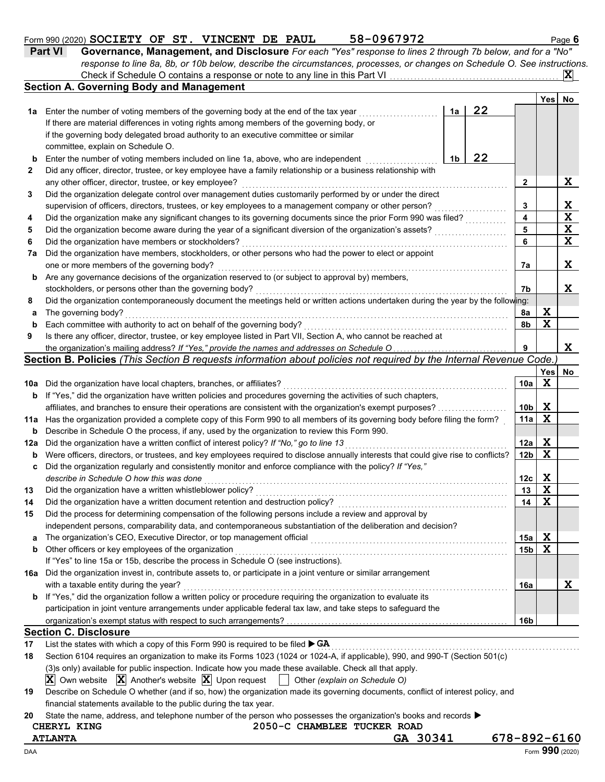# Form 990 (2020) **SOCIETY OF ST. VINCENT DE PAUL 58-0967972** Page 6

| Part VI | Governance, Management, and Disclosure For each "Yes" response to lines 2 through 7b below, and for a "No"                |
|---------|---------------------------------------------------------------------------------------------------------------------------|
|         | response to line 8a, 8b, or 10b below, describe the circumstances, processes, or changes on Schedule O. See instructions. |
|         | $ \mathbf{X} $                                                                                                            |
|         | <b>Section A. Governing Body and Management</b>                                                                           |

| 1а  | Enter the number of voting members of the governing body at the end of the tax year                                                                                                                                                      | 1a | 22 |                 | <b>Yes</b> | No          |
|-----|------------------------------------------------------------------------------------------------------------------------------------------------------------------------------------------------------------------------------------------|----|----|-----------------|------------|-------------|
|     | If there are material differences in voting rights among members of the governing body, or                                                                                                                                               |    |    |                 |            |             |
|     | if the governing body delegated broad authority to an executive committee or similar                                                                                                                                                     |    |    |                 |            |             |
|     | committee, explain on Schedule O.                                                                                                                                                                                                        |    |    |                 |            |             |
| b   | Enter the number of voting members included on line 1a, above, who are independent                                                                                                                                                       | 1b | 22 |                 |            |             |
| 2   | Did any officer, director, trustee, or key employee have a family relationship or a business relationship with                                                                                                                           |    |    |                 |            |             |
|     | any other officer, director, trustee, or key employee?                                                                                                                                                                                   |    |    | 2               |            | X           |
| 3   | Did the organization delegate control over management duties customarily performed by or under the direct                                                                                                                                |    |    |                 |            |             |
|     | supervision of officers, directors, trustees, or key employees to a management company or other person?                                                                                                                                  |    |    | 3               |            | X           |
| 4   | Did the organization make any significant changes to its governing documents since the prior Form 990 was filed?                                                                                                                         |    |    | 4               |            | $\mathbf x$ |
| 5   | Did the organization become aware during the year of a significant diversion of the organization's assets?                                                                                                                               |    |    | 5               |            | X           |
| 6   | Did the organization have members or stockholders?                                                                                                                                                                                       |    |    | 6               |            | $\mathbf x$ |
| 7a  | Did the organization have members, stockholders, or other persons who had the power to elect or appoint                                                                                                                                  |    |    |                 |            |             |
|     | one or more members of the governing body?                                                                                                                                                                                               |    |    | 7a              |            | X           |
| b   | Are any governance decisions of the organization reserved to (or subject to approval by) members,                                                                                                                                        |    |    |                 |            |             |
|     | stockholders, or persons other than the governing body?                                                                                                                                                                                  |    |    | 7b              |            | X           |
| 8   | Did the organization contemporaneously document the meetings held or written actions undertaken during the year by the following:                                                                                                        |    |    |                 |            |             |
| a   | The governing body?                                                                                                                                                                                                                      |    |    | 8a              | X          |             |
| b   | Each committee with authority to act on behalf of the governing body?                                                                                                                                                                    |    |    | 8b              | X          |             |
| 9   | Is there any officer, director, trustee, or key employee listed in Part VII, Section A, who cannot be reached at                                                                                                                         |    |    |                 |            |             |
|     |                                                                                                                                                                                                                                          |    |    | 9               |            | X           |
|     | Section B. Policies (This Section B requests information about policies not required by the Internal Revenue Code.)                                                                                                                      |    |    |                 |            |             |
|     |                                                                                                                                                                                                                                          |    |    |                 | <b>Yes</b> | No          |
| 10a | Did the organization have local chapters, branches, or affiliates?                                                                                                                                                                       |    |    | 10a             | X          |             |
| b   | If "Yes," did the organization have written policies and procedures governing the activities of such chapters,                                                                                                                           |    |    |                 |            |             |
|     | affiliates, and branches to ensure their operations are consistent with the organization's exempt purposes?                                                                                                                              |    |    | 10 <sub>b</sub> | X          |             |
| 11a | Has the organization provided a complete copy of this Form 990 to all members of its governing body before filing the form?                                                                                                              |    |    | 11a             | X          |             |
| b   | Describe in Schedule O the process, if any, used by the organization to review this Form 990.                                                                                                                                            |    |    |                 |            |             |
| 12a | Did the organization have a written conflict of interest policy? If "No," go to line 13                                                                                                                                                  |    |    | 12a             | X          |             |
| b   | Were officers, directors, or trustees, and key employees required to disclose annually interests that could give rise to conflicts?                                                                                                      |    |    | 12 <sub>b</sub> | X          |             |
| c   | Did the organization regularly and consistently monitor and enforce compliance with the policy? If "Yes,"                                                                                                                                |    |    |                 |            |             |
|     | describe in Schedule O how this was done                                                                                                                                                                                                 |    |    | 12c             | X          |             |
| 13  | Did the organization have a written whistleblower policy?                                                                                                                                                                                |    |    | 13              | X          |             |
| 14  | Did the organization have a written document retention and destruction policy?                                                                                                                                                           |    |    | 14              | X          |             |
| 15  | Did the process for determining compensation of the following persons include a review and approval by                                                                                                                                   |    |    |                 |            |             |
|     | independent persons, comparability data, and contemporaneous substantiation of the deliberation and decision?                                                                                                                            |    |    |                 |            |             |
| а   |                                                                                                                                                                                                                                          |    |    | 15a             | X          |             |
| b   | Other officers or key employees of the organization                                                                                                                                                                                      |    |    | 15 <sub>b</sub> | X          |             |
|     | If "Yes" to line 15a or 15b, describe the process in Schedule O (see instructions).                                                                                                                                                      |    |    |                 |            |             |
| 16a | Did the organization invest in, contribute assets to, or participate in a joint venture or similar arrangement                                                                                                                           |    |    |                 |            |             |
|     | with a taxable entity during the year?                                                                                                                                                                                                   |    |    | 16a             |            | X           |
| b   | If "Yes," did the organization follow a written policy or procedure requiring the organization to evaluate its                                                                                                                           |    |    |                 |            |             |
|     | participation in joint venture arrangements under applicable federal tax law, and take steps to safeguard the                                                                                                                            |    |    |                 |            |             |
|     |                                                                                                                                                                                                                                          |    |    | 16b             |            |             |
|     | <b>Section C. Disclosure</b>                                                                                                                                                                                                             |    |    |                 |            |             |
| 17  | List the states with which a copy of this Form 990 is required to be filed $\triangleright$ GA                                                                                                                                           |    |    |                 |            |             |
| 18  | Section 6104 requires an organization to make its Forms 1023 (1024 or 1024-A, if applicable), 990, and 990-T (Section 501(c)<br>(3)s only) available for public inspection. Indicate how you made these available. Check all that apply. |    |    |                 |            |             |
|     |                                                                                                                                                                                                                                          |    |    |                 |            |             |

 $\overline{\textbf{X}}$  Own website  $\overline{\textbf{X}}$  Another's website  $\overline{\textbf{X}}$  Upon request  $\begin{bmatrix} \overline{\textbf{X}} & \text{Other (explain on Schedule O)} \end{bmatrix}$ 

**19** Describe on Schedule O whether (and if so, how) the organization made its governing documents, conflict of interest policy, and financial statements available to the public during the tax year.

**20** State the name, address, and telephone number of the person who possesses the organization's books and records  $\blacktriangleright$ 

**CHERYL KING 2050-C CHAMBLEE TUCKER ROAD ATLANTA GA 30341 678-892-6160**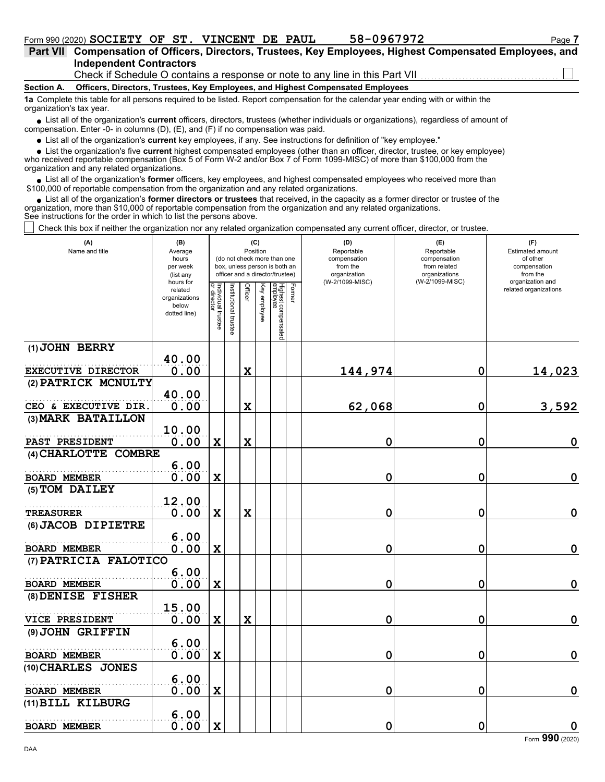|  |  |  |  | Part VII Compensation of Officers, Directors, Trustees, Key Employees, Highest Compensated Employees, and |  |
|--|--|--|--|-----------------------------------------------------------------------------------------------------------|--|
|  |  |  |  | <b>Independent Contractors</b>                                                                            |  |

|--|

#### **Section A. Officers, Directors, Trustees, Key Employees, and Highest Compensated Employees**

**1a** Complete this table for all persons required to be listed. Report compensation for the calendar year ending with or within the organization's tax year.

■ List all of the organization's **current** officers, directors, trustees (whether individuals or organizations), regardless of amount of compensation. Enter -0- in columns (D), (E), and (F) if no compensation was paid.

List all of the organization's **current** key employees, if any. See instructions for definition of "key employee."

■ List all of the organization's **current** key employees, if any. See instructions for definition of "key employee."<br>■ List the organization's five **current** highest compensated employees (other than an officer, director,

who received reportable compensation (Box 5 of Form W-2 and/or Box 7 of Form 1099-MISC) of more than \$100,000 from the organization and any related organizations.

• List all of the organization's **former** officers, key employees, and highest compensated employees who received more than<br>00,000 of reportable compensation from the organization and any related erganizations. \$100,000 of reportable compensation from the organization and any related organizations.

• List all of the organization's **former directors or trustees** that received, in the capacity as a former director or trustee of the anization more than \$10,000 of reportable compensation from the organization and any rel organization, more than \$10,000 of reportable compensation from the organization and any related organizations. See instructions for the order in which to list the persons above.

Check this box if neither the organization nor any related organization compensated any current officer, director, or trustee.

| (A)<br>Name and title                        | (B)<br>Average<br>hours<br>per week<br>(list any<br>hours for |                                   | (C)<br>Position<br>(do not check more than one<br>box, unless person is both an<br>officer and a director/trustee) |             |              |                                 |        | (D)<br>Reportable<br>compensation<br>from the<br>organization<br>(W-2/1099-MISC) | (E)<br>Reportable<br>compensation<br>from related<br>organizations<br>(W-2/1099-MISC) | (F)<br><b>Estimated amount</b><br>of other<br>compensation<br>from the<br>organization and |
|----------------------------------------------|---------------------------------------------------------------|-----------------------------------|--------------------------------------------------------------------------------------------------------------------|-------------|--------------|---------------------------------|--------|----------------------------------------------------------------------------------|---------------------------------------------------------------------------------------|--------------------------------------------------------------------------------------------|
|                                              | related<br>organizations<br>below<br>dotted line)             | Individual trustee<br>or director | nstitutional trustee                                                                                               | Officer     | Key employee | Highest compensated<br>employee | Former |                                                                                  |                                                                                       | related organizations                                                                      |
| (1) JOHN BERRY                               |                                                               |                                   |                                                                                                                    |             |              |                                 |        |                                                                                  |                                                                                       |                                                                                            |
| EXECUTIVE DIRECTOR                           | 40.00<br>0.00                                                 |                                   |                                                                                                                    | $\mathbf x$ |              |                                 |        | 144,974                                                                          | $\mathbf 0$                                                                           | 14,023                                                                                     |
| (2) PATRICK MCNULTY                          |                                                               |                                   |                                                                                                                    |             |              |                                 |        |                                                                                  |                                                                                       |                                                                                            |
|                                              | 40.00                                                         |                                   |                                                                                                                    |             |              |                                 |        |                                                                                  |                                                                                       |                                                                                            |
| CEO & EXECUTIVE DIR.                         | 0.00                                                          |                                   |                                                                                                                    | $\mathbf x$ |              |                                 |        | 62,068                                                                           | 0                                                                                     | 3,592                                                                                      |
| (3) MARK BATAILLON                           |                                                               |                                   |                                                                                                                    |             |              |                                 |        |                                                                                  |                                                                                       |                                                                                            |
|                                              | 10.00                                                         |                                   |                                                                                                                    |             |              |                                 |        |                                                                                  |                                                                                       |                                                                                            |
| PAST PRESIDENT                               | 0.00                                                          | $\mathbf x$                       |                                                                                                                    | $\mathbf x$ |              |                                 |        | 0                                                                                | 0                                                                                     | $\mathbf 0$                                                                                |
| (4) CHARLOTTE COMBRE                         | 6.00                                                          |                                   |                                                                                                                    |             |              |                                 |        |                                                                                  |                                                                                       |                                                                                            |
| <b>BOARD MEMBER</b>                          | 0.00                                                          | $\mathbf x$                       |                                                                                                                    |             |              |                                 |        | 0                                                                                | 0                                                                                     | $\mathbf 0$                                                                                |
| (5) TOM DAILEY                               |                                                               |                                   |                                                                                                                    |             |              |                                 |        |                                                                                  |                                                                                       |                                                                                            |
|                                              | 12.00                                                         |                                   |                                                                                                                    |             |              |                                 |        |                                                                                  |                                                                                       |                                                                                            |
| <b>TREASURER</b>                             | 0.00                                                          | $\mathbf x$                       |                                                                                                                    | $\mathbf x$ |              |                                 |        | 0                                                                                | 0                                                                                     | $\mathbf 0$                                                                                |
| (6) JACOB DIPIETRE                           |                                                               |                                   |                                                                                                                    |             |              |                                 |        |                                                                                  |                                                                                       |                                                                                            |
|                                              | 6.00                                                          |                                   |                                                                                                                    |             |              |                                 |        |                                                                                  |                                                                                       |                                                                                            |
| <b>BOARD MEMBER</b><br>(7) PATRICIA FALOTICO | 0.00                                                          | $\mathbf x$                       |                                                                                                                    |             |              |                                 |        | 0                                                                                | 0                                                                                     | $\pmb{0}$                                                                                  |
|                                              | 6.00                                                          |                                   |                                                                                                                    |             |              |                                 |        |                                                                                  |                                                                                       |                                                                                            |
| BOARD MEMBER                                 | 0.00                                                          | $\mathbf x$                       |                                                                                                                    |             |              |                                 |        | 0                                                                                | 0                                                                                     | $\mathbf 0$                                                                                |
| (8) DENISE FISHER                            |                                                               |                                   |                                                                                                                    |             |              |                                 |        |                                                                                  |                                                                                       |                                                                                            |
|                                              | 15.00                                                         |                                   |                                                                                                                    |             |              |                                 |        |                                                                                  |                                                                                       |                                                                                            |
| VICE PRESIDENT                               | 0.00                                                          | $\mathbf x$                       |                                                                                                                    | $\mathbf x$ |              |                                 |        | 0                                                                                | $\mathbf 0$                                                                           | $\mathbf 0$                                                                                |
| (9) JOHN GRIFFIN                             |                                                               |                                   |                                                                                                                    |             |              |                                 |        |                                                                                  |                                                                                       |                                                                                            |
|                                              | 6.00                                                          |                                   |                                                                                                                    |             |              |                                 |        |                                                                                  |                                                                                       |                                                                                            |
| <b>BOARD MEMBER</b><br>(10) CHARLES JONES    | 0.00                                                          | $\mathbf x$                       |                                                                                                                    |             |              |                                 |        | 0                                                                                | 0                                                                                     | $\mathbf 0$                                                                                |
|                                              | 6.00                                                          |                                   |                                                                                                                    |             |              |                                 |        |                                                                                  |                                                                                       |                                                                                            |
| <b>BOARD MEMBER</b>                          | 0.00                                                          | X                                 |                                                                                                                    |             |              |                                 |        | 0                                                                                | 0                                                                                     | $\mathbf 0$                                                                                |
| (11) BILL KILBURG                            |                                                               |                                   |                                                                                                                    |             |              |                                 |        |                                                                                  |                                                                                       |                                                                                            |
|                                              | 6.00                                                          |                                   |                                                                                                                    |             |              |                                 |        |                                                                                  |                                                                                       |                                                                                            |
| <b>BOARD MEMBER</b>                          | 0.00                                                          | $\mathbf x$                       |                                                                                                                    |             |              |                                 |        | 0                                                                                | $\mathbf 0$                                                                           | $\mathbf 0$                                                                                |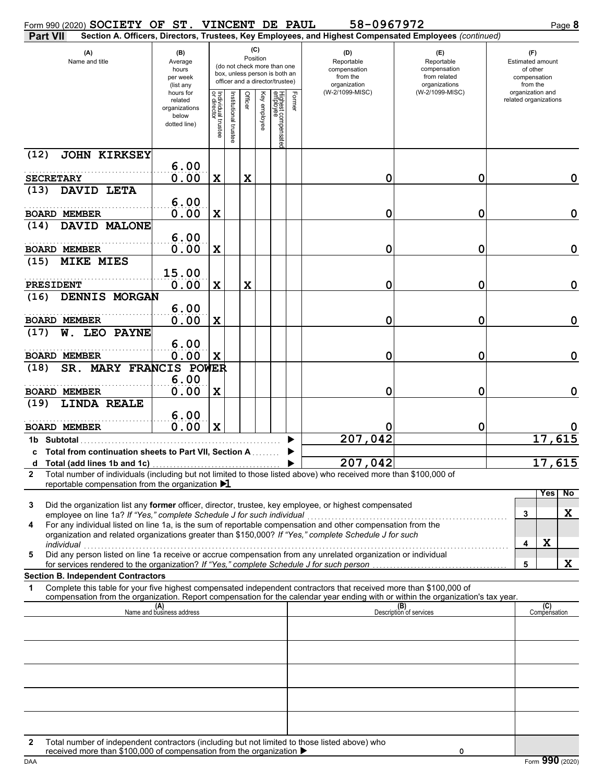|                             | Form 990 (2020) SOCIETY OF ST. VINCENT DE PAUL                                                                                        |                                                                |                                   |                       |         |                 |                                                                                                 |        | 58-0967972                                                                                                                                                                                                                                             |                                                                    | Page 8                                                                                     |
|-----------------------------|---------------------------------------------------------------------------------------------------------------------------------------|----------------------------------------------------------------|-----------------------------------|-----------------------|---------|-----------------|-------------------------------------------------------------------------------------------------|--------|--------------------------------------------------------------------------------------------------------------------------------------------------------------------------------------------------------------------------------------------------------|--------------------------------------------------------------------|--------------------------------------------------------------------------------------------|
| <b>Part VII</b>             |                                                                                                                                       |                                                                |                                   |                       |         |                 |                                                                                                 |        | Section A. Officers, Directors, Trustees, Key Employees, and Highest Compensated Employees (continued)                                                                                                                                                 |                                                                    |                                                                                            |
|                             | (A)<br>Name and title                                                                                                                 | (B)<br>Average<br>hours<br>per week<br>(list any               |                                   |                       |         | (C)<br>Position | (do not check more than one<br>box, unless person is both an<br>officer and a director/trustee) |        | (D)<br>Reportable<br>compensation<br>from the<br>organization                                                                                                                                                                                          | (E)<br>Reportable<br>compensation<br>from related<br>organizations | (F)<br><b>Estimated amount</b><br>of other<br>compensation<br>from the<br>organization and |
|                             |                                                                                                                                       | hours for<br>related<br>organizations<br>below<br>dotted line) | Individual trustee<br>or director | Institutional trustee | Officer | Key employee    | Highest compensatec<br>employee                                                                 | Former | (W-2/1099-MISC)                                                                                                                                                                                                                                        | (W-2/1099-MISC)                                                    | related organizations                                                                      |
| (12)                        | <b>JOHN KIRKSEY</b>                                                                                                                   |                                                                |                                   |                       |         |                 |                                                                                                 |        |                                                                                                                                                                                                                                                        |                                                                    |                                                                                            |
| <b>SECRETARY</b>            |                                                                                                                                       | 6.00<br>0.00                                                   | $\mathbf X$                       |                       | X       |                 |                                                                                                 |        | 0                                                                                                                                                                                                                                                      | 0                                                                  | 0                                                                                          |
| (13)                        | DAVID LETA                                                                                                                            |                                                                |                                   |                       |         |                 |                                                                                                 |        |                                                                                                                                                                                                                                                        |                                                                    |                                                                                            |
|                             |                                                                                                                                       | 6.00                                                           |                                   |                       |         |                 |                                                                                                 |        |                                                                                                                                                                                                                                                        |                                                                    |                                                                                            |
| <b>BOARD MEMBER</b><br>(14) | DAVID MALONE                                                                                                                          | 0.00                                                           | $\mathbf X$                       |                       |         |                 |                                                                                                 |        | 0                                                                                                                                                                                                                                                      | 0                                                                  | $\mathbf 0$                                                                                |
| <b>BOARD MEMBER</b>         |                                                                                                                                       | 6.00<br>0.00                                                   | $\mathbf X$                       |                       |         |                 |                                                                                                 |        | 0                                                                                                                                                                                                                                                      | 0                                                                  | $\mathbf 0$                                                                                |
| (15)                        | <b>MIKE MIES</b>                                                                                                                      |                                                                |                                   |                       |         |                 |                                                                                                 |        |                                                                                                                                                                                                                                                        |                                                                    |                                                                                            |
| PRESIDENT                   |                                                                                                                                       | 15.00<br>0.00                                                  | $\mathbf X$                       |                       | X       |                 |                                                                                                 |        | 0                                                                                                                                                                                                                                                      | 0                                                                  | 0                                                                                          |
| (16)                        | DENNIS MORGAN                                                                                                                         |                                                                |                                   |                       |         |                 |                                                                                                 |        |                                                                                                                                                                                                                                                        |                                                                    |                                                                                            |
| <b>BOARD MEMBER</b>         |                                                                                                                                       | 6.00<br>0.00                                                   | $\mathbf X$                       |                       |         |                 |                                                                                                 |        | 0                                                                                                                                                                                                                                                      | 0                                                                  | $\mathbf 0$                                                                                |
| (17)<br>W.                  | LEO PAYNE                                                                                                                             | 6.00                                                           |                                   |                       |         |                 |                                                                                                 |        |                                                                                                                                                                                                                                                        |                                                                    |                                                                                            |
| <b>BOARD MEMBER</b>         |                                                                                                                                       | 0.00                                                           | X                                 |                       |         |                 |                                                                                                 |        | 0                                                                                                                                                                                                                                                      | 0                                                                  | 0                                                                                          |
| (18)                        | <b>MARY FRANCIS</b><br>SR.                                                                                                            | <b>POWER</b><br>6.00                                           |                                   |                       |         |                 |                                                                                                 |        |                                                                                                                                                                                                                                                        |                                                                    |                                                                                            |
| <b>BOARD MEMBER</b>         |                                                                                                                                       | 0.00                                                           | X                                 |                       |         |                 |                                                                                                 |        | 0                                                                                                                                                                                                                                                      | 0                                                                  | 0                                                                                          |
| (19)                        | <b>LINDA REALE</b>                                                                                                                    | 6.00                                                           |                                   |                       |         |                 |                                                                                                 |        |                                                                                                                                                                                                                                                        |                                                                    |                                                                                            |
| <b>BOARD MEMBER</b>         |                                                                                                                                       | 0.00                                                           | $\mathbf x$                       |                       |         |                 |                                                                                                 |        |                                                                                                                                                                                                                                                        | 0                                                                  |                                                                                            |
| 1b Subtotal                 | c Total from continuation sheets to Part VII, Section A                                                                               |                                                                |                                   |                       |         |                 |                                                                                                 |        | 207,042                                                                                                                                                                                                                                                |                                                                    | 17,615                                                                                     |
| d                           | Total (add lines 1b and 1c)                                                                                                           |                                                                |                                   |                       |         |                 |                                                                                                 |        | 207,042                                                                                                                                                                                                                                                |                                                                    | 17,615                                                                                     |
| $\mathbf{2}$                | reportable compensation from the organization $\blacktriangleright$ 1                                                                 |                                                                |                                   |                       |         |                 |                                                                                                 |        | Total number of individuals (including but not limited to those listed above) who received more than \$100,000 of                                                                                                                                      |                                                                    |                                                                                            |
|                             |                                                                                                                                       |                                                                |                                   |                       |         |                 |                                                                                                 |        |                                                                                                                                                                                                                                                        |                                                                    | Yes<br>No                                                                                  |
| 3                           | employee on line 1a? If "Yes," complete Schedule J for such individual                                                                |                                                                |                                   |                       |         |                 |                                                                                                 |        | Did the organization list any former officer, director, trustee, key employee, or highest compensated                                                                                                                                                  |                                                                    | X<br>3                                                                                     |
| 4                           |                                                                                                                                       |                                                                |                                   |                       |         |                 |                                                                                                 |        | For any individual listed on line 1a, is the sum of reportable compensation and other compensation from the<br>organization and related organizations greater than \$150,000? If "Yes," complete Schedule J for such                                   |                                                                    | X<br>4                                                                                     |
| individual<br>5             |                                                                                                                                       |                                                                |                                   |                       |         |                 |                                                                                                 |        | marviadar<br>Did any person listed on line 1a receive or accrue compensation from any unrelated organization or individual                                                                                                                             |                                                                    |                                                                                            |
|                             | for services rendered to the organization? If "Yes," complete Schedule J for such person<br><b>Section B. Independent Contractors</b> |                                                                |                                   |                       |         |                 |                                                                                                 |        |                                                                                                                                                                                                                                                        |                                                                    | X<br>5                                                                                     |
| 1                           |                                                                                                                                       |                                                                |                                   |                       |         |                 |                                                                                                 |        | Complete this table for your five highest compensated independent contractors that received more than \$100,000 of<br>compensation from the organization. Report compensation for the calendar year ending with or within the organization's tax year. |                                                                    |                                                                                            |
|                             |                                                                                                                                       | (A)<br>Name and business address                               |                                   |                       |         |                 |                                                                                                 |        |                                                                                                                                                                                                                                                        | (B)<br>Description of services                                     | (C)<br>Compensation                                                                        |
|                             |                                                                                                                                       |                                                                |                                   |                       |         |                 |                                                                                                 |        |                                                                                                                                                                                                                                                        |                                                                    |                                                                                            |
|                             |                                                                                                                                       |                                                                |                                   |                       |         |                 |                                                                                                 |        |                                                                                                                                                                                                                                                        |                                                                    |                                                                                            |
|                             |                                                                                                                                       |                                                                |                                   |                       |         |                 |                                                                                                 |        |                                                                                                                                                                                                                                                        |                                                                    |                                                                                            |
|                             |                                                                                                                                       |                                                                |                                   |                       |         |                 |                                                                                                 |        |                                                                                                                                                                                                                                                        |                                                                    |                                                                                            |
|                             |                                                                                                                                       |                                                                |                                   |                       |         |                 |                                                                                                 |        |                                                                                                                                                                                                                                                        |                                                                    |                                                                                            |
|                             |                                                                                                                                       |                                                                |                                   |                       |         |                 |                                                                                                 |        |                                                                                                                                                                                                                                                        |                                                                    |                                                                                            |
|                             |                                                                                                                                       |                                                                |                                   |                       |         |                 |                                                                                                 |        |                                                                                                                                                                                                                                                        |                                                                    |                                                                                            |
| $\mathbf{2}$                | received more than \$100,000 of compensation from the organization ▶                                                                  |                                                                |                                   |                       |         |                 |                                                                                                 |        | Total number of independent contractors (including but not limited to those listed above) who                                                                                                                                                          | 0                                                                  |                                                                                            |

| received more than \$100,000 of compensation from the organization ▶ |  |
|----------------------------------------------------------------------|--|
|                                                                      |  |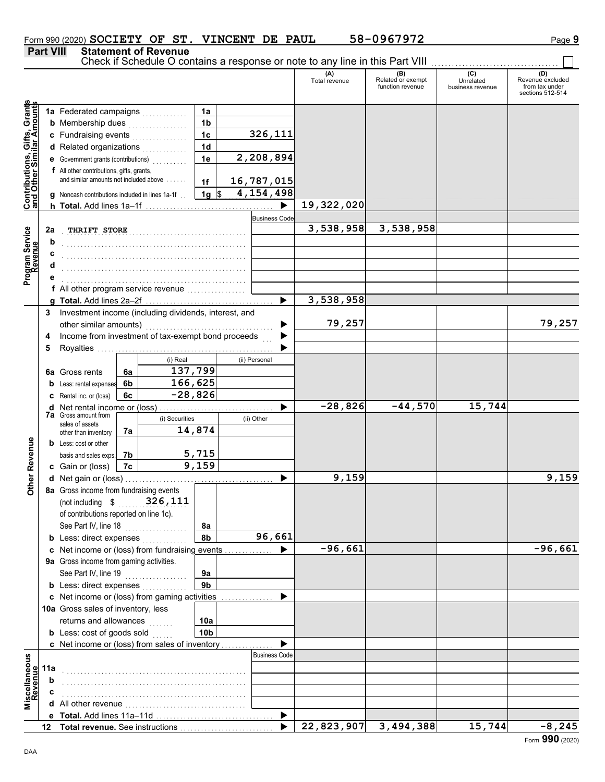**Part VIII Statement of Revenue**

|                                         |     |                                                        |    |                |                 |               |                      | (A)<br>Total revenue | (B)<br>Related or exempt<br>function revenue | (C)<br>Unrelated<br>business revenue | Revenue excluded<br>from tax under<br>sections 512-514 |
|-----------------------------------------|-----|--------------------------------------------------------|----|----------------|-----------------|---------------|----------------------|----------------------|----------------------------------------------|--------------------------------------|--------------------------------------------------------|
| s, Grants<br>\mounts                    |     | 1a Federated campaigns [11, 11, 11, 11, 11]            |    |                | 1a              |               |                      |                      |                                              |                                      |                                                        |
|                                         |     | <b>b</b> Membership dues                               |    |                | 1 <sub>b</sub>  |               |                      |                      |                                              |                                      |                                                        |
|                                         |     | c Fundraising events                                   |    | .              | 1 <sub>c</sub>  |               | 326,111              |                      |                                              |                                      |                                                        |
| Gifts,<br>ilar Ar                       |     | d Related organizations                                |    | .              | 1 <sub>d</sub>  |               |                      |                      |                                              |                                      |                                                        |
|                                         |     | e Government grants (contributions)<br>                |    |                | 1e              |               | 2,208,894            |                      |                                              |                                      |                                                        |
|                                         |     | f All other contributions, gifts, grants,              |    |                |                 |               |                      |                      |                                              |                                      |                                                        |
|                                         |     | and similar amounts not included above                 |    |                | 1f              |               | 16,787,015           |                      |                                              |                                      |                                                        |
|                                         |     | <b>q</b> Noncash contributions included in lines 1a-1f |    |                | $1g$ \$         |               | 4, 154, 498          |                      |                                              |                                      |                                                        |
| <b>Contributions,<br/>and Other Sim</b> |     |                                                        |    |                |                 |               | ▶                    | 19,322,020           |                                              |                                      |                                                        |
|                                         |     |                                                        |    |                |                 |               | <b>Business Code</b> |                      |                                              |                                      |                                                        |
|                                         | 2a  | THRIFT STORE                                           |    |                |                 |               |                      | 3,538,958            | 3,538,958                                    |                                      |                                                        |
| Program Service<br>Revenue              | b   |                                                        |    |                |                 |               |                      |                      |                                              |                                      |                                                        |
|                                         | c   |                                                        |    |                |                 |               |                      |                      |                                              |                                      |                                                        |
|                                         |     |                                                        |    |                |                 |               |                      |                      |                                              |                                      |                                                        |
|                                         |     |                                                        |    |                |                 |               |                      |                      |                                              |                                      |                                                        |
|                                         |     | f All other program service revenue                    |    |                |                 |               |                      |                      |                                              |                                      |                                                        |
|                                         |     |                                                        |    |                |                 |               | ь                    | 3,538,958            |                                              |                                      |                                                        |
|                                         | 3   | Investment income (including dividends, interest, and  |    |                |                 |               |                      |                      |                                              |                                      |                                                        |
|                                         |     | other similar amounts)                                 |    |                |                 |               | ▶                    | 79,257               |                                              |                                      | 79,257                                                 |
|                                         | 4   | Income from investment of tax-exempt bond proceeds     |    |                |                 |               |                      |                      |                                              |                                      |                                                        |
|                                         | 5   |                                                        |    |                |                 |               |                      |                      |                                              |                                      |                                                        |
|                                         |     |                                                        |    | (i) Real       |                 | (ii) Personal |                      |                      |                                              |                                      |                                                        |
|                                         |     | 6a Gross rents                                         | 6a | 137,799        |                 |               |                      |                      |                                              |                                      |                                                        |
|                                         | b   | Less: rental expenses                                  | 6b | 166,625        |                 |               |                      |                      |                                              |                                      |                                                        |
|                                         |     | Rental inc. or (loss)                                  | 6c | $-28,826$      |                 |               |                      |                      |                                              |                                      |                                                        |
|                                         | d   |                                                        |    |                |                 |               |                      | $-28,826$            | $-44,570$                                    | 15,744                               |                                                        |
|                                         |     | <b>7a</b> Gross amount from                            |    | (i) Securities |                 | (ii) Other    |                      |                      |                                              |                                      |                                                        |
|                                         |     | sales of assets<br>other than inventory                | 7a |                | 14,874          |               |                      |                      |                                              |                                      |                                                        |
|                                         |     | <b>b</b> Less: cost or other                           |    |                |                 |               |                      |                      |                                              |                                      |                                                        |
|                                         |     | basis and sales exps.                                  | 7b |                | 5,715           |               |                      |                      |                                              |                                      |                                                        |
| Other Revenue                           |     | c Gain or (loss)                                       | 7c |                | 9,159           |               |                      |                      |                                              |                                      |                                                        |
|                                         |     |                                                        |    |                |                 |               | ▶                    | 9,159                |                                              |                                      | 9,159                                                  |
|                                         |     | 8a Gross income from fundraising events                |    |                |                 |               |                      |                      |                                              |                                      |                                                        |
|                                         |     | (not including \$                                      |    | 326,111        |                 |               |                      |                      |                                              |                                      |                                                        |
|                                         |     | of contributions reported on line 1c).                 |    |                |                 |               |                      |                      |                                              |                                      |                                                        |
|                                         |     | See Part IV, line 18                                   |    | .              | 8а              |               |                      |                      |                                              |                                      |                                                        |
|                                         |     | <b>b</b> Less: direct expenses                         |    |                | 8b              |               | 96,661               |                      |                                              |                                      |                                                        |
|                                         |     | c Net income or (loss) from fundraising events         |    |                |                 |               |                      | $-96,661$            |                                              |                                      | $-96,661$                                              |
|                                         |     | 9a Gross income from gaming activities.                |    |                |                 |               |                      |                      |                                              |                                      |                                                        |
|                                         |     | See Part IV, line 19                                   |    |                | 9а              |               |                      |                      |                                              |                                      |                                                        |
|                                         |     | <b>b</b> Less: direct expenses                         |    |                | 9 <sub>b</sub>  |               |                      |                      |                                              |                                      |                                                        |
|                                         |     | c Net income or (loss) from gaming activities          |    |                |                 |               |                      |                      |                                              |                                      |                                                        |
|                                         |     | 10a Gross sales of inventory, less                     |    |                |                 |               |                      |                      |                                              |                                      |                                                        |
|                                         |     | returns and allowances                                 |    | .              | 10a             |               |                      |                      |                                              |                                      |                                                        |
|                                         |     | <b>b</b> Less: cost of goods sold                      |    |                | 10 <sub>b</sub> |               |                      |                      |                                              |                                      |                                                        |
|                                         |     | c Net income or (loss) from sales of inventory         |    |                |                 |               |                      |                      |                                              |                                      |                                                        |
|                                         |     |                                                        |    |                |                 |               | <b>Business Code</b> |                      |                                              |                                      |                                                        |
|                                         | 11a |                                                        |    |                |                 |               |                      |                      |                                              |                                      |                                                        |
|                                         | b   |                                                        |    |                |                 |               |                      |                      |                                              |                                      |                                                        |
| Miscellaneous<br>Revenue                | с   |                                                        |    |                |                 |               |                      |                      |                                              |                                      |                                                        |
|                                         |     |                                                        |    |                |                 |               |                      |                      |                                              |                                      |                                                        |
|                                         |     |                                                        |    |                |                 |               | ▶                    |                      |                                              |                                      |                                                        |
|                                         | 12  |                                                        |    |                |                 |               |                      | 22,823,907           | $\overline{3}$ , 494, 388                    | 15,744                               | $-8, 245$                                              |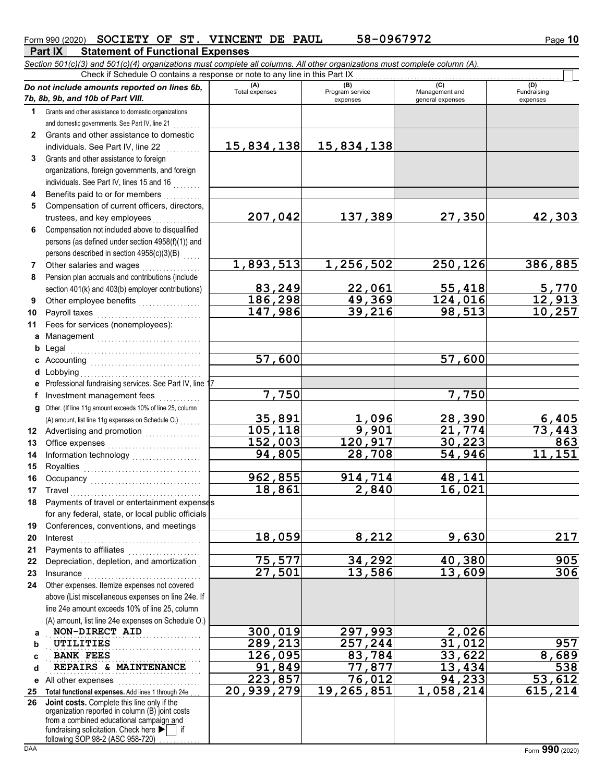# Form 990 (2020) **SOCIETY OF ST. VINCENT DE PAUL 58-0967972** Page 10

# **Part IX Statement of Functional Expenses** *Section 501(c)(3) and 501(c)(4) organizations must complete all columns. All other organizations must complete column (A).*

|              | Check if Schedule O contains a response or note to any line in this Part IX                                                                |                       |                                    |                                           |                                |
|--------------|--------------------------------------------------------------------------------------------------------------------------------------------|-----------------------|------------------------------------|-------------------------------------------|--------------------------------|
|              | Do not include amounts reported on lines 6b,<br>7b, 8b, 9b, and 10b of Part VIII.                                                          | (A)<br>Total expenses | (B)<br>Program service<br>expenses | (C)<br>Management and<br>general expenses | (D)<br>Fundraising<br>expenses |
| $\mathbf 1$  | Grants and other assistance to domestic organizations                                                                                      |                       |                                    |                                           |                                |
|              | and domestic governments. See Part IV, line 21                                                                                             |                       |                                    |                                           |                                |
| $\mathbf{2}$ | Grants and other assistance to domestic                                                                                                    |                       |                                    |                                           |                                |
|              | individuals. See Part IV, line 22                                                                                                          | 15,834,138            | 15,834,138                         |                                           |                                |
| 3            | Grants and other assistance to foreign                                                                                                     |                       |                                    |                                           |                                |
|              | organizations, foreign governments, and foreign                                                                                            |                       |                                    |                                           |                                |
|              | individuals. See Part IV, lines 15 and 16                                                                                                  |                       |                                    |                                           |                                |
| 4            | Benefits paid to or for members                                                                                                            |                       |                                    |                                           |                                |
| 5            | Compensation of current officers, directors,                                                                                               |                       |                                    |                                           |                                |
|              | trustees, and key employees                                                                                                                | 207,042               | 137,389                            | 27,350                                    | 42,303                         |
| 6            | Compensation not included above to disqualified                                                                                            |                       |                                    |                                           |                                |
|              | persons (as defined under section 4958(f)(1)) and                                                                                          |                       |                                    |                                           |                                |
|              | persons described in section 4958(c)(3)(B)                                                                                                 |                       |                                    |                                           |                                |
| 7            | Other salaries and wages<br>. <b>.</b>                                                                                                     | 1,893,513             | 1,256,502                          | 250,126                                   | 386,885                        |
| 8            | Pension plan accruals and contributions (include                                                                                           |                       |                                    |                                           |                                |
|              | section 401(k) and 403(b) employer contributions)                                                                                          | 83,249                | 22,061                             | 55,418                                    | 5,770                          |
| 9            |                                                                                                                                            | 186,298<br>147,986    | 49,369                             | 124,016<br>98,513                         | 12,913<br>10,257               |
| 10           |                                                                                                                                            |                       | 39,216                             |                                           |                                |
| 11           | Fees for services (nonemployees):                                                                                                          |                       |                                    |                                           |                                |
| a            | Management                                                                                                                                 |                       |                                    |                                           |                                |
| b<br>c       |                                                                                                                                            | 57,600                |                                    | 57,600                                    |                                |
| d            | Lobbying                                                                                                                                   |                       |                                    |                                           |                                |
| е            | Professional fundraising services. See Part IV, line 17                                                                                    |                       |                                    |                                           |                                |
|              | f Investment management fees                                                                                                               | 7,750                 |                                    | 7,750                                     |                                |
| a            | Other. (If line 11g amount exceeds 10% of line 25, column                                                                                  |                       |                                    |                                           |                                |
|              |                                                                                                                                            | 35,891                | 1,096                              | 28,390                                    | 6,405                          |
| 12           | Advertising and promotion<br>                                                                                                              | 105,118               | 9,901                              | 21,774                                    | 73,443                         |
| 13           |                                                                                                                                            | 152,003               | 120,917                            | 30,223                                    | 863                            |
| 14           |                                                                                                                                            | 94,805                | 28,708                             | 54,946                                    | 11,151                         |
| 15           |                                                                                                                                            |                       |                                    |                                           |                                |
| 16           |                                                                                                                                            | 962,855               | 914, 714                           | 48,141                                    |                                |
| 17           |                                                                                                                                            | 18,861                | 2,840                              | 16,021                                    |                                |
| 18           | Payments of travel or entertainment expenses                                                                                               |                       |                                    |                                           |                                |
|              | for any federal, state, or local public officials                                                                                          |                       |                                    |                                           |                                |
| 19           | Conferences, conventions, and meetings                                                                                                     |                       |                                    |                                           |                                |
| 20           | Interest                                                                                                                                   | 18,059                | 8,212                              | 9,630                                     | 217                            |
| 21           | Payments to affiliates                                                                                                                     |                       |                                    |                                           |                                |
| 22           | Depreciation, depletion, and amortization                                                                                                  | 75,577                | 34,292                             | 40,380                                    | 905                            |
| 23           | Insurance                                                                                                                                  | 27,501                | 13,586                             | 13,609                                    | 306                            |
| 24           | Other expenses. Itemize expenses not covered                                                                                               |                       |                                    |                                           |                                |
|              | above (List miscellaneous expenses on line 24e. If                                                                                         |                       |                                    |                                           |                                |
|              | line 24e amount exceeds 10% of line 25, column                                                                                             |                       |                                    |                                           |                                |
|              | (A) amount, list line 24e expenses on Schedule O.)<br>NON-DIRECT AID                                                                       | 300,019               | 297,993                            | 2,026                                     |                                |
| a<br>b       | UTILITIES                                                                                                                                  | 289,213               | 257,244                            | 31,012                                    | 957                            |
| C            | <b>BANK FEES</b>                                                                                                                           | 126,095               | 83,784                             | 33,622                                    | 8,689                          |
| d            | REPAIRS & MAINTENANCE                                                                                                                      | 91,849                | 77,877                             | 13,434                                    | 538                            |
| е            | All other expenses                                                                                                                         | 223,857               | 76,012                             | 94,233                                    | 53,612                         |
| 25           | Total functional expenses. Add lines 1 through 24e                                                                                         | 20,939,279            | 19,265,851                         | 1,058,214                                 | 615,214                        |
| 26           | Joint costs. Complete this line only if the<br>organization reported in column (B) joint costs<br>from a combined educational campaign and |                       |                                    |                                           |                                |
|              | fundraising solicitation. Check here<br>lif<br>following SOP 98-2 (ASC 958-720)                                                            |                       |                                    |                                           |                                |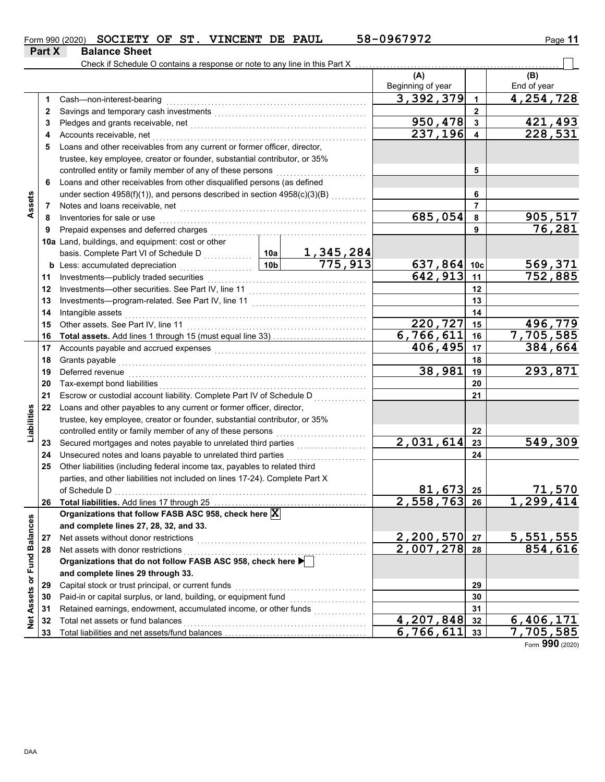|        | Form 990 (2020) SOCIETY OF ST. |  | <b>VINCENT DE PAUL</b> |  | 58-0967972 | Page 11 |
|--------|--------------------------------|--|------------------------|--|------------|---------|
| Part X | <b>Balance Sheet</b>           |  |                        |  |            |         |

|                                |    | Check if Schedule O contains a response or note to any line in this Part X     |                 |                                                          |                       |              |                        |
|--------------------------------|----|--------------------------------------------------------------------------------|-----------------|----------------------------------------------------------|-----------------------|--------------|------------------------|
|                                |    |                                                                                |                 |                                                          | (A)                   |              | (B)                    |
|                                |    |                                                                                |                 |                                                          | Beginning of year     |              | End of year            |
|                                | 1  | Cash-non-interest-bearing                                                      |                 |                                                          | 3,392,379             | 1            | $\overline{4,254,728}$ |
|                                | 2  |                                                                                |                 |                                                          |                       | $\mathbf{2}$ |                        |
|                                | 3  |                                                                                |                 |                                                          | 950,478               | 3            | 421,493                |
|                                | 4  | Accounts receivable, net                                                       |                 |                                                          | $\overline{237,196}$  | 4            | 228,531                |
|                                | 5  | Loans and other receivables from any current or former officer, director,      |                 |                                                          |                       |              |                        |
|                                |    | trustee, key employee, creator or founder, substantial contributor, or 35%     |                 |                                                          |                       |              |                        |
|                                |    | controlled entity or family member of any of these persons                     |                 |                                                          |                       | 5            |                        |
|                                | 6  | Loans and other receivables from other disqualified persons (as defined        |                 |                                                          |                       |              |                        |
|                                |    | under section $4958(f)(1)$ ), and persons described in section $4958(c)(3)(B)$ |                 |                                                          |                       | 6            |                        |
| Assets                         | 7  | Notes and loans receivable, net                                                |                 |                                                          |                       | 7            |                        |
|                                | 8  | Inventories for sale or use                                                    |                 |                                                          | 685,054               | 8            | 905,517                |
|                                | 9  | Prepaid expenses and deferred charges                                          |                 |                                                          |                       | 9            | 76,281                 |
|                                |    | 10a Land, buildings, and equipment: cost or other                              |                 |                                                          |                       |              |                        |
|                                |    | basis. Complete Part VI of Schedule D                                          | 10a             |                                                          |                       |              |                        |
|                                |    | <b>b</b> Less: accumulated depreciation                                        | 10 <sub>b</sub> | 1, 345, 284<br>775, 913                                  | 637,864 10c           |              | 569,371                |
|                                | 11 | Investments-publicly traded securities                                         |                 |                                                          | 642,913               | 11           | 752,885                |
|                                | 12 |                                                                                |                 |                                                          |                       | 12           |                        |
|                                | 13 |                                                                                |                 |                                                          |                       | 13           |                        |
|                                | 14 | Intangible assets                                                              |                 |                                                          |                       | 14           |                        |
|                                | 15 |                                                                                |                 |                                                          | $\overline{220,727}$  | 15           | 496,779                |
|                                | 16 |                                                                                |                 |                                                          | 6,766,611             | 16           | 7,705,585              |
|                                | 17 |                                                                                |                 |                                                          | 406,495               | 17           | 384,664                |
|                                | 18 | Grants payable                                                                 |                 |                                                          |                       | 18           |                        |
|                                | 19 | Deferred revenue                                                               |                 |                                                          | 38,981                | 19           | 293,871                |
|                                | 20 | Tax-exempt bond liabilities                                                    |                 |                                                          |                       | 20           |                        |
|                                | 21 | Escrow or custodial account liability. Complete Part IV of Schedule D          |                 |                                                          |                       | 21           |                        |
|                                | 22 | Loans and other payables to any current or former officer, director,           |                 |                                                          |                       |              |                        |
| Liabilities                    |    | trustee, key employee, creator or founder, substantial contributor, or 35%     |                 |                                                          |                       |              |                        |
|                                |    | controlled entity or family member of any of these persons                     |                 | <u> 1986 - Johann Stoff, martin Amerikaansk kanton (</u> |                       | 22           |                        |
|                                | 23 | Secured mortgages and notes payable to unrelated third parties                 |                 |                                                          | 2,031,614             | 23           | 549,309                |
|                                | 24 | Unsecured notes and loans payable to unrelated third parties                   |                 |                                                          |                       | 24           |                        |
|                                | 25 | Other liabilities (including federal income tax, payables to related third     |                 |                                                          |                       |              |                        |
|                                |    | parties, and other liabilities not included on lines 17-24). Complete Part X   |                 |                                                          |                       |              |                        |
|                                |    |                                                                                |                 |                                                          | 81,673 25             |              | 71,570                 |
|                                | 26 | Total liabilities. Add lines 17 through 25                                     |                 |                                                          | <u>2,558,763 26</u>   |              | <u>1,299,414</u>       |
|                                |    | Organizations that follow FASB ASC 958, check here X                           |                 |                                                          |                       |              |                        |
|                                |    | and complete lines 27, 28, 32, and 33.                                         |                 |                                                          |                       |              |                        |
|                                | 27 | Net assets without donor restrictions                                          |                 |                                                          | 2,200,570             | 27           | 5,551,555              |
|                                | 28 | Net assets with donor restrictions                                             |                 |                                                          | 2,007,278             | 28           | 854,616                |
|                                |    | Organizations that do not follow FASB ASC 958, check here                      |                 |                                                          |                       |              |                        |
| <b>Assets or Fund Balances</b> |    | and complete lines 29 through 33.                                              |                 |                                                          |                       |              |                        |
|                                | 29 | Capital stock or trust principal, or current funds                             |                 |                                                          |                       | 29           |                        |
|                                | 30 | Paid-in or capital surplus, or land, building, or equipment fund               |                 |                                                          |                       | 30           |                        |
|                                | 31 | Retained earnings, endowment, accumulated income, or other funds               |                 |                                                          |                       | 31           |                        |
| Net.                           | 32 | Total net assets or fund balances                                              |                 |                                                          | $\sqrt{4}$ , 207, 848 | 32           | 6,406,171              |
|                                | 33 |                                                                                |                 |                                                          | 6,766,611             | 33           | 7,705,585              |

Form **990** (2020)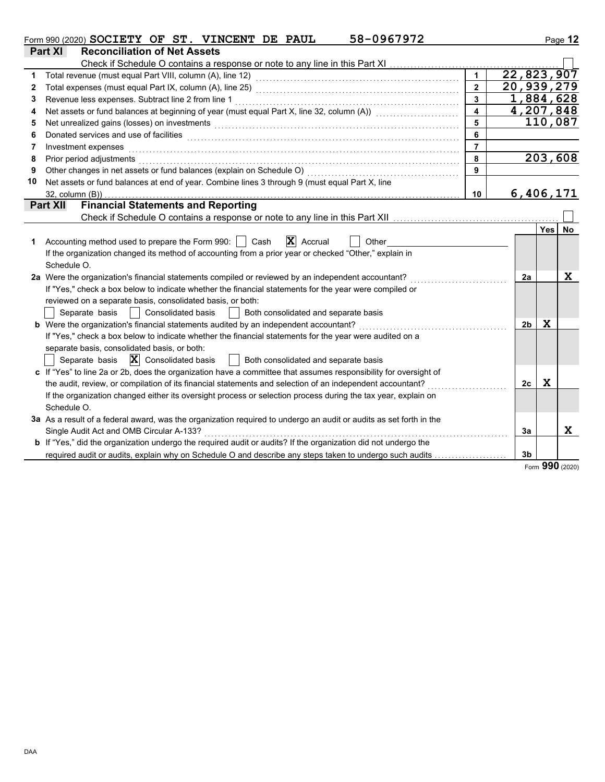|              | 58-0967972<br>Form 990 (2020) SOCIETY OF ST. VINCENT DE PAUL                                                                                                                                                                   |                         |                        |             | Page 12              |
|--------------|--------------------------------------------------------------------------------------------------------------------------------------------------------------------------------------------------------------------------------|-------------------------|------------------------|-------------|----------------------|
|              | Part XI<br><b>Reconciliation of Net Assets</b>                                                                                                                                                                                 |                         |                        |             |                      |
|              |                                                                                                                                                                                                                                |                         |                        |             |                      |
| 1            |                                                                                                                                                                                                                                | $\mathbf{1}$            | 22,823,907             |             |                      |
| $\mathbf{2}$ |                                                                                                                                                                                                                                | $\overline{2}$          | 20,939,279             |             |                      |
| 3            | Revenue less expenses. Subtract line 2 from line 1                                                                                                                                                                             | $\overline{\mathbf{3}}$ | 1,884,628              |             |                      |
| 4            | Net assets or fund balances at beginning of year (must equal Part X, line 32, column (A)) [[[[[[[[[[[[[[[[[[[                                                                                                                  | $\overline{\mathbf{4}}$ | $\overline{4,207,848}$ |             |                      |
| 5            | Net unrealized gains (losses) on investments                                                                                                                                                                                   | 5                       |                        |             | $\overline{1}10,087$ |
| 6            |                                                                                                                                                                                                                                | 6                       |                        |             |                      |
| 7            | Investment expenses                                                                                                                                                                                                            | $\overline{7}$          |                        |             |                      |
| 8            | Prior period adjustments with an account of the contract of the contract of the contract of the contract of the contract of the contract of the contract of the contract of the contract of the contract of the contract of th | 8                       |                        |             | 203, 608             |
| 9            | Other changes in net assets or fund balances (explain on Schedule O)                                                                                                                                                           | 9                       |                        |             |                      |
| 10           | Net assets or fund balances at end of year. Combine lines 3 through 9 (must equal Part X, line                                                                                                                                 |                         |                        |             |                      |
|              | $32$ , column $(B)$ )                                                                                                                                                                                                          | 10                      | 6,406,171              |             |                      |
|              | <b>Financial Statements and Reporting</b><br><b>Part XII</b>                                                                                                                                                                   |                         |                        |             |                      |
|              | Check if Schedule O contains a response or note to any line in this Part XII [11] [11] Check if Schedule O contains a response or note to any line in this Part XII                                                            |                         |                        |             |                      |
|              |                                                                                                                                                                                                                                |                         |                        | <b>Yes</b>  | No                   |
|              | $ \mathbf{X} $ Accrual<br>Accounting method used to prepare the Form 990:     Cash<br>Other                                                                                                                                    |                         |                        |             |                      |
|              | If the organization changed its method of accounting from a prior year or checked "Other," explain in                                                                                                                          |                         |                        |             |                      |
|              | Schedule O.                                                                                                                                                                                                                    |                         |                        |             |                      |
|              | 2a Were the organization's financial statements compiled or reviewed by an independent accountant?                                                                                                                             |                         | 2a                     |             | X                    |
|              | If "Yes," check a box below to indicate whether the financial statements for the year were compiled or                                                                                                                         |                         |                        |             |                      |
|              | reviewed on a separate basis, consolidated basis, or both:                                                                                                                                                                     |                         |                        |             |                      |
|              | Separate basis<br><b>Consolidated basis</b><br>Both consolidated and separate basis                                                                                                                                            |                         |                        |             |                      |
|              | b Were the organization's financial statements audited by an independent accountant?                                                                                                                                           |                         | 2 <sub>b</sub>         | $\mathbf x$ |                      |
|              | If "Yes," check a box below to indicate whether the financial statements for the year were audited on a                                                                                                                        |                         |                        |             |                      |
|              | separate basis, consolidated basis, or both:                                                                                                                                                                                   |                         |                        |             |                      |
|              | Separate basis $\ \mathbf{X}\ $ Consolidated basis<br>Both consolidated and separate basis                                                                                                                                     |                         |                        |             |                      |
|              | c If "Yes" to line 2a or 2b, does the organization have a committee that assumes responsibility for oversight of                                                                                                               |                         |                        |             |                      |
|              | the audit, review, or compilation of its financial statements and selection of an independent accountant?                                                                                                                      |                         | 2c                     | X           |                      |
|              | If the organization changed either its oversight process or selection process during the tax year, explain on                                                                                                                  |                         |                        |             |                      |
|              | Schedule O.                                                                                                                                                                                                                    |                         |                        |             |                      |
|              | 3a As a result of a federal award, was the organization required to undergo an audit or audits as set forth in the                                                                                                             |                         |                        |             |                      |
|              | Single Audit Act and OMB Circular A-133?                                                                                                                                                                                       |                         | 3a                     |             | x                    |
|              | b If "Yes," did the organization undergo the required audit or audits? If the organization did not undergo the                                                                                                                 |                         |                        |             |                      |
|              | required audit or audits, explain why on Schedule O and describe any steps taken to undergo such audits                                                                                                                        |                         | 3b                     |             |                      |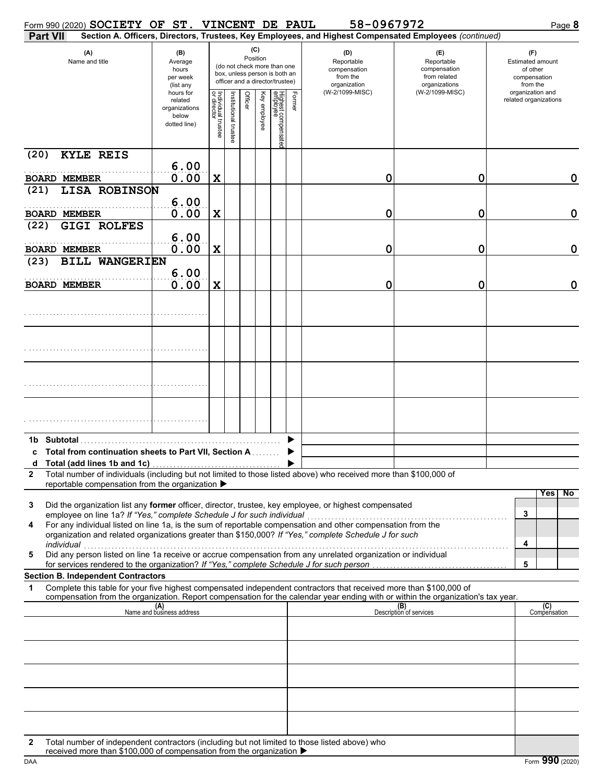|                             | Form 990 (2020) SOCIETY OF ST. VINCENT DE PAUL                                            |                                                                |                                   |                      |                 |              |                                                                                                 |        | 58-0967972                                                                                                                                                                                                           |                                                                    | Page 8                                                                 |
|-----------------------------|-------------------------------------------------------------------------------------------|----------------------------------------------------------------|-----------------------------------|----------------------|-----------------|--------------|-------------------------------------------------------------------------------------------------|--------|----------------------------------------------------------------------------------------------------------------------------------------------------------------------------------------------------------------------|--------------------------------------------------------------------|------------------------------------------------------------------------|
| <b>Part VII</b>             |                                                                                           |                                                                |                                   |                      |                 |              |                                                                                                 |        | Section A. Officers, Directors, Trustees, Key Employees, and Highest Compensated Employees (continued)                                                                                                               |                                                                    |                                                                        |
|                             | (A)<br>Name and title                                                                     | (B)<br>Average<br>hours<br>per week<br>(list any               |                                   |                      | (C)<br>Position |              | (do not check more than one<br>box, unless person is both an<br>officer and a director/trustee) |        | (D)<br>Reportable<br>compensation<br>from the<br>organization                                                                                                                                                        | (E)<br>Reportable<br>compensation<br>from related<br>organizations | (F)<br><b>Estimated amount</b><br>of other<br>compensation<br>from the |
|                             |                                                                                           | hours for<br>related<br>organizations<br>below<br>dotted line) | Individual trustee<br>or director | nstitutional trustee | Officer         | Key employee | Highest compensatec<br>employee                                                                 | Former | (W-2/1099-MISC)                                                                                                                                                                                                      | (W-2/1099-MISC)                                                    | organization and<br>related organizations                              |
| (20)                        | <b>KYLE REIS</b>                                                                          |                                                                |                                   |                      |                 |              |                                                                                                 |        |                                                                                                                                                                                                                      |                                                                    |                                                                        |
|                             |                                                                                           | 6.00<br>0.00                                                   |                                   |                      |                 |              |                                                                                                 |        |                                                                                                                                                                                                                      |                                                                    |                                                                        |
| <b>BOARD MEMBER</b><br>(21) | <b>LISA ROBINSON</b>                                                                      |                                                                | X                                 |                      |                 |              |                                                                                                 |        | 0                                                                                                                                                                                                                    | 0                                                                  | 0                                                                      |
|                             |                                                                                           | 6.00                                                           |                                   |                      |                 |              |                                                                                                 |        |                                                                                                                                                                                                                      |                                                                    |                                                                        |
| <b>BOARD MEMBER</b>         |                                                                                           | 0.00                                                           | X                                 |                      |                 |              |                                                                                                 |        | 0                                                                                                                                                                                                                    | 0                                                                  | $\mathbf 0$                                                            |
| (22)                        | <b>GIGI ROLFES</b>                                                                        | 6.00                                                           |                                   |                      |                 |              |                                                                                                 |        |                                                                                                                                                                                                                      |                                                                    |                                                                        |
| <b>BOARD MEMBER</b>         |                                                                                           | 0.00                                                           | X                                 |                      |                 |              |                                                                                                 |        | 0                                                                                                                                                                                                                    | 0                                                                  | $\mathbf 0$                                                            |
| (23)                        | <b>BILL WANGERIEN</b>                                                                     |                                                                |                                   |                      |                 |              |                                                                                                 |        |                                                                                                                                                                                                                      |                                                                    |                                                                        |
| <b>BOARD MEMBER</b>         |                                                                                           | 6.00<br>0.00                                                   | X                                 |                      |                 |              |                                                                                                 |        | 0                                                                                                                                                                                                                    | 0                                                                  | 0                                                                      |
|                             |                                                                                           |                                                                |                                   |                      |                 |              |                                                                                                 |        |                                                                                                                                                                                                                      |                                                                    |                                                                        |
|                             |                                                                                           |                                                                |                                   |                      |                 |              |                                                                                                 |        |                                                                                                                                                                                                                      |                                                                    |                                                                        |
|                             |                                                                                           |                                                                |                                   |                      |                 |              |                                                                                                 |        |                                                                                                                                                                                                                      |                                                                    |                                                                        |
|                             |                                                                                           |                                                                |                                   |                      |                 |              |                                                                                                 |        |                                                                                                                                                                                                                      |                                                                    |                                                                        |
| 1b Subtotal                 |                                                                                           |                                                                |                                   |                      |                 |              |                                                                                                 |        |                                                                                                                                                                                                                      |                                                                    |                                                                        |
|                             | c Total from continuation sheets to Part VII, Section A.                                  |                                                                |                                   |                      |                 |              |                                                                                                 |        |                                                                                                                                                                                                                      |                                                                    |                                                                        |
| d<br>$\mathbf{2}$           | Total (add lines 1b and 1c)                                                               |                                                                |                                   |                      |                 |              |                                                                                                 |        | Total number of individuals (including but not limited to those listed above) who received more than \$100,000 of                                                                                                    |                                                                    |                                                                        |
|                             | reportable compensation from the organization ▶                                           |                                                                |                                   |                      |                 |              |                                                                                                 |        |                                                                                                                                                                                                                      |                                                                    |                                                                        |
| 3                           | employee on line 1a? If "Yes," complete Schedule J for such individual                    |                                                                |                                   |                      |                 |              |                                                                                                 |        | Did the organization list any former officer, director, trustee, key employee, or highest compensated                                                                                                                |                                                                    | Yes<br>No<br>3                                                         |
| 4<br>individual             |                                                                                           |                                                                |                                   |                      |                 |              |                                                                                                 |        | For any individual listed on line 1a, is the sum of reportable compensation and other compensation from the<br>organization and related organizations greater than \$150,000? If "Yes," complete Schedule J for such |                                                                    | 4                                                                      |
| 5                           |                                                                                           |                                                                |                                   |                      |                 |              |                                                                                                 |        | Did any person listed on line 1a receive or accrue compensation from any unrelated organization or individual                                                                                                        |                                                                    |                                                                        |
|                             | <b>Section B. Independent Contractors</b>                                                 |                                                                |                                   |                      |                 |              |                                                                                                 |        | for services rendered to the organization? If "Yes," complete Schedule J for such person                                                                                                                             |                                                                    | 5                                                                      |
| 1                           |                                                                                           |                                                                |                                   |                      |                 |              |                                                                                                 |        | Complete this table for your five highest compensated independent contractors that received more than \$100,000 of                                                                                                   |                                                                    |                                                                        |
|                             |                                                                                           | (A)<br>Name and business address                               |                                   |                      |                 |              |                                                                                                 |        | compensation from the organization. Report compensation for the calendar year ending with or within the organization's tax year.                                                                                     | (B)<br>Description of services                                     | (C)<br>Compensation                                                    |
|                             |                                                                                           |                                                                |                                   |                      |                 |              |                                                                                                 |        |                                                                                                                                                                                                                      |                                                                    |                                                                        |
|                             |                                                                                           |                                                                |                                   |                      |                 |              |                                                                                                 |        |                                                                                                                                                                                                                      |                                                                    |                                                                        |
|                             |                                                                                           |                                                                |                                   |                      |                 |              |                                                                                                 |        |                                                                                                                                                                                                                      |                                                                    |                                                                        |
|                             |                                                                                           |                                                                |                                   |                      |                 |              |                                                                                                 |        |                                                                                                                                                                                                                      |                                                                    |                                                                        |
| 2                           | received more than $$100,000$ of compensation from the organization $\blacktriangleright$ |                                                                |                                   |                      |                 |              |                                                                                                 |        | Total number of independent contractors (including but not limited to those listed above) who                                                                                                                        |                                                                    |                                                                        |

|     | received more than \$100,000 of compensation from the organization f |                       |
|-----|----------------------------------------------------------------------|-----------------------|
| DAA |                                                                      | ההה<br>(2020)<br>Form |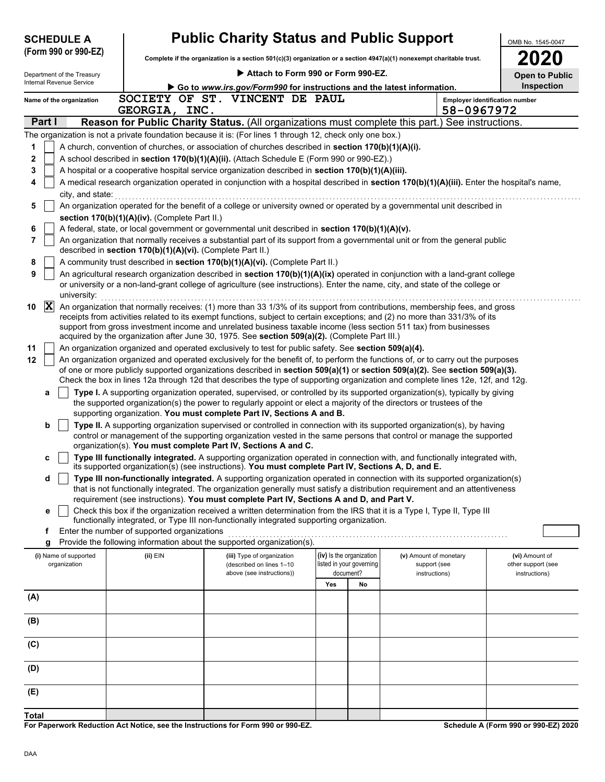| <b>Public Charity Status and Public Support</b><br><b>SCHEDULE A</b><br>OMB No. 1545-0047<br>(Form 990 or 990-EZ) |                                                            |                                                                                                           |                                                      |                                                                                                                                                                                                                                                                |                                       |  |  |  |  |
|-------------------------------------------------------------------------------------------------------------------|------------------------------------------------------------|-----------------------------------------------------------------------------------------------------------|------------------------------------------------------|----------------------------------------------------------------------------------------------------------------------------------------------------------------------------------------------------------------------------------------------------------------|---------------------------------------|--|--|--|--|
|                                                                                                                   |                                                            |                                                                                                           |                                                      | Complete if the organization is a section 501(c)(3) organization or a section 4947(a)(1) nonexempt charitable trust.                                                                                                                                           |                                       |  |  |  |  |
| Department of the Treasury                                                                                        |                                                            | Attach to Form 990 or Form 990-EZ.                                                                        |                                                      |                                                                                                                                                                                                                                                                | <b>Open to Public</b>                 |  |  |  |  |
| Internal Revenue Service                                                                                          |                                                            | Go to www.irs.gov/Form990 for instructions and the latest information.                                    |                                                      |                                                                                                                                                                                                                                                                | Inspection                            |  |  |  |  |
| Name of the organization                                                                                          | GEORGIA, INC.                                              | SOCIETY OF ST. VINCENT DE PAUL                                                                            |                                                      | 58-0967972                                                                                                                                                                                                                                                     | <b>Employer identification number</b> |  |  |  |  |
| Part I                                                                                                            |                                                            |                                                                                                           |                                                      | Reason for Public Charity Status. (All organizations must complete this part.) See instructions.                                                                                                                                                               |                                       |  |  |  |  |
|                                                                                                                   |                                                            | The organization is not a private foundation because it is: (For lines 1 through 12, check only one box.) |                                                      |                                                                                                                                                                                                                                                                |                                       |  |  |  |  |
| 1                                                                                                                 |                                                            | A church, convention of churches, or association of churches described in section 170(b)(1)(A)(i).        |                                                      |                                                                                                                                                                                                                                                                |                                       |  |  |  |  |
| 2                                                                                                                 |                                                            | A school described in section 170(b)(1)(A)(ii). (Attach Schedule E (Form 990 or 990-EZ).)                 |                                                      |                                                                                                                                                                                                                                                                |                                       |  |  |  |  |
| 3                                                                                                                 |                                                            | A hospital or a cooperative hospital service organization described in section 170(b)(1)(A)(iii).         |                                                      |                                                                                                                                                                                                                                                                |                                       |  |  |  |  |
| 4                                                                                                                 |                                                            |                                                                                                           |                                                      | A medical research organization operated in conjunction with a hospital described in section 170(b)(1)(A)(iii). Enter the hospital's name,                                                                                                                     |                                       |  |  |  |  |
| city, and state:                                                                                                  |                                                            |                                                                                                           |                                                      |                                                                                                                                                                                                                                                                |                                       |  |  |  |  |
| 5                                                                                                                 |                                                            |                                                                                                           |                                                      | An organization operated for the benefit of a college or university owned or operated by a governmental unit described in                                                                                                                                      |                                       |  |  |  |  |
|                                                                                                                   | section 170(b)(1)(A)(iv). (Complete Part II.)              |                                                                                                           |                                                      |                                                                                                                                                                                                                                                                |                                       |  |  |  |  |
| 6                                                                                                                 |                                                            | A federal, state, or local government or governmental unit described in section 170(b)(1)(A)(v).          |                                                      |                                                                                                                                                                                                                                                                |                                       |  |  |  |  |
| 7                                                                                                                 | described in section 170(b)(1)(A)(vi). (Complete Part II.) |                                                                                                           |                                                      | An organization that normally receives a substantial part of its support from a governmental unit or from the general public                                                                                                                                   |                                       |  |  |  |  |
| 8                                                                                                                 |                                                            | A community trust described in section 170(b)(1)(A)(vi). (Complete Part II.)                              |                                                      |                                                                                                                                                                                                                                                                |                                       |  |  |  |  |
| 9                                                                                                                 |                                                            |                                                                                                           |                                                      | An agricultural research organization described in section 170(b)(1)(A)(ix) operated in conjunction with a land-grant college                                                                                                                                  |                                       |  |  |  |  |
| university:                                                                                                       |                                                            |                                                                                                           |                                                      | or university or a non-land-grant college of agriculture (see instructions). Enter the name, city, and state of the college or                                                                                                                                 |                                       |  |  |  |  |
| $\vert X \vert$<br>10                                                                                             |                                                            |                                                                                                           |                                                      | An organization that normally receives: (1) more than 33 1/3% of its support from contributions, membership fees, and gross                                                                                                                                    |                                       |  |  |  |  |
|                                                                                                                   |                                                            | acquired by the organization after June 30, 1975. See section 509(a)(2). (Complete Part III.)             |                                                      | receipts from activities related to its exempt functions, subject to certain exceptions; and (2) no more than 331/3% of its<br>support from gross investment income and unrelated business taxable income (less section 511 tax) from businesses               |                                       |  |  |  |  |
| 11                                                                                                                |                                                            | An organization organized and operated exclusively to test for public safety. See section 509(a)(4).      |                                                      |                                                                                                                                                                                                                                                                |                                       |  |  |  |  |
| 12                                                                                                                |                                                            |                                                                                                           |                                                      | An organization organized and operated exclusively for the benefit of, to perform the functions of, or to carry out the purposes                                                                                                                               |                                       |  |  |  |  |
|                                                                                                                   |                                                            |                                                                                                           |                                                      | of one or more publicly supported organizations described in section 509(a)(1) or section 509(a)(2). See section 509(a)(3).<br>Check the box in lines 12a through 12d that describes the type of supporting organization and complete lines 12e, 12f, and 12g. |                                       |  |  |  |  |
| a                                                                                                                 |                                                            | supporting organization. You must complete Part IV, Sections A and B.                                     |                                                      | Type I. A supporting organization operated, supervised, or controlled by its supported organization(s), typically by giving<br>the supported organization(s) the power to regularly appoint or elect a majority of the directors or trustees of the            |                                       |  |  |  |  |
| b                                                                                                                 |                                                            |                                                                                                           |                                                      | Type II. A supporting organization supervised or controlled in connection with its supported organization(s), by having<br>control or management of the supporting organization vested in the same persons that control or manage the supported                |                                       |  |  |  |  |
|                                                                                                                   |                                                            | organization(s). You must complete Part IV, Sections A and C.                                             |                                                      |                                                                                                                                                                                                                                                                |                                       |  |  |  |  |
| C                                                                                                                 |                                                            | its supported organization(s) (see instructions). You must complete Part IV, Sections A, D, and E.        |                                                      | Type III functionally integrated. A supporting organization operated in connection with, and functionally integrated with,                                                                                                                                     |                                       |  |  |  |  |
| d                                                                                                                 |                                                            |                                                                                                           |                                                      | Type III non-functionally integrated. A supporting organization operated in connection with its supported organization(s)<br>that is not functionally integrated. The organization generally must satisfy a distribution requirement and an attentiveness      |                                       |  |  |  |  |
|                                                                                                                   |                                                            | requirement (see instructions). You must complete Part IV, Sections A and D, and Part V.                  |                                                      |                                                                                                                                                                                                                                                                |                                       |  |  |  |  |
| е                                                                                                                 |                                                            | functionally integrated, or Type III non-functionally integrated supporting organization.                 |                                                      | Check this box if the organization received a written determination from the IRS that it is a Type I, Type II, Type III                                                                                                                                        |                                       |  |  |  |  |
| f                                                                                                                 | Enter the number of supported organizations                |                                                                                                           |                                                      |                                                                                                                                                                                                                                                                |                                       |  |  |  |  |
| g                                                                                                                 |                                                            | Provide the following information about the supported organization(s).                                    |                                                      |                                                                                                                                                                                                                                                                |                                       |  |  |  |  |
| (i) Name of supported<br>organization                                                                             | (ii) EIN                                                   | (iii) Type of organization<br>(described on lines 1-10                                                    | (iv) Is the organization<br>listed in your governing | (v) Amount of monetary<br>support (see                                                                                                                                                                                                                         | (vi) Amount of<br>other support (see  |  |  |  |  |
|                                                                                                                   |                                                            | above (see instructions))                                                                                 | document?                                            | instructions)                                                                                                                                                                                                                                                  | instructions)                         |  |  |  |  |
|                                                                                                                   |                                                            |                                                                                                           | Yes<br>No                                            |                                                                                                                                                                                                                                                                |                                       |  |  |  |  |
| (A)                                                                                                               |                                                            |                                                                                                           |                                                      |                                                                                                                                                                                                                                                                |                                       |  |  |  |  |
| (B)                                                                                                               |                                                            |                                                                                                           |                                                      |                                                                                                                                                                                                                                                                |                                       |  |  |  |  |
|                                                                                                                   |                                                            |                                                                                                           |                                                      |                                                                                                                                                                                                                                                                |                                       |  |  |  |  |
| (C)                                                                                                               |                                                            |                                                                                                           |                                                      |                                                                                                                                                                                                                                                                |                                       |  |  |  |  |
| (D)                                                                                                               |                                                            |                                                                                                           |                                                      |                                                                                                                                                                                                                                                                |                                       |  |  |  |  |
| (E)                                                                                                               |                                                            |                                                                                                           |                                                      |                                                                                                                                                                                                                                                                |                                       |  |  |  |  |
| Total                                                                                                             |                                                            |                                                                                                           |                                                      |                                                                                                                                                                                                                                                                |                                       |  |  |  |  |
|                                                                                                                   |                                                            | For Paperwork Reduction Act Notice, see the Instructions for Form 990 or 990-EZ.                          |                                                      |                                                                                                                                                                                                                                                                | Schedule A (Form 990 or 990-EZ) 2020  |  |  |  |  |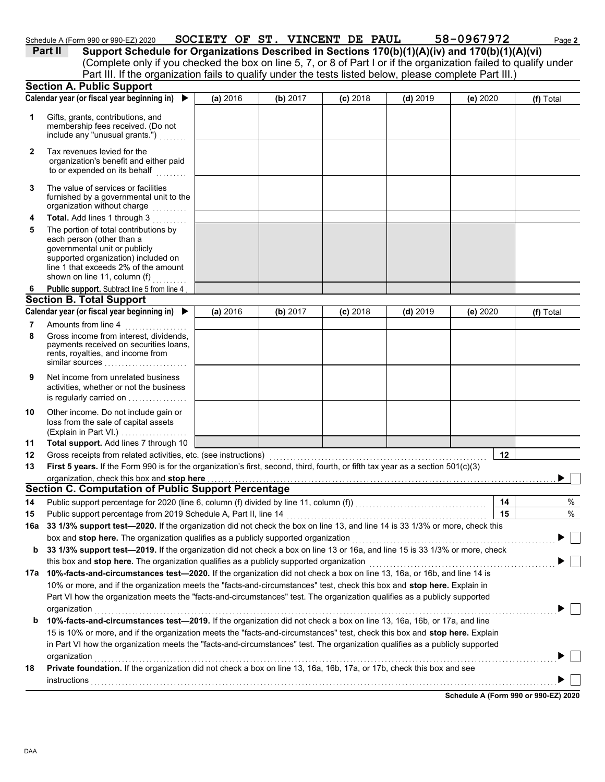| Schedule A (Form 990 or 990-EZ) 2020 | <b>SOCIETY</b> | OF | ST | <b>VINCENT DE</b> | <b>PAUL</b> | 096 |  |
|--------------------------------------|----------------|----|----|-------------------|-------------|-----|--|
|                                      |                |    |    |                   |             |     |  |

|              | Schedule A (Form 990 or 990-EZ) 2020                                                                                                                                                                               |          | SOCIETY OF ST. VINCENT DE PAUL |            |            | 58-0967972 | Page 2    |
|--------------|--------------------------------------------------------------------------------------------------------------------------------------------------------------------------------------------------------------------|----------|--------------------------------|------------|------------|------------|-----------|
|              | Support Schedule for Organizations Described in Sections 170(b)(1)(A)(iv) and 170(b)(1)(A)(vi)<br>Part II                                                                                                          |          |                                |            |            |            |           |
|              | (Complete only if you checked the box on line 5, 7, or 8 of Part I or if the organization failed to qualify under                                                                                                  |          |                                |            |            |            |           |
|              | Part III. If the organization fails to qualify under the tests listed below, please complete Part III.)                                                                                                            |          |                                |            |            |            |           |
|              | <b>Section A. Public Support</b>                                                                                                                                                                                   |          |                                |            |            |            |           |
|              | Calendar year (or fiscal year beginning in)                                                                                                                                                                        | (a) 2016 | (b) 2017                       | $(c)$ 2018 | $(d)$ 2019 | (e) 2020   | (f) Total |
| 1            | Gifts, grants, contributions, and<br>membership fees received. (Do not<br>include any "unusual grants.")                                                                                                           |          |                                |            |            |            |           |
| $\mathbf{2}$ | Tax revenues levied for the<br>organization's benefit and either paid<br>to or expended on its behalf                                                                                                              |          |                                |            |            |            |           |
| 3            | The value of services or facilities<br>furnished by a governmental unit to the<br>organization without charge                                                                                                      |          |                                |            |            |            |           |
| 4            | Total. Add lines 1 through 3                                                                                                                                                                                       |          |                                |            |            |            |           |
| 5            | The portion of total contributions by<br>each person (other than a<br>governmental unit or publicly<br>supported organization) included on<br>line 1 that exceeds 2% of the amount<br>shown on line 11, column (f) |          |                                |            |            |            |           |
| 6            | Public support. Subtract line 5 from line 4                                                                                                                                                                        |          |                                |            |            |            |           |
|              | <b>Section B. Total Support</b>                                                                                                                                                                                    |          |                                |            |            |            |           |
|              | Calendar year (or fiscal year beginning in)                                                                                                                                                                        | (a) 2016 | (b) 2017                       | $(c)$ 2018 | $(d)$ 2019 | (e) 2020   | (f) Total |
| 7            | Amounts from line 4                                                                                                                                                                                                |          |                                |            |            |            |           |

|     | shown on line 11, column $(t)$ [1] $(1)$                                                                                                                                                                                                |          |          |            |            |          |           |
|-----|-----------------------------------------------------------------------------------------------------------------------------------------------------------------------------------------------------------------------------------------|----------|----------|------------|------------|----------|-----------|
| 6   | <b>Public support.</b> Subtract line 5 from line 4                                                                                                                                                                                      |          |          |            |            |          |           |
|     | <b>Section B. Total Support</b>                                                                                                                                                                                                         |          |          |            |            |          |           |
|     | Calendar year (or fiscal year beginning in) ▶                                                                                                                                                                                           | (a) 2016 | (b) 2017 | $(c)$ 2018 | $(d)$ 2019 | (e) 2020 | (f) Total |
| 7   | Amounts from line 4                                                                                                                                                                                                                     |          |          |            |            |          |           |
| 8   | Gross income from interest, dividends,<br>payments received on securities loans,<br>rents, royalties, and income from<br>similar sources and the state of the state of the state of the state of the state of the state of the state of |          |          |            |            |          |           |
| 9   | Net income from unrelated business<br>activities, whether or not the business<br>is regularly carried on                                                                                                                                |          |          |            |            |          |           |
| 10  | Other income. Do not include gain or<br>loss from the sale of capital assets<br>(Explain in Part VI.)                                                                                                                                   |          |          |            |            |          |           |
| 11  | Total support. Add lines 7 through 10                                                                                                                                                                                                   |          |          |            |            |          |           |
| 12  | Gross receipts from related activities, etc. (see instructions)                                                                                                                                                                         |          |          |            |            | 12       |           |
| 13  | First 5 years. If the Form 990 is for the organization's first, second, third, fourth, or fifth tax year as a section 501(c)(3)                                                                                                         |          |          |            |            |          |           |
|     | organization, check this box and stop here <b>constant of the constant of the constant of the constant of the constant of the constant of the constant of the constant of the constant of the constant of the constant of the co</b>    |          |          |            |            |          |           |
|     | <b>Section C. Computation of Public Support Percentage</b>                                                                                                                                                                              |          |          |            |            |          |           |
| 14  |                                                                                                                                                                                                                                         |          |          |            |            | 14       | %         |
| 15  | Public support percentage from 2019 Schedule A, Part II, line 14                                                                                                                                                                        |          |          |            |            | 15       | %         |
| 16a | 33 1/3% support test-2020. If the organization did not check the box on line 13, and line 14 is 33 1/3% or more, check this                                                                                                             |          |          |            |            |          |           |
|     | box and stop here. The organization qualifies as a publicly supported organization                                                                                                                                                      |          |          |            |            |          |           |
| b   | 33 1/3% support test-2019. If the organization did not check a box on line 13 or 16a, and line 15 is 33 1/3% or more, check                                                                                                             |          |          |            |            |          |           |
|     | this box and stop here. The organization qualifies as a publicly supported organization                                                                                                                                                 |          |          |            |            |          |           |
|     | 17a 10%-facts-and-circumstances test-2020. If the organization did not check a box on line 13, 16a, or 16b, and line 14 is                                                                                                              |          |          |            |            |          |           |
|     | 10% or more, and if the organization meets the "facts-and-circumstances" test, check this box and stop here. Explain in                                                                                                                 |          |          |            |            |          |           |
|     | Part VI how the organization meets the "facts-and-circumstances" test. The organization qualifies as a publicly supported<br>organization                                                                                               |          |          |            |            |          |           |
|     | 10%-facts-and-circumstances test-2019. If the organization did not check a box on line 13, 16a, 16b, or 17a, and line                                                                                                                   |          |          |            |            |          |           |
|     | 15 is 10% or more, and if the organization meets the "facts-and-circumstances" test, check this box and stop here. Explain                                                                                                              |          |          |            |            |          |           |
|     | in Part VI how the organization meets the "facts-and-circumstances" test. The organization qualifies as a publicly supported<br>organization                                                                                            |          |          |            |            |          |           |
| 18  | Private foundation. If the organization did not check a box on line 13, 16a, 16b, 17a, or 17b, check this box and see<br>instructions                                                                                                   |          |          |            |            |          |           |

**Schedule A (Form 990 or 990-EZ) 2020**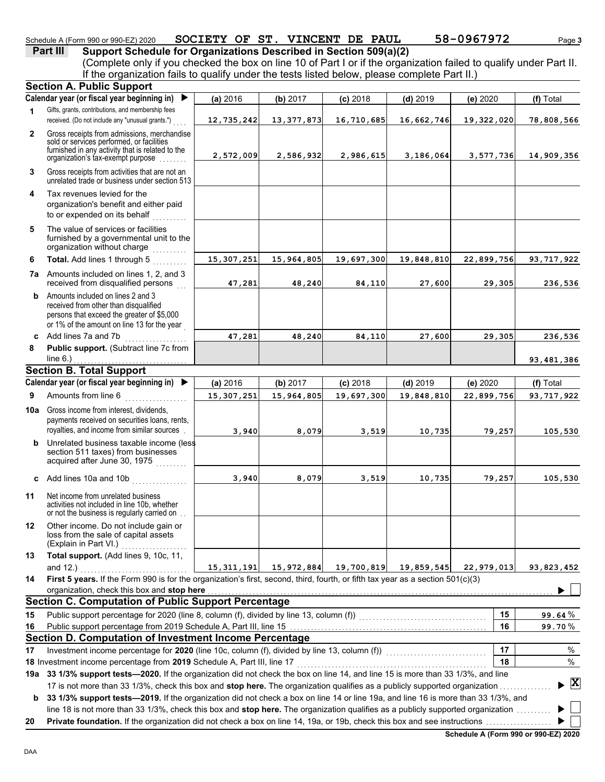# Schedule A (Form 990 or 990-EZ) 2020 **SOCIETY OF ST. VINCENT DE PAUL 58-0967972** Page 3

**Part III** Support Schedule for Organizations Described in Section 509(a)(2) (Complete only if you checked the box on line 10 of Part I or if the organization failed to qualify under Part II. If the organization fails to qualify under the tests listed below, please complete Part II.)

|              | <b>Section A. Public Support</b>                                                                                                                                                  |              |              |            |            |            |                                    |
|--------------|-----------------------------------------------------------------------------------------------------------------------------------------------------------------------------------|--------------|--------------|------------|------------|------------|------------------------------------|
|              | Calendar year (or fiscal year beginning in)                                                                                                                                       | (a) 2016     | (b) 2017     | $(c)$ 2018 | $(d)$ 2019 | (e) 2020   | (f) Total                          |
| 1            | Gifts, grants, contributions, and membership fees<br>received. (Do not include any "unusual grants.")                                                                             | 12,735,242   | 13, 377, 873 | 16,710,685 | 16,662,746 | 19,322,020 | 78,808,566                         |
| $\mathbf{2}$ | Gross receipts from admissions, merchandise<br>sold or services performed, or facilities<br>furnished in any activity that is related to the<br>organization's tax-exempt purpose | 2,572,009    | 2,586,932    | 2,986,615  | 3,186,064  | 3,577,736  | 14,909,356                         |
| 3            | Gross receipts from activities that are not an<br>unrelated trade or business under section 513                                                                                   |              |              |            |            |            |                                    |
| 4            | Tax revenues levied for the<br>organization's benefit and either paid<br>to or expended on its behalf                                                                             |              |              |            |            |            |                                    |
| 5            | The value of services or facilities<br>furnished by a governmental unit to the<br>organization without charge                                                                     |              |              |            |            |            |                                    |
| 6            | Total. Add lines 1 through 5                                                                                                                                                      | 15, 307, 251 | 15,964,805   | 19,697,300 | 19,848,810 | 22,899,756 | 93, 717, 922                       |
|              | 7a Amounts included on lines 1, 2, and 3<br>received from disqualified persons                                                                                                    | 47,281       | 48,240       | 84,110     | 27,600     | 29,305     | 236,536                            |
|              | <b>b</b> Amounts included on lines 2 and 3<br>received from other than disqualified<br>persons that exceed the greater of \$5,000<br>or 1% of the amount on line 13 for the year  |              |              |            |            |            |                                    |
|              | c Add lines 7a and 7b                                                                                                                                                             | 47,281       | 48,240       | 84,110     | 27,600     | 29,305     | 236,536                            |
| 8            | Public support. (Subtract line 7c from                                                                                                                                            |              |              |            |            |            |                                    |
|              | line $6.$ )                                                                                                                                                                       |              |              |            |            |            | 93,481,386                         |
|              | <b>Section B. Total Support</b>                                                                                                                                                   |              |              |            |            |            |                                    |
|              | Calendar year (or fiscal year beginning in)                                                                                                                                       | (a) 2016     | (b) 2017     | $(c)$ 2018 | $(d)$ 2019 | (e) 2020   | (f) Total                          |
| 9            | Amounts from line 6                                                                                                                                                               | 15, 307, 251 | 15,964,805   | 19,697,300 | 19,848,810 | 22,899,756 | 93, 717, 922                       |
| 10a          | Gross income from interest, dividends,<br>payments received on securities loans, rents,<br>royalties, and income from similar sources                                             | 3,940        | 8,079        | 3,519      | 10,735     | 79,257     | 105,530                            |
| b            | Unrelated business taxable income (less<br>section 511 taxes) from businesses<br>acquired after June 30, 1975                                                                     |              |              |            |            |            |                                    |
|              | c Add lines 10a and 10b                                                                                                                                                           | 3,940        | 8,079        | 3,519      | 10,735     | 79,257     | 105,530                            |
| 11           | Net income from unrelated business<br>activities not included in line 10b, whether<br>or not the business is regularly carried on                                                 |              |              |            |            |            |                                    |
| 12           | Other income. Do not include gain or<br>loss from the sale of capital assets<br>(Explain in Part VI.)                                                                             |              |              |            |            |            |                                    |
| 13           | Total support. (Add lines 9, 10c, 11,                                                                                                                                             |              |              |            |            |            |                                    |
|              | and 12.)                                                                                                                                                                          | 15, 311, 191 | 15,972,884   | 19,700,819 | 19,859,545 | 22,979,013 | 93, 823, 452                       |
| 14           | First 5 years. If the Form 990 is for the organization's first, second, third, fourth, or fifth tax year as a section 501(c)(3)                                                   |              |              |            |            |            |                                    |
|              | organization, check this box and stop here                                                                                                                                        |              |              |            |            |            |                                    |
|              | <b>Section C. Computation of Public Support Percentage</b>                                                                                                                        |              |              |            |            |            |                                    |
| 15           | Public support percentage for 2020 (line 8, column (f), divided by line 13, column (f)) [[[[[[[[[[[[[[[[[[[[[                                                                     |              |              |            |            | 15         | 99.64%                             |
| 16           |                                                                                                                                                                                   |              |              |            |            | 16         | 99.70%                             |
|              | Section D. Computation of Investment Income Percentage                                                                                                                            |              |              |            |            |            |                                    |
| 17           | Investment income percentage for 2020 (line 10c, column (f), divided by line 13, column (f)) [[[[[[[[[[[[[[[[                                                                     |              |              |            |            | 17         | %                                  |
|              | 18 Investment income percentage from 2019 Schedule A, Part III, line 17                                                                                                           |              |              |            |            | 18         | %                                  |
|              | 19a 33 1/3% support tests—2020. If the organization did not check the box on line 14, and line 15 is more than 33 1/3%, and line                                                  |              |              |            |            |            |                                    |
|              | 17 is not more than 33 1/3%, check this box and stop here. The organization qualifies as a publicly supported organization.                                                       |              |              |            |            |            | $\blacktriangleright$ $\mathbf{X}$ |
| b            | 33 1/3% support tests—2019. If the organization did not check a box on line 14 or line 19a, and line 16 is more than 33 1/3%, and                                                 |              |              |            |            |            |                                    |
|              | line 18 is not more than 33 1/3%, check this box and stop here. The organization qualifies as a publicly supported organization                                                   |              |              |            |            |            |                                    |
| 20           |                                                                                                                                                                                   |              |              |            |            |            |                                    |

**Schedule A (Form 990 or 990-EZ) 2020**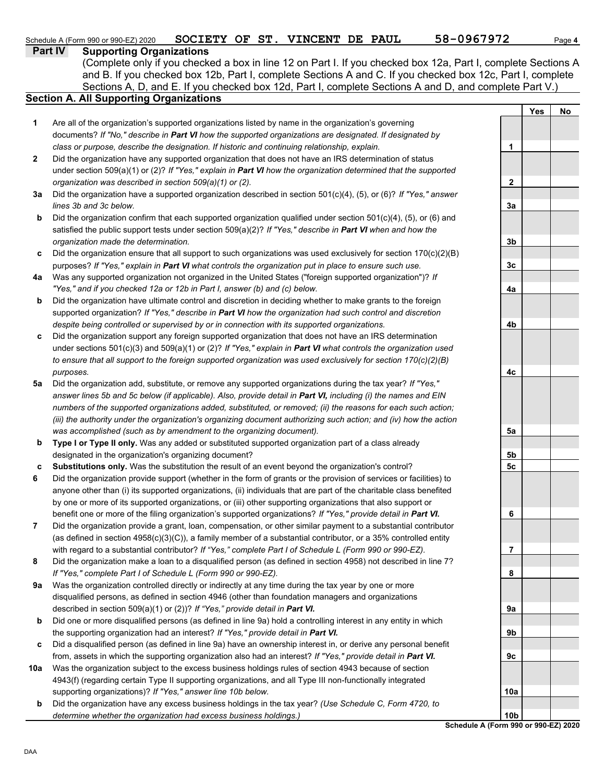|              | Part IV<br><b>Supporting Organizations</b>                                                                          |                                      |            |    |
|--------------|---------------------------------------------------------------------------------------------------------------------|--------------------------------------|------------|----|
|              | (Complete only if you checked a box in line 12 on Part I. If you checked box 12a, Part I, complete Sections A       |                                      |            |    |
|              | and B. If you checked box 12b, Part I, complete Sections A and C. If you checked box 12c, Part I, complete          |                                      |            |    |
|              | Sections A, D, and E. If you checked box 12d, Part I, complete Sections A and D, and complete Part V.)              |                                      |            |    |
|              | <b>Section A. All Supporting Organizations</b>                                                                      |                                      |            |    |
|              |                                                                                                                     |                                      | <b>Yes</b> | No |
| 1            | Are all of the organization's supported organizations listed by name in the organization's governing                |                                      |            |    |
|              | documents? If "No," describe in Part VI how the supported organizations are designated. If designated by            |                                      |            |    |
|              | class or purpose, describe the designation. If historic and continuing relationship, explain.                       | 1                                    |            |    |
| $\mathbf{2}$ | Did the organization have any supported organization that does not have an IRS determination of status              |                                      |            |    |
|              | under section 509(a)(1) or (2)? If "Yes," explain in Part VI how the organization determined that the supported     |                                      |            |    |
|              | organization was described in section 509(a)(1) or (2).                                                             | 2                                    |            |    |
| За           | Did the organization have a supported organization described in section 501(c)(4), (5), or (6)? If "Yes," answer    |                                      |            |    |
|              | lines 3b and 3c below.                                                                                              | 3a                                   |            |    |
| b            | Did the organization confirm that each supported organization qualified under section 501(c)(4), (5), or (6) and    |                                      |            |    |
|              | satisfied the public support tests under section $509(a)(2)?$ If "Yes," describe in Part VI when and how the        |                                      |            |    |
|              | organization made the determination.                                                                                | 3b                                   |            |    |
| c            | Did the organization ensure that all support to such organizations was used exclusively for section 170(c)(2)(B)    |                                      |            |    |
|              | purposes? If "Yes," explain in Part VI what controls the organization put in place to ensure such use.              | 3 <sub>c</sub>                       |            |    |
| 4a           | Was any supported organization not organized in the United States ("foreign supported organization")? If            |                                      |            |    |
|              | "Yes," and if you checked 12a or 12b in Part I, answer (b) and (c) below.                                           | 4a                                   |            |    |
| b            | Did the organization have ultimate control and discretion in deciding whether to make grants to the foreign         |                                      |            |    |
|              | supported organization? If "Yes," describe in Part VI how the organization had such control and discretion          |                                      |            |    |
|              | despite being controlled or supervised by or in connection with its supported organizations.                        | 4b                                   |            |    |
| c            | Did the organization support any foreign supported organization that does not have an IRS determination             |                                      |            |    |
|              | under sections $501(c)(3)$ and $509(a)(1)$ or (2)? If "Yes," explain in Part VI what controls the organization used |                                      |            |    |
|              | to ensure that all support to the foreign supported organization was used exclusively for section 170(c)(2)(B)      |                                      |            |    |
|              | purposes.                                                                                                           | 4с                                   |            |    |
| 5a           | Did the organization add, substitute, or remove any supported organizations during the tax year? If "Yes,"          |                                      |            |    |
|              | answer lines 5b and 5c below (if applicable). Also, provide detail in Part VI, including (i) the names and EIN      |                                      |            |    |
|              | numbers of the supported organizations added, substituted, or removed; (ii) the reasons for each such action;       |                                      |            |    |
|              | (iii) the authority under the organization's organizing document authorizing such action; and (iv) how the action   |                                      |            |    |
|              | was accomplished (such as by amendment to the organizing document).                                                 | 5a                                   |            |    |
| b            | Type I or Type II only. Was any added or substituted supported organization part of a class already                 |                                      |            |    |
|              | designated in the organization's organizing document?                                                               | 5b                                   |            |    |
| c            | Substitutions only. Was the substitution the result of an event beyond the organization's control?                  | 5с                                   |            |    |
| 6            | Did the organization provide support (whether in the form of grants or the provision of services or facilities) to  |                                      |            |    |
|              | anyone other than (i) its supported organizations, (ii) individuals that are part of the charitable class benefited |                                      |            |    |
|              | by one or more of its supported organizations, or (iii) other supporting organizations that also support or         |                                      |            |    |
|              | benefit one or more of the filing organization's supported organizations? If "Yes," provide detail in Part VI.      | 6                                    |            |    |
| 7            | Did the organization provide a grant, loan, compensation, or other similar payment to a substantial contributor     |                                      |            |    |
|              | (as defined in section $4958(c)(3)(C)$ ), a family member of a substantial contributor, or a 35% controlled entity  |                                      |            |    |
|              | with regard to a substantial contributor? If "Yes," complete Part I of Schedule L (Form 990 or 990-EZ).             | 7                                    |            |    |
| 8            | Did the organization make a loan to a disqualified person (as defined in section 4958) not described in line 7?     |                                      |            |    |
|              | If "Yes," complete Part I of Schedule L (Form 990 or 990-EZ).                                                       | 8                                    |            |    |
| 9a           | Was the organization controlled directly or indirectly at any time during the tax year by one or more               |                                      |            |    |
|              | disqualified persons, as defined in section 4946 (other than foundation managers and organizations                  |                                      |            |    |
|              | described in section 509(a)(1) or (2))? If "Yes," provide detail in Part VI.                                        | 9a                                   |            |    |
| b            | Did one or more disqualified persons (as defined in line 9a) hold a controlling interest in any entity in which     |                                      |            |    |
|              | the supporting organization had an interest? If "Yes," provide detail in Part VI.                                   | 9b                                   |            |    |
| c            | Did a disqualified person (as defined in line 9a) have an ownership interest in, or derive any personal benefit     |                                      |            |    |
|              | from, assets in which the supporting organization also had an interest? If "Yes," provide detail in Part VI.        | 9с                                   |            |    |
| 10a          | Was the organization subject to the excess business holdings rules of section 4943 because of section               |                                      |            |    |
|              | 4943(f) (regarding certain Type II supporting organizations, and all Type III non-functionally integrated           |                                      |            |    |
|              | supporting organizations)? If "Yes," answer line 10b below.                                                         | 10a                                  |            |    |
| b            | Did the organization have any excess business holdings in the tax year? (Use Schedule C, Form 4720, to              |                                      |            |    |
|              | determine whether the organization had excess business holdings.)                                                   | 10 <sub>b</sub>                      |            |    |
|              |                                                                                                                     | Schedule A (Form 990 or 990-EZ) 2020 |            |    |

Schedule A (Form 990 or 990-EZ) 2020 **SOCIETY OF ST. VINCENT DE PAUL 58-0967972** Page 4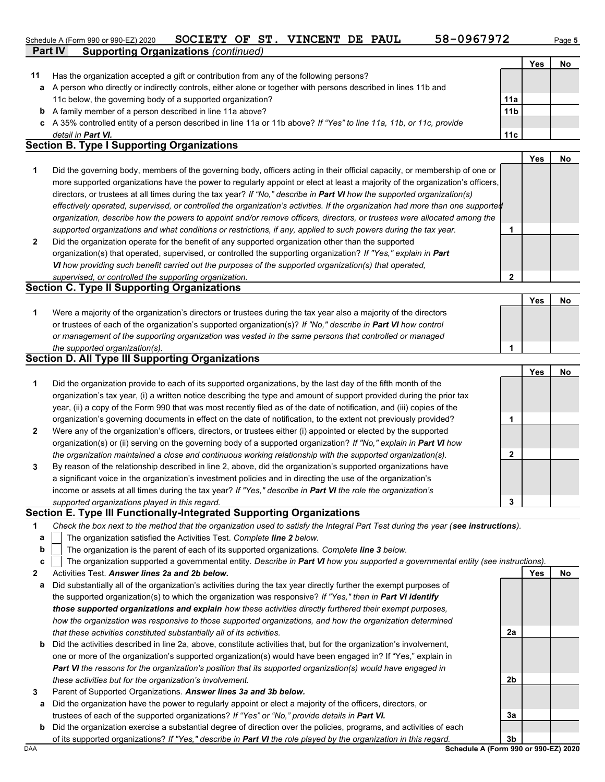### **Part IV Supporting Organizations** *(continued)* Schedule A (Form 990 or 990-EZ) 2020 **SOCIETY OF ST. VINCENT DE PAUL 58-0967972** Page 5

**2**

|    | .<br><b>Uupporting Urganizations</b> ( <i>committed</i> )                                                                  |                 |            |           |
|----|----------------------------------------------------------------------------------------------------------------------------|-----------------|------------|-----------|
|    |                                                                                                                            |                 | Yes        | No        |
| 11 | Has the organization accepted a gift or contribution from any of the following persons?                                    |                 |            |           |
| a  | A person who directly or indirectly controls, either alone or together with persons described in lines 11b and             |                 |            |           |
|    | 11c below, the governing body of a supported organization?                                                                 | 11a             |            |           |
| b  | A family member of a person described in line 11a above?                                                                   | 11 <sub>b</sub> |            |           |
| c  | A 35% controlled entity of a person described in line 11a or 11b above? If "Yes" to line 11a, 11b, or 11c, provide         |                 |            |           |
|    | detail in <b>Part VI.</b>                                                                                                  | 11с             |            |           |
|    | <b>Section B. Type I Supporting Organizations</b>                                                                          |                 |            |           |
|    |                                                                                                                            |                 | <b>Yes</b> | <b>No</b> |
|    | Did the governing body, members of the governing body, officers acting in their official capacity, or membership of one or |                 |            |           |

- *supported organizations and what conditions or restrictions, if any, applied to such powers during the tax year. organization, describe how the powers to appoint and/or remove officers, directors, or trustees were allocated among the effectively operated, supervised, or controlled the organization's activities. If the organization had more than one supported* directors, or trustees at all times during the tax year? *If "No," describe in Part VI how the supported organization(s)* more supported organizations have the power to regularly appoint or elect at least a majority of the organization's officers, **1**
- **2** Did the organization operate for the benefit of any supported organization other than the supported organization(s) that operated, supervised, or controlled the supporting organization? *If "Yes," explain in Part VI how providing such benefit carried out the purposes of the supported organization(s) that operated, supervised, or controlled the supporting organization.*

# **Section C. Type II Supporting Organizations**

Were a majority of the organization's directors or trustees during the tax year also a majority of the directors or trustees of each of the organization's supported organization(s)? *If "No," describe in Part VI how control* **1** *or management of the supporting organization was vested in the same persons that controlled or managed the supported organization(s).* **Yes No 1**

# **Section D. All Type III Supporting Organizations**

|                |                                                                                                                        |   | Yes | No |
|----------------|------------------------------------------------------------------------------------------------------------------------|---|-----|----|
| 1              | Did the organization provide to each of its supported organizations, by the last day of the fifth month of the         |   |     |    |
|                | organization's tax year, (i) a written notice describing the type and amount of support provided during the prior tax  |   |     |    |
|                | year, (ii) a copy of the Form 990 that was most recently filed as of the date of notification, and (iii) copies of the |   |     |    |
|                | organization's governing documents in effect on the date of notification, to the extent not previously provided?       |   |     |    |
| $\overline{2}$ | Were any of the organization's officers, directors, or trustees either (i) appointed or elected by the supported       |   |     |    |
|                | organization(s) or (ii) serving on the governing body of a supported organization? If "No," explain in Part VI how     |   |     |    |
|                | the organization maintained a close and continuous working relationship with the supported organization(s).            | າ |     |    |
| $\mathbf{3}$   | By reason of the relationship described in line 2, above, did the organization's supported organizations have          |   |     |    |
|                | a significant voice in the organization's investment policies and in directing the use of the organization's           |   |     |    |
|                | income or assets at all times during the tax year? If "Yes," describe in Part VI the role the organization's           |   |     |    |
|                | supported organizations played in this regard.                                                                         | 3 |     |    |

### **Section E. Type III Functionally-Integrated Supporting Organizations**

| Check the box next to the method that the organization used to satisfy the Integral Part Test during the year (see instructions). |  |
|-----------------------------------------------------------------------------------------------------------------------------------|--|
|                                                                                                                                   |  |

- The organization satisfied the Activities Test. *Complete line 2 below.* **a**
- The organization is the parent of each of its supported organizations. *Complete line 3 below.* **b**

|  |  |  | $z$   The organization supported a governmental entity. Describe in Part VI how you supported a governmental entity (see instructions). |
|--|--|--|-----------------------------------------------------------------------------------------------------------------------------------------|
|--|--|--|-----------------------------------------------------------------------------------------------------------------------------------------|

**2** Activities Test. *Answer lines 2a and 2b below.*

- **a** Did substantially all of the organization's activities during the tax year directly further the exempt purposes of the supported organization(s) to which the organization was responsive? *If "Yes," then in Part VI identify those supported organizations and explain how these activities directly furthered their exempt purposes,*  how the organization was responsive to those supported organizations, and how the organization determined *that these activities constituted substantially all of its activities.*
- **b** Did the activities described in line 2a, above, constitute activities that, but for the organization's involvement, one or more of the organization's supported organization(s) would have been engaged in? If "Yes," explain in *Part VI the reasons for the organization's position that its supported organization(s) would have engaged in these activities but for the organization's involvement.*
- **3** Parent of Supported Organizations. *Answer lines 3a and 3b below.*
	- **a** Did the organization have the power to regularly appoint or elect a majority of the officers, directors, or trustees of each of the supported organizations? *If "Yes" or "No," provide details in Part VI.*
- DAA **Schedule A (Form 990 or 990-EZ) 2020 b** Did the organization exercise a substantial degree of direction over the policies, programs, and activities of each of its supported organizations? *If "Yes," describe in Part VI the role played by the organization in this regard.*

**3b**

**2a**

**2b**

**3a**

**Yes No**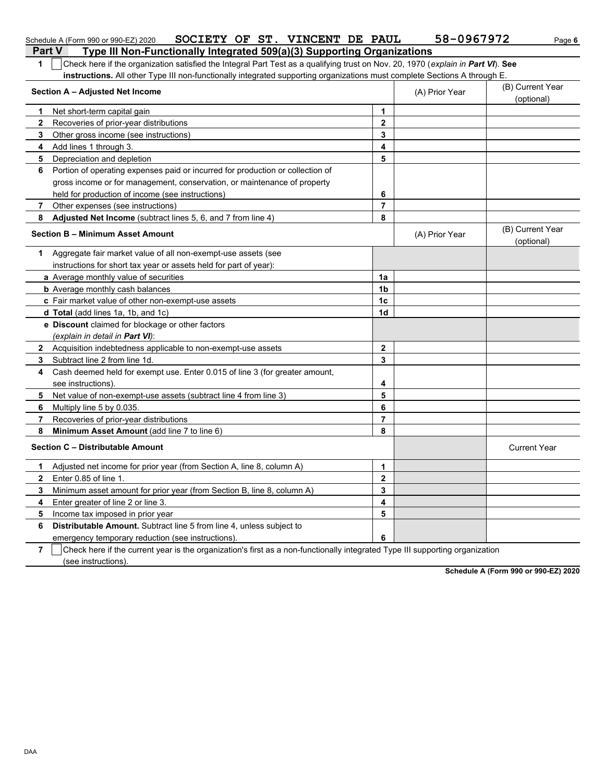|                | SOCIETY OF ST. VINCENT DE PAUL<br>Schedule A (Form 990 or 990-EZ) 2020                                                           |                         | 58-0967972     | Page 6                         |
|----------------|----------------------------------------------------------------------------------------------------------------------------------|-------------------------|----------------|--------------------------------|
| <b>Part V</b>  | Type III Non-Functionally Integrated 509(a)(3) Supporting Organizations                                                          |                         |                |                                |
| 1              | Check here if the organization satisfied the Integral Part Test as a qualifying trust on Nov. 20, 1970 (explain in Part VI). See |                         |                |                                |
|                | instructions. All other Type III non-functionally integrated supporting organizations must complete Sections A through E.        |                         |                |                                |
|                | Section A - Adjusted Net Income                                                                                                  |                         | (A) Prior Year | (B) Current Year<br>(optional) |
| 1.             | Net short-term capital gain                                                                                                      | 1                       |                |                                |
| 2              | Recoveries of prior-year distributions                                                                                           | $\overline{2}$          |                |                                |
| 3              | Other gross income (see instructions)                                                                                            | 3                       |                |                                |
| 4              | Add lines 1 through 3.                                                                                                           | 4                       |                |                                |
| 5              | Depreciation and depletion                                                                                                       | 5                       |                |                                |
| 6              | Portion of operating expenses paid or incurred for production or collection of                                                   |                         |                |                                |
|                | gross income or for management, conservation, or maintenance of property                                                         |                         |                |                                |
|                | held for production of income (see instructions)                                                                                 | 6                       |                |                                |
| 7              | Other expenses (see instructions)                                                                                                | $\overline{7}$          |                |                                |
| 8              | Adjusted Net Income (subtract lines 5, 6, and 7 from line 4)                                                                     | 8                       |                |                                |
|                | <b>Section B - Minimum Asset Amount</b>                                                                                          |                         | (A) Prior Year | (B) Current Year<br>(optional) |
| 1              | Aggregate fair market value of all non-exempt-use assets (see                                                                    |                         |                |                                |
|                | instructions for short tax year or assets held for part of year):                                                                |                         |                |                                |
|                | a Average monthly value of securities                                                                                            | 1a                      |                |                                |
|                | <b>b</b> Average monthly cash balances                                                                                           | 1 <sub>b</sub>          |                |                                |
|                | c Fair market value of other non-exempt-use assets                                                                               | 1 <sub>c</sub>          |                |                                |
|                | d Total (add lines 1a, 1b, and 1c)                                                                                               | 1d                      |                |                                |
|                | e Discount claimed for blockage or other factors                                                                                 |                         |                |                                |
|                | (explain in detail in Part VI):                                                                                                  |                         |                |                                |
| $\mathbf{2}$   | Acquisition indebtedness applicable to non-exempt-use assets                                                                     | $\mathbf{2}$            |                |                                |
| 3              | Subtract line 2 from line 1d.                                                                                                    | 3                       |                |                                |
| 4              | Cash deemed held for exempt use. Enter 0.015 of line 3 (for greater amount,                                                      |                         |                |                                |
|                | see instructions).                                                                                                               | 4                       |                |                                |
| 5              | Net value of non-exempt-use assets (subtract line 4 from line 3)                                                                 | 5                       |                |                                |
| 6              | Multiply line 5 by 0.035.                                                                                                        | 6                       |                |                                |
| 7              | Recoveries of prior-year distributions                                                                                           | $\overline{7}$          |                |                                |
| 8              | Minimum Asset Amount (add line 7 to line 6)                                                                                      | 8                       |                |                                |
|                | Section C - Distributable Amount                                                                                                 |                         |                | <b>Current Year</b>            |
| 1              | Adjusted net income for prior year (from Section A, line 8, column A)                                                            | 1                       |                |                                |
|                | Enter 0.85 of line 1.                                                                                                            | $\overline{\mathbf{2}}$ |                |                                |
| 3              | Minimum asset amount for prior year (from Section B, line 8, column A)                                                           | 3                       |                |                                |
| 4              | Enter greater of line 2 or line 3.                                                                                               | 4                       |                |                                |
| 5              | Income tax imposed in prior year                                                                                                 | 5                       |                |                                |
| 6              | Distributable Amount. Subtract line 5 from line 4, unless subject to                                                             |                         |                |                                |
|                | emergency temporary reduction (see instructions).                                                                                | 6                       |                |                                |
| $\overline{7}$ | Check here if the current year is the organization's first as a non-functionally integrated Type III supporting organization     |                         |                |                                |

 $\overline{\phantom{a}}$  (see instructions).

**Schedule A (Form 990 or 990-EZ) 2020**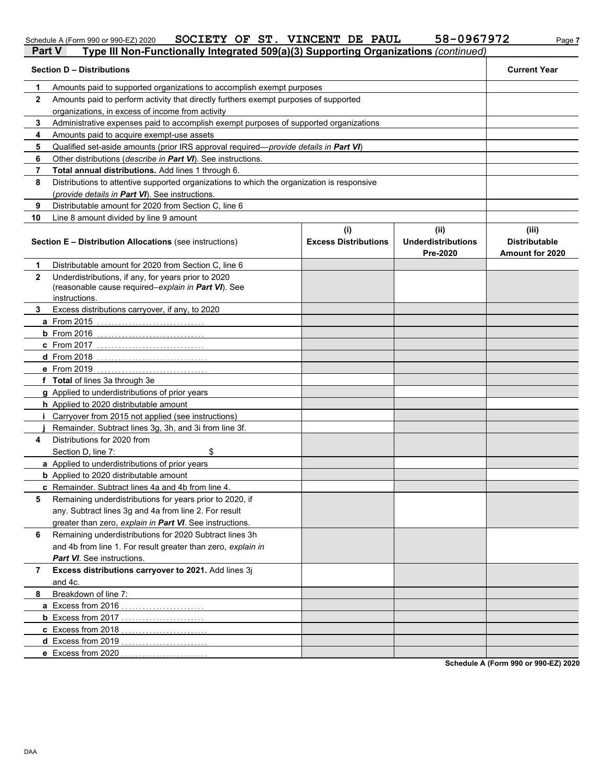# Schedule A (Form 990 or 990-EZ) 2020 **SOCIETY OF ST. VINCENT DE PAUL 58-0967972** Page 7

|              | Part V<br>Type III Non-Functionally Integrated 509(a)(3) Supporting Organizations (continued)                                                         |  |  |                     |  |  |
|--------------|-------------------------------------------------------------------------------------------------------------------------------------------------------|--|--|---------------------|--|--|
|              | <b>Section D - Distributions</b>                                                                                                                      |  |  | <b>Current Year</b> |  |  |
| 1            | Amounts paid to supported organizations to accomplish exempt purposes                                                                                 |  |  |                     |  |  |
| $\mathbf{2}$ | Amounts paid to perform activity that directly furthers exempt purposes of supported                                                                  |  |  |                     |  |  |
|              | organizations, in excess of income from activity                                                                                                      |  |  |                     |  |  |
| 3            | Administrative expenses paid to accomplish exempt purposes of supported organizations                                                                 |  |  |                     |  |  |
| 4            | Amounts paid to acquire exempt-use assets                                                                                                             |  |  |                     |  |  |
| 5            | Qualified set-aside amounts (prior IRS approval required-provide details in Part VI)                                                                  |  |  |                     |  |  |
| 6            | Other distributions (describe in Part VI). See instructions.                                                                                          |  |  |                     |  |  |
| 7            |                                                                                                                                                       |  |  |                     |  |  |
| 8            | Distributions to attentive supported organizations to which the organization is responsive                                                            |  |  |                     |  |  |
|              | (provide details in Part VI). See instructions.                                                                                                       |  |  |                     |  |  |
| 9            | Distributable amount for 2020 from Section C, line 6                                                                                                  |  |  |                     |  |  |
| 10           | Line 8 amount divided by line 9 amount                                                                                                                |  |  |                     |  |  |
|              | (i)<br>(ii)<br><b>Excess Distributions</b><br><b>Underdistributions</b><br><b>Section E - Distribution Allocations (see instructions)</b><br>Pre-2020 |  |  |                     |  |  |
| 1            | Distributable amount for 2020 from Section C, line 6                                                                                                  |  |  |                     |  |  |
| 2            | Underdistributions, if any, for years prior to 2020<br>(reasonable cause required-explain in Part VI). See<br>instructions.                           |  |  |                     |  |  |
| 3            | Excess distributions carryover, if any, to 2020                                                                                                       |  |  |                     |  |  |
|              | a From 2015                                                                                                                                           |  |  |                     |  |  |
|              | <b>b</b> From 2016                                                                                                                                    |  |  |                     |  |  |
|              | <b>c</b> From 2017                                                                                                                                    |  |  |                     |  |  |
|              | <b>d</b> From 2018                                                                                                                                    |  |  |                     |  |  |
|              | e From 2019                                                                                                                                           |  |  |                     |  |  |
|              | f Total of lines 3a through 3e                                                                                                                        |  |  |                     |  |  |
|              | g Applied to underdistributions of prior years                                                                                                        |  |  |                     |  |  |
|              | h Applied to 2020 distributable amount                                                                                                                |  |  |                     |  |  |
|              | Carryover from 2015 not applied (see instructions)                                                                                                    |  |  |                     |  |  |
|              | Remainder. Subtract lines 3g, 3h, and 3i from line 3f.                                                                                                |  |  |                     |  |  |
| 4            | Distributions for 2020 from                                                                                                                           |  |  |                     |  |  |
|              | \$<br>Section D. line 7:                                                                                                                              |  |  |                     |  |  |
|              | a Applied to underdistributions of prior years                                                                                                        |  |  |                     |  |  |
|              | <b>b</b> Applied to 2020 distributable amount                                                                                                         |  |  |                     |  |  |
|              | c Remainder. Subtract lines 4a and 4b from line 4.                                                                                                    |  |  |                     |  |  |
| 5            | Remaining underdistributions for years prior to 2020, if                                                                                              |  |  |                     |  |  |
|              | any. Subtract lines 3g and 4a from line 2. For result                                                                                                 |  |  |                     |  |  |
|              | greater than zero, explain in Part VI. See instructions.                                                                                              |  |  |                     |  |  |
| 6            | Remaining underdistributions for 2020 Subtract lines 3h                                                                                               |  |  |                     |  |  |
|              | and 4b from line 1. For result greater than zero, explain in                                                                                          |  |  |                     |  |  |
|              | <b>Part VI</b> . See instructions.                                                                                                                    |  |  |                     |  |  |
| 7            | Excess distributions carryover to 2021. Add lines 3j                                                                                                  |  |  |                     |  |  |
|              | and 4c.                                                                                                                                               |  |  |                     |  |  |
| 8            | Breakdown of line 7:                                                                                                                                  |  |  |                     |  |  |
|              | a Excess from 2016                                                                                                                                    |  |  |                     |  |  |
|              | <b>b</b> Excess from 2017                                                                                                                             |  |  |                     |  |  |
|              | c Excess from 2018                                                                                                                                    |  |  |                     |  |  |
|              | d Excess from 2019                                                                                                                                    |  |  |                     |  |  |
|              | e Excess from 2020                                                                                                                                    |  |  |                     |  |  |

**Schedule A (Form 990 or 990-EZ) 2020**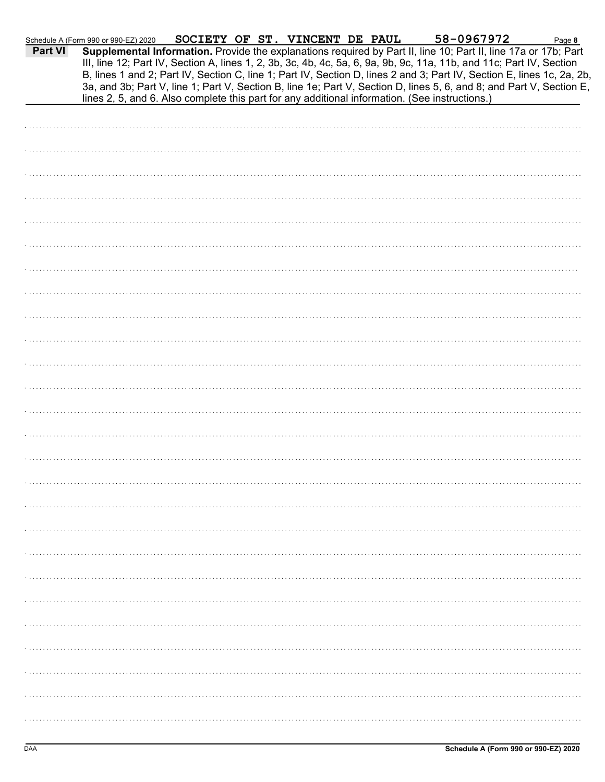|         | Schedule A (Form 990 or 990-EZ) 2020 |  | SOCIETY OF ST. VINCENT DE PAUL | 58-0967972                                                                                                                                                                                                                              | Page 8                                                                                                                 |
|---------|--------------------------------------|--|--------------------------------|-----------------------------------------------------------------------------------------------------------------------------------------------------------------------------------------------------------------------------------------|------------------------------------------------------------------------------------------------------------------------|
| Part VI |                                      |  |                                | Supplemental Information. Provide the explanations required by Part II, line 10; Part II, line 17a or 17b; Part<br>III, line 12; Part IV, Section A, lines 1, 2, 3b, 3c, 4b, 4c, 5a, 6, 9a, 9b, 9c, 11a, 11b, and 11c; Part IV, Section |                                                                                                                        |
|         |                                      |  |                                |                                                                                                                                                                                                                                         | B, lines 1 and 2; Part IV, Section C, line 1; Part IV, Section D, lines 2 and 3; Part IV, Section E, lines 1c, 2a, 2b, |
|         |                                      |  |                                | lines 2, 5, and 6. Also complete this part for any additional information. (See instructions.)                                                                                                                                          | 3a, and 3b; Part V, line 1; Part V, Section B, line 1e; Part V, Section D, lines 5, 6, and 8; and Part V, Section E,   |
|         |                                      |  |                                |                                                                                                                                                                                                                                         |                                                                                                                        |
|         |                                      |  |                                |                                                                                                                                                                                                                                         |                                                                                                                        |
|         |                                      |  |                                |                                                                                                                                                                                                                                         |                                                                                                                        |
|         |                                      |  |                                |                                                                                                                                                                                                                                         |                                                                                                                        |
|         |                                      |  |                                |                                                                                                                                                                                                                                         |                                                                                                                        |
|         |                                      |  |                                |                                                                                                                                                                                                                                         |                                                                                                                        |
|         |                                      |  |                                |                                                                                                                                                                                                                                         |                                                                                                                        |
|         |                                      |  |                                |                                                                                                                                                                                                                                         |                                                                                                                        |
|         |                                      |  |                                |                                                                                                                                                                                                                                         |                                                                                                                        |
|         |                                      |  |                                |                                                                                                                                                                                                                                         |                                                                                                                        |
|         |                                      |  |                                |                                                                                                                                                                                                                                         |                                                                                                                        |
|         |                                      |  |                                |                                                                                                                                                                                                                                         |                                                                                                                        |
|         |                                      |  |                                |                                                                                                                                                                                                                                         |                                                                                                                        |
|         |                                      |  |                                |                                                                                                                                                                                                                                         |                                                                                                                        |
|         |                                      |  |                                |                                                                                                                                                                                                                                         |                                                                                                                        |
|         |                                      |  |                                |                                                                                                                                                                                                                                         |                                                                                                                        |
|         |                                      |  |                                |                                                                                                                                                                                                                                         |                                                                                                                        |
|         |                                      |  |                                |                                                                                                                                                                                                                                         |                                                                                                                        |
|         |                                      |  |                                |                                                                                                                                                                                                                                         |                                                                                                                        |
|         |                                      |  |                                |                                                                                                                                                                                                                                         |                                                                                                                        |
|         |                                      |  |                                |                                                                                                                                                                                                                                         |                                                                                                                        |
|         |                                      |  |                                |                                                                                                                                                                                                                                         |                                                                                                                        |
|         |                                      |  |                                |                                                                                                                                                                                                                                         |                                                                                                                        |
|         |                                      |  |                                |                                                                                                                                                                                                                                         |                                                                                                                        |
|         |                                      |  |                                |                                                                                                                                                                                                                                         |                                                                                                                        |
|         |                                      |  |                                |                                                                                                                                                                                                                                         |                                                                                                                        |
|         |                                      |  |                                |                                                                                                                                                                                                                                         |                                                                                                                        |
|         |                                      |  |                                |                                                                                                                                                                                                                                         |                                                                                                                        |
|         |                                      |  |                                |                                                                                                                                                                                                                                         |                                                                                                                        |
|         |                                      |  |                                |                                                                                                                                                                                                                                         |                                                                                                                        |
|         |                                      |  |                                |                                                                                                                                                                                                                                         |                                                                                                                        |
|         |                                      |  |                                |                                                                                                                                                                                                                                         |                                                                                                                        |
|         |                                      |  |                                |                                                                                                                                                                                                                                         |                                                                                                                        |
|         |                                      |  |                                |                                                                                                                                                                                                                                         |                                                                                                                        |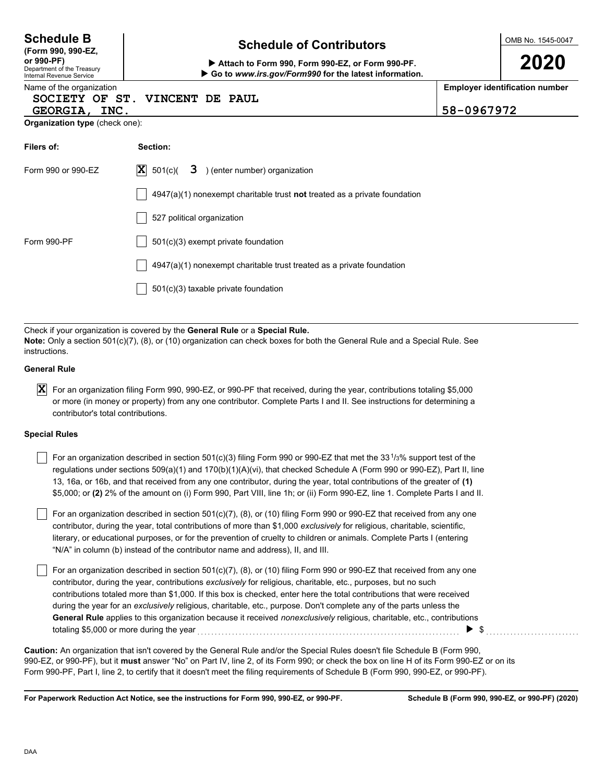| <b>Schedule B</b><br>(Form 990, 990-EZ,<br>or 990-PF)<br>Department of the Treasury<br>Internal Revenue Service                                                                                                                                                                          | <b>Schedule of Contributors</b><br>Attach to Form 990, Form 990-EZ, or Form 990-PF.<br>Go to www.irs.gov/Form990 for the latest information. |                                       | OMB No. 1545-0047<br>2020 |  |  |  |  |  |  |  |
|------------------------------------------------------------------------------------------------------------------------------------------------------------------------------------------------------------------------------------------------------------------------------------------|----------------------------------------------------------------------------------------------------------------------------------------------|---------------------------------------|---------------------------|--|--|--|--|--|--|--|
| Name of the organization<br>SOCIETY OF ST. VINCENT DE PAUL<br>GEORGIA, INC.                                                                                                                                                                                                              | 58-0967972                                                                                                                                   | <b>Employer identification number</b> |                           |  |  |  |  |  |  |  |
|                                                                                                                                                                                                                                                                                          | Organization type (check one):                                                                                                               |                                       |                           |  |  |  |  |  |  |  |
| Filers of:                                                                                                                                                                                                                                                                               | Section:                                                                                                                                     |                                       |                           |  |  |  |  |  |  |  |
| Form 990 or 990-EZ                                                                                                                                                                                                                                                                       | $ \mathbf{X} $ 501(c)(<br>3 ) (enter number) organization                                                                                    |                                       |                           |  |  |  |  |  |  |  |
|                                                                                                                                                                                                                                                                                          | $4947(a)(1)$ nonexempt charitable trust not treated as a private foundation                                                                  |                                       |                           |  |  |  |  |  |  |  |
| 527 political organization                                                                                                                                                                                                                                                               |                                                                                                                                              |                                       |                           |  |  |  |  |  |  |  |
| Form 990-PF                                                                                                                                                                                                                                                                              | 501(c)(3) exempt private foundation                                                                                                          |                                       |                           |  |  |  |  |  |  |  |
|                                                                                                                                                                                                                                                                                          | 4947(a)(1) nonexempt charitable trust treated as a private foundation                                                                        |                                       |                           |  |  |  |  |  |  |  |
|                                                                                                                                                                                                                                                                                          | 501(c)(3) taxable private foundation                                                                                                         |                                       |                           |  |  |  |  |  |  |  |
|                                                                                                                                                                                                                                                                                          |                                                                                                                                              |                                       |                           |  |  |  |  |  |  |  |
| Check if your organization is covered by the General Rule or a Special Rule.<br>Note: Only a section 501(c)(7), (8), or (10) organization can check boxes for both the General Rule and a Special Rule. See<br>instructions.                                                             |                                                                                                                                              |                                       |                           |  |  |  |  |  |  |  |
| <b>General Rule</b>                                                                                                                                                                                                                                                                      |                                                                                                                                              |                                       |                           |  |  |  |  |  |  |  |
| X<br>For an organization filing Form 990, 990-EZ, or 990-PF that received, during the year, contributions totaling \$5,000<br>or more (in money or property) from any one contributor. Complete Parts I and II. See instructions for determining a<br>contributor's total contributions. |                                                                                                                                              |                                       |                           |  |  |  |  |  |  |  |

### **Special Rules**

| For an organization described in section 501(c)(3) filing Form 990 or 990-EZ that met the 331/3% support test of the        |  |
|-----------------------------------------------------------------------------------------------------------------------------|--|
| regulations under sections $509(a)(1)$ and $170(b)(1)(A)(vi)$ , that checked Schedule A (Form 990 or 990-EZ), Part II, line |  |
| 13, 16a, or 16b, and that received from any one contributor, during the year, total contributions of the greater of (1)     |  |
| \$5,000; or (2) 2% of the amount on (i) Form 990, Part VIII, line 1h; or (ii) Form 990-EZ, line 1. Complete Parts I and II. |  |

literary, or educational purposes, or for the prevention of cruelty to children or animals. Complete Parts I (entering For an organization described in section 501(c)(7), (8), or (10) filing Form 990 or 990-EZ that received from any one contributor, during the year, total contributions of more than \$1,000 *exclusively* for religious, charitable, scientific, "N/A" in column (b) instead of the contributor name and address), II, and III.

For an organization described in section 501(c)(7), (8), or (10) filing Form 990 or 990-EZ that received from any one contributor, during the year, contributions *exclusively* for religious, charitable, etc., purposes, but no such contributions totaled more than \$1,000. If this box is checked, enter here the total contributions that were received during the year for an *exclusively* religious, charitable, etc., purpose. Don't complete any of the parts unless the **General Rule** applies to this organization because it received *nonexclusively* religious, charitable, etc., contributions totaling \$5,000 or more during the year . . . . . . . . . . . . . . . . . . . . . . . . . . . . . . . . . . . . . . . . . . . . . . . . . . . . . . . . . . . . . . . . . . . . . . . . . . . . \$ . . . . . . . . . . . . . . . . . . . . . . . . . . .

990-EZ, or 990-PF), but it **must** answer "No" on Part IV, line 2, of its Form 990; or check the box on line H of its Form 990-EZ or on its Form 990-PF, Part I, line 2, to certify that it doesn't meet the filing requirements of Schedule B (Form 990, 990-EZ, or 990-PF). **Caution:** An organization that isn't covered by the General Rule and/or the Special Rules doesn't file Schedule B (Form 990,

**For Paperwork Reduction Act Notice, see the instructions for Form 990, 990-EZ, or 990-PF.**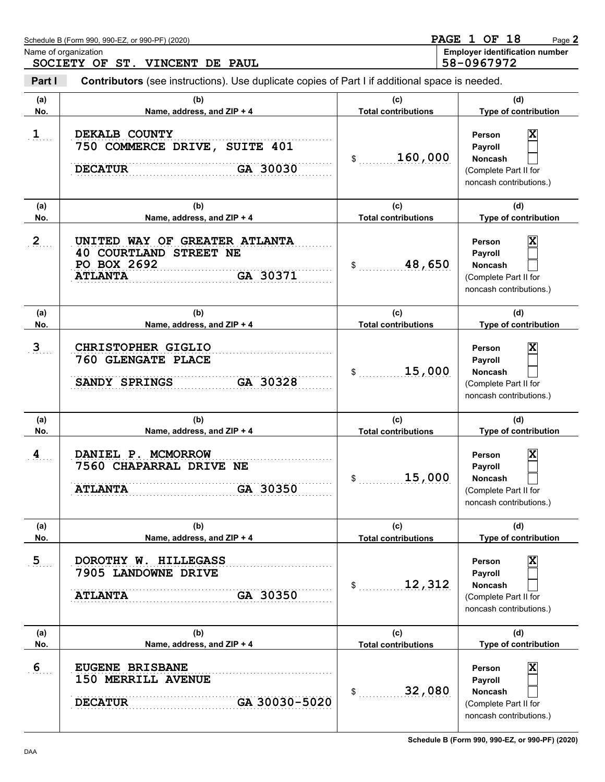|                                                        | Schedule B (Form 990, 990-EZ, or 990-PF) (2020)                                                             |                                   | PAGE 1 OF 18<br>Page 2                                                                              |
|--------------------------------------------------------|-------------------------------------------------------------------------------------------------------------|-----------------------------------|-----------------------------------------------------------------------------------------------------|
| Name of organization<br>SOCIETY OF ST. VINCENT DE PAUL |                                                                                                             |                                   | <b>Employer identification number</b><br>58-0967972                                                 |
| Part I                                                 | Contributors (see instructions). Use duplicate copies of Part I if additional space is needed.              |                                   |                                                                                                     |
| (a)<br>No.                                             | (b)<br>Name, address, and ZIP + 4                                                                           | (C)<br><b>Total contributions</b> | (d)<br>Type of contribution                                                                         |
| $1$ .                                                  | DEKALB COUNTY<br>750 COMMERCE DRIVE, SUITE 401<br>GA 30030<br><b>DECATUR</b>                                | 160,000<br>\$                     | X<br>Person<br>Payroll<br><b>Noncash</b><br>(Complete Part II for<br>noncash contributions.)        |
| (a)<br>No.                                             | (b)<br>Name, address, and ZIP + 4                                                                           | (c)<br><b>Total contributions</b> | (d)<br>Type of contribution                                                                         |
| 2 <sub>1</sub>                                         | UNITED WAY OF GREATER ATLANTA<br><b>40 COURTLAND STREET NE</b><br>PO BOX 2692<br><b>ATLANTA</b><br>GA 30371 | 48,650<br>\$                      | X<br>Person<br>Payroll<br><b>Noncash</b><br>(Complete Part II for<br>noncash contributions.)        |
| (a)<br>No.                                             | (b)<br>Name, address, and ZIP + 4                                                                           | (c)<br><b>Total contributions</b> | (d)<br>Type of contribution                                                                         |
| 3 <sub>1</sub>                                         | CHRISTOPHER GIGLIO<br>760 GLENGATE PLACE<br>GA 30328<br>SANDY SPRINGS                                       | 15,000<br>\$                      | X<br>Person<br>Payroll<br><b>Noncash</b><br>(Complete Part II for<br>noncash contributions.)        |
| (a)<br>No.                                             | (b)<br>Name, address, and ZIP + 4                                                                           | (c)<br><b>Total contributions</b> | (d)<br>Type of contribution                                                                         |
| 4                                                      | DANIEL P. MCMORROW<br>7560 CHAPARRAL DRIVE NE<br>GA 30350<br><b>ATLANTA</b>                                 | 15,000                            | X<br>Person<br><b>Payroll</b><br><b>Noncash</b><br>(Complete Part II for<br>noncash contributions.) |
| (a)<br>No.                                             | (b)<br>Name, address, and ZIP + 4                                                                           | (c)<br><b>Total contributions</b> | (d)<br>Type of contribution                                                                         |
| $\overline{5}$                                         | DOROTHY W. HILLEGASS<br>7905 LANDOWNE DRIVE<br>GA 30350<br><b>ATLANTA</b>                                   | 12,312<br>$\mathsf{\$}$           | X<br>Person<br>Payroll<br><b>Noncash</b><br>(Complete Part II for<br>noncash contributions.)        |
| (a)<br>No.                                             | (b)<br>Name, address, and ZIP + 4                                                                           | (c)<br><b>Total contributions</b> | (d)<br>Type of contribution                                                                         |
| 6                                                      | <b>EUGENE BRISBANE</b><br>150 MERRILL AVENUE<br>GA 30030-5020<br><b>DECATUR</b>                             | 32,080<br>$\frac{1}{2}$           | X<br>Person<br>Payroll<br><b>Noncash</b><br>(Complete Part II for<br>noncash contributions.)        |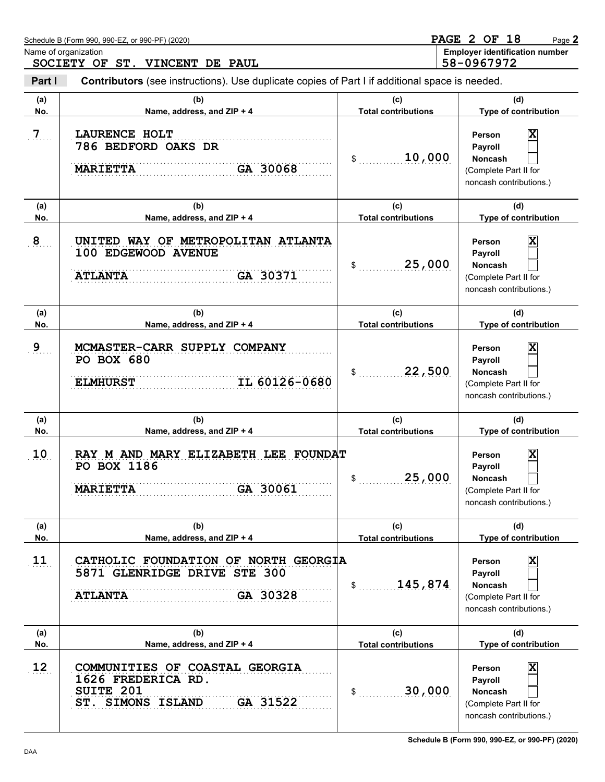|                                                        | Schedule B (Form 990, 990-EZ, or 990-PF) (2020)                                                       |                                                     | PAGE 2 OF 18<br>Page 2                                                                          |
|--------------------------------------------------------|-------------------------------------------------------------------------------------------------------|-----------------------------------------------------|-------------------------------------------------------------------------------------------------|
| Name of organization<br>SOCIETY OF ST. VINCENT DE PAUL |                                                                                                       | <b>Employer identification number</b><br>58-0967972 |                                                                                                 |
| Part I                                                 | Contributors (see instructions). Use duplicate copies of Part I if additional space is needed.        |                                                     |                                                                                                 |
| (a)<br>No.                                             | (b)<br>Name, address, and ZIP + 4                                                                     | (C)<br><b>Total contributions</b>                   | (d)<br>Type of contribution                                                                     |
| $\overline{7}$                                         | LAURENCE HOLT<br>786 BEDFORD OAKS DR<br>GA 30068<br><b>MARIETTA</b>                                   | 10,000<br>\$                                        | X<br>Person<br>Payroll<br>Noncash<br>(Complete Part II for<br>noncash contributions.)           |
| (a)<br>No.                                             | (b)<br>Name, address, and ZIP + 4                                                                     | (c)<br><b>Total contributions</b>                   | (d)<br>Type of contribution                                                                     |
| 8                                                      | UNITED WAY OF METROPOLITAN ATLANTA<br>100 EDGEWOOD AVENUE<br>GA 30371<br><b>ATLANTA</b>               | 25,000<br>\$                                        | $\mathbf x$<br>Person<br>Payroll<br>Noncash<br>(Complete Part II for<br>noncash contributions.) |
| (a)<br>No.                                             | (b)<br>Name, address, and ZIP + 4                                                                     | (c)<br><b>Total contributions</b>                   | (d)<br>Type of contribution                                                                     |
| 9                                                      | MCMASTER-CARR SUPPLY COMPANY<br><b>PO BOX 680</b><br>IL 60126-0680<br><b>ELMHURST</b>                 | 22,500<br>\$                                        | $\mathbf x$<br>Person<br>Payroll<br>Noncash<br>(Complete Part II for<br>noncash contributions.) |
| (a)<br>No.                                             | (b)<br>Name, address, and ZIP + 4                                                                     | (c)<br><b>Total contributions</b>                   | (d)<br>Type of contribution                                                                     |
| 10                                                     | RAY M AND MARY ELIZABETH LEE FOUNDAT<br><b>PO BOX 1186</b><br>GA 30061<br><b>MARIETTA</b>             | 25,000                                              | X<br>Person<br>Payroll<br>Noncash<br>(Complete Part II for<br>noncash contributions.)           |
| (a)<br>No.                                             | (b)<br>Name, address, and ZIP + 4                                                                     | (c)<br><b>Total contributions</b>                   | (d)<br>Type of contribution                                                                     |
| 11                                                     | CATHOLIC FOUNDATION OF NORTH GEORGIA<br>5871 GLENRIDGE DRIVE STE 300<br>GA 30328<br><b>ATLANTA</b>    | 145,874<br>$\mathsf{\$}$                            | X<br>Person<br>Payroll<br>Noncash<br>(Complete Part II for<br>noncash contributions.)           |
| (a)<br>No.                                             | (b)<br>Name, address, and ZIP + 4                                                                     | (c)<br><b>Total contributions</b>                   | (d)<br>Type of contribution                                                                     |
| 12                                                     | COMMUNITIES OF COASTAL GEORGIA<br>1626 FREDERICA RD.<br>SUITE 201<br>GA 31522<br>SIMONS ISLAND<br>ST. | 30,000<br>\$                                        | X<br>Person<br>Payroll<br>Noncash<br>(Complete Part II for<br>noncash contributions.)           |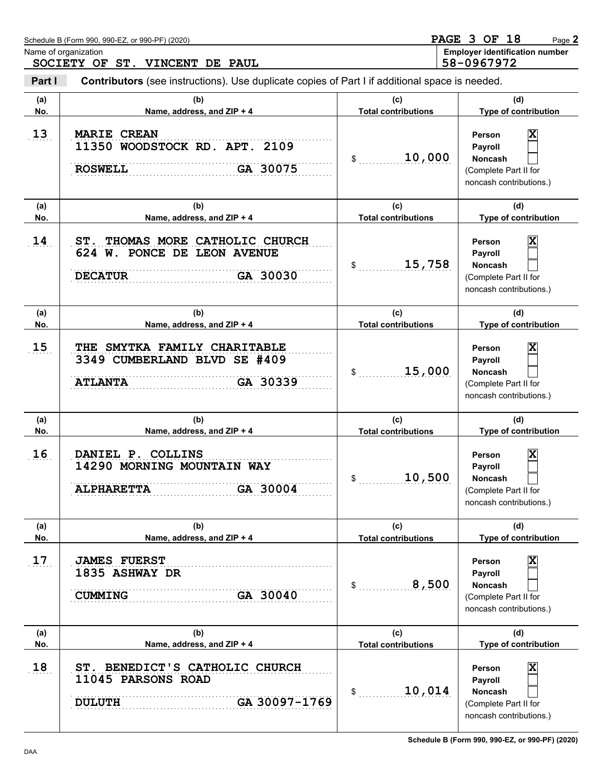|                      | Schedule B (Form 990, 990-EZ, or 990-PF) (2020)                                                                                  |                                       | PAGE 3 OF 18<br>Page 2                                                                                             |
|----------------------|----------------------------------------------------------------------------------------------------------------------------------|---------------------------------------|--------------------------------------------------------------------------------------------------------------------|
| Name of organization |                                                                                                                                  | <b>Employer identification number</b> |                                                                                                                    |
| Part I               | SOCIETY OF ST. VINCENT DE PAUL<br>Contributors (see instructions). Use duplicate copies of Part I if additional space is needed. |                                       | 58-0967972                                                                                                         |
| (a)<br>No.           | (b)<br>Name, address, and ZIP + 4                                                                                                | (C)<br><b>Total contributions</b>     | (d)<br>Type of contribution                                                                                        |
| 13                   | <b>MARIE CREAN</b><br>11350 WOODSTOCK RD. APT. 2109<br><b>ROSWELL</b><br>GA 30075                                                | 10,000<br>\$                          | $\overline{\mathbf{x}}$<br>Person<br>Payroll<br><b>Noncash</b><br>(Complete Part II for<br>noncash contributions.) |
| (a)<br>No.           | (b)<br>Name, address, and ZIP + 4                                                                                                | (c)<br><b>Total contributions</b>     | (d)<br>Type of contribution                                                                                        |
| 14                   | THOMAS MORE CATHOLIC CHURCH<br>ST.<br>624 W. PONCE DE LEON AVENUE<br>GA 30030<br><b>DECATUR</b>                                  | 15,758<br>\$                          | $\overline{\mathbf{x}}$<br>Person<br>Payroll<br><b>Noncash</b><br>(Complete Part II for<br>noncash contributions.) |
| (a)<br>No.           | (b)<br>Name, address, and ZIP + 4                                                                                                | (c)<br><b>Total contributions</b>     | (d)<br>Type of contribution                                                                                        |
| 15                   | SMYTKA FAMILY CHARITABLE<br>THE<br>3349 CUMBERLAND BLVD SE #409<br>GA 30339<br><b>ATLANTA</b>                                    | 15,000<br>\$                          | $\overline{\textbf{x}}$<br>Person<br>Payroll<br><b>Noncash</b><br>(Complete Part II for<br>noncash contributions.) |
| (a)<br>No.           | (b)<br>Name, address, and ZIP + 4                                                                                                | (c)<br><b>Total contributions</b>     | (d)<br>Type of contribution                                                                                        |
| 16                   | DANIEL P. COLLINS<br>14290 MORNING MOUNTAIN WAY<br>GA 30004<br><b>ALPHARETTA</b>                                                 | 10,500<br>\$                          | $\overline{\mathbf{x}}$<br>Person<br>Payroll<br><b>Noncash</b><br>(Complete Part II for<br>noncash contributions.) |
| (a)<br>No.           | (b)<br>Name, address, and ZIP + 4                                                                                                | (c)<br><b>Total contributions</b>     | (d)<br>Type of contribution                                                                                        |
| 17                   | <b>JAMES FUERST</b><br>1835 ASHWAY DR<br>GA 30040<br><b>CUMMING</b>                                                              | 8,500<br>\$                           | $\overline{\textbf{x}}$<br>Person<br>Payroll<br><b>Noncash</b><br>(Complete Part II for<br>noncash contributions.) |
| (a)<br>No.           | (b)<br>Name, address, and ZIP + 4                                                                                                | (c)<br><b>Total contributions</b>     | (d)<br>Type of contribution                                                                                        |
| 18                   | ST. BENEDICT'S CATHOLIC CHURCH<br>11045 PARSONS ROAD<br>GA 30097-1769<br><b>DULUTH</b>                                           | 10,014<br>$\frac{1}{2}$               | $\overline{\textbf{x}}$<br>Person<br>Payroll<br><b>Noncash</b><br>(Complete Part II for<br>noncash contributions.) |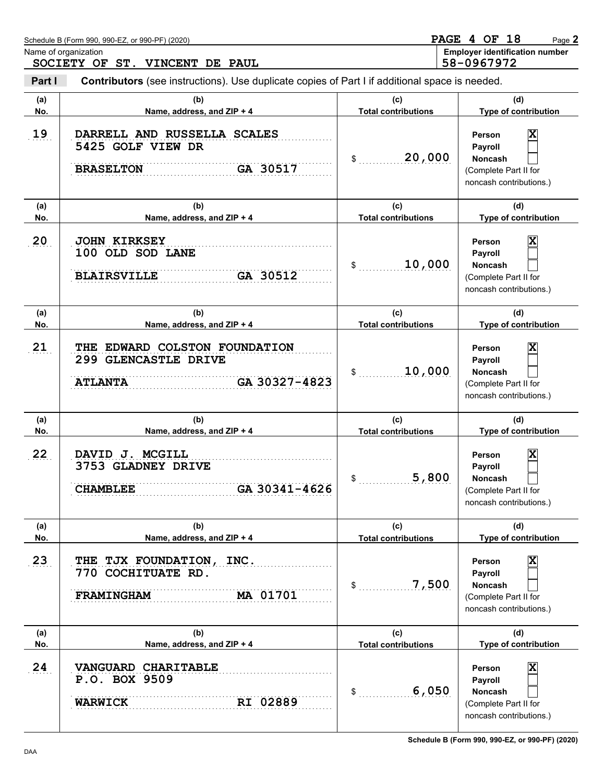|                                                        | Schedule B (Form 990, 990-EZ, or 990-PF) (2020)                                                       |                                   | PAGE 4 OF 18<br>Page 2                                                                              |
|--------------------------------------------------------|-------------------------------------------------------------------------------------------------------|-----------------------------------|-----------------------------------------------------------------------------------------------------|
| Name of organization<br>SOCIETY OF ST. VINCENT DE PAUL |                                                                                                       |                                   | <b>Employer identification number</b><br>58-0967972                                                 |
| Part I                                                 | Contributors (see instructions). Use duplicate copies of Part I if additional space is needed.        |                                   |                                                                                                     |
| (a)<br>No.                                             | (b)<br>Name, address, and ZIP + 4                                                                     | (C)<br><b>Total contributions</b> | (d)<br>Type of contribution                                                                         |
| 19                                                     | DARRELL AND RUSSELLA SCALES<br>5425 GOLF VIEW DR<br>GA 30517<br><b>BRASELTON</b>                      | 20,000<br>\$                      | X<br>Person<br>Payroll<br><b>Noncash</b><br>(Complete Part II for<br>noncash contributions.)        |
| (a)<br>No.                                             | (b)<br>Name, address, and ZIP + 4                                                                     | (c)<br><b>Total contributions</b> | (d)<br>Type of contribution                                                                         |
| 20                                                     | <b>JOHN KIRKSEY</b><br>100 OLD SOD LANE<br>GA 30512<br><b>BLAIRSVILLE</b>                             | 10,000<br>\$                      | X<br>Person<br>Payroll<br><b>Noncash</b><br>(Complete Part II for<br>noncash contributions.)        |
| (a)<br>No.                                             | (b)<br>Name, address, and ZIP + 4                                                                     | (c)<br><b>Total contributions</b> | (d)<br>Type of contribution                                                                         |
| 21                                                     | EDWARD COLSTON FOUNDATION<br>THE<br>299<br><b>GLENCASTLE DRIVE</b><br>GA 30327-4823<br><b>ATLANTA</b> | 10,000<br>\$                      | X<br>Person<br>Payroll<br><b>Noncash</b><br>(Complete Part II for<br>noncash contributions.)        |
| (a)<br>No.                                             | (b)<br>Name, address, and ZIP + 4                                                                     | (c)<br><b>Total contributions</b> | (d)<br>Type of contribution                                                                         |
| 22                                                     | DAVID J. MCGILL<br>3753 GLADNEY DRIVE<br>GA 30341-4626<br><b>CHAMBLEE</b>                             | 5,800<br>\$                       | X<br>Person<br><b>Payroll</b><br><b>Noncash</b><br>(Complete Part II for<br>noncash contributions.) |
| (a)<br>No.                                             | (b)<br>Name, address, and ZIP + 4                                                                     | (c)<br><b>Total contributions</b> | (d)<br>Type of contribution                                                                         |
| 23                                                     | THE TJX FOUNDATION, INC.<br>770 COCHITUATE RD.<br>MA 01701<br>FRAMINGHAM                              | 7,500<br>\$                       | X<br>Person<br>Payroll<br><b>Noncash</b><br>(Complete Part II for<br>noncash contributions.)        |
| (a)<br>No.                                             | (b)<br>Name, address, and ZIP + 4                                                                     | (c)<br><b>Total contributions</b> | (d)<br>Type of contribution                                                                         |
| 24                                                     | VANGUARD CHARITABLE<br>P.O. BOX 9509<br>RI 02889<br><b>WARWICK</b>                                    | 6,050<br>$\$\$                    | X<br>Person<br>Payroll<br><b>Noncash</b><br>(Complete Part II for<br>noncash contributions.)        |

**Schedule B (Form 990, 990-EZ, or 990-PF) (2020)**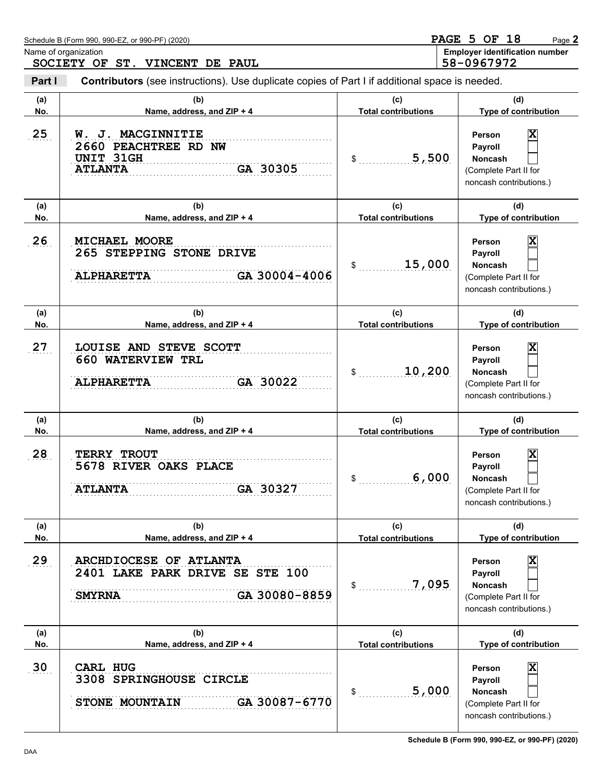| Schedule B (Form 990, 990-EZ, or 990-PF) (2020)        |                                                                                                | PAGE 5 OF 18<br>Page 2            |                                                                                                                    |
|--------------------------------------------------------|------------------------------------------------------------------------------------------------|-----------------------------------|--------------------------------------------------------------------------------------------------------------------|
| Name of organization<br>SOCIETY OF ST. VINCENT DE PAUL |                                                                                                |                                   | <b>Employer identification number</b><br>58-0967972                                                                |
| Part I                                                 | Contributors (see instructions). Use duplicate copies of Part I if additional space is needed. |                                   |                                                                                                                    |
| (a)<br>No.                                             | (b)<br>Name, address, and ZIP + 4                                                              | (C)<br><b>Total contributions</b> | (d)<br>Type of contribution                                                                                        |
| 25                                                     | W. J. MACGINNITIE<br>2660 PEACHTREE RD NW<br><b>UNIT 31GH</b><br>GA 30305<br><b>ATLANTA</b>    | 5,500<br>\$                       | X<br>Person<br>Payroll<br><b>Noncash</b><br>(Complete Part II for<br>noncash contributions.)                       |
| (a)                                                    | (b)                                                                                            | (c)                               | (d)                                                                                                                |
| No.                                                    | Name, address, and ZIP + 4                                                                     | <b>Total contributions</b>        | Type of contribution                                                                                               |
| 26                                                     | MICHAEL MOORE<br>265 STEPPING STONE DRIVE<br>GA 30004-4006<br><b>ALPHARETTA</b>                | 15,000<br>\$                      | X<br>Person<br>Payroll<br><b>Noncash</b><br>(Complete Part II for<br>noncash contributions.)                       |
| (a)<br>No.                                             | (b)<br>Name, address, and ZIP + 4                                                              | (c)<br><b>Total contributions</b> | (d)<br>Type of contribution                                                                                        |
| 27                                                     | LOUISE AND STEVE SCOTT<br>660 WATERVIEW TRL<br>GA 30022<br><b>ALPHARETTA</b>                   | 10,200<br>\$                      | X<br>Person<br>Payroll<br><b>Noncash</b><br>(Complete Part II for<br>noncash contributions.)                       |
| (a)                                                    | (b)                                                                                            | (c)                               | (d)                                                                                                                |
| No.                                                    | Name, address, and ZIP + 4                                                                     | <b>Total contributions</b>        | Type of contribution                                                                                               |
| 28                                                     | <b>TERRY TROUT</b><br>5678 RIVER OAKS PLACE<br>GA 30327<br><b>ATLANTA</b>                      | 6,000                             | X<br>Person<br>Payroll<br><b>Noncash</b><br>(Complete Part II for<br>noncash contributions.)                       |
| (a)<br>No.                                             | (b)<br>Name, address, and ZIP + 4                                                              | (c)<br><b>Total contributions</b> | (d)<br>Type of contribution                                                                                        |
| 29                                                     | ARCHDIOCESE OF ATLANTA<br>2401 LAKE PARK DRIVE SE STE 100<br>GA 30080-8859<br><b>SMYRNA</b>    | 7,095<br>$\frac{1}{2}$            | $\overline{\mathbf{x}}$<br>Person<br>Payroll<br><b>Noncash</b><br>(Complete Part II for<br>noncash contributions.) |
| (a)<br>No.                                             | (b)<br>Name, address, and ZIP + 4                                                              | (c)<br><b>Total contributions</b> | (d)<br>Type of contribution                                                                                        |
| 30                                                     | <b>CARL HUG</b><br>3308 SPRINGHOUSE CIRCLE<br>GA 30087-6770<br>STONE MOUNTAIN                  | 5,000<br>$\mathsf{\$}$            | $\overline{\mathbf{x}}$<br>Person<br>Payroll<br><b>Noncash</b><br>(Complete Part II for<br>noncash contributions.) |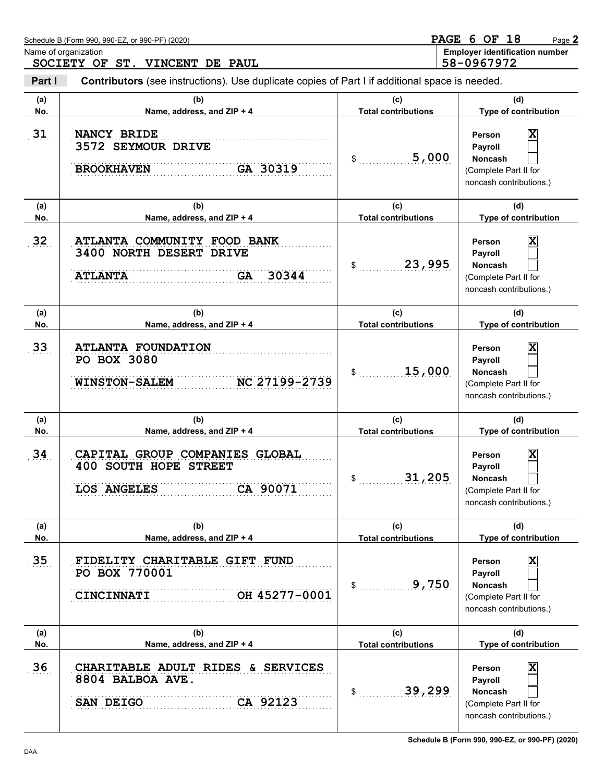|                                                        | Schedule B (Form 990, 990-EZ, or 990-PF) (2020)                                                | <b>PAGE</b>                                         | 6 OF 18<br>Page 2                                                                                                  |
|--------------------------------------------------------|------------------------------------------------------------------------------------------------|-----------------------------------------------------|--------------------------------------------------------------------------------------------------------------------|
| Name of organization<br>SOCIETY OF ST. VINCENT DE PAUL |                                                                                                | <b>Employer identification number</b><br>58-0967972 |                                                                                                                    |
| Part I                                                 | Contributors (see instructions). Use duplicate copies of Part I if additional space is needed. |                                                     |                                                                                                                    |
| (a)<br>No.                                             | (b)<br>Name, address, and ZIP + 4                                                              | (C)<br><b>Total contributions</b>                   | (d)<br>Type of contribution                                                                                        |
| 31                                                     | NANCY BRIDE<br>3572 SEYMOUR DRIVE<br>GA 30319<br><b>BROOKHAVEN</b>                             | 5,000<br>\$                                         | X<br>Person<br>Payroll<br><b>Noncash</b><br>(Complete Part II for<br>noncash contributions.)                       |
| (a)<br>No.                                             | (b)<br>Name, address, and ZIP + 4                                                              | (c)<br><b>Total contributions</b>                   | (d)<br>Type of contribution                                                                                        |
| 32                                                     | ATLANTA COMMUNITY FOOD BANK<br>3400 NORTH DESERT DRIVE<br>30344<br><b>ATLANTA</b><br>GA        | 23,995<br>\$                                        | X<br>Person<br>Payroll<br><b>Noncash</b><br>(Complete Part II for<br>noncash contributions.)                       |
| (a)<br>No.                                             | (b)<br>Name, address, and ZIP + 4                                                              | (c)<br><b>Total contributions</b>                   | (d)<br>Type of contribution                                                                                        |
| 33                                                     | <b>ATLANTA FOUNDATION</b><br><b>PO BOX 3080</b><br>NC 27199-2739<br><b>WINSTON-SALEM</b>       | 15,000<br>\$                                        | X<br>Person<br>Payroll<br><b>Noncash</b><br>(Complete Part II for<br>noncash contributions.)                       |
| (a)<br>No.                                             | (b)<br>Name, address, and ZIP + 4                                                              | (c)<br><b>Total contributions</b>                   | (d)<br>Type of contribution                                                                                        |
| 34                                                     | CAPITAL GROUP COMPANIES GLOBAL<br><b>400 SOUTH HOPE STREET</b><br>CA 90071<br>LOS ANGELES      | 31,205                                              | X<br>Person<br><b>Payroll</b><br><b>Noncash</b><br>(Complete Part II for<br>noncash contributions.)                |
| (a)<br>No.                                             | (b)<br>Name, address, and ZIP + 4                                                              | (c)<br><b>Total contributions</b>                   | (d)<br>Type of contribution                                                                                        |
| 35                                                     | FIDELITY CHARITABLE GIFT FUND<br>PO BOX 770001<br>OH 45277-0001<br>CINCINNATI                  | 9,750<br>$\mathsf{\$}$                              | $\overline{\mathbf{x}}$<br>Person<br>Payroll<br><b>Noncash</b><br>(Complete Part II for<br>noncash contributions.) |
| (a)<br>No.                                             | (b)<br>Name, address, and ZIP + 4                                                              | (c)<br><b>Total contributions</b>                   | (d)<br>Type of contribution                                                                                        |
| 36                                                     | CHARITABLE ADULT RIDES & SERVICES<br>8804 BALBOA AVE.<br>CA 92123<br>SAN DEIGO                 | 39,299<br>\$                                        | $ \mathbf{x} $<br>Person<br>Payroll<br><b>Noncash</b><br>(Complete Part II for<br>noncash contributions.)          |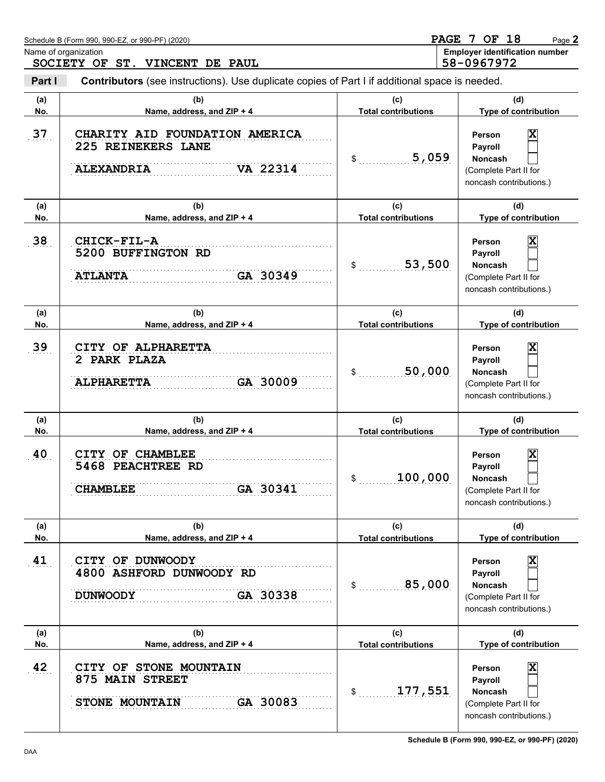| Name of organization | SOCIETY OF ST. VINCENT DE PAUL                                                                 |                                   | <b>Employer identification number</b><br>58-0967972                                                                       |
|----------------------|------------------------------------------------------------------------------------------------|-----------------------------------|---------------------------------------------------------------------------------------------------------------------------|
| Part I               | Contributors (see instructions). Use duplicate copies of Part I if additional space is needed. |                                   |                                                                                                                           |
| (a)<br>No.           | (b)<br>Name, address, and ZIP + 4                                                              | (c)<br><b>Total contributions</b> | (d)<br>Type of contribution                                                                                               |
| 37                   | CHARITY AID FOUNDATION AMERICA<br>225 REINEKERS LANE<br>VA 22314<br><b>ALEXANDRIA</b>          | 5,059<br>\$                       | $\overline{\textbf{x}}$<br><b>Person</b><br>Payroll<br><b>Noncash</b><br>(Complete Part II for<br>noncash contributions.) |
| (a)<br>No.           | (b)<br>Name, address, and ZIP + 4                                                              | (c)<br><b>Total contributions</b> | (d)<br>Type of contribution                                                                                               |
| 38                   | CHICK-FIL-A<br>5200 BUFFINGTON RD<br>GA 30349<br><b>ATLANTA</b>                                | 53,500<br>\$                      | $\overline{\textbf{x}}$<br><b>Person</b><br>Payroll<br><b>Noncash</b><br>(Complete Part II for<br>noncash contributions.) |
| (a)<br>No.           | (b)<br>Name, address, and ZIP + 4                                                              | (c)<br><b>Total contributions</b> | (d)<br>Type of contribution                                                                                               |
| 39                   | CITY OF ALPHARETTA<br>2 PARK PLAZA<br>GA 30009<br><b>ALPHARETTA</b>                            | 50,000<br>\$                      | $\overline{\textbf{x}}$<br><b>Person</b><br>Payroll<br><b>Noncash</b><br>(Complete Part II for<br>noncash contributions.) |
| (a)<br>No.           | (b)<br>Name, address, and ZIP + 4                                                              | (c)<br><b>Total contributions</b> | (d)<br>Type of contribution                                                                                               |
| 40                   | CITY OF CHAMBLEE<br>5468 PEACHTREE RD<br>GA 30341<br><b>CHAMBLEE</b>                           | 100,000<br>\$                     | $\overline{\mathbf{x}}$<br>Person<br>Payroll<br><b>Noncash</b><br>(Complete Part II for<br>noncash contributions.)        |
| (a)<br>No.           | (b)<br>Name, address, and ZIP + 4                                                              | (c)<br><b>Total contributions</b> | (d)<br>Type of contribution                                                                                               |
| 41                   | CITY OF DUNWOODY<br>4800 ASHFORD DUNWOODY RD<br>GA 30338<br><b>DUNWOODY</b>                    | 85,000<br>\$                      | $\overline{\mathbf{x}}$<br>Person<br>Payroll<br><b>Noncash</b><br>(Complete Part II for<br>noncash contributions.)        |
| (a)<br>No.           | (b)<br>Name, address, and ZIP + 4                                                              | (c)<br><b>Total contributions</b> | (d)<br>Type of contribution                                                                                               |
| 42                   | CITY OF STONE MOUNTAIN<br>875 MAIN STREET<br>STONE MOUNTAIN<br>GA 30083                        | 177,551<br>\$                     | $\overline{\textbf{x}}$<br>Person<br>Payroll<br><b>Noncash</b><br>(Complete Part II for<br>noncash contributions.)        |

**PAGE 7 OF 18**

Schedule B (Form 990, 990-EZ, or 990-PF) (2020)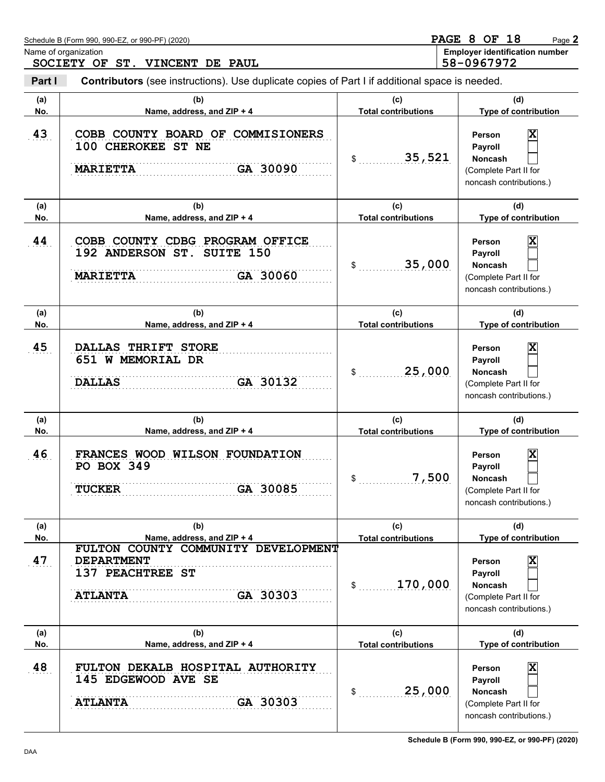|                      | Schedule B (Form 990, 990-EZ, or 990-PF) (2020)                                                       |                                   | PAGE 8 OF 18<br>Page 2                                                                                             |
|----------------------|-------------------------------------------------------------------------------------------------------|-----------------------------------|--------------------------------------------------------------------------------------------------------------------|
| Name of organization | SOCIETY OF ST. VINCENT DE PAUL                                                                        |                                   | <b>Employer identification number</b><br>58-0967972                                                                |
| Part I               | <b>Contributors</b> (see instructions). Use duplicate copies of Part I if additional space is needed. |                                   |                                                                                                                    |
| (a)<br>No.           | (b)<br>Name, address, and ZIP + 4                                                                     | (c)<br><b>Total contributions</b> | (d)<br>Type of contribution                                                                                        |
| 43                   | COBB COUNTY BOARD OF COMMISIONERS<br>100 CHEROKEE ST NE<br><b>MARIETTA</b><br>GA 30090                | 35,521<br>\$                      | $\overline{\mathbf{x}}$<br>Person<br>Payroll<br>Noncash<br>(Complete Part II for<br>noncash contributions.)        |
| (a)                  | (b)                                                                                                   | (c)                               | (d)                                                                                                                |
| No.                  | Name, address, and ZIP + 4                                                                            | <b>Total contributions</b>        | Type of contribution                                                                                               |
| 44                   | COBB COUNTY CDBG PROGRAM OFFICE<br>192 ANDERSON ST. SUITE 150<br>GA 30060<br><b>MARIETTA</b>          | 35,000<br>\$                      | $\overline{\mathbf{x}}$<br>Person<br>Payroll<br>Noncash<br>(Complete Part II for<br>noncash contributions.)        |
| (a)                  | (b)                                                                                                   | (c)                               | (d)                                                                                                                |
| No.                  | Name, address, and ZIP + 4                                                                            | <b>Total contributions</b>        | Type of contribution                                                                                               |
| 45                   | <b>DALLAS THRIFT STORE</b><br>651 W MEMORIAL DR<br>GA 30132<br><b>DALLAS</b>                          | 25,000<br>\$                      | $\overline{\mathbf{x}}$<br>Person<br>Payroll<br>Noncash<br>(Complete Part II for<br>noncash contributions.)        |
| (a)                  | (b)                                                                                                   | (c)                               | (d)                                                                                                                |
| No.                  | Name, address, and ZIP + 4                                                                            | <b>Total contributions</b>        | Type of contribution                                                                                               |
| 46                   | FRANCES WOOD WILSON FOUNDATION<br><b>PO BOX 349</b><br>GA 30085<br><b>TUCKER</b>                      | 7,500                             | $\overline{\mathbf{x}}$<br>Person<br><b>Payroll</b><br>Noncash<br>(Complete Part II for<br>noncash contributions.) |
| (a)                  | (b)                                                                                                   | (c)                               | (d)                                                                                                                |
| No.                  | Name, address, and ZIP + 4<br>FULTON COUNTY COMMUNITY DEVELOPMENT                                     | <b>Total contributions</b>        | Type of contribution                                                                                               |
| 47                   | <b>DEPARTMENT</b><br>137 PEACHTREE ST<br>GA 30303<br><b>ATLANTA</b>                                   | 170,000<br>\$                     | $\overline{\mathbf{x}}$<br>Person<br>Payroll<br><b>Noncash</b><br>(Complete Part II for<br>noncash contributions.) |
| (a)                  | (b)                                                                                                   | (c)                               | (d)                                                                                                                |
| No.                  | Name, address, and ZIP + 4                                                                            | <b>Total contributions</b>        | Type of contribution                                                                                               |
| 48                   | FULTON DEKALB HOSPITAL AUTHORITY<br>145 EDGEWOOD AVE SE<br>GA 30303<br><b>ATLANTA</b>                 | 25,000<br>\$                      | $\overline{\mathbf{x}}$<br>Person<br>Payroll<br><b>Noncash</b><br>(Complete Part II for<br>noncash contributions.) |

**PAGE 8 OF 18**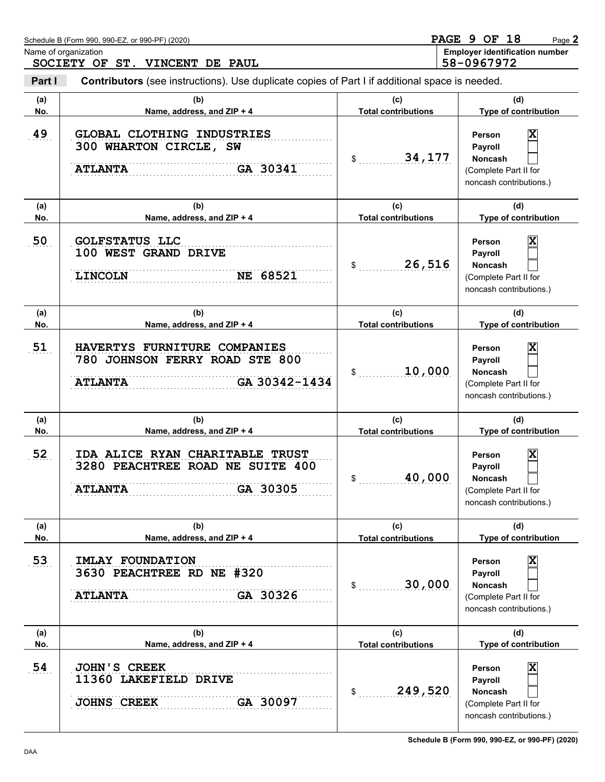|                                                        | Schedule B (Form 990, 990-EZ, or 990-PF) (2020)                                                             |                                   | PAGE 9 OF 18<br>Page 2                                                                                             |
|--------------------------------------------------------|-------------------------------------------------------------------------------------------------------------|-----------------------------------|--------------------------------------------------------------------------------------------------------------------|
| Name of organization<br>SOCIETY OF ST. VINCENT DE PAUL |                                                                                                             |                                   | <b>Employer identification number</b><br>58-0967972                                                                |
| Part I                                                 | Contributors (see instructions). Use duplicate copies of Part I if additional space is needed.              |                                   |                                                                                                                    |
| (a)<br>No.                                             | (b)<br>Name, address, and ZIP + 4                                                                           | (C)<br><b>Total contributions</b> | (d)<br>Type of contribution                                                                                        |
| 49                                                     | GLOBAL CLOTHING INDUSTRIES<br>300 WHARTON CIRCLE, SW<br>GA 30341<br><b>ATLANTA</b>                          | 34,177<br>\$                      | $\overline{\mathbf{x}}$<br>Person<br><b>Payroll</b><br>Noncash<br>(Complete Part II for<br>noncash contributions.) |
| (a)<br>No.                                             | (b)<br>Name, address, and ZIP + 4                                                                           | (c)<br><b>Total contributions</b> | (d)<br>Type of contribution                                                                                        |
| 50                                                     | <b>GOLFSTATUS LLC</b><br>100 WEST GRAND DRIVE<br>LINCOLN<br><b>NE 68521</b>                                 | 26,516<br>\$                      | $\overline{\mathbf{x}}$<br>Person<br>Payroll<br>Noncash<br>(Complete Part II for<br>noncash contributions.)        |
| (a)<br>No.                                             | (b)<br>Name, address, and ZIP + 4                                                                           | (c)<br><b>Total contributions</b> | (d)<br>Type of contribution                                                                                        |
| 51                                                     | HAVERTYS FURNITURE COMPANIES<br>780 JOHNSON FERRY ROAD STE 800<br>GA 30342-1434<br><b>ATLANTA</b>           | 10,000<br>\$                      | $\overline{\mathbf{x}}$<br>Person<br>Payroll<br>Noncash<br>(Complete Part II for<br>noncash contributions.)        |
| (a)<br>No.                                             | (b)<br>Name, address, and ZIP + 4                                                                           | (c)<br><b>Total contributions</b> | (d)<br>Type of contribution                                                                                        |
| 52                                                     | IDA ALICE RYAN CHARITABLE<br><b>TRUST</b><br>3280 PEACHTREE ROAD NE SUITE 400<br>GA 30305<br><b>ATLANTA</b> | 40,000                            | $\overline{\mathbf{x}}$<br><b>Person</b><br>Payroll<br>Noncash<br>(Complete Part II for<br>noncash contributions.) |
| (a)<br>No.                                             | (b)<br>Name, address, and ZIP + 4                                                                           | (c)<br><b>Total contributions</b> | (d)<br>Type of contribution                                                                                        |
| 53                                                     | IMLAY FOUNDATION<br>3630 PEACHTREE RD NE #320<br>GA 30326<br><b>ATLANTA</b>                                 | 30,000<br>$\sim$                  | X<br>Person<br>Payroll<br>Noncash<br>(Complete Part II for<br>noncash contributions.)                              |
| (a)<br>No.                                             | (b)<br>Name, address, and ZIP + 4                                                                           | (c)<br><b>Total contributions</b> | (d)<br>Type of contribution                                                                                        |
| 54                                                     | <b>JOHN'S CREEK</b><br>11360 LAKEFIELD DRIVE<br>GA 30097<br><b>JOHNS CREEK</b>                              | 249,520<br>\$                     | X<br>Person<br>Payroll<br>Noncash<br>(Complete Part II for<br>noncash contributions.)                              |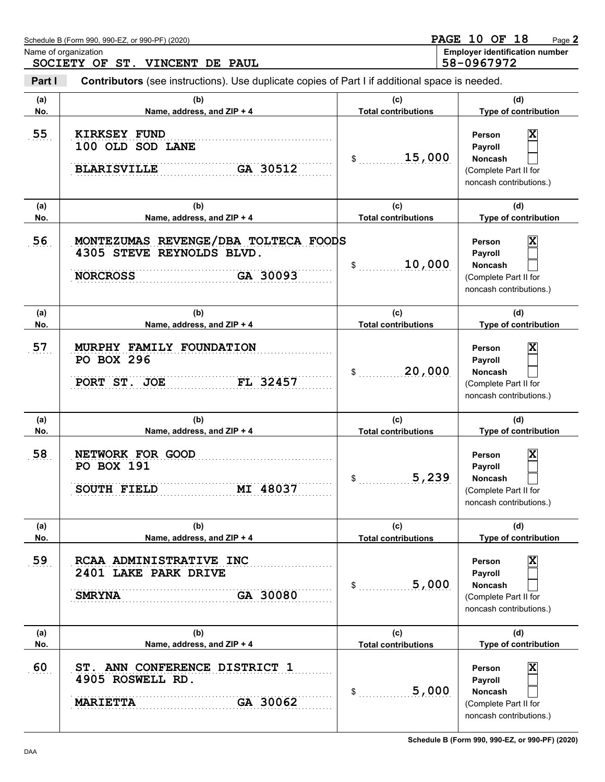| Name of organization | SOCIETY OF ST. VINCENT DE PAUL                                                                        |                                   | <b>Employer identification number</b><br>58-0967972                                                                       |
|----------------------|-------------------------------------------------------------------------------------------------------|-----------------------------------|---------------------------------------------------------------------------------------------------------------------------|
| Part I               | <b>Contributors</b> (see instructions). Use duplicate copies of Part I if additional space is needed. |                                   |                                                                                                                           |
| (a)<br>No.           | (b)<br>Name, address, and ZIP + 4                                                                     | (c)<br><b>Total contributions</b> | (d)<br>Type of contribution                                                                                               |
| 55                   | KIRKSEY FUND<br>100 OLD SOD LANE<br><b>BLARISVILLE</b><br>GA 30512                                    | 15,000<br>$\mathsf{\$}$           | $\overline{\textbf{x}}$<br><b>Person</b><br>Payroll<br><b>Noncash</b><br>(Complete Part II for<br>noncash contributions.) |
| (a)<br>No.           | (b)<br>Name, address, and ZIP + 4                                                                     | (c)<br><b>Total contributions</b> | (d)<br>Type of contribution                                                                                               |
| 56                   | MONTEZUMAS REVENGE/DBA TOLTECA FOODS<br>4305 STEVE REYNOLDS BLVD.<br>GA 30093<br><b>NORCROSS</b>      | 10,000<br>$\frac{1}{2}$           | $\overline{\textbf{x}}$<br>Person<br>Payroll<br><b>Noncash</b><br>(Complete Part II for<br>noncash contributions.)        |
| (a)<br>No.           | (b)<br>Name, address, and ZIP + 4                                                                     | (c)<br><b>Total contributions</b> | (d)<br>Type of contribution                                                                                               |
| 57                   | MURPHY FAMILY FOUNDATION<br><b>PO BOX 296</b><br>FL 32457<br>PORT ST. JOE                             | 20,000<br>$\sim$                  | $\overline{\textbf{x}}$<br>Person<br>Payroll<br><b>Noncash</b><br>(Complete Part II for<br>noncash contributions.)        |
| (a)<br>No.           | (b)<br>Name, address, and ZIP + 4                                                                     | (c)<br><b>Total contributions</b> | (d)<br>Type of contribution                                                                                               |
| 58                   | NETWORK FOR GOOD<br><b>PO BOX 191</b><br>MI 48037<br><b>SOUTH FIELD</b>                               | 5,239<br>$\mathsf{\$}$            | $\overline{\textbf{x}}$<br>Person<br>Payroll<br>Noncash<br>(Complete Part II for<br>noncash contributions.)               |
| (a)<br>No.           | (b)<br>Name, address, and ZIP + 4                                                                     | (c)<br><b>Total contributions</b> | (d)<br>Type of contribution                                                                                               |
| 59                   | RCAA ADMINISTRATIVE INC<br>2401 LAKE PARK DRIVE<br>GA 30080<br><b>SMRYNA</b>                          | 5,000<br>\$                       | X<br>Person<br>Payroll<br>Noncash<br>(Complete Part II for<br>noncash contributions.)                                     |
| (a)<br>No.           | (b)<br>Name, address, and ZIP + 4                                                                     | (c)<br><b>Total contributions</b> | (d)<br>Type of contribution                                                                                               |
| 60                   | ANN CONFERENCE DISTRICT 1<br>ST.<br>4905 ROSWELL RD.<br>GA 30062<br><b>MARIETTA</b>                   | 5,000<br>\$                       | X<br><b>Person</b><br>Payroll<br><b>Noncash</b><br>(Complete Part II for<br>noncash contributions.)                       |

**PAGE 10 OF 18**

Schedule B (Form 990, 990-EZ, or 990-PF) (2020)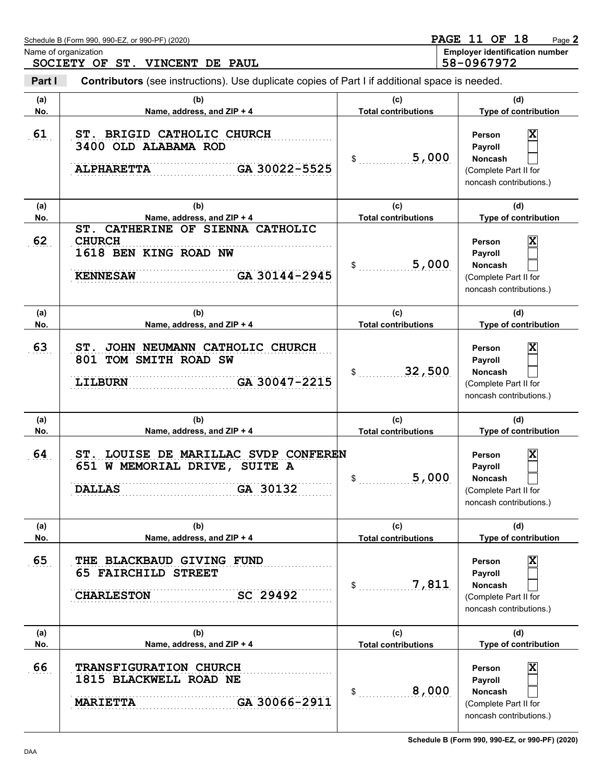| Name of organization | SOCIETY OF ST. VINCENT DE PAUL                                                                                 |                                   | <b>Employer identification number</b><br>58-0967972                                                                       |
|----------------------|----------------------------------------------------------------------------------------------------------------|-----------------------------------|---------------------------------------------------------------------------------------------------------------------------|
| Part I               | Contributors (see instructions). Use duplicate copies of Part I if additional space is needed.                 |                                   |                                                                                                                           |
| (a)<br>No.           | (b)<br>Name, address, and ZIP + 4                                                                              | (c)<br><b>Total contributions</b> | (d)<br>Type of contribution                                                                                               |
| 61                   | ST. BRIGID CATHOLIC CHURCH<br>3400 OLD ALABAMA ROD<br>GA 30022-5525<br><b>ALPHARETTA</b>                       | 5,000<br>\$                       | $\overline{\mathbf{x}}$<br><b>Person</b><br>Payroll<br><b>Noncash</b><br>(Complete Part II for<br>noncash contributions.) |
| (a)                  | (b)                                                                                                            | (c)                               | (d)                                                                                                                       |
| No.                  | Name, address, and ZIP + 4                                                                                     | <b>Total contributions</b>        | Type of contribution                                                                                                      |
| 62                   | ST. CATHERINE OF SIENNA CATHOLIC<br><b>CHURCH</b><br>1618 BEN KING ROAD NW<br>GA 30144-2945<br><b>KENNESAW</b> | 5,000<br>\$                       | X<br><b>Person</b><br>Payroll<br><b>Noncash</b><br>(Complete Part II for<br>noncash contributions.)                       |
| (a)<br>No.           | (b)<br>Name, address, and ZIP + 4                                                                              | (c)<br><b>Total contributions</b> | (d)<br>Type of contribution                                                                                               |
| 63                   | ST.<br>JOHN NEUMANN CATHOLIC CHURCH<br>801 TOM SMITH ROAD SW<br>GA 30047-2215<br>LILBURN                       | 32,500<br>\$                      | X<br><b>Person</b><br>Payroll<br><b>Noncash</b><br>(Complete Part II for<br>noncash contributions.)                       |
| (a)<br>No.           | (b)<br>Name, address, and ZIP + 4                                                                              | (c)<br><b>Total contributions</b> | (d)<br>Type of contribution                                                                                               |
| 64                   | LOUISE DE MARILLAC SVDP CONFEREN<br>ST.<br>651 W MEMORIAL DRIVE, SUITE A<br>GA 30132<br><b>DALLAS</b>          | 5,000<br>\$                       | X<br><b>Person</b><br>Payroll<br><b>Noncash</b><br>(Complete Part II for<br>noncash contributions.)                       |
| (a)<br>No.           | (b)<br>Name, address, and ZIP + 4                                                                              | (c)<br><b>Total contributions</b> | (d)<br>Type of contribution                                                                                               |
| 65                   | THE BLACKBAUD GIVING FUND<br><b>65 FAIRCHILD STREET</b><br>SC 29492<br><b>CHARLESTON</b>                       | 7,811<br>\$                       | X<br>Person<br>Payroll<br><b>Noncash</b><br>(Complete Part II for<br>noncash contributions.)                              |
| (a)                  | (b)                                                                                                            | (c)                               | (d)                                                                                                                       |
| No.                  | Name, address, and ZIP + 4                                                                                     | <b>Total contributions</b>        | Type of contribution                                                                                                      |
| 66                   | TRANSFIGURATION CHURCH<br>1815 BLACKWELL ROAD NE<br>GA 30066-2911<br><b>MARIETTA</b>                           | 8,000<br>\$                       | X<br><b>Person</b><br>Payroll<br><b>Noncash</b><br>(Complete Part II for<br>noncash contributions.)                       |

**PAGE 11 OF 18**

Schedule B (Form 990, 990-EZ, or 990-PF) (2020)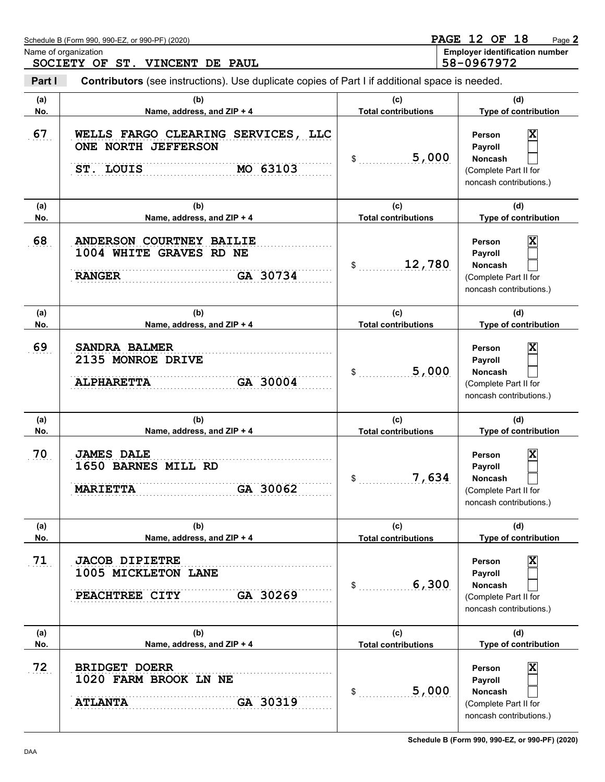| Part I     | <b>Contributors</b> (see instructions). Use duplicate copies of Part I if additional space is needed. |                                   |                                                                                                                    |  |
|------------|-------------------------------------------------------------------------------------------------------|-----------------------------------|--------------------------------------------------------------------------------------------------------------------|--|
| (a)<br>No. | (b)<br>Name, address, and ZIP + 4                                                                     | (c)<br><b>Total contributions</b> | (d)<br>Type of contribution                                                                                        |  |
| 67         | WELLS FARGO CLEARING SERVICES, LLC<br>ONE NORTH JEFFERSON<br>MO 63103<br>ST. LOUIS                    | 5,000<br>\$                       | $\overline{\textbf{x}}$<br>Person<br>Payroll<br><b>Noncash</b><br>(Complete Part II for<br>noncash contributions.) |  |
| (a)        | (b)                                                                                                   | (c)                               | (d)                                                                                                                |  |
| No.        | Name, address, and ZIP + 4                                                                            | <b>Total contributions</b>        | Type of contribution                                                                                               |  |
| 68         | ANDERSON COURTNEY BAILIE<br>1004 WHITE GRAVES RD NE<br>GA 30734<br><b>RANGER</b>                      | 12,780<br>\$                      | $\overline{\textbf{x}}$<br>Person<br>Payroll<br><b>Noncash</b><br>(Complete Part II for<br>noncash contributions.) |  |
| (a)        | (b)                                                                                                   | (c)                               | (d)                                                                                                                |  |
| No.        | Name, address, and ZIP + 4                                                                            | <b>Total contributions</b>        | Type of contribution                                                                                               |  |
| 69         | <b>SANDRA BALMER</b><br>2135 MONROE DRIVE<br>GA 30004<br><b>ALPHARETTA</b>                            | 5,000<br>\$                       | $\overline{\textbf{x}}$<br>Person<br>Payroll<br><b>Noncash</b><br>(Complete Part II for<br>noncash contributions.) |  |
| (a)<br>No. | (b)<br>Name, address, and ZIP + 4                                                                     | (c)<br><b>Total contributions</b> | (d)<br>Type of contribution                                                                                        |  |
| 70         | <b>JAMES DALE</b><br>1650 BARNES MILL RD<br>GA 30062<br><b>MARIETTA</b>                               | 7,634<br>\$                       | $\overline{\textbf{x}}$<br>Person<br>Payroll<br><b>Noncash</b><br>(Complete Part II for<br>noncash contributions.) |  |
| (a)<br>No. | (b)<br>Name, address, and ZIP + 4                                                                     | (c)<br><b>Total contributions</b> | (d)<br>Type of contribution                                                                                        |  |
| 71         | <b>JACOB DIPIETRE</b><br>1005 MICKLETON LANE<br>GA 30269<br>PEACHTREE CITY                            | 6,300<br>\$                       | X<br>Person<br>Payroll<br>Noncash<br>(Complete Part II for<br>noncash contributions.)                              |  |
| (a)<br>No. | (b)<br>Name, address, and ZIP + 4                                                                     | (c)<br><b>Total contributions</b> | (d)<br>Type of contribution                                                                                        |  |
| 72         | <b>BRIDGET DOERR</b><br>1020 FARM BROOK LN NE<br>GA 30319<br><b>ATLANTA</b>                           | 5,000<br>\$                       | X<br>Person<br>Payroll<br>Noncash<br>(Complete Part II for<br>noncash contributions.)                              |  |

Name of organization **Employer identification number Employer identification number** 

Page **2**

**PAGE 12 OF 18**

**58-0967972**

Schedule B (Form 990, 990-EZ, or 990-PF) (2020)

**SOCIETY OF ST. VINCENT DE PAUL**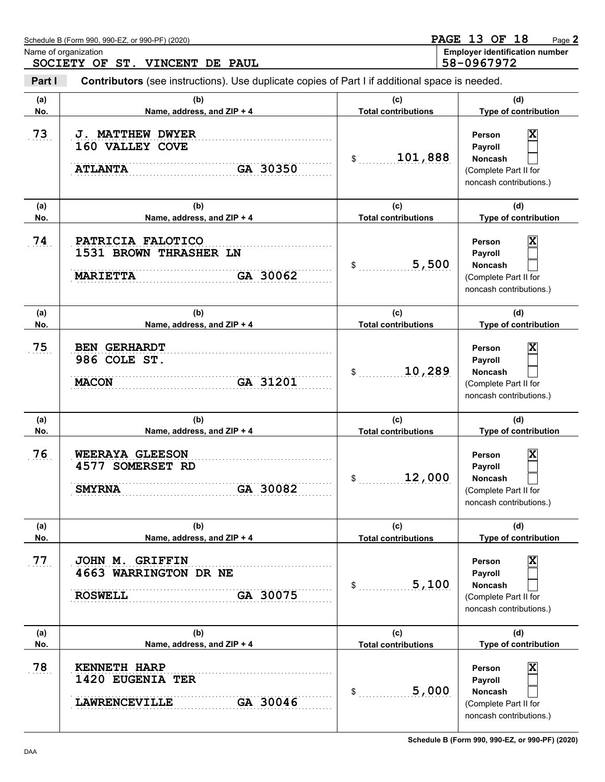|            | SOCIETY OF ST. VINCENT DE PAUL                                                                 |                                   | 58-0967972                                                                                                         |
|------------|------------------------------------------------------------------------------------------------|-----------------------------------|--------------------------------------------------------------------------------------------------------------------|
| Part I     | Contributors (see instructions). Use duplicate copies of Part I if additional space is needed. |                                   |                                                                                                                    |
| (a)<br>No. | (b)<br>Name, address, and ZIP + 4                                                              | (c)<br><b>Total contributions</b> | (d)<br>Type of contribution                                                                                        |
| 73         | <b>J. MATTHEW DWYER</b><br>160 VALLEY COVE<br>GA 30350<br><b>ATLANTA</b>                       | 101,888<br>\$                     | $\overline{\mathbf{x}}$<br>Person<br>Payroll<br><b>Noncash</b><br>(Complete Part II for<br>noncash contributions.) |
| (a)<br>No. | (b)<br>Name, address, and ZIP + 4                                                              | (c)<br><b>Total contributions</b> | (d)<br>Type of contribution                                                                                        |
| 74         | PATRICIA FALOTICO<br>1531 BROWN THRASHER LN<br>GA 30062<br><b>MARIETTA</b>                     | 5,500<br>\$                       | X<br>Person<br>Payroll<br><b>Noncash</b><br>(Complete Part II for<br>noncash contributions.)                       |
| (a)<br>No. | (b)<br>Name, address, and ZIP + 4                                                              | (c)<br><b>Total contributions</b> | (d)<br>Type of contribution                                                                                        |
| 75         | <b>BEN GERHARDT</b><br>986 COLE ST.<br>GA 31201<br><b>MACON</b>                                | 10,289<br>\$                      | X<br>Person<br>Payroll<br>Noncash<br>(Complete Part II for<br>noncash contributions.)                              |
| (a)<br>No. | (b)<br>Name, address, and ZIP + 4                                                              | (c)<br><b>Total contributions</b> | (d)<br>Type of contribution                                                                                        |
| 76         | WEERAYA GLEESON<br>4577 SOMERSET RD<br>GA 30082<br><b>SMYRNA</b>                               | 12,000<br>\$                      | $\overline{\mathbf{x}}$<br>Person<br>Payroll<br><b>Noncash</b><br>(Complete Part II for<br>noncash contributions.) |
| (a)<br>No. | (b)<br>Name, address, and ZIP + 4                                                              | (c)<br><b>Total contributions</b> | (d)<br>Type of contribution                                                                                        |
| 77         | JOHN M. GRIFFIN<br>4663 WARRINGTON DR NE<br>GA 30075<br><b>ROSWELL</b>                         | 5,100<br>\$                       | X<br>Person<br>Payroll<br>Noncash<br>(Complete Part II for<br>noncash contributions.)                              |
| (a)<br>No. | (b)<br>Name, address, and ZIP + 4                                                              | (c)<br><b>Total contributions</b> | (d)<br>Type of contribution                                                                                        |
| 78         | KENNETH HARP<br>1420 EUGENIA TER<br>GA 30046<br><b>LAWRENCEVILLE</b>                           | 5,000<br>\$                       | X<br>Person<br>Payroll<br>Noncash<br>(Complete Part II for<br>noncash contributions.)                              |

Name of organization **Employer identification number**

Page **2**

**PAGE 13 OF 18**

Schedule B (Form 990, 990-EZ, or 990-PF) (2020)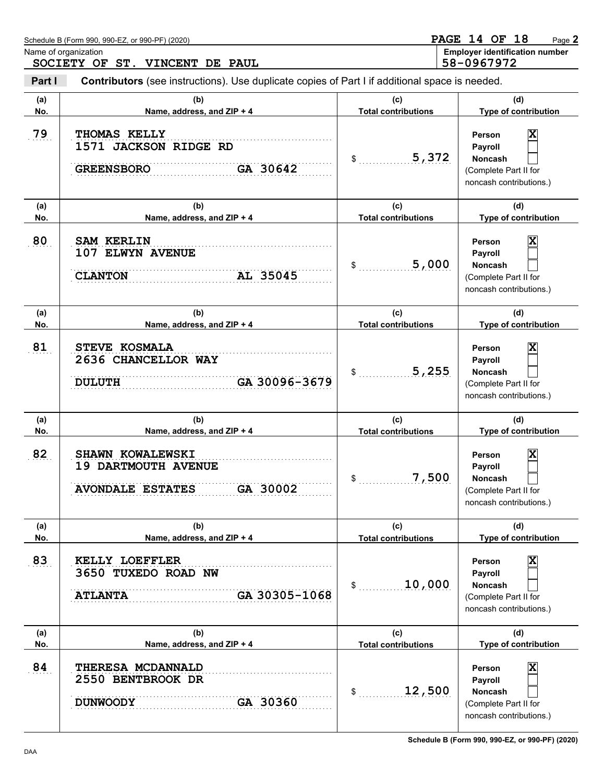|                      | Schedule B (Form 990, 990-EZ, or 990-PF) (2020)                                                |                                                     | <b>PAGE 14 OF 18</b><br>Page 2                                                               |  |
|----------------------|------------------------------------------------------------------------------------------------|-----------------------------------------------------|----------------------------------------------------------------------------------------------|--|
| Name of organization | SOCIETY OF ST. VINCENT DE PAUL                                                                 | <b>Employer identification number</b><br>58-0967972 |                                                                                              |  |
| Part I               | Contributors (see instructions). Use duplicate copies of Part I if additional space is needed. |                                                     |                                                                                              |  |
| (a)<br>No.           | (b)<br>Name, address, and ZIP + 4                                                              | (c)<br><b>Total contributions</b>                   | (d)<br>Type of contribution                                                                  |  |
| 79                   | <b>THOMAS KELLY</b><br>1571 JACKSON RIDGE RD<br>GA 30642<br><b>GREENSBORO</b>                  | 5,372<br>\$                                         | X<br>Person<br>Payroll<br>Noncash<br>(Complete Part II for<br>noncash contributions.)        |  |
| (a)                  | (b)                                                                                            | (c)                                                 | (d)                                                                                          |  |
| No.                  | Name, address, and ZIP + 4                                                                     | <b>Total contributions</b>                          | Type of contribution                                                                         |  |
| 80                   | <b>SAM KERLIN</b><br>107 ELWYN AVENUE<br>AL 35045<br><b>CLANTON</b>                            | 5,000<br>\$                                         | X<br>Person<br>Payroll<br>Noncash<br>(Complete Part II for<br>noncash contributions.)        |  |
| (a)<br>No.           | (b)<br>Name, address, and ZIP + 4                                                              | (c)<br><b>Total contributions</b>                   | (d)<br>Type of contribution                                                                  |  |
| 81                   | <b>STEVE KOSMALA</b><br>2636 CHANCELLOR WAY<br>GA 30096-3679<br><b>DULUTH</b>                  | 5,255<br>\$                                         | X<br>Person<br>Payroll<br>Noncash<br>(Complete Part II for<br>noncash contributions.)        |  |
| (a)<br>No.           | (b)<br>Name, address, and ZIP + 4                                                              | (c)<br><b>Total contributions</b>                   | (d)<br>Type of contribution                                                                  |  |
| 82                   | SHAWN KOWALEWSKI<br><b>19 DARTMOUTH AVENUE</b><br>GA 30002<br><b>AVONDALE ESTATES</b>          | <u>7,500</u>                                        | X<br>Person<br>Payroll<br>Noncash<br>(Complete Part II for<br>noncash contributions.)        |  |
| (a)<br>No.           | (b)<br>Name, address, and ZIP + 4                                                              | (c)<br><b>Total contributions</b>                   | (d)<br>Type of contribution                                                                  |  |
| 83                   | KELLY LOEFFLER<br>3650 TUXEDO ROAD NW<br>GA 30305-1068<br><b>ATLANTA</b>                       | 10,000<br>\$                                        | X<br>Person<br>Payroll<br><b>Noncash</b><br>(Complete Part II for<br>noncash contributions.) |  |
| (a)<br>No.           | (b)<br>Name, address, and ZIP + 4                                                              | (c)<br><b>Total contributions</b>                   | (d)<br>Type of contribution                                                                  |  |
| 84                   | THERESA MCDANNALD<br>2550 BENTBROOK DR<br><b>DUNWOODY</b><br>GA 30360                          | 12,500<br>\$                                        | X<br>Person<br>Payroll<br><b>Noncash</b><br>(Complete Part II for<br>noncash contributions.) |  |

**PAGE 14 OF 18**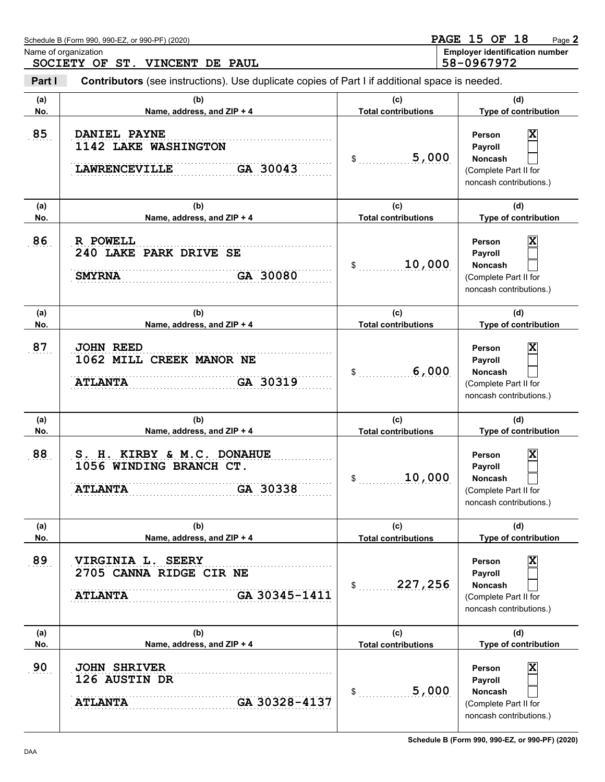| Name of organization | SOCIETY OF ST. VINCENT DE PAUL                                                                                |                                             | <b>Employer identification number</b><br>58-0967972                                                                  |
|----------------------|---------------------------------------------------------------------------------------------------------------|---------------------------------------------|----------------------------------------------------------------------------------------------------------------------|
| Part I               | Contributors (see instructions). Use duplicate copies of Part I if additional space is needed.                |                                             |                                                                                                                      |
| (a)<br>No.           | (b)<br>Name, address, and ZIP + 4                                                                             | (c)<br><b>Total contributions</b>           | (d)<br>Type of contribution                                                                                          |
| 85                   | DANIEL PAYNE<br>1142 LAKE WASHINGTON<br>GA 30043<br><b>LAWRENCEVILLE</b>                                      | 5,000<br>\$                                 | $\overline{\mathbf{x}}$<br>Person<br>Payroll<br>Noncash<br>(Complete Part II for<br>noncash contributions.)          |
| (a)<br>No.           | (b)<br>Name, address, and ZIP + 4                                                                             | (c)<br><b>Total contributions</b>           | (d)<br>Type of contribution                                                                                          |
| 86                   | R POWELL<br>240 LAKE PARK DRIVE SE<br>GA 30080<br><b>SMYRNA</b>                                               | 10,000<br>\$                                | $\overline{\mathbf{x}}$<br>Person<br>Payroll<br>Noncash<br>(Complete Part II for<br>noncash contributions.)          |
| (a)<br>No.           | (b)<br>Name, address, and ZIP + 4                                                                             | (c)<br><b>Total contributions</b>           | (d)<br>Type of contribution                                                                                          |
| 87                   | <b>JOHN REED</b><br>1062 MILL CREEK MANOR NE<br>GA 30319<br><b>ATLANTA</b>                                    | 6,000<br>\$                                 | $\overline{\mathbf{x}}$<br>Person<br>Payroll<br><b>Noncash</b><br>(Complete Part II for<br>noncash contributions.)   |
| (a)<br>No.           | (b)<br>Name, address, and ZIP + 4                                                                             | (c)<br><b>Total contributions</b>           | (d)<br>Type of contribution                                                                                          |
| 88                   | S. H. KIRBY & M.C. DONAHUE<br>1056 WINDING BRANCH CT.<br>GA 30338<br><b>ATLANTA</b>                           | 10,000<br>\$                                | X<br>Person<br>Payroll<br>Noncash<br>(Complete Part II for<br>noncash contributions.)                                |
| (a)                  | (b)                                                                                                           | (c)                                         | (d)                                                                                                                  |
| No.<br>89            | Name, address, and ZIP + 4<br>VIRGINIA L. SEERY<br>2705 CANNA RIDGE CIR NE<br>GA 30345-1411<br><b>ATLANTA</b> | <b>Total contributions</b><br>227,256<br>\$ | Type of contribution<br>X<br>Person<br>Payroll<br><b>Noncash</b><br>(Complete Part II for<br>noncash contributions.) |
| (a)<br>No.           | (b)<br>Name, address, and ZIP + 4                                                                             | (c)<br><b>Total contributions</b>           | (d)<br>Type of contribution                                                                                          |
| 90                   | <b>JOHN SHRIVER</b><br>126 AUSTIN DR<br>GA 30328-4137<br><b>ATLANTA</b>                                       | 5,000<br>\$                                 | X<br>Person<br>Payroll<br><b>Noncash</b><br>(Complete Part II for<br>noncash contributions.)                         |

Page **2**

**PAGE 15 OF 18**

Schedule B (Form 990, 990-EZ, or 990-PF) (2020)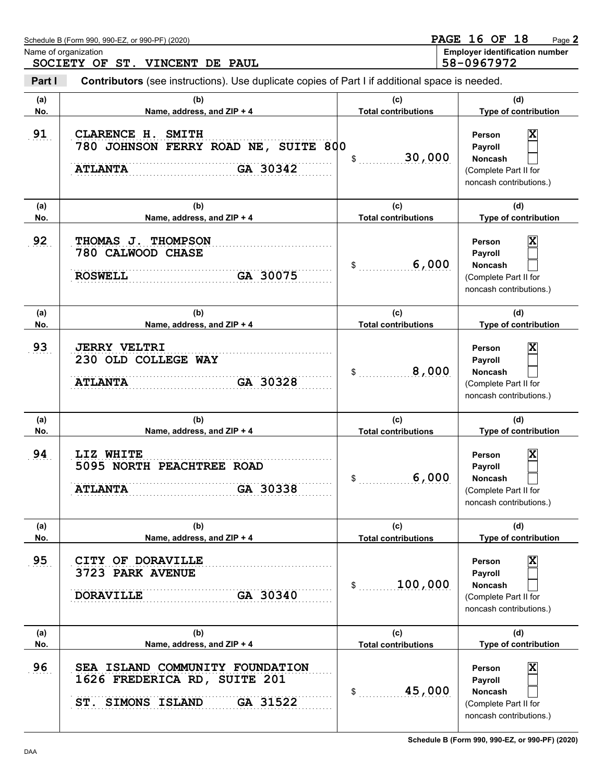|                      | Schedule B (Form 990, 990-EZ, or 990-PF) (2020)                                                                                   |                                            | <b>PAGE 16 OF 18</b><br>Page 2                                                                                       |
|----------------------|-----------------------------------------------------------------------------------------------------------------------------------|--------------------------------------------|----------------------------------------------------------------------------------------------------------------------|
| Name of organization | SOCIETY OF ST. VINCENT DE PAUL                                                                                                    |                                            | <b>Employer identification number</b><br>58-0967972                                                                  |
| Part I               | Contributors (see instructions). Use duplicate copies of Part I if additional space is needed.                                    |                                            |                                                                                                                      |
| (a)<br>No.           | (b)<br>Name, address, and ZIP + 4                                                                                                 | (c)<br><b>Total contributions</b>          | (d)<br>Type of contribution                                                                                          |
| 91                   | CLARENCE H. SMITH<br>780 JOHNSON FERRY ROAD NE, SUITE 800<br>GA 30342<br><b>ATLANTA</b>                                           | 30,000                                     | X<br>Person<br>Payroll<br>Noncash<br>(Complete Part II for<br>noncash contributions.)                                |
| (a)                  | (b)                                                                                                                               | (c)                                        | (d)                                                                                                                  |
| No.                  | Name, address, and ZIP + 4                                                                                                        | <b>Total contributions</b>                 | Type of contribution                                                                                                 |
| 92                   | THOMAS J.<br><b>THOMPSON</b><br>780 CALWOOD CHASE<br>GA 30075<br><b>ROSWELL</b>                                                   | 6,000<br>\$                                | X<br>Person<br>Payroll<br>Noncash<br>(Complete Part II for<br>noncash contributions.)                                |
| (a)<br>No.           | (b)<br>Name, address, and ZIP + 4                                                                                                 | (c)<br><b>Total contributions</b>          | (d)<br>Type of contribution                                                                                          |
| 93                   | <b>JERRY VELTRI</b><br>230 OLD COLLEGE WAY<br><b>ATLANTA</b><br>GA 30328                                                          | 8,000<br>\$                                | X<br>Person<br>Payroll<br>Noncash<br>(Complete Part II for<br>noncash contributions.)                                |
| (a)<br>No.           | (b)<br>Name, address, and ZIP + 4                                                                                                 | (c)<br><b>Total contributions</b>          | (d)<br>Type of contribution                                                                                          |
| 94                   | LIZ WHITE<br>5095 NORTH PEACHTREE ROAD<br>GA 30338<br><b>ATLANTA</b>                                                              | 6,000                                      | X<br>Person<br>Payroll<br>Noncash<br>(Complete Part II for<br>noncash contributions.)                                |
| (a)                  | (b)                                                                                                                               | (c)                                        | (d)                                                                                                                  |
| No.                  | Name, address, and ZIP + 4                                                                                                        | <b>Total contributions</b>                 | Type of contribution                                                                                                 |
| 95                   | CITY OF DORAVILLE<br>3723 PARK AVENUE<br>GA 30340<br><b>DORAVILLE</b>                                                             | 100,000<br>\$                              | X<br>Person<br>Payroll<br><b>Noncash</b><br>(Complete Part II for<br>noncash contributions.)                         |
| (a)                  | (b)                                                                                                                               | (c)                                        | (d)                                                                                                                  |
| No.<br>96            | Name, address, and ZIP + 4<br>SEA ISLAND COMMUNITY FOUNDATION<br>1626 FREDERICA RD, SUITE 201<br>GA 31522<br>SIMONS ISLAND<br>ST. | <b>Total contributions</b><br>45,000<br>\$ | Type of contribution<br>X<br>Person<br>Payroll<br><b>Noncash</b><br>(Complete Part II for<br>noncash contributions.) |

Page **2**

**PAGE 16 OF 18**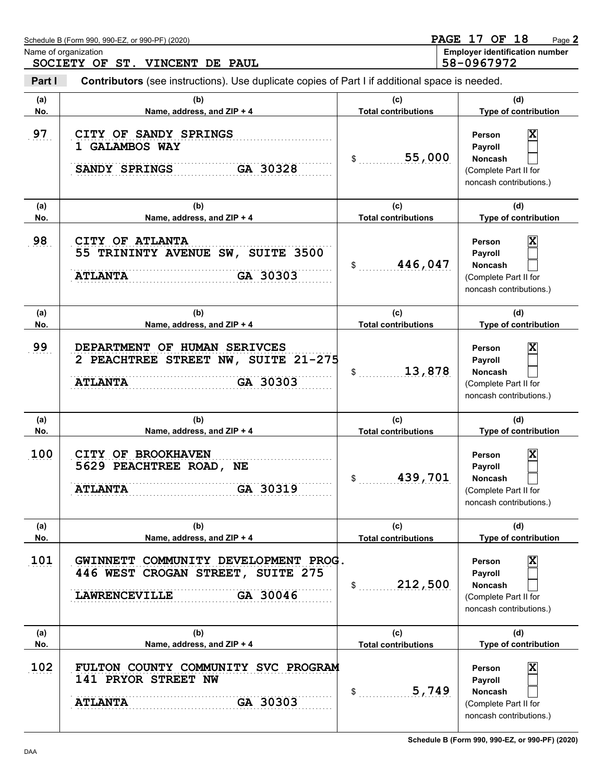|            | Schedule B (Form 990, 990-EZ, or 990-PF) (2020)                                                               |                                              | <b>PAGE 17 OF 18</b><br>Page 2                                                               |
|------------|---------------------------------------------------------------------------------------------------------------|----------------------------------------------|----------------------------------------------------------------------------------------------|
|            | Name of organization<br>SOCIETY OF ST. VINCENT DE PAUL                                                        |                                              | <b>Employer identification number</b><br>58-0967972                                          |
| Part I     | Contributors (see instructions). Use duplicate copies of Part I if additional space is needed.                |                                              |                                                                                              |
| (a)<br>No. | (b)<br>Name, address, and ZIP + 4                                                                             | (C)<br><b>Total contributions</b>            | (d)<br>Type of contribution                                                                  |
| 97         | CITY OF SANDY SPRINGS<br><b>GALAMBOS WAY</b><br>GA 30328<br>SANDY SPRINGS                                     | 55,000<br>\$                                 | X<br>Person<br>Payroll<br>Noncash<br>(Complete Part II for<br>noncash contributions.)        |
| (a)<br>No. | (b)<br>Name, address, and ZIP + 4                                                                             | (c)<br><b>Total contributions</b>            | (d)<br>Type of contribution                                                                  |
| 98         | CITY OF ATLANTA<br>55 TRININTY AVENUE SW, SUITE 3500<br>GA 30303<br><b>ATLANTA</b>                            | 446,047<br>\$                                | X<br>Person<br>Payroll<br><b>Noncash</b><br>(Complete Part II for<br>noncash contributions.) |
| (a)<br>No. | (b)<br>Name, address, and ZIP + 4                                                                             | (c)<br><b>Total contributions</b>            | (d)<br>Type of contribution                                                                  |
| 99         | DEPARTMENT OF HUMAN SERIVCES<br><b>2 PEACHTREE STREET NW, SUITE 21-275</b><br>GA 30303<br><b>ATLANTA</b>      | 13,878<br>\$                                 | X<br>Person<br>Payroll<br><b>Noncash</b><br>(Complete Part II for<br>noncash contributions.) |
| (a)<br>No. | (b)<br>Name, address, and ZIP + 4                                                                             | (c)<br><b>Total contributions</b>            | (d)<br>Type of contribution                                                                  |
| 100        | CITY OF BROOKHAVEN<br>5629 PEACHTREE ROAD, NE<br>GA 30319<br><b>ATLANTA</b>                                   | 439,701                                      | X<br>Person<br><b>Payroll</b><br>Noncash<br>(Complete Part II for<br>noncash contributions.) |
| (a)<br>No. | (b)<br>Name, address, and ZIP + 4                                                                             | (c)<br><b>Total contributions</b>            | (d)<br>Type of contribution                                                                  |
| 101        | GWINNETT COMMUNITY DEVELOPMENT PROG.<br>446 WEST CROGAN STREET, SUITE 275<br>GA 30046<br><b>LAWRENCEVILLE</b> | 212,500<br>\$                                | X<br>Person<br>Payroll<br>Noncash<br>(Complete Part II for<br>noncash contributions.)        |
| (a)<br>No. | (b)<br>Name, address, and ZIP + 4                                                                             | (c)                                          | (d)<br>Type of contribution                                                                  |
| 102        | FULTON COUNTY COMMUNITY SVC PROGRAM<br>141 PRYOR STREET NW<br>GA 30303<br><b>ATLANTA</b>                      | <b>Total contributions</b><br>5,749<br>$\$\$ | X<br>Person<br>Payroll<br>Noncash<br>(Complete Part II for<br>noncash contributions.)        |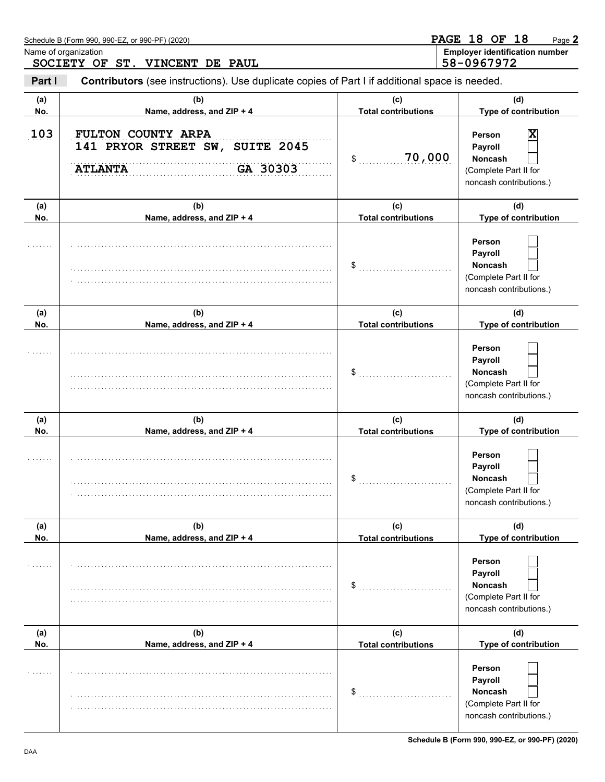|            | Schedule B (Form 990, 990-EZ, or 990-PF) (2020)                                                |                                   | <b>PAGE 18 OF 18</b><br>Page 2                                                               |
|------------|------------------------------------------------------------------------------------------------|-----------------------------------|----------------------------------------------------------------------------------------------|
|            | Name of organization<br>SOCIETY OF ST. VINCENT DE PAUL                                         |                                   | <b>Employer identification number</b><br>58-0967972                                          |
| Part I     | Contributors (see instructions). Use duplicate copies of Part I if additional space is needed. |                                   |                                                                                              |
| (a)<br>No. | (b)<br>Name, address, and ZIP + 4                                                              | (C)<br><b>Total contributions</b> | (d)<br>Type of contribution                                                                  |
| 103        | FULTON COUNTY ARPA<br>141 PRYOR STREET SW, SUITE 2045<br>GA 30303<br><b>ATLANTA</b>            | 70,000<br>\$                      | Person<br>х<br>Payroll<br><b>Noncash</b><br>(Complete Part II for<br>noncash contributions.) |
| (a)<br>No. | (b)<br>Name, address, and ZIP + 4                                                              | (c)<br><b>Total contributions</b> | (d)<br>Type of contribution                                                                  |
|            |                                                                                                | \$                                | Person<br>Payroll<br><b>Noncash</b><br>(Complete Part II for<br>noncash contributions.)      |
| (a)<br>No. | (b)<br>Name, address, and ZIP + 4                                                              | (c)<br><b>Total contributions</b> | (d)<br>Type of contribution                                                                  |
|            |                                                                                                | \$                                | Person<br>Payroll<br><b>Noncash</b><br>(Complete Part II for<br>noncash contributions.)      |
| (a)<br>No. | (b)<br>Name, address, and ZIP + 4                                                              | (c)<br><b>Total contributions</b> | (d)<br>Type of contribution                                                                  |
|            |                                                                                                | \$                                | Person<br>Payroll<br><b>Noncash</b><br>(Complete Part II for<br>noncash contributions.)      |
| (a)<br>No. | (b)<br>Name, address, and ZIP + 4                                                              | (c)<br><b>Total contributions</b> | (d)<br>Type of contribution                                                                  |
| .          |                                                                                                | \$                                | Person<br>Payroll<br><b>Noncash</b><br>(Complete Part II for<br>noncash contributions.)      |
| (a)<br>No. | (b)<br>Name, address, and ZIP + 4                                                              | (c)<br><b>Total contributions</b> | (d)<br>Type of contribution                                                                  |
| .          |                                                                                                | \$                                | Person<br>Payroll<br><b>Noncash</b><br>(Complete Part II for<br>noncash contributions.)      |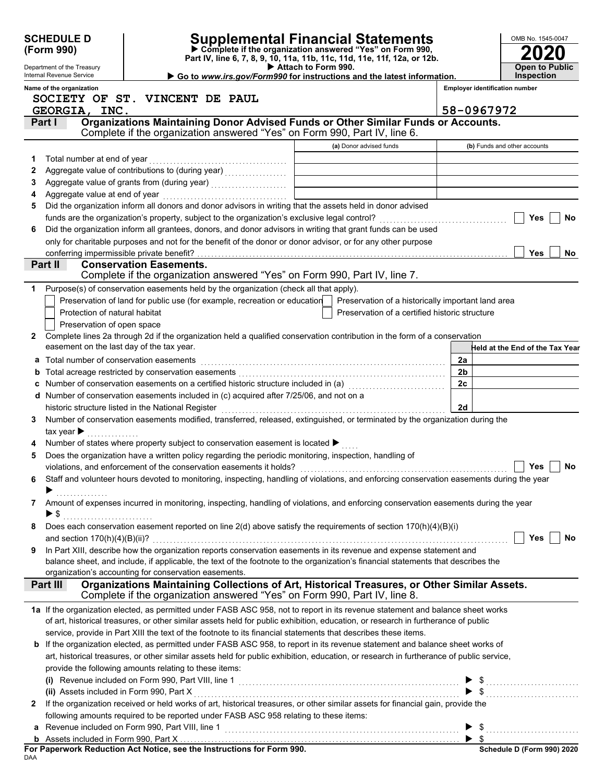| <b>SCHEDULE D</b><br>Supplemental Financial Statements<br>Complete if the organization answered "Yes" on Form 990,<br>(Form 990)                                                                                                    |                                                                                         |                                                                           |  |  |  | OMB No. 1545-0047                                                                                                                                                                                                                                        |  |                                            |                                       |
|-------------------------------------------------------------------------------------------------------------------------------------------------------------------------------------------------------------------------------------|-----------------------------------------------------------------------------------------|---------------------------------------------------------------------------|--|--|--|----------------------------------------------------------------------------------------------------------------------------------------------------------------------------------------------------------------------------------------------------------|--|--------------------------------------------|---------------------------------------|
| Part IV, line 6, 7, 8, 9, 10, 11a, 11b, 11c, 11d, 11e, 11f, 12a, or 12b.<br>Attach to Form 990.<br>Department of the Treasury<br>Internal Revenue Service<br>Go to www.irs.gov/Form990 for instructions and the latest information. |                                                                                         |                                                                           |  |  |  |                                                                                                                                                                                                                                                          |  | <b>Open to Public</b><br><b>Inspection</b> |                                       |
| Name of the organization<br>SOCIETY OF ST. VINCENT DE PAUL                                                                                                                                                                          |                                                                                         |                                                                           |  |  |  |                                                                                                                                                                                                                                                          |  |                                            | <b>Employer identification number</b> |
|                                                                                                                                                                                                                                     | GEORGIA, INC.                                                                           |                                                                           |  |  |  |                                                                                                                                                                                                                                                          |  |                                            | 58-0967972                            |
|                                                                                                                                                                                                                                     | Part I                                                                                  |                                                                           |  |  |  | Organizations Maintaining Donor Advised Funds or Other Similar Funds or Accounts.<br>Complete if the organization answered "Yes" on Form 990, Part IV, line 6.                                                                                           |  |                                            |                                       |
|                                                                                                                                                                                                                                     |                                                                                         |                                                                           |  |  |  | (a) Donor advised funds                                                                                                                                                                                                                                  |  |                                            | (b) Funds and other accounts          |
|                                                                                                                                                                                                                                     |                                                                                         |                                                                           |  |  |  |                                                                                                                                                                                                                                                          |  |                                            |                                       |
| 2                                                                                                                                                                                                                                   |                                                                                         |                                                                           |  |  |  |                                                                                                                                                                                                                                                          |  |                                            |                                       |
| 3                                                                                                                                                                                                                                   |                                                                                         |                                                                           |  |  |  |                                                                                                                                                                                                                                                          |  |                                            |                                       |
| 4                                                                                                                                                                                                                                   |                                                                                         |                                                                           |  |  |  |                                                                                                                                                                                                                                                          |  |                                            |                                       |
| 5                                                                                                                                                                                                                                   |                                                                                         |                                                                           |  |  |  | Did the organization inform all donors and donor advisors in writing that the assets held in donor advised                                                                                                                                               |  |                                            |                                       |
|                                                                                                                                                                                                                                     |                                                                                         |                                                                           |  |  |  |                                                                                                                                                                                                                                                          |  |                                            | Yes<br>No                             |
| 6                                                                                                                                                                                                                                   |                                                                                         |                                                                           |  |  |  | Did the organization inform all grantees, donors, and donor advisors in writing that grant funds can be used                                                                                                                                             |  |                                            |                                       |
|                                                                                                                                                                                                                                     | conferring impermissible private benefit?                                               |                                                                           |  |  |  | only for charitable purposes and not for the benefit of the donor or donor advisor, or for any other purpose                                                                                                                                             |  |                                            | Yes                                   |
|                                                                                                                                                                                                                                     | Part II                                                                                 | <b>Conservation Easements.</b>                                            |  |  |  |                                                                                                                                                                                                                                                          |  |                                            | <b>No</b>                             |
|                                                                                                                                                                                                                                     |                                                                                         |                                                                           |  |  |  | Complete if the organization answered "Yes" on Form 990, Part IV, line 7.                                                                                                                                                                                |  |                                            |                                       |
|                                                                                                                                                                                                                                     | Purpose(s) of conservation easements held by the organization (check all that apply).   |                                                                           |  |  |  |                                                                                                                                                                                                                                                          |  |                                            |                                       |
|                                                                                                                                                                                                                                     |                                                                                         | Preservation of land for public use (for example, recreation or education |  |  |  | Preservation of a historically important land area                                                                                                                                                                                                       |  |                                            |                                       |
|                                                                                                                                                                                                                                     | Protection of natural habitat                                                           |                                                                           |  |  |  | Preservation of a certified historic structure                                                                                                                                                                                                           |  |                                            |                                       |
|                                                                                                                                                                                                                                     | Preservation of open space                                                              |                                                                           |  |  |  |                                                                                                                                                                                                                                                          |  |                                            |                                       |
| $\mathbf{2}$                                                                                                                                                                                                                        |                                                                                         |                                                                           |  |  |  | Complete lines 2a through 2d if the organization held a qualified conservation contribution in the form of a conservation                                                                                                                                |  |                                            |                                       |
|                                                                                                                                                                                                                                     | easement on the last day of the tax year.                                               |                                                                           |  |  |  |                                                                                                                                                                                                                                                          |  |                                            | Held at the End of the Tax Year       |
|                                                                                                                                                                                                                                     | Total number of conservation easements                                                  |                                                                           |  |  |  |                                                                                                                                                                                                                                                          |  | 2a                                         |                                       |
|                                                                                                                                                                                                                                     |                                                                                         |                                                                           |  |  |  |                                                                                                                                                                                                                                                          |  | 2 <sub>b</sub>                             |                                       |
|                                                                                                                                                                                                                                     |                                                                                         |                                                                           |  |  |  | Number of conservation easements on a certified historic structure included in (a) [[[[[[[[[[[[[[[[[[[[[[[[[]]                                                                                                                                           |  | 2c                                         |                                       |
|                                                                                                                                                                                                                                     | d Number of conservation easements included in (c) acquired after 7/25/06, and not on a |                                                                           |  |  |  |                                                                                                                                                                                                                                                          |  |                                            |                                       |
|                                                                                                                                                                                                                                     | historic structure listed in the National Register                                      |                                                                           |  |  |  |                                                                                                                                                                                                                                                          |  | 2d                                         |                                       |
| 3                                                                                                                                                                                                                                   |                                                                                         |                                                                           |  |  |  | Number of conservation easements modified, transferred, released, extinguished, or terminated by the organization during the                                                                                                                             |  |                                            |                                       |
|                                                                                                                                                                                                                                     | tax year $\blacktriangleright$                                                          |                                                                           |  |  |  |                                                                                                                                                                                                                                                          |  |                                            |                                       |
|                                                                                                                                                                                                                                     | Number of states where property subject to conservation easement is located >           |                                                                           |  |  |  |                                                                                                                                                                                                                                                          |  |                                            |                                       |
| 5                                                                                                                                                                                                                                   |                                                                                         |                                                                           |  |  |  | Does the organization have a written policy regarding the periodic monitoring, inspection, handling of                                                                                                                                                   |  |                                            |                                       |
|                                                                                                                                                                                                                                     |                                                                                         |                                                                           |  |  |  |                                                                                                                                                                                                                                                          |  |                                            | Yes<br>No                             |
| 6                                                                                                                                                                                                                                   |                                                                                         |                                                                           |  |  |  | Staff and volunteer hours devoted to monitoring, inspecting, handling of violations, and enforcing conservation easements during the year                                                                                                                |  |                                            |                                       |
|                                                                                                                                                                                                                                     |                                                                                         |                                                                           |  |  |  |                                                                                                                                                                                                                                                          |  |                                            |                                       |
| 7                                                                                                                                                                                                                                   | $\blacktriangleright$ \$                                                                |                                                                           |  |  |  | Amount of expenses incurred in monitoring, inspecting, handling of violations, and enforcing conservation easements during the year                                                                                                                      |  |                                            |                                       |
| 8                                                                                                                                                                                                                                   |                                                                                         |                                                                           |  |  |  | Does each conservation easement reported on line 2(d) above satisfy the requirements of section 170(h)(4)(B)(i)                                                                                                                                          |  |                                            |                                       |
|                                                                                                                                                                                                                                     |                                                                                         |                                                                           |  |  |  |                                                                                                                                                                                                                                                          |  |                                            | Yes<br><b>No</b>                      |
| 9                                                                                                                                                                                                                                   |                                                                                         |                                                                           |  |  |  | In Part XIII, describe how the organization reports conservation easements in its revenue and expense statement and<br>balance sheet, and include, if applicable, the text of the footnote to the organization's financial statements that describes the |  |                                            |                                       |
|                                                                                                                                                                                                                                     | organization's accounting for conservation easements.                                   |                                                                           |  |  |  |                                                                                                                                                                                                                                                          |  |                                            |                                       |
|                                                                                                                                                                                                                                     | Part III                                                                                |                                                                           |  |  |  | Organizations Maintaining Collections of Art, Historical Treasures, or Other Similar Assets.<br>Complete if the organization answered "Yes" on Form 990, Part IV, line 8.                                                                                |  |                                            |                                       |
|                                                                                                                                                                                                                                     |                                                                                         |                                                                           |  |  |  | 1a If the organization elected, as permitted under FASB ASC 958, not to report in its revenue statement and balance sheet works                                                                                                                          |  |                                            |                                       |
|                                                                                                                                                                                                                                     |                                                                                         |                                                                           |  |  |  | of art, historical treasures, or other similar assets held for public exhibition, education, or research in furtherance of public                                                                                                                        |  |                                            |                                       |
|                                                                                                                                                                                                                                     |                                                                                         |                                                                           |  |  |  | service, provide in Part XIII the text of the footnote to its financial statements that describes these items.                                                                                                                                           |  |                                            |                                       |
|                                                                                                                                                                                                                                     |                                                                                         |                                                                           |  |  |  | b If the organization elected, as permitted under FASB ASC 958, to report in its revenue statement and balance sheet works of                                                                                                                            |  |                                            |                                       |
|                                                                                                                                                                                                                                     |                                                                                         |                                                                           |  |  |  | art, historical treasures, or other similar assets held for public exhibition, education, or research in furtherance of public service,                                                                                                                  |  |                                            |                                       |
|                                                                                                                                                                                                                                     | provide the following amounts relating to these items:                                  |                                                                           |  |  |  |                                                                                                                                                                                                                                                          |  |                                            |                                       |
|                                                                                                                                                                                                                                     |                                                                                         |                                                                           |  |  |  |                                                                                                                                                                                                                                                          |  |                                            |                                       |
|                                                                                                                                                                                                                                     | (ii) Assets included in Form 990, Part X                                                |                                                                           |  |  |  |                                                                                                                                                                                                                                                          |  |                                            | $\blacktriangleright$ \$              |
| 2                                                                                                                                                                                                                                   |                                                                                         |                                                                           |  |  |  | If the organization received or held works of art, historical treasures, or other similar assets for financial gain, provide the                                                                                                                         |  |                                            |                                       |
|                                                                                                                                                                                                                                     | following amounts required to be reported under FASB ASC 958 relating to these items:   |                                                                           |  |  |  |                                                                                                                                                                                                                                                          |  |                                            |                                       |
| а                                                                                                                                                                                                                                   |                                                                                         |                                                                           |  |  |  |                                                                                                                                                                                                                                                          |  |                                            |                                       |
|                                                                                                                                                                                                                                     |                                                                                         |                                                                           |  |  |  | Assets included in Form 990, Part X<br>Penemuark Peduction Act Netice, ase the Instructions for Ferm 000                                                                                                                                                 |  |                                            |                                       |
|                                                                                                                                                                                                                                     |                                                                                         |                                                                           |  |  |  |                                                                                                                                                                                                                                                          |  |                                            |                                       |

| For Paperwork Reduction Act Notice, see the Instructions for Form 990. |  |
|------------------------------------------------------------------------|--|
| DAA                                                                    |  |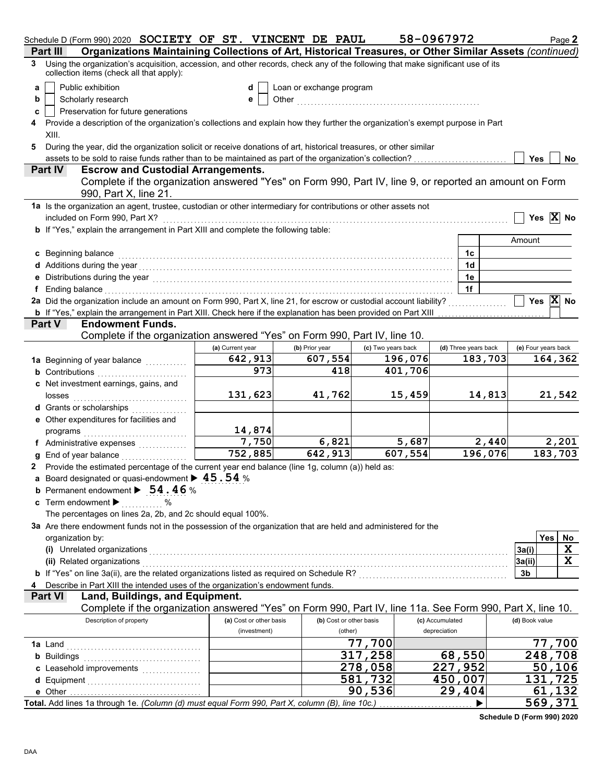|   | Schedule D (Form 990) 2020 SOCIETY OF ST. VINCENT DE PAUL                                                                                                                                                                           |                         |                          |                         |                    | 58-0967972           |         |                     | Page 2                |
|---|-------------------------------------------------------------------------------------------------------------------------------------------------------------------------------------------------------------------------------------|-------------------------|--------------------------|-------------------------|--------------------|----------------------|---------|---------------------|-----------------------|
|   | Organizations Maintaining Collections of Art, Historical Treasures, or Other Similar Assets (continued)<br>Part III                                                                                                                 |                         |                          |                         |                    |                      |         |                     |                       |
| 3 | Using the organization's acquisition, accession, and other records, check any of the following that make significant use of its<br>collection items (check all that apply):                                                         |                         |                          |                         |                    |                      |         |                     |                       |
| a | Public exhibition                                                                                                                                                                                                                   | d                       | Loan or exchange program |                         |                    |                      |         |                     |                       |
| b | Scholarly research                                                                                                                                                                                                                  | е                       |                          |                         |                    |                      |         |                     |                       |
| c | Preservation for future generations                                                                                                                                                                                                 |                         |                          |                         |                    |                      |         |                     |                       |
|   | Provide a description of the organization's collections and explain how they further the organization's exempt purpose in Part                                                                                                      |                         |                          |                         |                    |                      |         |                     |                       |
|   | XIII.                                                                                                                                                                                                                               |                         |                          |                         |                    |                      |         |                     |                       |
| 5 | During the year, did the organization solicit or receive donations of art, historical treasures, or other similar                                                                                                                   |                         |                          |                         |                    |                      |         |                     |                       |
|   | assets to be sold to raise funds rather than to be maintained as part of the organization's collection?                                                                                                                             |                         |                          |                         |                    |                      |         | Yes                 | No.                   |
|   | <b>Escrow and Custodial Arrangements.</b><br><b>Part IV</b>                                                                                                                                                                         |                         |                          |                         |                    |                      |         |                     |                       |
|   | Complete if the organization answered "Yes" on Form 990, Part IV, line 9, or reported an amount on Form<br>990, Part X, line 21.                                                                                                    |                         |                          |                         |                    |                      |         |                     |                       |
|   | 1a Is the organization an agent, trustee, custodian or other intermediary for contributions or other assets not                                                                                                                     |                         |                          |                         |                    |                      |         |                     |                       |
|   | included on Form 990, Part X?                                                                                                                                                                                                       |                         |                          |                         |                    |                      |         |                     | Yes $\overline{X}$ No |
|   | b If "Yes," explain the arrangement in Part XIII and complete the following table:                                                                                                                                                  |                         |                          |                         |                    |                      |         |                     |                       |
|   |                                                                                                                                                                                                                                     |                         |                          |                         |                    |                      |         | Amount              |                       |
|   | c Beginning balance                                                                                                                                                                                                                 |                         |                          |                         |                    | 1c                   |         |                     |                       |
|   | d Additions during the year contact the set of the set of the set of the set of the set of the set of the set of the set of the set of the set of the set of the set of the set of the set of the set of the set of the set of      |                         |                          |                         |                    | 1d                   |         |                     |                       |
|   |                                                                                                                                                                                                                                     |                         |                          |                         |                    | 1e                   |         |                     |                       |
|   | f Ending balance encourance and a series of the series of the series of the series of the series of the series of the series of the series of the series of the series of the series of the series of the series of the series      |                         |                          |                         |                    | 1f                   |         |                     |                       |
|   | 2a Did the organization include an amount on Form 990, Part X, line 21, for escrow or custodial account liability?                                                                                                                  |                         |                          |                         |                    |                      |         |                     | Yes $X$ No            |
|   | <b>b</b> If "Yes," explain the arrangement in Part XIII. Check here if the explanation has been provided on Part XIII                                                                                                               |                         |                          |                         |                    |                      |         |                     |                       |
|   | <b>Endowment Funds.</b><br>Part V                                                                                                                                                                                                   |                         |                          |                         |                    |                      |         |                     |                       |
|   | Complete if the organization answered "Yes" on Form 990, Part IV, line 10.                                                                                                                                                          |                         |                          |                         |                    |                      |         |                     |                       |
|   |                                                                                                                                                                                                                                     | (a) Current year        | (b) Prior year           |                         | (c) Two years back | (d) Three years back |         | (e) Four years back |                       |
|   | 1a Beginning of year balance                                                                                                                                                                                                        | 642,913                 | 607,554                  |                         | 196,076            |                      | 183,703 |                     | 164,362               |
|   | <b>b</b> Contributions <b>contributions</b>                                                                                                                                                                                         | $\overline{973}$        |                          | 418                     | 401,706            |                      |         |                     |                       |
|   | c Net investment earnings, gains, and                                                                                                                                                                                               |                         |                          |                         |                    |                      |         |                     |                       |
|   | losses                                                                                                                                                                                                                              | 131,623                 |                          | 41,762                  | 15,459             |                      | 14,813  |                     | 21,542                |
|   | <b>d</b> Grants or scholarships<br>.                                                                                                                                                                                                |                         |                          |                         |                    |                      |         |                     |                       |
|   | e Other expenditures for facilities and                                                                                                                                                                                             |                         |                          |                         |                    |                      |         |                     |                       |
|   |                                                                                                                                                                                                                                     | 14,874                  |                          |                         |                    |                      |         |                     |                       |
|   | f Administrative expenses                                                                                                                                                                                                           | 7,750                   |                          | 6,821                   | 5,687              |                      | 2,440   |                     | 2,201                 |
|   | <b>g</b> End of year balance $\ldots$                                                                                                                                                                                               | 752,885                 | 642,913                  |                         | 607,554            |                      | 196,076 |                     | 183,703               |
|   | 2 Provide the estimated percentage of the current year end balance (line 1g, column (a)) held as:                                                                                                                                   |                         |                          |                         |                    |                      |         |                     |                       |
|   | a Board designated or quasi-endowment > 45.54 %                                                                                                                                                                                     |                         |                          |                         |                    |                      |         |                     |                       |
|   | <b>b</b> Permanent endowment $\triangleright$ 54.46%                                                                                                                                                                                |                         |                          |                         |                    |                      |         |                     |                       |
|   | c Term endowment $\blacktriangleright$<br>$\%$                                                                                                                                                                                      |                         |                          |                         |                    |                      |         |                     |                       |
|   | The percentages on lines 2a, 2b, and 2c should equal 100%.                                                                                                                                                                          |                         |                          |                         |                    |                      |         |                     |                       |
|   | 3a Are there endowment funds not in the possession of the organization that are held and administered for the                                                                                                                       |                         |                          |                         |                    |                      |         |                     |                       |
|   | organization by:                                                                                                                                                                                                                    |                         |                          |                         |                    |                      |         |                     | Yes<br>No             |
|   | (i) Unrelated organizations <b>constructions</b> and all the constructions of the construction of the construction of the construction of the construction of the construction of the construction of the construction of the const |                         |                          |                         |                    |                      |         | 3a(i)               | X                     |
|   | (ii) Related organizations [11, 12] All and the contract of the contract of the contract of the contract of the contract of the contract of the contract of the contract of the contract of the contract of the contract of th      |                         |                          |                         |                    |                      |         | 3a(ii)              | X                     |
|   | b If "Yes" on line 3a(ii), are the related organizations listed as required on Schedule R? [[[[[[[[[[[[[[[[[[[                                                                                                                      |                         |                          |                         |                    |                      |         | 3b                  |                       |
|   | Describe in Part XIII the intended uses of the organization's endowment funds.                                                                                                                                                      |                         |                          |                         |                    |                      |         |                     |                       |
|   | Land, Buildings, and Equipment.<br>Part VI                                                                                                                                                                                          |                         |                          |                         |                    |                      |         |                     |                       |
|   | Complete if the organization answered "Yes" on Form 990, Part IV, line 11a. See Form 990, Part X, line 10.                                                                                                                          |                         |                          |                         |                    |                      |         |                     |                       |
|   | Description of property                                                                                                                                                                                                             | (a) Cost or other basis |                          | (b) Cost or other basis |                    | (c) Accumulated      |         | (d) Book value      |                       |
|   |                                                                                                                                                                                                                                     | (investment)            |                          | (other)                 |                    | depreciation         |         |                     |                       |
|   |                                                                                                                                                                                                                                     |                         |                          |                         | 77,700             |                      |         |                     | ,700                  |
|   | <b>b</b> Buildings <b>Multiples b</b>                                                                                                                                                                                               |                         |                          |                         | 317,258            | 68,550               |         |                     | 248,708               |
|   | c Leasehold improvements                                                                                                                                                                                                            |                         |                          |                         | 278,058            | 227,952              |         |                     | 50,106                |
|   |                                                                                                                                                                                                                                     |                         |                          |                         | 581,732            | 450,007              |         | 131                 | ,725                  |
|   | <b>e</b> Other                                                                                                                                                                                                                      |                         |                          |                         | 90,536             | 29,404               |         | 61                  | ,132                  |
|   | Total. Add lines 1a through 1e. (Column (d) must equal Form 990, Part X, column (B), line 10c.)                                                                                                                                     |                         |                          |                         |                    |                      |         |                     | 569,371               |

**Schedule D (Form 990) 2020**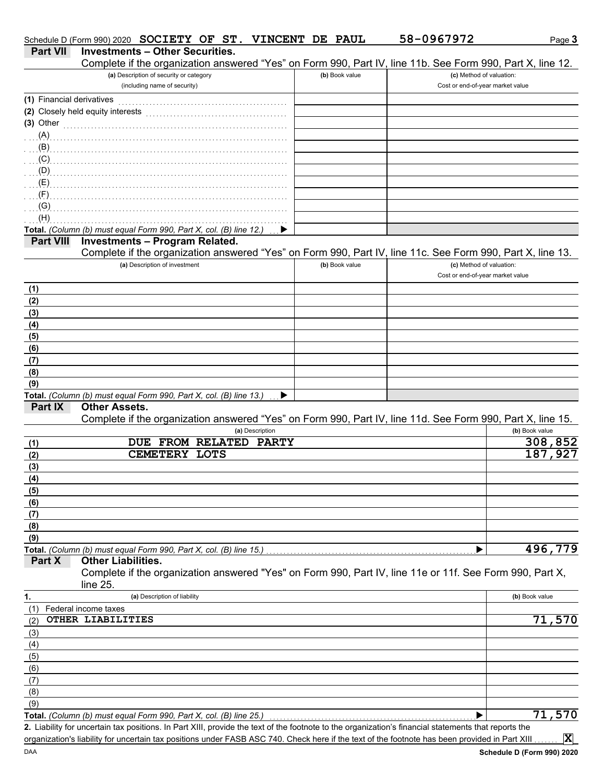|                           | Schedule D (Form 990) 2020 SOCIETY OF ST. VINCENT DE PAUL                                                                                            |                | 58-0967972                       | Page 3               |
|---------------------------|------------------------------------------------------------------------------------------------------------------------------------------------------|----------------|----------------------------------|----------------------|
| <b>Part VII</b>           | <b>Investments - Other Securities.</b><br>Complete if the organization answered "Yes" on Form 990, Part IV, line 11b. See Form 990, Part X, line 12. |                |                                  |                      |
|                           | (a) Description of security or category                                                                                                              | (b) Book value | (c) Method of valuation:         |                      |
|                           | (including name of security)                                                                                                                         |                | Cost or end-of-year market value |                      |
| (1) Financial derivatives |                                                                                                                                                      |                |                                  |                      |
|                           | (2) Closely held equity interests                                                                                                                    |                |                                  |                      |
| $(3)$ Other               |                                                                                                                                                      |                |                                  |                      |
| (A)                       |                                                                                                                                                      |                |                                  |                      |
| (B)                       |                                                                                                                                                      |                |                                  |                      |
| (C)                       |                                                                                                                                                      |                |                                  |                      |
| (D)                       |                                                                                                                                                      |                |                                  |                      |
| (E)                       |                                                                                                                                                      |                |                                  |                      |
| (F)                       |                                                                                                                                                      |                |                                  |                      |
| (G)                       |                                                                                                                                                      |                |                                  |                      |
| (H)                       |                                                                                                                                                      |                |                                  |                      |
| <b>Part VIII</b>          | Total. (Column (b) must equal Form 990, Part X, col. (B) line 12.)<br><b>Investments - Program Related.</b>                                          |                |                                  |                      |
|                           | Complete if the organization answered "Yes" on Form 990, Part IV, line 11c. See Form 990, Part X, line 13.                                           |                |                                  |                      |
|                           | (a) Description of investment                                                                                                                        | (b) Book value | (c) Method of valuation:         |                      |
|                           |                                                                                                                                                      |                | Cost or end-of-year market value |                      |
| (1)                       |                                                                                                                                                      |                |                                  |                      |
| (2)                       |                                                                                                                                                      |                |                                  |                      |
| (3)                       |                                                                                                                                                      |                |                                  |                      |
| (4)                       |                                                                                                                                                      |                |                                  |                      |
| (5)                       |                                                                                                                                                      |                |                                  |                      |
| (6)                       |                                                                                                                                                      |                |                                  |                      |
| (7)                       |                                                                                                                                                      |                |                                  |                      |
| (8)                       |                                                                                                                                                      |                |                                  |                      |
| (9)                       |                                                                                                                                                      |                |                                  |                      |
|                           | Total. (Column (b) must equal Form 990, Part X, col. (B) line 13.)<br>▶                                                                              |                |                                  |                      |
| Part IX                   | <b>Other Assets.</b>                                                                                                                                 |                |                                  |                      |
|                           | Complete if the organization answered "Yes" on Form 990, Part IV, line 11d. See Form 990, Part X, line 15.                                           |                |                                  |                      |
|                           | (a) Description                                                                                                                                      |                |                                  | (b) Book value       |
| (1)                       | FROM RELATED PARTY<br><b>DUE</b>                                                                                                                     |                |                                  | 308,852              |
| (2)                       | <b>CEMETERY LOTS</b>                                                                                                                                 |                |                                  | 187,927              |
| (3)                       |                                                                                                                                                      |                |                                  |                      |
| (4)                       |                                                                                                                                                      |                |                                  |                      |
| (5)                       |                                                                                                                                                      |                |                                  |                      |
| (6)                       |                                                                                                                                                      |                |                                  |                      |
| (7)                       |                                                                                                                                                      |                |                                  |                      |
| (8)                       |                                                                                                                                                      |                |                                  |                      |
| (9)                       |                                                                                                                                                      |                |                                  |                      |
|                           | Total. (Column (b) must equal Form 990, Part X, col. (B) line 15.)<br><b>Other Liabilities.</b>                                                      |                |                                  | 496,779              |
| Part X                    | Complete if the organization answered "Yes" on Form 990, Part IV, line 11e or 11f. See Form 990, Part X,                                             |                |                                  |                      |
|                           | line 25.                                                                                                                                             |                |                                  |                      |
| 1.                        | (a) Description of liability                                                                                                                         |                |                                  | (b) Book value       |
| (1)                       | Federal income taxes                                                                                                                                 |                |                                  |                      |
| (2)                       | OTHER LIABILITIES                                                                                                                                    |                |                                  | $\overline{71}$ ,570 |
| (3)                       |                                                                                                                                                      |                |                                  |                      |
| (4)                       |                                                                                                                                                      |                |                                  |                      |
| (5)                       |                                                                                                                                                      |                |                                  |                      |
| (6)                       |                                                                                                                                                      |                |                                  |                      |
| (7)                       |                                                                                                                                                      |                |                                  |                      |
| (8)                       |                                                                                                                                                      |                |                                  |                      |
| (9)                       |                                                                                                                                                      |                |                                  |                      |
|                           | Total. (Column (b) must equal Form 990, Part X, col. (B) line 25.)                                                                                   |                |                                  | 71,570               |
|                           | 2. Liability for uncertain tax positions. In Part XIII, provide the text of the footnote to the organization's financial statements that reports the |                |                                  |                      |
|                           | organization's liability for uncertain tax positions under FASB ASC 740. Check here if the text of the footnote has been provided in Part XIII       |                |                                  | $ \mathbf{x} $       |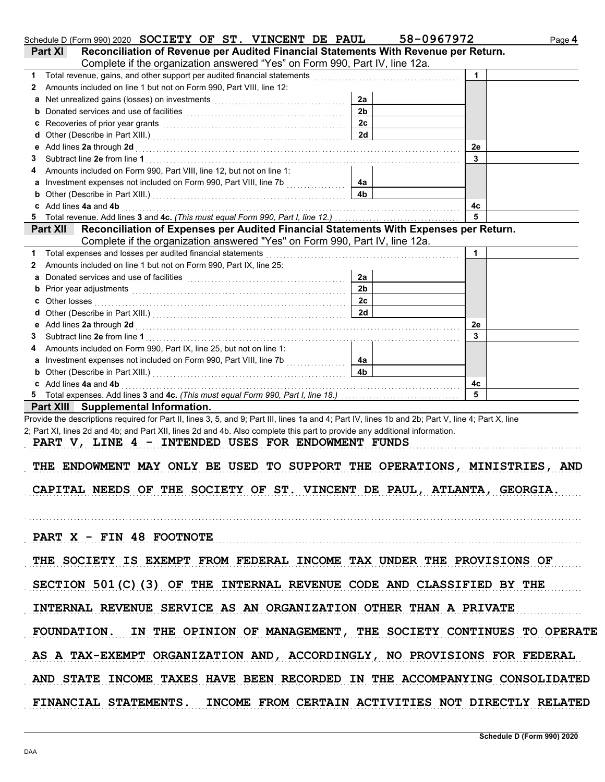|                 | Schedule D (Form 990) 2020 SOCIETY OF ST. VINCENT DE PAUL                                                                                                                                                                                                                                                                               |                      | 58-0967972   | Page 4 |
|-----------------|-----------------------------------------------------------------------------------------------------------------------------------------------------------------------------------------------------------------------------------------------------------------------------------------------------------------------------------------|----------------------|--------------|--------|
| <b>Part XII</b> | Reconciliation of Revenue per Audited Financial Statements With Revenue per Return.                                                                                                                                                                                                                                                     |                      |              |        |
|                 | Complete if the organization answered "Yes" on Form 990, Part IV, line 12a.                                                                                                                                                                                                                                                             |                      |              |        |
| 1.              | Total revenue, gains, and other support per audited financial statements [1111] [111] Total revenue, gains, and other support per audited financial statements                                                                                                                                                                          |                      | $\mathbf{1}$ |        |
| 2               | Amounts included on line 1 but not on Form 990, Part VIII, line 12:                                                                                                                                                                                                                                                                     |                      |              |        |
| a               | Net unrealized gains (losses) on investments [11, 12] with the set of the set of the set of the set of the set of the set of the set of the set of the set of the set of the set of the set of the set of the set of the set o                                                                                                          | 2a                   |              |        |
| b               |                                                                                                                                                                                                                                                                                                                                         | 2 <sub>b</sub>       |              |        |
| с               | Recoveries of prior year grants [11] Martin Martin Martin Martin Martin Martin Martin Martin Martin Martin Mar                                                                                                                                                                                                                          | 2c                   |              |        |
| d               |                                                                                                                                                                                                                                                                                                                                         | 2d                   |              |        |
| е               | Add lines 2a through 2d                                                                                                                                                                                                                                                                                                                 |                      | 2e           |        |
| 3               |                                                                                                                                                                                                                                                                                                                                         |                      | 3            |        |
|                 | Amounts included on Form 990, Part VIII, line 12, but not on line 1:                                                                                                                                                                                                                                                                    |                      |              |        |
| а               | Investment expenses not included on Form 990, Part VIII, line 7b [[[[[[[[[[[[[[[[[[[[[[[[[[[[[[[[[[                                                                                                                                                                                                                                     | 4a                   |              |        |
| b               |                                                                                                                                                                                                                                                                                                                                         | 4b                   |              |        |
|                 | Add lines 4a and 4b                                                                                                                                                                                                                                                                                                                     |                      | 4c           |        |
| 5               |                                                                                                                                                                                                                                                                                                                                         |                      | 5            |        |
|                 | Part XII Reconciliation of Expenses per Audited Financial Statements With Expenses per Return.                                                                                                                                                                                                                                          |                      |              |        |
|                 | Complete if the organization answered "Yes" on Form 990, Part IV, line 12a.                                                                                                                                                                                                                                                             |                      |              |        |
| 1.              | Total expenses and losses per audited financial statements                                                                                                                                                                                                                                                                              |                      | 1            |        |
| 2               | Amounts included on line 1 but not on Form 990, Part IX, line 25:                                                                                                                                                                                                                                                                       |                      |              |        |
| а               |                                                                                                                                                                                                                                                                                                                                         | 2a<br>2 <sub>b</sub> |              |        |
| b               |                                                                                                                                                                                                                                                                                                                                         | 2c                   |              |        |
| c               | Other losses                                                                                                                                                                                                                                                                                                                            | 2d                   |              |        |
| d               | Add lines 2a through 2d                                                                                                                                                                                                                                                                                                                 |                      |              |        |
| е               |                                                                                                                                                                                                                                                                                                                                         |                      | 2e<br>3      |        |
| 3<br>4          | Amounts included on Form 990, Part IX, line 25, but not on line 1:                                                                                                                                                                                                                                                                      |                      |              |        |
|                 |                                                                                                                                                                                                                                                                                                                                         | 4a                   |              |        |
| а<br>b          |                                                                                                                                                                                                                                                                                                                                         | 4 <sub>b</sub>       |              |        |
|                 | Add lines 4a and 4b                                                                                                                                                                                                                                                                                                                     |                      | 4c           |        |
|                 |                                                                                                                                                                                                                                                                                                                                         |                      | 5            |        |
|                 | Part XIII Supplemental Information.                                                                                                                                                                                                                                                                                                     |                      |              |        |
|                 | 2; Part XI, lines 2d and 4b; and Part XII, lines 2d and 4b. Also complete this part to provide any additional information.<br>PART V, LINE 4 - INTENDED USES FOR ENDOWMENT FUNDS<br>THE ENDOWMENT MAY ONLY BE USED TO SUPPORT THE OPERATIONS, MINISTRIES, AND<br>CAPITAL NEEDS OF THE SOCIETY OF ST. VINCENT DE PAUL, ATLANTA, GEORGIA. |                      |              |        |
|                 | PART X - FIN 48 FOOTNOTE<br>THE SOCIETY IS EXEMPT FROM FEDERAL INCOME TAX UNDER THE PROVISIONS OF                                                                                                                                                                                                                                       |                      |              |        |
|                 | SECTION 501(C)(3) OF THE INTERNAL REVENUE CODE AND CLASSIFIED BY THE                                                                                                                                                                                                                                                                    |                      |              |        |
|                 | INTERNAL REVENUE SERVICE AS AN ORGANIZATION OTHER THAN A PRIVATE                                                                                                                                                                                                                                                                        |                      |              |        |
|                 | FOUNDATION. IN THE OPINION OF MANAGEMENT, THE SOCIETY CONTINUES TO OPERATE                                                                                                                                                                                                                                                              |                      |              |        |
|                 | AS A TAX-EXEMPT ORGANIZATION AND, ACCORDINGLY, NO PROVISIONS FOR FEDERAL                                                                                                                                                                                                                                                                |                      |              |        |
|                 | AND STATE INCOME TAXES HAVE BEEN RECORDED IN THE ACCOMPANYING CONSOLIDATED                                                                                                                                                                                                                                                              |                      |              |        |
|                 | FINANCIAL STATEMENTS. INCOME FROM CERTAIN ACTIVITIES NOT DIRECTLY RELATED                                                                                                                                                                                                                                                               |                      |              |        |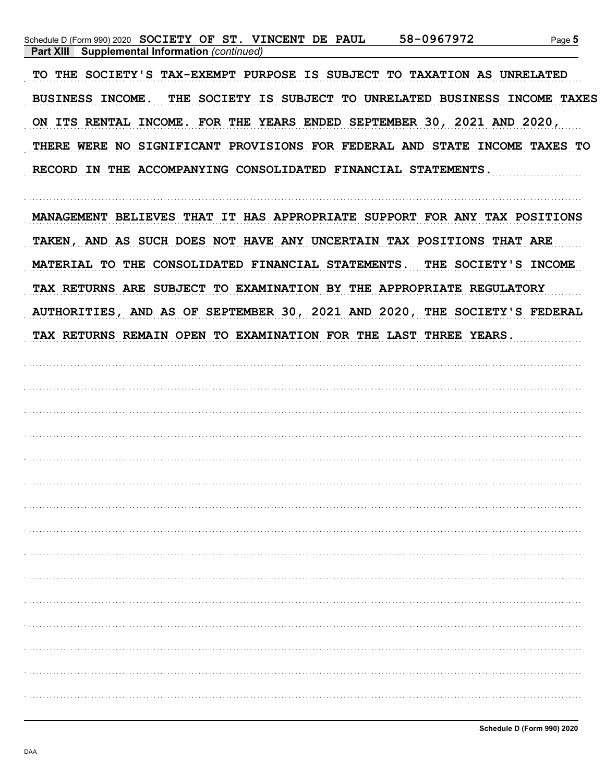TO THE SOCIETY'S TAX-EXEMPT PURPOSE IS SUBJECT TO TAXATION AS UNRELATED BUSINESS INCOME. THE SOCIETY IS SUBJECT TO UNRELATED BUSINESS INCOME TAXES ON ITS RENTAL INCOME. FOR THE YEARS ENDED SEPTEMBER 30, 2021 AND 2020, THERE WERE NO SIGNIFICANT PROVISIONS FOR FEDERAL AND STATE INCOME TAXES TO RECORD IN THE ACCOMPANYING CONSOLIDATED FINANCIAL STATEMENTS.

MANAGEMENT BELIEVES THAT IT HAS APPROPRIATE SUPPORT FOR ANY TAX POSITIONS TAKEN, AND AS SUCH DOES NOT HAVE ANY UNCERTAIN TAX POSITIONS THAT ARE MATERIAL TO THE CONSOLIDATED FINANCIAL STATEMENTS. THE SOCIETY'S INCOME TAX RETURNS ARE SUBJECT TO EXAMINATION BY THE APPROPRIATE REGULATORY AUTHORITIES, AND AS OF SEPTEMBER 30, 2021 AND 2020, THE SOCIETY'S FEDERAL TAX RETURNS REMAIN OPEN TO EXAMINATION FOR THE LAST THREE YEARS.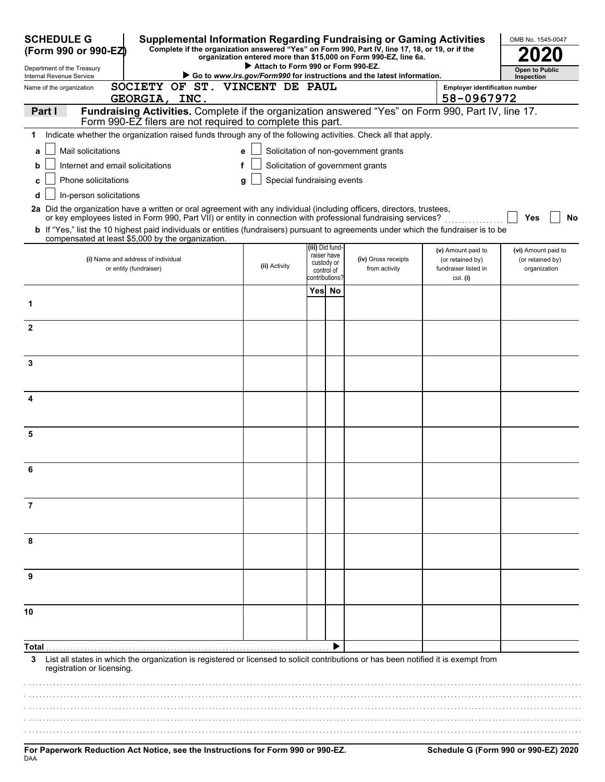| <b>SCHEDULE G</b><br><b>Supplemental Information Regarding Fundraising or Gaming Activities</b><br>Complete if the organization answered "Yes" on Form 990, Part IV, line 17, 18, or 19, or if the<br>(Form 990 or 990-EZ)               |                                    |                                                           |                 | organization entered more than \$15,000 on Form 990-EZ, line 6a.       |                                                                            | OMB No. 1545-0047                                       |
|------------------------------------------------------------------------------------------------------------------------------------------------------------------------------------------------------------------------------------------|------------------------------------|-----------------------------------------------------------|-----------------|------------------------------------------------------------------------|----------------------------------------------------------------------------|---------------------------------------------------------|
| Department of the Treasury<br>Internal Revenue Service                                                                                                                                                                                   | Attach to Form 990 or Form 990-EZ. |                                                           |                 | Go to www.irs.gov/Form990 for instructions and the latest information. |                                                                            | <b>Open to Public</b><br>Inspection                     |
| SOCIETY OF ST. VINCENT DE PAUL<br>Name of the organization                                                                                                                                                                               |                                    |                                                           |                 |                                                                        | <b>Employer identification number</b>                                      |                                                         |
| GEORGIA, INC.                                                                                                                                                                                                                            |                                    |                                                           |                 |                                                                        | 58-0967972                                                                 |                                                         |
| Fundraising Activities. Complete if the organization answered "Yes" on Form 990, Part IV, line 17.<br>Part I<br>Form 990-EZ filers are not required to complete this part.                                                               |                                    |                                                           |                 |                                                                        |                                                                            |                                                         |
| Indicate whether the organization raised funds through any of the following activities. Check all that apply.<br>1                                                                                                                       |                                    |                                                           |                 |                                                                        |                                                                            |                                                         |
| Mail solicitations<br>a                                                                                                                                                                                                                  | e                                  |                                                           |                 | Solicitation of non-government grants                                  |                                                                            |                                                         |
| Internet and email solicitations<br>b                                                                                                                                                                                                    |                                    |                                                           |                 | Solicitation of government grants                                      |                                                                            |                                                         |
| Phone solicitations                                                                                                                                                                                                                      | Special fundraising events<br>a    |                                                           |                 |                                                                        |                                                                            |                                                         |
| In-person solicitations<br>d                                                                                                                                                                                                             |                                    |                                                           |                 |                                                                        |                                                                            |                                                         |
| 2a Did the organization have a written or oral agreement with any individual (including officers, directors, trustees,<br>or key employees listed in Form 990, Part VII) or entity in connection with professional fundraising services? |                                    |                                                           |                 |                                                                        |                                                                            | Yes<br>No                                               |
| b If "Yes," list the 10 highest paid individuals or entities (fundraisers) pursuant to agreements under which the fundraiser is to be                                                                                                    |                                    |                                                           |                 |                                                                        |                                                                            |                                                         |
| compensated at least \$5,000 by the organization.                                                                                                                                                                                        |                                    |                                                           | (iii) Did fund- |                                                                        |                                                                            |                                                         |
| (i) Name and address of individual<br>or entity (fundraiser)                                                                                                                                                                             | (ii) Activity                      | raiser have<br>custody or<br>control of<br>contributions? |                 | (iv) Gross receipts<br>from activity                                   | (v) Amount paid to<br>(or retained by)<br>fundraiser listed in<br>col. (i) | (vi) Amount paid to<br>(or retained by)<br>organization |
|                                                                                                                                                                                                                                          |                                    | Yes No                                                    |                 |                                                                        |                                                                            |                                                         |
| 1                                                                                                                                                                                                                                        |                                    |                                                           |                 |                                                                        |                                                                            |                                                         |
| $\mathbf{2}$                                                                                                                                                                                                                             |                                    |                                                           |                 |                                                                        |                                                                            |                                                         |
|                                                                                                                                                                                                                                          |                                    |                                                           |                 |                                                                        |                                                                            |                                                         |
| 3                                                                                                                                                                                                                                        |                                    |                                                           |                 |                                                                        |                                                                            |                                                         |
|                                                                                                                                                                                                                                          |                                    |                                                           |                 |                                                                        |                                                                            |                                                         |
| 4                                                                                                                                                                                                                                        |                                    |                                                           |                 |                                                                        |                                                                            |                                                         |
|                                                                                                                                                                                                                                          |                                    |                                                           |                 |                                                                        |                                                                            |                                                         |
| 5                                                                                                                                                                                                                                        |                                    |                                                           |                 |                                                                        |                                                                            |                                                         |
|                                                                                                                                                                                                                                          |                                    |                                                           |                 |                                                                        |                                                                            |                                                         |
| 6                                                                                                                                                                                                                                        |                                    |                                                           |                 |                                                                        |                                                                            |                                                         |
|                                                                                                                                                                                                                                          |                                    |                                                           |                 |                                                                        |                                                                            |                                                         |
|                                                                                                                                                                                                                                          |                                    |                                                           |                 |                                                                        |                                                                            |                                                         |
|                                                                                                                                                                                                                                          |                                    |                                                           |                 |                                                                        |                                                                            |                                                         |
|                                                                                                                                                                                                                                          |                                    |                                                           |                 |                                                                        |                                                                            |                                                         |
|                                                                                                                                                                                                                                          |                                    |                                                           |                 |                                                                        |                                                                            |                                                         |
|                                                                                                                                                                                                                                          |                                    |                                                           |                 |                                                                        |                                                                            |                                                         |
|                                                                                                                                                                                                                                          |                                    |                                                           |                 |                                                                        |                                                                            |                                                         |
|                                                                                                                                                                                                                                          |                                    |                                                           |                 |                                                                        |                                                                            |                                                         |
| 10                                                                                                                                                                                                                                       |                                    |                                                           |                 |                                                                        |                                                                            |                                                         |
|                                                                                                                                                                                                                                          |                                    |                                                           |                 |                                                                        |                                                                            |                                                         |
| Total                                                                                                                                                                                                                                    |                                    |                                                           |                 |                                                                        |                                                                            |                                                         |
| List all states in which the organization is registered or licensed to solicit contributions or has been notified it is exempt from<br>3<br>registration or licensing.                                                                   |                                    |                                                           |                 |                                                                        |                                                                            |                                                         |
|                                                                                                                                                                                                                                          |                                    |                                                           |                 |                                                                        |                                                                            |                                                         |
|                                                                                                                                                                                                                                          |                                    |                                                           |                 |                                                                        |                                                                            |                                                         |
|                                                                                                                                                                                                                                          |                                    |                                                           |                 |                                                                        |                                                                            |                                                         |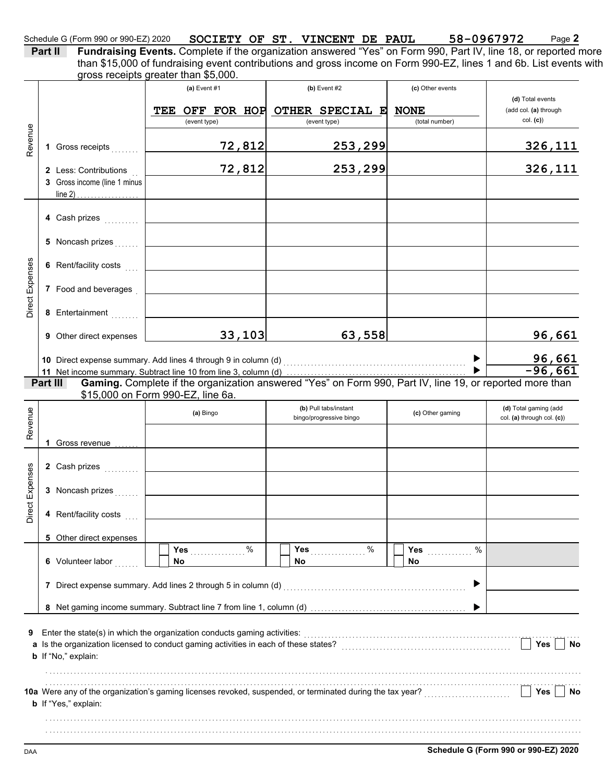### Schedule G (Form 990 or 990-EZ) 2020 **SOCIETY OF ST. VINCENT DE PAUL 58-0967972** Page 2 **SOCIETY OF ST. VINCENT DE PAUL 58-0967972**

**Part II Fundraising Events.** Complete if the organization answered "Yes" on Form 990, Part IV, line 18, or reported more gross receipts greater than \$5,000. than \$15,000 of fundraising event contributions and gross income on Form 990-EZ, lines 1 and 6b. List events with

|                 |          |                                | (a) Event $#1$                                                                       | $(b)$ Event #2                                                                                            | (c) Other events |                                                     |
|-----------------|----------|--------------------------------|--------------------------------------------------------------------------------------|-----------------------------------------------------------------------------------------------------------|------------------|-----------------------------------------------------|
|                 |          |                                | OFF FOR HOP<br>TEE                                                                   | OTHER SPECIAL E                                                                                           | <b>NONE</b>      | (d) Total events<br>(add col. (a) through           |
|                 |          |                                | (event type)                                                                         | (event type)                                                                                              | (total number)   | col. (c)                                            |
|                 |          |                                |                                                                                      |                                                                                                           |                  |                                                     |
| Revenue         |          | 1 Gross receipts               | <u>72,812  </u>                                                                      | 253, 299                                                                                                  |                  | <u>326,111</u>                                      |
|                 |          | 2 Less: Contributions          | 72,812                                                                               | 253, 299                                                                                                  |                  | 326,111                                             |
|                 |          | 3 Gross income (line 1 minus   |                                                                                      |                                                                                                           |                  |                                                     |
|                 |          |                                |                                                                                      |                                                                                                           |                  |                                                     |
|                 |          |                                |                                                                                      |                                                                                                           |                  |                                                     |
|                 |          | 4 Cash prizes                  |                                                                                      |                                                                                                           |                  |                                                     |
|                 |          | 5 Noncash prizes               |                                                                                      |                                                                                                           |                  |                                                     |
|                 |          | 6 Rent/facility costs          |                                                                                      |                                                                                                           |                  |                                                     |
| Direct Expenses |          | 7 Food and beverages           |                                                                                      |                                                                                                           |                  |                                                     |
|                 |          | 8 Entertainment                |                                                                                      |                                                                                                           |                  |                                                     |
|                 |          | <b>9</b> Other direct expenses | 33,103                                                                               | 63,558                                                                                                    |                  | 96,661                                              |
|                 |          |                                |                                                                                      |                                                                                                           |                  | 96,661                                              |
|                 |          |                                |                                                                                      |                                                                                                           |                  | $-96,661$                                           |
|                 | Part III |                                |                                                                                      | Gaming. Complete if the organization answered "Yes" on Form 990, Part IV, line 19, or reported more than  |                  |                                                     |
|                 |          |                                | \$15,000 on Form 990-EZ, line 6a.                                                    |                                                                                                           |                  |                                                     |
|                 |          |                                | (a) Bingo                                                                            | (b) Pull tabs/instant<br>bingo/progressive bingo                                                          | (c) Other gaming | (d) Total gaming (add<br>col. (a) through col. (c)) |
| Revenue         |          |                                |                                                                                      |                                                                                                           |                  |                                                     |
|                 |          | 1 Gross revenue                |                                                                                      |                                                                                                           |                  |                                                     |
|                 |          |                                |                                                                                      |                                                                                                           |                  |                                                     |
|                 |          | 2 Cash prizes                  |                                                                                      |                                                                                                           |                  |                                                     |
| Direct Expenses |          | 3 Noncash prizes               |                                                                                      |                                                                                                           |                  |                                                     |
|                 |          | 4 Rent/facility costs          |                                                                                      |                                                                                                           |                  |                                                     |
|                 |          | 5 Other direct expenses        |                                                                                      |                                                                                                           |                  |                                                     |
|                 |          |                                | %<br>Yes                                                                             | %<br>Yes                                                                                                  | %<br>Yes         |                                                     |
|                 |          | 6 Volunteer labor              | No                                                                                   | <b>No</b>                                                                                                 | No               |                                                     |
|                 |          |                                | 7 Direct expense summary. Add lines 2 through 5 in column (d)                        |                                                                                                           | ▶                |                                                     |
|                 |          |                                |                                                                                      |                                                                                                           |                  |                                                     |
|                 |          |                                |                                                                                      |                                                                                                           |                  |                                                     |
| 9               |          |                                | Enter the state(s) in which the organization conducts gaming activities:             |                                                                                                           |                  |                                                     |
|                 |          | b If "No," explain:            | a Is the organization licensed to conduct gaming activities in each of these states? |                                                                                                           |                  | Yes<br>No                                           |
|                 |          |                                |                                                                                      |                                                                                                           |                  |                                                     |
|                 |          | b If "Yes," explain:           |                                                                                      | 10a Were any of the organization's gaming licenses revoked, suspended, or terminated during the tax year? |                  | Yes<br><b>No</b>                                    |
|                 |          |                                |                                                                                      |                                                                                                           |                  |                                                     |
|                 |          |                                |                                                                                      |                                                                                                           |                  |                                                     |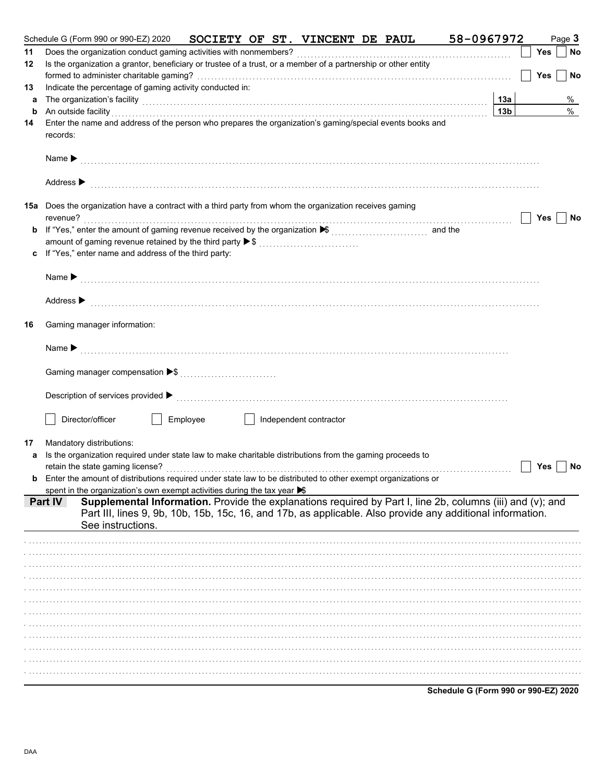|    | Schedule G (Form 990 or 990-EZ) 2020                                                                                                                                                                                                                            | <b>SOCIETY OF ST. VINCENT DE PAUL</b>      |  |                        |  | 58-0967972 |                 |     | Page 3 |
|----|-----------------------------------------------------------------------------------------------------------------------------------------------------------------------------------------------------------------------------------------------------------------|--------------------------------------------|--|------------------------|--|------------|-----------------|-----|--------|
| 11 |                                                                                                                                                                                                                                                                 |                                            |  |                        |  |            |                 | Yes | No     |
| 12 | Is the organization a grantor, beneficiary or trustee of a trust, or a member of a partnership or other entity                                                                                                                                                  |                                            |  |                        |  |            |                 |     |        |
|    |                                                                                                                                                                                                                                                                 |                                            |  |                        |  |            |                 | Yes | No     |
| 13 | Indicate the percentage of gaming activity conducted in:                                                                                                                                                                                                        |                                            |  |                        |  |            |                 |     |        |
| a  | The organization's facility [13a]                                                                                                                                                                                                                               |                                            |  |                        |  |            |                 |     | %      |
| b  | An outside facility entertainment and the facility of the facility of the facility of the set of the set of the set of the set of the set of the set of the set of the set of the set of the set of the set of the set of the                                   |                                            |  |                        |  |            | 13 <sub>b</sub> |     | $\%$   |
| 14 | Enter the name and address of the person who prepares the organization's gaming/special events books and<br>records:                                                                                                                                            |                                            |  |                        |  |            |                 |     |        |
|    |                                                                                                                                                                                                                                                                 |                                            |  |                        |  |            |                 |     |        |
|    | Address > material contract to the contract of the contract of the contract of the contract of the contract of the contract of the contract of the contract of the contract of the contract of the contract of the contract of                                  |                                            |  |                        |  |            |                 |     |        |
|    | 15a Does the organization have a contract with a third party from whom the organization receives gaming                                                                                                                                                         |                                            |  |                        |  |            |                 |     |        |
|    |                                                                                                                                                                                                                                                                 |                                            |  |                        |  |            |                 | Yes | No     |
|    | amount of gaming revenue retained by the third party ▶ \$                                                                                                                                                                                                       |                                            |  |                        |  |            |                 |     |        |
|    | c If "Yes," enter name and address of the third party:                                                                                                                                                                                                          |                                            |  |                        |  |            |                 |     |        |
|    |                                                                                                                                                                                                                                                                 |                                            |  |                        |  |            |                 |     |        |
|    |                                                                                                                                                                                                                                                                 |                                            |  |                        |  |            |                 |     |        |
|    | Address > medical contract to the contract of the contract of the contract of the contract of the contract of the contract of the contract of the contract of the contract of the contract of the contract of the contract of                                   |                                            |  |                        |  |            |                 |     |        |
| 16 | Gaming manager information:                                                                                                                                                                                                                                     |                                            |  |                        |  |            |                 |     |        |
|    |                                                                                                                                                                                                                                                                 |                                            |  |                        |  |            |                 |     |        |
|    |                                                                                                                                                                                                                                                                 |                                            |  |                        |  |            |                 |     |        |
|    |                                                                                                                                                                                                                                                                 |                                            |  |                        |  |            |                 |     |        |
|    | Director/officer                                                                                                                                                                                                                                                | Employee<br><b>Contract Contract State</b> |  | Independent contractor |  |            |                 |     |        |
|    |                                                                                                                                                                                                                                                                 |                                            |  |                        |  |            |                 |     |        |
| 17 | Mandatory distributions:                                                                                                                                                                                                                                        |                                            |  |                        |  |            |                 |     |        |
| a  | Is the organization required under state law to make charitable distributions from the gaming proceeds to                                                                                                                                                       |                                            |  |                        |  |            |                 | Yes | No     |
|    | <b>b</b> Enter the amount of distributions required under state law to be distributed to other exempt organizations or                                                                                                                                          |                                            |  |                        |  |            |                 |     |        |
|    | spent in the organization's own exempt activities during the tax year S                                                                                                                                                                                         |                                            |  |                        |  |            |                 |     |        |
|    | Supplemental Information. Provide the explanations required by Part I, line 2b, columns (iii) and (v); and<br><b>Part IV</b><br>Part III, lines 9, 9b, 10b, 15b, 15c, 16, and 17b, as applicable. Also provide any additional information.<br>See instructions. |                                            |  |                        |  |            |                 |     |        |
|    |                                                                                                                                                                                                                                                                 |                                            |  |                        |  |            |                 |     |        |
|    |                                                                                                                                                                                                                                                                 |                                            |  |                        |  |            |                 |     |        |
|    |                                                                                                                                                                                                                                                                 |                                            |  |                        |  |            |                 |     |        |
|    |                                                                                                                                                                                                                                                                 |                                            |  |                        |  |            |                 |     |        |
|    |                                                                                                                                                                                                                                                                 |                                            |  |                        |  |            |                 |     |        |
|    |                                                                                                                                                                                                                                                                 |                                            |  |                        |  |            |                 |     |        |
|    |                                                                                                                                                                                                                                                                 |                                            |  |                        |  |            |                 |     |        |
|    |                                                                                                                                                                                                                                                                 |                                            |  |                        |  |            |                 |     |        |
|    |                                                                                                                                                                                                                                                                 |                                            |  |                        |  |            |                 |     |        |
|    |                                                                                                                                                                                                                                                                 |                                            |  |                        |  |            |                 |     |        |
|    |                                                                                                                                                                                                                                                                 |                                            |  |                        |  |            |                 |     |        |
|    |                                                                                                                                                                                                                                                                 |                                            |  |                        |  |            |                 |     |        |
|    |                                                                                                                                                                                                                                                                 |                                            |  |                        |  |            |                 |     |        |

Schedule G (Form 990 or 990-EZ) 2020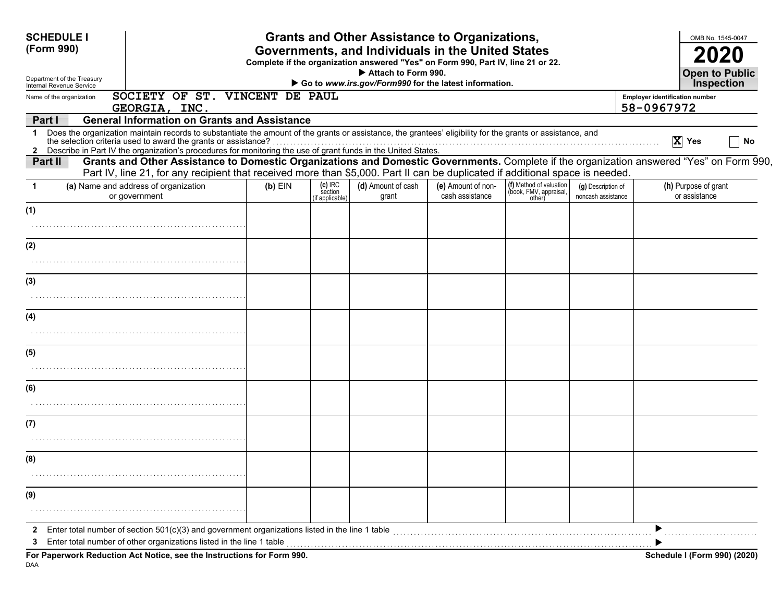| <b>SCHEDULE I</b>                                                                                                                      |                                                                                                                                                                                                                                                                                                                                                 |           |                                         | <b>Grants and Other Assistance to Organizations,</b> |                                       |                                                             |                                          |                                            | OMB No. 1545-0047                     |  |  |
|----------------------------------------------------------------------------------------------------------------------------------------|-------------------------------------------------------------------------------------------------------------------------------------------------------------------------------------------------------------------------------------------------------------------------------------------------------------------------------------------------|-----------|-----------------------------------------|------------------------------------------------------|---------------------------------------|-------------------------------------------------------------|------------------------------------------|--------------------------------------------|---------------------------------------|--|--|
| (Form 990)                                                                                                                             | Governments, and Individuals in the United States<br>Complete if the organization answered "Yes" on Form 990, Part IV, line 21 or 22.                                                                                                                                                                                                           |           |                                         |                                                      |                                       |                                                             |                                          |                                            |                                       |  |  |
| Attach to Form 990.<br>Department of the Treasury<br>Go to www.irs.gov/Form990 for the latest information.<br>Internal Revenue Service |                                                                                                                                                                                                                                                                                                                                                 |           |                                         |                                                      |                                       |                                                             |                                          | <b>Open to Public</b><br><b>Inspection</b> |                                       |  |  |
| Name of the organization                                                                                                               | SOCIETY OF ST. VINCENT DE PAUL<br>GEORGIA, INC.                                                                                                                                                                                                                                                                                                 |           |                                         |                                                      |                                       |                                                             |                                          | 58-0967972                                 | <b>Employer identification number</b> |  |  |
| Part I                                                                                                                                 | <b>General Information on Grants and Assistance</b>                                                                                                                                                                                                                                                                                             |           |                                         |                                                      |                                       |                                                             |                                          |                                            |                                       |  |  |
| 1.                                                                                                                                     | Does the organization maintain records to substantiate the amount of the grants or assistance, the grantees' eligibility for the grants or assistance, and<br>the selection criteria used to award the grants or assistance?<br>2 Describe in Part IV the organization's procedures for monitoring the use of grant funds in the United States. |           |                                         |                                                      |                                       |                                                             |                                          |                                            | $\overline{X}$ Yes<br>No              |  |  |
| Part II                                                                                                                                | Grants and Other Assistance to Domestic Organizations and Domestic Governments. Complete if the organization answered "Yes" on Form 990,<br>Part IV, line 21, for any recipient that received more than \$5,000. Part II can be duplicated if additional space is needed.                                                                       |           |                                         |                                                      |                                       |                                                             |                                          |                                            |                                       |  |  |
|                                                                                                                                        | (a) Name and address of organization<br>or government                                                                                                                                                                                                                                                                                           | $(b)$ EIN | $(c)$ IRC<br>section<br>(if applicable) | (d) Amount of cash<br>grant                          | (e) Amount of non-<br>cash assistance | (f) Method of valuation<br>(book, FMV, appraisal,<br>other) | (g) Description of<br>noncash assistance |                                            | (h) Purpose of grant<br>or assistance |  |  |
| (1)                                                                                                                                    |                                                                                                                                                                                                                                                                                                                                                 |           |                                         |                                                      |                                       |                                                             |                                          |                                            |                                       |  |  |
|                                                                                                                                        |                                                                                                                                                                                                                                                                                                                                                 |           |                                         |                                                      |                                       |                                                             |                                          |                                            |                                       |  |  |
| (2)                                                                                                                                    |                                                                                                                                                                                                                                                                                                                                                 |           |                                         |                                                      |                                       |                                                             |                                          |                                            |                                       |  |  |
|                                                                                                                                        |                                                                                                                                                                                                                                                                                                                                                 |           |                                         |                                                      |                                       |                                                             |                                          |                                            |                                       |  |  |
| (3)                                                                                                                                    |                                                                                                                                                                                                                                                                                                                                                 |           |                                         |                                                      |                                       |                                                             |                                          |                                            |                                       |  |  |
|                                                                                                                                        |                                                                                                                                                                                                                                                                                                                                                 |           |                                         |                                                      |                                       |                                                             |                                          |                                            |                                       |  |  |
| (4)                                                                                                                                    |                                                                                                                                                                                                                                                                                                                                                 |           |                                         |                                                      |                                       |                                                             |                                          |                                            |                                       |  |  |
|                                                                                                                                        |                                                                                                                                                                                                                                                                                                                                                 |           |                                         |                                                      |                                       |                                                             |                                          |                                            |                                       |  |  |
| (5)                                                                                                                                    |                                                                                                                                                                                                                                                                                                                                                 |           |                                         |                                                      |                                       |                                                             |                                          |                                            |                                       |  |  |
|                                                                                                                                        |                                                                                                                                                                                                                                                                                                                                                 |           |                                         |                                                      |                                       |                                                             |                                          |                                            |                                       |  |  |
| (6)                                                                                                                                    |                                                                                                                                                                                                                                                                                                                                                 |           |                                         |                                                      |                                       |                                                             |                                          |                                            |                                       |  |  |
|                                                                                                                                        |                                                                                                                                                                                                                                                                                                                                                 |           |                                         |                                                      |                                       |                                                             |                                          |                                            |                                       |  |  |
| (7)                                                                                                                                    |                                                                                                                                                                                                                                                                                                                                                 |           |                                         |                                                      |                                       |                                                             |                                          |                                            |                                       |  |  |
|                                                                                                                                        |                                                                                                                                                                                                                                                                                                                                                 |           |                                         |                                                      |                                       |                                                             |                                          |                                            |                                       |  |  |
| (8)                                                                                                                                    |                                                                                                                                                                                                                                                                                                                                                 |           |                                         |                                                      |                                       |                                                             |                                          |                                            |                                       |  |  |
|                                                                                                                                        |                                                                                                                                                                                                                                                                                                                                                 |           |                                         |                                                      |                                       |                                                             |                                          |                                            |                                       |  |  |
| (9)                                                                                                                                    |                                                                                                                                                                                                                                                                                                                                                 |           |                                         |                                                      |                                       |                                                             |                                          |                                            |                                       |  |  |
|                                                                                                                                        |                                                                                                                                                                                                                                                                                                                                                 |           |                                         |                                                      |                                       |                                                             |                                          |                                            |                                       |  |  |
|                                                                                                                                        | Enter total number of section $501(c)(3)$ and government organizations listed in the line 1 table<br>Enter total number of other organizations listed in the line 1 table                                                                                                                                                                       |           |                                         |                                                      |                                       |                                                             |                                          |                                            |                                       |  |  |
|                                                                                                                                        | For Paperwork Reduction Act Notice, see the Instructions for Form 990.                                                                                                                                                                                                                                                                          |           |                                         |                                                      |                                       |                                                             |                                          |                                            | <b>Schedule I (Form 990) (2020)</b>   |  |  |

DAA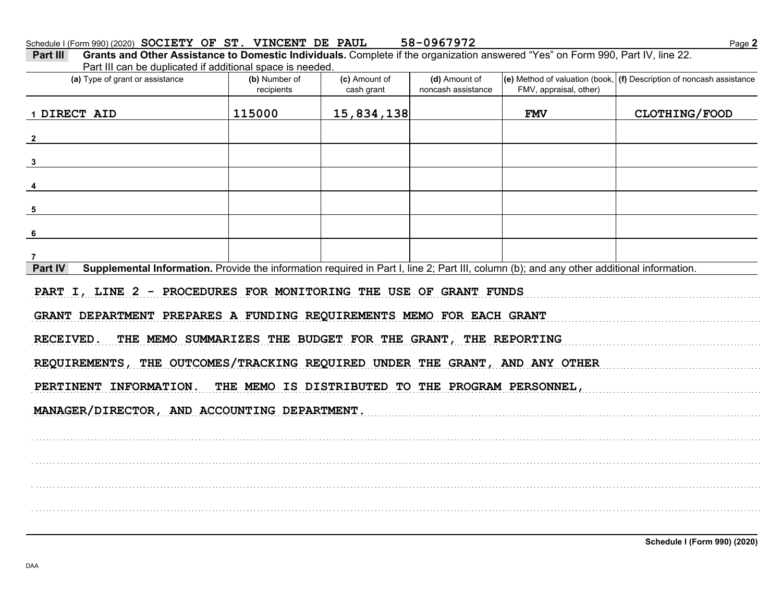| Part III | Grants and Other Assistance to Domestic Individuals. Complete if the organization answered "Yes" on Form 990, Part IV, line 22. |  |  |  |
|----------|---------------------------------------------------------------------------------------------------------------------------------|--|--|--|
|          | Part III can be duplicated if additional space is needed.                                                                       |  |  |  |
|          |                                                                                                                                 |  |  |  |

| (a) Type of grant or assistance                                                                                                                                      | (b) Number of<br>recipients | (c) Amount of<br>cash grant | (d) Amount of<br>noncash assistance | FMV, appraisal, other) | $\vert$ (e) Method of valuation (book, $\vert$ (f) Description of noncash assistance |
|----------------------------------------------------------------------------------------------------------------------------------------------------------------------|-----------------------------|-----------------------------|-------------------------------------|------------------------|--------------------------------------------------------------------------------------|
| 1 DIRECT AID                                                                                                                                                         | 115000                      | 15,834,138                  |                                     | <b>FMV</b>             | CLOTHING/FOOD                                                                        |
| $\overline{\mathbf{2}}$                                                                                                                                              |                             |                             |                                     |                        |                                                                                      |
| $\overline{\mathbf{3}}$                                                                                                                                              |                             |                             |                                     |                        |                                                                                      |
|                                                                                                                                                                      |                             |                             |                                     |                        |                                                                                      |
| 5                                                                                                                                                                    |                             |                             |                                     |                        |                                                                                      |
| 6                                                                                                                                                                    |                             |                             |                                     |                        |                                                                                      |
|                                                                                                                                                                      |                             |                             |                                     |                        |                                                                                      |
| $\mathbf{7}$<br>Supplemental Information. Provide the information required in Part I, line 2; Part III, column (b); and any other additional information.<br>Part IV |                             |                             |                                     |                        |                                                                                      |
| PART I, LINE 2 - PROCEDURES FOR MONITORING THE USE OF GRANT FUNDS                                                                                                    |                             |                             |                                     |                        |                                                                                      |
| GRANT DEPARTMENT PREPARES A FUNDING REQUIREMENTS MEMO FOR EACH GRANT                                                                                                 |                             |                             |                                     |                        |                                                                                      |
| THE MEMO SUMMARIZES THE BUDGET FOR THE GRANT, THE REPORTING<br>RECEIVED.                                                                                             |                             |                             |                                     |                        |                                                                                      |
| REQUIREMENTS, THE OUTCOMES/TRACKING REQUIRED UNDER THE GRANT, AND ANY OTHER                                                                                          |                             |                             |                                     |                        |                                                                                      |
| PERTINENT INFORMATION. THE MEMO IS DISTRIBUTED TO THE PROGRAM PERSONNEL,                                                                                             |                             |                             |                                     |                        |                                                                                      |
| MANAGER/DIRECTOR, AND ACCOUNTING DEPARTMENT.                                                                                                                         |                             |                             |                                     |                        |                                                                                      |
|                                                                                                                                                                      |                             |                             |                                     |                        |                                                                                      |
|                                                                                                                                                                      |                             |                             |                                     |                        |                                                                                      |
|                                                                                                                                                                      |                             |                             |                                     |                        |                                                                                      |
|                                                                                                                                                                      |                             |                             |                                     |                        |                                                                                      |
|                                                                                                                                                                      |                             |                             |                                     |                        |                                                                                      |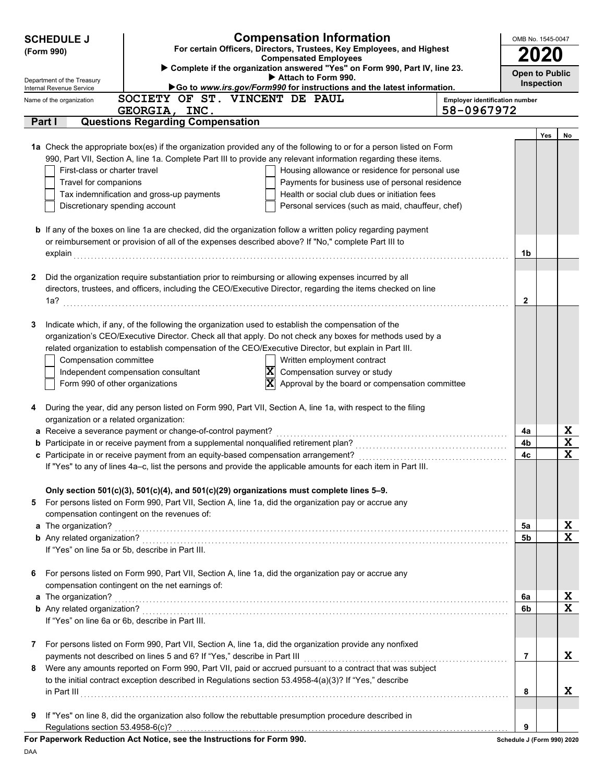|   | <b>Compensation Information</b><br><b>SCHEDULE J</b><br>For certain Officers, Directors, Trustees, Key Employees, and Highest<br>(Form 990)                                                                                |                                                                                                      |                                                                                                                      | OMB No. 1545-0047                     |                            |            |                  |
|---|----------------------------------------------------------------------------------------------------------------------------------------------------------------------------------------------------------------------------|------------------------------------------------------------------------------------------------------|----------------------------------------------------------------------------------------------------------------------|---------------------------------------|----------------------------|------------|------------------|
|   |                                                                                                                                                                                                                            |                                                                                                      | <b>Compensated Employees</b><br>> Complete if the organization answered "Yes" on Form 990, Part IV, line 23.         |                                       | <b>Open to Public</b>      |            |                  |
|   | Department of the Treasury<br>Internal Revenue Service                                                                                                                                                                     |                                                                                                      | Attach to Form 990.<br>Go to www.irs.gov/Form990 for instructions and the latest information.                        |                                       |                            | Inspection |                  |
|   | Name of the organization                                                                                                                                                                                                   | SOCIETY OF ST. VINCENT DE PAUL                                                                       |                                                                                                                      | <b>Employer identification number</b> |                            |            |                  |
|   |                                                                                                                                                                                                                            | GEORGIA, INC.                                                                                        |                                                                                                                      | 58-0967972                            |                            |            |                  |
|   | Part I                                                                                                                                                                                                                     | <b>Questions Regarding Compensation</b>                                                              |                                                                                                                      |                                       |                            |            |                  |
|   |                                                                                                                                                                                                                            |                                                                                                      | 1a Check the appropriate box(es) if the organization provided any of the following to or for a person listed on Form |                                       |                            | Yes        | No               |
|   |                                                                                                                                                                                                                            |                                                                                                      | 990, Part VII, Section A, line 1a. Complete Part III to provide any relevant information regarding these items.      |                                       |                            |            |                  |
|   | First-class or charter travel                                                                                                                                                                                              |                                                                                                      | Housing allowance or residence for personal use                                                                      |                                       |                            |            |                  |
|   | Travel for companions                                                                                                                                                                                                      |                                                                                                      | Payments for business use of personal residence                                                                      |                                       |                            |            |                  |
|   |                                                                                                                                                                                                                            | Tax indemnification and gross-up payments                                                            | Health or social club dues or initiation fees                                                                        |                                       |                            |            |                  |
|   | Discretionary spending account                                                                                                                                                                                             |                                                                                                      | Personal services (such as maid, chauffeur, chef)                                                                    |                                       |                            |            |                  |
|   |                                                                                                                                                                                                                            |                                                                                                      |                                                                                                                      |                                       |                            |            |                  |
|   | <b>b</b> If any of the boxes on line 1a are checked, did the organization follow a written policy regarding payment<br>or reimbursement or provision of all of the expenses described above? If "No," complete Part III to |                                                                                                      |                                                                                                                      |                                       |                            |            |                  |
|   |                                                                                                                                                                                                                            |                                                                                                      |                                                                                                                      |                                       | 1b                         |            |                  |
|   |                                                                                                                                                                                                                            |                                                                                                      |                                                                                                                      |                                       |                            |            |                  |
| 2 |                                                                                                                                                                                                                            |                                                                                                      | Did the organization require substantiation prior to reimbursing or allowing expenses incurred by all                |                                       |                            |            |                  |
|   |                                                                                                                                                                                                                            |                                                                                                      | directors, trustees, and officers, including the CEO/Executive Director, regarding the items checked on line         |                                       |                            |            |                  |
|   |                                                                                                                                                                                                                            |                                                                                                      |                                                                                                                      |                                       | $\mathbf{2}$               |            |                  |
|   |                                                                                                                                                                                                                            |                                                                                                      |                                                                                                                      |                                       |                            |            |                  |
| 3 |                                                                                                                                                                                                                            | Indicate which, if any, of the following the organization used to establish the compensation of the  |                                                                                                                      |                                       |                            |            |                  |
|   |                                                                                                                                                                                                                            |                                                                                                      | organization's CEO/Executive Director. Check all that apply. Do not check any boxes for methods used by a            |                                       |                            |            |                  |
|   |                                                                                                                                                                                                                            |                                                                                                      | related organization to establish compensation of the CEO/Executive Director, but explain in Part III.               |                                       |                            |            |                  |
|   | Compensation committee                                                                                                                                                                                                     |                                                                                                      | Written employment contract<br>$\overline{\mathbf{x}}$<br>Compensation survey or study                               |                                       |                            |            |                  |
|   | Form 990 of other organizations                                                                                                                                                                                            | Independent compensation consultant                                                                  | $\overline{\mathbf{x}}$<br>Approval by the board or compensation committee                                           |                                       |                            |            |                  |
|   |                                                                                                                                                                                                                            |                                                                                                      |                                                                                                                      |                                       |                            |            |                  |
| 4 |                                                                                                                                                                                                                            |                                                                                                      | During the year, did any person listed on Form 990, Part VII, Section A, line 1a, with respect to the filing         |                                       |                            |            |                  |
|   | organization or a related organization:                                                                                                                                                                                    |                                                                                                      |                                                                                                                      |                                       |                            |            |                  |
|   |                                                                                                                                                                                                                            | a Receive a severance payment or change-of-control payment?                                          |                                                                                                                      |                                       | 4a                         |            | X                |
|   |                                                                                                                                                                                                                            |                                                                                                      |                                                                                                                      |                                       | 4b                         |            | $\mathbf x$      |
|   |                                                                                                                                                                                                                            |                                                                                                      |                                                                                                                      |                                       | 4c                         |            | X                |
|   |                                                                                                                                                                                                                            |                                                                                                      | If "Yes" to any of lines 4a-c, list the persons and provide the applicable amounts for each item in Part III.        |                                       |                            |            |                  |
|   |                                                                                                                                                                                                                            |                                                                                                      |                                                                                                                      |                                       |                            |            |                  |
|   |                                                                                                                                                                                                                            | Only section 501(c)(3), 501(c)(4), and 501(c)(29) organizations must complete lines 5-9.             |                                                                                                                      |                                       |                            |            |                  |
| 5 |                                                                                                                                                                                                                            | For persons listed on Form 990, Part VII, Section A, line 1a, did the organization pay or accrue any |                                                                                                                      |                                       |                            |            |                  |
|   |                                                                                                                                                                                                                            | compensation contingent on the revenues of:                                                          |                                                                                                                      |                                       |                            |            |                  |
|   |                                                                                                                                                                                                                            |                                                                                                      | a The organization? encourance and a set of the contract of the contract of the organization?                        |                                       | 5a<br>5 <sub>b</sub>       |            | X<br>$\mathbf x$ |
|   |                                                                                                                                                                                                                            | If "Yes" on line 5a or 5b, describe in Part III.                                                     |                                                                                                                      |                                       |                            |            |                  |
|   |                                                                                                                                                                                                                            |                                                                                                      |                                                                                                                      |                                       |                            |            |                  |
| 6 |                                                                                                                                                                                                                            | For persons listed on Form 990, Part VII, Section A, line 1a, did the organization pay or accrue any |                                                                                                                      |                                       |                            |            |                  |
|   |                                                                                                                                                                                                                            | compensation contingent on the net earnings of:                                                      |                                                                                                                      |                                       |                            |            |                  |
|   | a The organization?                                                                                                                                                                                                        |                                                                                                      |                                                                                                                      |                                       | 6a                         |            | X                |
|   |                                                                                                                                                                                                                            |                                                                                                      |                                                                                                                      |                                       | 6b                         |            | $\mathbf x$      |
|   |                                                                                                                                                                                                                            | If "Yes" on line 6a or 6b, describe in Part III.                                                     |                                                                                                                      |                                       |                            |            |                  |
|   |                                                                                                                                                                                                                            |                                                                                                      |                                                                                                                      |                                       |                            |            |                  |
| 7 |                                                                                                                                                                                                                            |                                                                                                      | For persons listed on Form 990, Part VII, Section A, line 1a, did the organization provide any nonfixed              |                                       |                            |            |                  |
|   |                                                                                                                                                                                                                            | payments not described on lines 5 and 6? If "Yes," describe in Part III                              |                                                                                                                      |                                       | 7                          |            | X                |
| 8 |                                                                                                                                                                                                                            |                                                                                                      | Were any amounts reported on Form 990, Part VII, paid or accrued pursuant to a contract that was subject             |                                       |                            |            |                  |
|   |                                                                                                                                                                                                                            |                                                                                                      | to the initial contract exception described in Regulations section 53.4958-4(a)(3)? If "Yes," describe               |                                       |                            |            |                  |
|   |                                                                                                                                                                                                                            |                                                                                                      |                                                                                                                      |                                       | 8                          |            | X                |
| 9 |                                                                                                                                                                                                                            |                                                                                                      | If "Yes" on line 8, did the organization also follow the rebuttable presumption procedure described in               |                                       |                            |            |                  |
|   | Regulations section 53.4958-6(c)?                                                                                                                                                                                          |                                                                                                      |                                                                                                                      |                                       | 9                          |            |                  |
|   |                                                                                                                                                                                                                            | For Paperwork Reduction Act Notice, see the Instructions for Form 990.                               |                                                                                                                      |                                       | Schedule J (Form 990) 2020 |            |                  |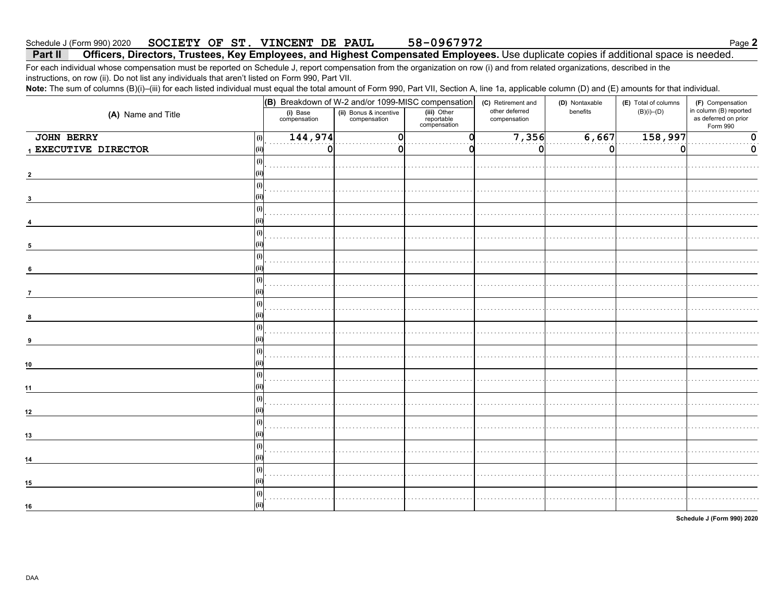#### SOCIETY OF ST. VINCENT DE PAUL 58-0967972 Schedule J (Form 990) 2020

### Officers, Directors, Trustees, Key Employees, and Highest Compensated Employees. Use duplicate copies if additional space is needed. Part II

For each individual whose compensation must be reported on Schedule J, report compensation from the organization on row (i) and from related organizations, described in the instructions, on row (ii). Do not list any individuals that aren't listed on Form 990, Part VII.

Note: The sum of columns (B)(i)-(iii) for each listed individual must equal the total amount of Form 990, Part VII, Section A, line 1a, applicable column (D) and (E) amounts for that individual.

|                      | (B) Breakdown of W-2 and/or 1099-MISC compensation                 |  |                                                                             | (C) Retirement and | (D) Nontaxable | (E) Total of columns | $(F)$ Compensation<br>in column $(B)$ reported |  |
|----------------------|--------------------------------------------------------------------|--|-----------------------------------------------------------------------------|--------------------|----------------|----------------------|------------------------------------------------|--|
| (A) Name and Title   | (ii) Bonus & incentive<br>compensation<br>(i) Base<br>compensation |  | other deferred<br>(iii) Other<br>reportable<br>compensation<br>compensation |                    | benefits       | $(B)(i)$ – $(D)$     | as deferred on prior<br>Form 990               |  |
| JOHN BERRY<br>(i)    | 144,974                                                            |  | ∩                                                                           | 7,356              | 6,667          | 158,997              | 0                                              |  |
| 1 EXECUTIVE DIRECTOR | 0                                                                  |  |                                                                             | 0                  | $\Omega$       | 0                    | 0                                              |  |
|                      |                                                                    |  |                                                                             |                    |                |                      |                                                |  |
| $\overline{2}$       |                                                                    |  |                                                                             |                    |                |                      |                                                |  |
| (i)                  |                                                                    |  |                                                                             |                    |                |                      |                                                |  |
| 3                    |                                                                    |  |                                                                             |                    |                |                      |                                                |  |
| (i)                  |                                                                    |  |                                                                             |                    |                |                      |                                                |  |
|                      |                                                                    |  |                                                                             |                    |                |                      |                                                |  |
| (i)                  |                                                                    |  |                                                                             |                    |                |                      |                                                |  |
| 5                    |                                                                    |  |                                                                             |                    |                |                      |                                                |  |
| (i)                  |                                                                    |  |                                                                             |                    |                |                      |                                                |  |
| 6                    |                                                                    |  |                                                                             |                    |                |                      |                                                |  |
| (i)                  |                                                                    |  |                                                                             |                    |                |                      |                                                |  |
| $\overline{7}$       |                                                                    |  |                                                                             |                    |                |                      |                                                |  |
|                      |                                                                    |  |                                                                             |                    |                |                      |                                                |  |
| 8                    |                                                                    |  |                                                                             |                    |                |                      |                                                |  |
|                      |                                                                    |  |                                                                             |                    |                |                      |                                                |  |
| 9                    |                                                                    |  |                                                                             |                    |                |                      |                                                |  |
|                      |                                                                    |  |                                                                             |                    |                |                      |                                                |  |
| 10                   |                                                                    |  |                                                                             |                    |                |                      |                                                |  |
| (i)                  |                                                                    |  |                                                                             |                    |                |                      |                                                |  |
| 11                   |                                                                    |  |                                                                             |                    |                |                      |                                                |  |
|                      |                                                                    |  |                                                                             |                    |                |                      |                                                |  |
| 12                   |                                                                    |  |                                                                             |                    |                |                      |                                                |  |
| (i)                  |                                                                    |  |                                                                             |                    |                |                      |                                                |  |
| 13                   |                                                                    |  |                                                                             |                    |                |                      |                                                |  |
| (i)                  |                                                                    |  |                                                                             |                    |                |                      |                                                |  |
| 14                   |                                                                    |  |                                                                             |                    |                |                      |                                                |  |
|                      |                                                                    |  |                                                                             |                    |                |                      |                                                |  |
| 15                   |                                                                    |  |                                                                             |                    |                |                      |                                                |  |
|                      |                                                                    |  |                                                                             |                    |                |                      |                                                |  |
| 16                   |                                                                    |  |                                                                             |                    |                |                      |                                                |  |
|                      |                                                                    |  |                                                                             |                    |                |                      |                                                |  |

Schedule J (Form 990) 2020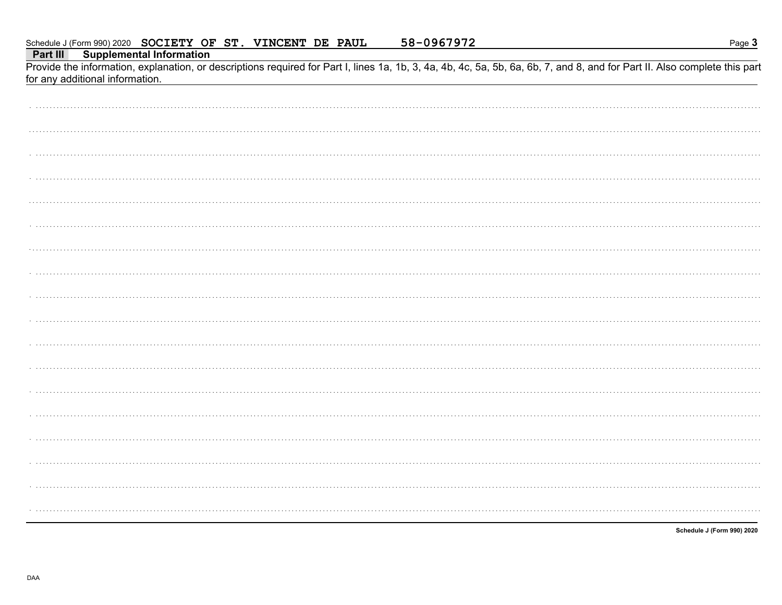Part III **Supplemental Information** 

Provide the information, explanation, or descriptions required for Part I, lines 1a, 1b, 3, 4a, 4b, 4c, 5a, 5b, 6a, 6b, 7, and 8, and for Part II. Also complete this part for any additional information.

Schedule J (Form 990) 2020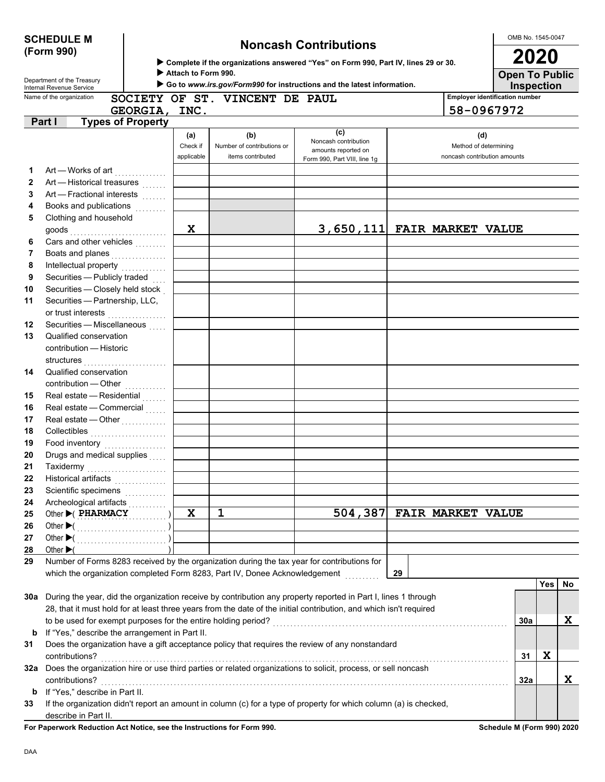| <b>SCHEDULE M</b> |  |
|-------------------|--|
| (Form 990)        |  |

# **Noncash Contributions**

OMB No. 1545-0047 **2020**

 **Attach to Form 990.**

**Inspection Open To Public**

|              | Department of the Treasury<br>Internal Revenue Service                                                                                                                    |                               |                                                        | Go to www.irs.gov/Form990 for instructions and the latest information.             |    |                                                              | Inspection |            |     |
|--------------|---------------------------------------------------------------------------------------------------------------------------------------------------------------------------|-------------------------------|--------------------------------------------------------|------------------------------------------------------------------------------------|----|--------------------------------------------------------------|------------|------------|-----|
|              | Name of the organization                                                                                                                                                  |                               | SOCIETY OF ST. VINCENT DE PAUL                         |                                                                                    |    | <b>Employer identification number</b>                        |            |            |     |
|              | GEORGIA, INC.                                                                                                                                                             |                               |                                                        |                                                                                    |    | 58-0967972                                                   |            |            |     |
|              | <b>Types of Property</b><br>Part I                                                                                                                                        |                               |                                                        |                                                                                    |    |                                                              |            |            |     |
|              |                                                                                                                                                                           | (a)<br>Check if<br>applicable | (b)<br>Number of contributions or<br>items contributed | (c)<br>Noncash contribution<br>amounts reported on<br>Form 990, Part VIII, line 1g |    | (d)<br>Method of determining<br>noncash contribution amounts |            |            |     |
| 1            | Art — Works of art <b>Communist Art</b>                                                                                                                                   |                               |                                                        |                                                                                    |    |                                                              |            |            |     |
| $\mathbf{2}$ | Art - Historical treasures                                                                                                                                                |                               |                                                        |                                                                                    |    |                                                              |            |            |     |
| 3            | Art - Fractional interests                                                                                                                                                |                               |                                                        |                                                                                    |    |                                                              |            |            |     |
| 4            | Books and publications                                                                                                                                                    |                               |                                                        |                                                                                    |    |                                                              |            |            |     |
| 5            | Clothing and household                                                                                                                                                    |                               |                                                        |                                                                                    |    |                                                              |            |            |     |
|              |                                                                                                                                                                           | X                             |                                                        | 3,650,111 FAIR MARKET VALUE                                                        |    |                                                              |            |            |     |
| 6            | Cars and other vehicles                                                                                                                                                   |                               |                                                        |                                                                                    |    |                                                              |            |            |     |
| 7            | Boats and planes                                                                                                                                                          |                               |                                                        |                                                                                    |    |                                                              |            |            |     |
| 8            | Intellectual property                                                                                                                                                     |                               |                                                        |                                                                                    |    |                                                              |            |            |     |
| 9            | Securities - Publicly traded                                                                                                                                              |                               |                                                        |                                                                                    |    |                                                              |            |            |     |
| 10           | Securities - Closely held stock                                                                                                                                           |                               |                                                        |                                                                                    |    |                                                              |            |            |     |
| 11           | Securities - Partnership, LLC,<br>or trust interests                                                                                                                      |                               |                                                        |                                                                                    |    |                                                              |            |            |     |
| 12           | Securities - Miscellaneous                                                                                                                                                |                               |                                                        |                                                                                    |    |                                                              |            |            |     |
| 13           | Qualified conservation                                                                                                                                                    |                               |                                                        |                                                                                    |    |                                                              |            |            |     |
|              | contribution - Historic                                                                                                                                                   |                               |                                                        |                                                                                    |    |                                                              |            |            |     |
|              | structures                                                                                                                                                                |                               |                                                        |                                                                                    |    |                                                              |            |            |     |
| 14           | Qualified conservation<br>contribution - Other [1] [1] [1] [1] contribution - Other                                                                                       |                               |                                                        |                                                                                    |    |                                                              |            |            |     |
| 15           | Real estate - Residential                                                                                                                                                 |                               |                                                        |                                                                                    |    |                                                              |            |            |     |
| 16           | Real estate - Commercial                                                                                                                                                  |                               |                                                        |                                                                                    |    |                                                              |            |            |     |
| 17           | Real estate - Other                                                                                                                                                       |                               |                                                        |                                                                                    |    |                                                              |            |            |     |
| 18           | Collectibles                                                                                                                                                              |                               |                                                        |                                                                                    |    |                                                              |            |            |     |
| 19           | Food inventory                                                                                                                                                            |                               |                                                        |                                                                                    |    |                                                              |            |            |     |
| 20           | Drugs and medical supplies                                                                                                                                                |                               |                                                        |                                                                                    |    |                                                              |            |            |     |
| 21           | Taxidermy                                                                                                                                                                 |                               |                                                        |                                                                                    |    |                                                              |            |            |     |
| 22           | Historical artifacts                                                                                                                                                      |                               |                                                        |                                                                                    |    |                                                              |            |            |     |
| 23           | Scientific specimens                                                                                                                                                      |                               |                                                        |                                                                                    |    |                                                              |            |            |     |
| 24           | Archeological artifacts                                                                                                                                                   |                               |                                                        |                                                                                    |    |                                                              |            |            |     |
| 25           | Other C PHARMACY                                                                                                                                                          | $\mathbf x$                   | $\mathbf 1$                                            | 504,387 FAIR MARKET VALUE                                                          |    |                                                              |            |            |     |
| 26           | Other $\blacktriangleright$ (                                                                                                                                             |                               |                                                        |                                                                                    |    |                                                              |            |            |     |
| 27           | Other $\blacktriangleright$ (                                                                                                                                             |                               |                                                        |                                                                                    |    |                                                              |            |            |     |
| 28           | Other $\blacktriangleright$ (                                                                                                                                             |                               |                                                        |                                                                                    |    |                                                              |            |            |     |
| 29           | Number of Forms 8283 received by the organization during the tax year for contributions for<br>which the organization completed Form 8283, Part IV, Donee Acknowledgement |                               |                                                        |                                                                                    | 29 |                                                              |            |            |     |
|              |                                                                                                                                                                           |                               |                                                        |                                                                                    |    |                                                              |            | <b>Yes</b> | No. |
| 30a          | During the year, did the organization receive by contribution any property reported in Part I, lines 1 through                                                            |                               |                                                        |                                                                                    |    |                                                              |            |            |     |
|              | 28, that it must hold for at least three years from the date of the initial contribution, and which isn't required                                                        |                               |                                                        |                                                                                    |    |                                                              |            |            |     |
|              | to be used for exempt purposes for the entire holding period?                                                                                                             |                               |                                                        |                                                                                    |    |                                                              | 30a        |            | X   |
| b            | If "Yes," describe the arrangement in Part II.                                                                                                                            |                               |                                                        |                                                                                    |    |                                                              |            |            |     |
| 31           | Does the organization have a gift acceptance policy that requires the review of any nonstandard                                                                           |                               |                                                        |                                                                                    |    |                                                              |            |            |     |
|              | contributions?                                                                                                                                                            |                               |                                                        |                                                                                    |    |                                                              | 31         | X          |     |
|              | 32a Does the organization hire or use third parties or related organizations to solicit, process, or sell noncash                                                         |                               |                                                        |                                                                                    |    |                                                              |            |            |     |
|              | contributions?                                                                                                                                                            |                               |                                                        |                                                                                    |    |                                                              | 32a        |            | X   |
| b            | If "Yes," describe in Part II.                                                                                                                                            |                               |                                                        |                                                                                    |    |                                                              |            |            |     |
| 33           | If the organization didn't report an amount in column (c) for a type of property for which column (a) is checked,                                                         |                               |                                                        |                                                                                    |    |                                                              |            |            |     |

describe in Part II.

**For Paperwork Reduction Act Notice, see the Instructions for Form 990. Schedule M (Form 990) 2020**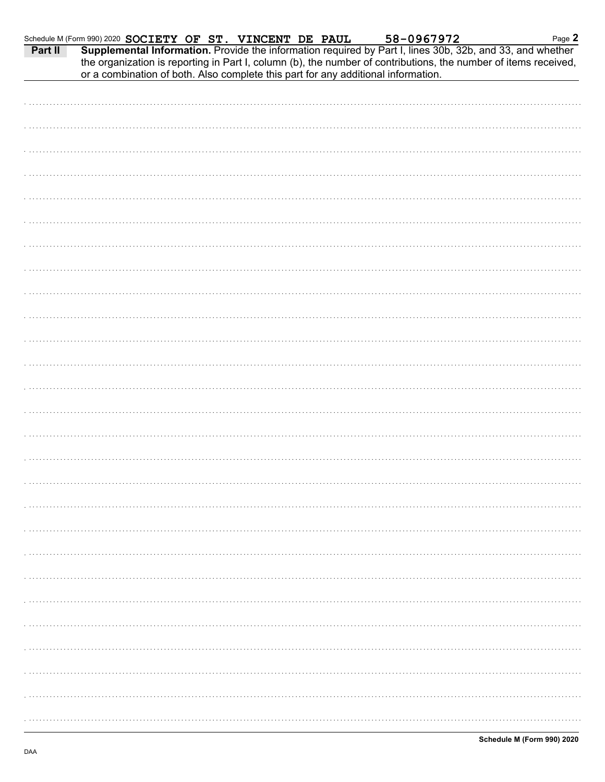|         | Schedule M (Form 990) 2020 SOCIETY OF ST. VINCENT DE PAUL                         |  | 58-0967972                                                                                                                                                                                                                   | Page 2 |
|---------|-----------------------------------------------------------------------------------|--|------------------------------------------------------------------------------------------------------------------------------------------------------------------------------------------------------------------------------|--------|
| Part II | or a combination of both. Also complete this part for any additional information. |  | Supplemental Information. Provide the information required by Part I, lines 30b, 32b, and 33, and whether<br>the organization is reporting in Part I, column (b), the number of contributions, the number of items received, |        |
|         |                                                                                   |  |                                                                                                                                                                                                                              |        |
|         |                                                                                   |  |                                                                                                                                                                                                                              |        |
|         |                                                                                   |  |                                                                                                                                                                                                                              |        |
|         |                                                                                   |  |                                                                                                                                                                                                                              |        |
|         |                                                                                   |  |                                                                                                                                                                                                                              |        |
|         |                                                                                   |  |                                                                                                                                                                                                                              |        |
|         |                                                                                   |  |                                                                                                                                                                                                                              |        |
|         |                                                                                   |  |                                                                                                                                                                                                                              |        |
|         |                                                                                   |  |                                                                                                                                                                                                                              |        |
|         |                                                                                   |  |                                                                                                                                                                                                                              |        |
|         |                                                                                   |  |                                                                                                                                                                                                                              |        |
|         |                                                                                   |  |                                                                                                                                                                                                                              |        |
|         |                                                                                   |  |                                                                                                                                                                                                                              |        |
|         |                                                                                   |  |                                                                                                                                                                                                                              |        |
|         |                                                                                   |  |                                                                                                                                                                                                                              |        |
|         |                                                                                   |  |                                                                                                                                                                                                                              |        |
|         |                                                                                   |  |                                                                                                                                                                                                                              |        |
|         |                                                                                   |  |                                                                                                                                                                                                                              |        |
|         |                                                                                   |  |                                                                                                                                                                                                                              |        |
|         |                                                                                   |  |                                                                                                                                                                                                                              |        |
|         |                                                                                   |  |                                                                                                                                                                                                                              |        |
|         |                                                                                   |  |                                                                                                                                                                                                                              |        |
|         |                                                                                   |  |                                                                                                                                                                                                                              |        |
|         |                                                                                   |  |                                                                                                                                                                                                                              |        |
|         |                                                                                   |  |                                                                                                                                                                                                                              |        |
|         |                                                                                   |  |                                                                                                                                                                                                                              |        |
|         |                                                                                   |  |                                                                                                                                                                                                                              |        |
|         |                                                                                   |  |                                                                                                                                                                                                                              |        |
|         |                                                                                   |  |                                                                                                                                                                                                                              |        |
|         |                                                                                   |  |                                                                                                                                                                                                                              |        |
|         |                                                                                   |  |                                                                                                                                                                                                                              | .      |
|         |                                                                                   |  |                                                                                                                                                                                                                              |        |
|         |                                                                                   |  |                                                                                                                                                                                                                              | .      |
|         |                                                                                   |  |                                                                                                                                                                                                                              |        |
|         |                                                                                   |  |                                                                                                                                                                                                                              |        |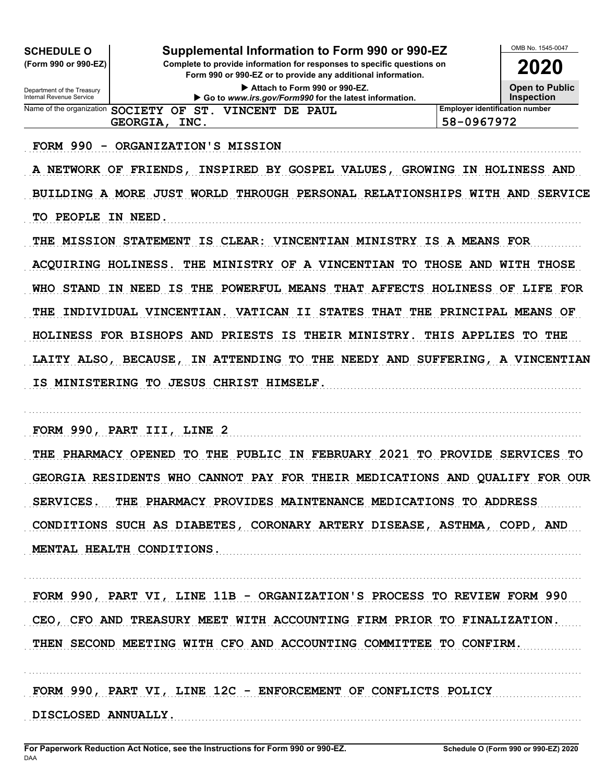| <b>SCHEDULE O</b><br>(Form 990 or 990-EZ)                                                                                                           | Supplemental Information to Form 990 or 990-EZ<br>Complete to provide information for responses to specific questions on<br>Form 990 or 990-EZ or to provide any additional information.                                                                                                                                                                                                                                                                                                                                                                                                                    | OMB No. 1545-0047<br>2020<br><b>Open to Public</b> |                                                                                                                                  |
|-----------------------------------------------------------------------------------------------------------------------------------------------------|-------------------------------------------------------------------------------------------------------------------------------------------------------------------------------------------------------------------------------------------------------------------------------------------------------------------------------------------------------------------------------------------------------------------------------------------------------------------------------------------------------------------------------------------------------------------------------------------------------------|----------------------------------------------------|----------------------------------------------------------------------------------------------------------------------------------|
| Department of the Treasury<br><b>Internal Revenue Service</b>                                                                                       | Attach to Form 990 or 990-EZ.<br>Go to www.irs.gov/Form990 for the latest information.                                                                                                                                                                                                                                                                                                                                                                                                                                                                                                                      |                                                    | <b>Inspection</b>                                                                                                                |
| Name of the organization                                                                                                                            | <b>SOCIETY OF</b><br>ST. VINCENT DE PAUL                                                                                                                                                                                                                                                                                                                                                                                                                                                                                                                                                                    |                                                    | <b>Employer identification number</b>                                                                                            |
|                                                                                                                                                     | <b>GEORGIA,</b><br>INC.                                                                                                                                                                                                                                                                                                                                                                                                                                                                                                                                                                                     | 58-0967972                                         |                                                                                                                                  |
| <b>FORM 990</b><br>A NETWORK OF<br><b>BUILDING A MORE JUST</b><br><b>TO PEOPLE</b><br>THE<br>ACOUIRING HOLINESS.<br>WHO STAND<br>THE<br>LAITY ALSO, | ORGANIZATION'S MISSION<br>INSPIRED BY GOSPEL VALUES,<br><b>FRIENDS</b><br><b>WORLD</b><br>THROUGH PERSONAL RELATIONSHIPS WITH AND<br>IN NEED.<br><b>MISSION STATEMENT</b><br>IS<br>CLEAR:<br>VINCENTIAN MINISTRY IS A MEANS FOR<br>THE<br><b>MINISTRY OF</b><br>A VINCENTIAN TO<br><b>POWERFUL MEANS</b><br>THAT AFFECTS HOLINESS<br>IN NEED<br>IS<br>THE<br>INDIVIDUAL VINCENTIAN.<br>VATICAN II<br><b>STATES</b><br><b>THAT</b><br>HOLINESS FOR BISHOPS AND PRIESTS<br>IS<br>THEIR MINISTRY.<br>ATTENDING TO THE NEEDY AND SUFFERING,<br><b>BECAUSE</b><br>IN.<br>IS MINISTERING TO JESUS CHRIST HIMSELF. | THOSE AND<br>THIS APPLIES                          | GROWING IN HOLINESS AND<br><b>SERVICE</b><br>WITH THOSE<br>OF<br>LIFE<br>FOR<br>THE PRINCIPAL MEANS OF<br>TO THE<br>A VINCENTIAN |
| <b>FORM 990,</b><br>THE<br><b>PHARMACY</b>                                                                                                          | <b>PART</b><br>III<br>LINE 2<br>FEBRUARY 2021 TO PROVIDE<br><b>OPENED</b><br>THE<br>PUBLIC<br>IN<br>TО<br>GEORGIA RESIDENTS WHO CANNOT PAY FOR THEIR MEDICATIONS AND QUALIFY FOR OUR<br>SERVICES. THE PHARMACY PROVIDES MAINTENANCE MEDICATIONS TO ADDRESS                                                                                                                                                                                                                                                                                                                                                  |                                                    | <b>SERVICES</b><br>TО                                                                                                            |
|                                                                                                                                                     | CONDITIONS SUCH AS DIABETES, CORONARY ARTERY DISEASE, ASTHMA, COPD, AND<br>MENTAL HEALTH CONDITIONS.                                                                                                                                                                                                                                                                                                                                                                                                                                                                                                        |                                                    |                                                                                                                                  |
|                                                                                                                                                     | FORM 990, PART VI, LINE 11B - ORGANIZATION'S PROCESS TO REVIEW FORM 990                                                                                                                                                                                                                                                                                                                                                                                                                                                                                                                                     |                                                    |                                                                                                                                  |
|                                                                                                                                                     | CEO, CFO AND TREASURY MEET WITH ACCOUNTING FIRM PRIOR TO FINALIZATION.                                                                                                                                                                                                                                                                                                                                                                                                                                                                                                                                      |                                                    |                                                                                                                                  |
|                                                                                                                                                     | THEN SECOND MEETING WITH CFO AND ACCOUNTING COMMITTEE TO CONFIRM.                                                                                                                                                                                                                                                                                                                                                                                                                                                                                                                                           |                                                    |                                                                                                                                  |
| DISCLOSED ANNUALLY.                                                                                                                                 | FORM 990, PART VI, LINE 12C - ENFORCEMENT OF CONFLICTS POLICY                                                                                                                                                                                                                                                                                                                                                                                                                                                                                                                                               |                                                    |                                                                                                                                  |
|                                                                                                                                                     | For Paperwork Reduction Act Notice, see the Instructions for Form 990 or 990-EZ.                                                                                                                                                                                                                                                                                                                                                                                                                                                                                                                            |                                                    | Schedule O (Form 990 or 990-EZ) 2020                                                                                             |

DAA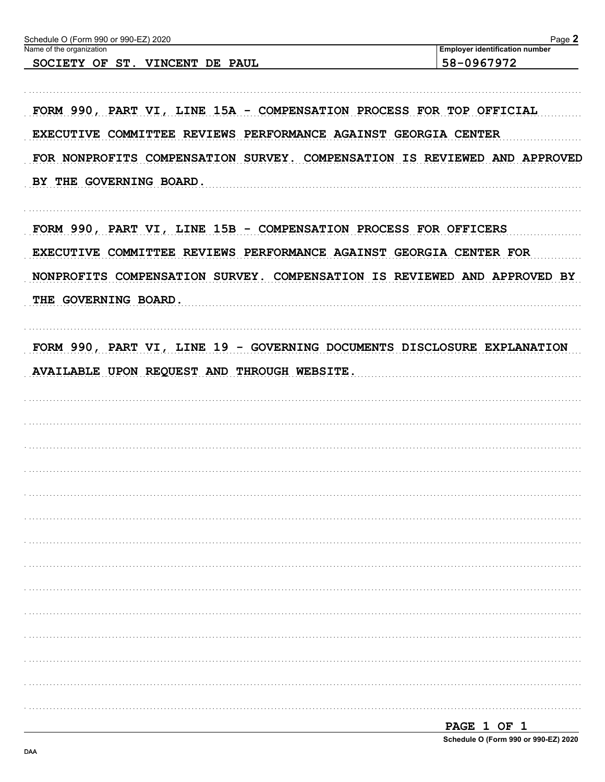| SOCIETY OF ST. VINCENT DE PAUL                                            | <b>Employer identification number</b><br>58-0967972 |
|---------------------------------------------------------------------------|-----------------------------------------------------|
|                                                                           |                                                     |
| FORM 990, PART VI, LINE 15A - COMPENSATION PROCESS FOR TOP OFFICIAL       |                                                     |
| EXECUTIVE COMMITTEE REVIEWS PERFORMANCE AGAINST GEORGIA CENTER            |                                                     |
| FOR NONPROFITS COMPENSATION SURVEY. COMPENSATION IS REVIEWED AND APPROVED |                                                     |
| BY THE GOVERNING BOARD.                                                   |                                                     |
| FORM 990, PART VI, LINE 15B - COMPENSATION PROCESS FOR OFFICERS           |                                                     |
| EXECUTIVE COMMITTEE REVIEWS PERFORMANCE AGAINST GEORGIA CENTER FOR        |                                                     |
| NONPROFITS COMPENSATION SURVEY. COMPENSATION IS REVIEWED AND APPROVED BY  |                                                     |
| THE GOVERNING BOARD.                                                      |                                                     |
|                                                                           |                                                     |
| FORM 990, PART VI, LINE 19 - GOVERNING DOCUMENTS DISCLOSURE EXPLANATION   |                                                     |
|                                                                           |                                                     |
|                                                                           |                                                     |
| AVAILABLE UPON REQUEST AND THROUGH WEBSITE.                               |                                                     |
|                                                                           |                                                     |
|                                                                           |                                                     |
|                                                                           |                                                     |
|                                                                           |                                                     |
|                                                                           |                                                     |
|                                                                           |                                                     |
|                                                                           |                                                     |
|                                                                           |                                                     |
|                                                                           |                                                     |
|                                                                           |                                                     |
|                                                                           |                                                     |
|                                                                           |                                                     |
|                                                                           |                                                     |

| PAGE 1 OF |  |                                      |
|-----------|--|--------------------------------------|
|           |  | Schedule O (Form 990 or 990-F7) 2020 |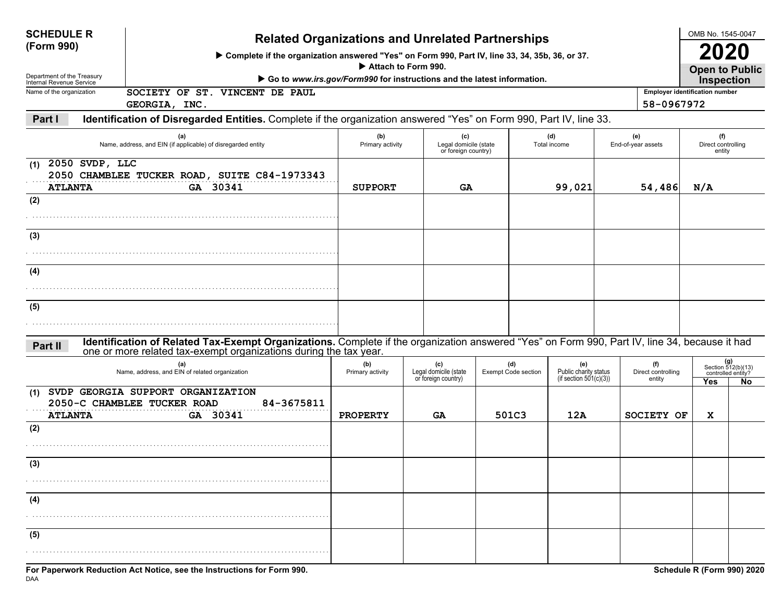| <b>SCHEDULE R</b><br>(Form 990)<br>Department of the Treasury<br>Internal Revenue Service | <b>Related Organizations and Unrelated Partnerships</b><br>> Complete if the organization answered "Yes" on Form 990, Part IV, line 33, 34, 35b, 36, or 37.<br>Go to www.irs.gov/Form990 for instructions and the latest information. |                         | Attach to Form 990.                                 |                                   |                     |                                                           |                                                     | OMB No. 1545-0047<br><b>Open to Public</b><br><b>Inspection</b> |                                                              |
|-------------------------------------------------------------------------------------------|---------------------------------------------------------------------------------------------------------------------------------------------------------------------------------------------------------------------------------------|-------------------------|-----------------------------------------------------|-----------------------------------|---------------------|-----------------------------------------------------------|-----------------------------------------------------|-----------------------------------------------------------------|--------------------------------------------------------------|
| Name of the organization                                                                  | SOCIETY OF ST. VINCENT DE PAUL<br>GEORGIA, INC.                                                                                                                                                                                       |                         |                                                     |                                   |                     |                                                           | <b>Employer identification number</b><br>58-0967972 |                                                                 |                                                              |
| Part I                                                                                    | Identification of Disregarded Entities. Complete if the organization answered "Yes" on Form 990, Part IV, line 33.                                                                                                                    |                         |                                                     |                                   |                     |                                                           |                                                     |                                                                 |                                                              |
|                                                                                           | (a)<br>Name, address, and EIN (if applicable) of disregarded entity                                                                                                                                                                   | (b)<br>Primary activity | (c)<br>Legal domicile (state<br>or foreign country) |                                   | (d)<br>Total income |                                                           | (e)<br>End-of-year assets                           | (f)<br>Direct controlling<br>entity                             |                                                              |
| 2050 SVDP, LLC<br>(1)<br><b>ATLANTA</b><br>(2)                                            | 2050 CHAMBLEE TUCKER ROAD, SUITE C84-1973343<br>GA 30341                                                                                                                                                                              | <b>SUPPORT</b>          | GA                                                  |                                   |                     | 99,021                                                    | 54,486                                              | N/A                                                             |                                                              |
|                                                                                           |                                                                                                                                                                                                                                       |                         |                                                     |                                   |                     |                                                           |                                                     |                                                                 |                                                              |
| (3)                                                                                       |                                                                                                                                                                                                                                       |                         |                                                     |                                   |                     |                                                           |                                                     |                                                                 |                                                              |
| (4)                                                                                       |                                                                                                                                                                                                                                       |                         |                                                     |                                   |                     |                                                           |                                                     |                                                                 |                                                              |
| (5)                                                                                       |                                                                                                                                                                                                                                       |                         |                                                     |                                   |                     |                                                           |                                                     |                                                                 |                                                              |
| Part II                                                                                   | Identification of Related Tax-Exempt Organizations. Complete if the organization answered "Yes" on Form 990, Part IV, line 34, because it had<br>one or more related tax-exempt organizations during the tax year.                    |                         |                                                     |                                   |                     |                                                           |                                                     |                                                                 |                                                              |
|                                                                                           | (a)<br>Name, address, and EIN of related organization                                                                                                                                                                                 | (b)<br>Primary activity | (c)<br>Legal domicile (state<br>or foreign country) | (d)<br><b>Exempt Code section</b> |                     | (e)<br>Public charity status<br>(if section $501(c)(3)$ ) | (f)<br>Direct controlling<br>entity                 | Yes                                                             | (g)<br>Section 512(b)(13)<br>controlled entity?<br><b>No</b> |
| (1)<br><b>ATLANTA</b>                                                                     | SVDP GEORGIA SUPPORT ORGANIZATION<br>2050-C CHAMBLEE TUCKER ROAD<br>84-3675811<br>GA 30341                                                                                                                                            | <b>PROPERTY</b>         | <b>GA</b>                                           | 501C3                             |                     | 12A                                                       | SOCIETY OF                                          | x                                                               |                                                              |
| (2)                                                                                       |                                                                                                                                                                                                                                       |                         |                                                     |                                   |                     |                                                           |                                                     |                                                                 |                                                              |
| (3)                                                                                       |                                                                                                                                                                                                                                       |                         |                                                     |                                   |                     |                                                           |                                                     |                                                                 |                                                              |
|                                                                                           |                                                                                                                                                                                                                                       |                         |                                                     |                                   |                     |                                                           |                                                     |                                                                 |                                                              |
| (4)                                                                                       |                                                                                                                                                                                                                                       |                         |                                                     |                                   |                     |                                                           |                                                     |                                                                 |                                                              |
| (5)                                                                                       |                                                                                                                                                                                                                                       |                         |                                                     |                                   |                     |                                                           |                                                     |                                                                 |                                                              |
|                                                                                           |                                                                                                                                                                                                                                       |                         |                                                     |                                   |                     |                                                           |                                                     |                                                                 |                                                              |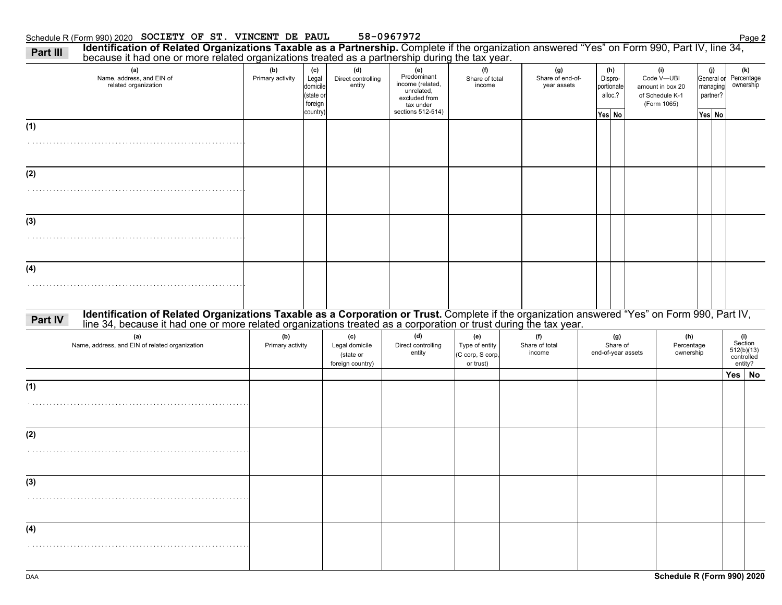#### Schedule R (Form 990) 2020 Page **2 SOCIETY OF ST. VINCENT DE PAUL 58-0967972**

| because it had one or more related organizations treated as a partnership during the tax year.<br>(a)                                                                                                                                                                                   | (b)                     | (c)                                                   | (d)                                                    | (e)                                                                                              | (f)                                                    | (g)                             | (h)                                   | (i)                                                              | (j)                                | (k)                                                   |
|-----------------------------------------------------------------------------------------------------------------------------------------------------------------------------------------------------------------------------------------------------------------------------------------|-------------------------|-------------------------------------------------------|--------------------------------------------------------|--------------------------------------------------------------------------------------------------|--------------------------------------------------------|---------------------------------|---------------------------------------|------------------------------------------------------------------|------------------------------------|-------------------------------------------------------|
| Name, address, and EIN of<br>related organization                                                                                                                                                                                                                                       | Primary activity        | Legal<br>domicile<br>(state or<br>foreign<br>country) | Direct controlling<br>entity                           | Predominant<br>income (related,<br>unrelated,<br>excluded from<br>tax under<br>sections 512-514) | Share of total<br>income                               | Share of end-of-<br>year assets | Dispro-<br>portionate<br>alloc.?      | Code V-UBI<br>amount in box 20<br>of Schedule K-1<br>(Form 1065) | General or<br>managing<br>partner? | Percentage<br>ownership                               |
| (1)                                                                                                                                                                                                                                                                                     |                         |                                                       |                                                        |                                                                                                  |                                                        |                                 | Yes No                                |                                                                  | Yes No                             |                                                       |
|                                                                                                                                                                                                                                                                                         |                         |                                                       |                                                        |                                                                                                  |                                                        |                                 |                                       |                                                                  |                                    |                                                       |
|                                                                                                                                                                                                                                                                                         |                         |                                                       |                                                        |                                                                                                  |                                                        |                                 |                                       |                                                                  |                                    |                                                       |
| (2)                                                                                                                                                                                                                                                                                     |                         |                                                       |                                                        |                                                                                                  |                                                        |                                 |                                       |                                                                  |                                    |                                                       |
|                                                                                                                                                                                                                                                                                         |                         |                                                       |                                                        |                                                                                                  |                                                        |                                 |                                       |                                                                  |                                    |                                                       |
| (3)                                                                                                                                                                                                                                                                                     |                         |                                                       |                                                        |                                                                                                  |                                                        |                                 |                                       |                                                                  |                                    |                                                       |
|                                                                                                                                                                                                                                                                                         |                         |                                                       |                                                        |                                                                                                  |                                                        |                                 |                                       |                                                                  |                                    |                                                       |
| (4)                                                                                                                                                                                                                                                                                     |                         |                                                       |                                                        |                                                                                                  |                                                        |                                 |                                       |                                                                  |                                    |                                                       |
|                                                                                                                                                                                                                                                                                         |                         |                                                       |                                                        |                                                                                                  |                                                        |                                 |                                       |                                                                  |                                    |                                                       |
|                                                                                                                                                                                                                                                                                         |                         |                                                       |                                                        |                                                                                                  |                                                        |                                 |                                       |                                                                  |                                    |                                                       |
| Part IV                                                                                                                                                                                                                                                                                 |                         |                                                       |                                                        |                                                                                                  |                                                        |                                 |                                       |                                                                  |                                    |                                                       |
| Identification of Related Organizations Taxable as a Corporation or Trust. Complete if the organization answered "Yes" on Form 990, Part IV, line 34, because it had one or more related organizations treated as a corporatio<br>(a)<br>Name, address, and EIN of related organization | (b)<br>Primary activity |                                                       | (c)<br>Legal domicile<br>(state or<br>foreign country) | (d)<br>Direct controlling<br>entity                                                              | (e)<br>Type of entity<br>(C corp, S corp,<br>or trust) | (f)<br>Share of total<br>income | (g)<br>Share of<br>end-of-year assets | (h)<br>Percentage<br>ownership                                   |                                    | (i)<br>Section<br>512(b)(13)<br>controlled<br>entity? |
|                                                                                                                                                                                                                                                                                         |                         |                                                       |                                                        |                                                                                                  |                                                        |                                 |                                       |                                                                  |                                    | Yes   No                                              |
| (1)                                                                                                                                                                                                                                                                                     |                         |                                                       |                                                        |                                                                                                  |                                                        |                                 |                                       |                                                                  |                                    |                                                       |
|                                                                                                                                                                                                                                                                                         |                         |                                                       |                                                        |                                                                                                  |                                                        |                                 |                                       |                                                                  |                                    |                                                       |
| (2)                                                                                                                                                                                                                                                                                     |                         |                                                       |                                                        |                                                                                                  |                                                        |                                 |                                       |                                                                  |                                    |                                                       |
|                                                                                                                                                                                                                                                                                         |                         |                                                       |                                                        |                                                                                                  |                                                        |                                 |                                       |                                                                  |                                    |                                                       |
| (3)                                                                                                                                                                                                                                                                                     |                         |                                                       |                                                        |                                                                                                  |                                                        |                                 |                                       |                                                                  |                                    |                                                       |
|                                                                                                                                                                                                                                                                                         |                         |                                                       |                                                        |                                                                                                  |                                                        |                                 |                                       |                                                                  |                                    |                                                       |
| (4)                                                                                                                                                                                                                                                                                     |                         |                                                       |                                                        |                                                                                                  |                                                        |                                 |                                       |                                                                  |                                    |                                                       |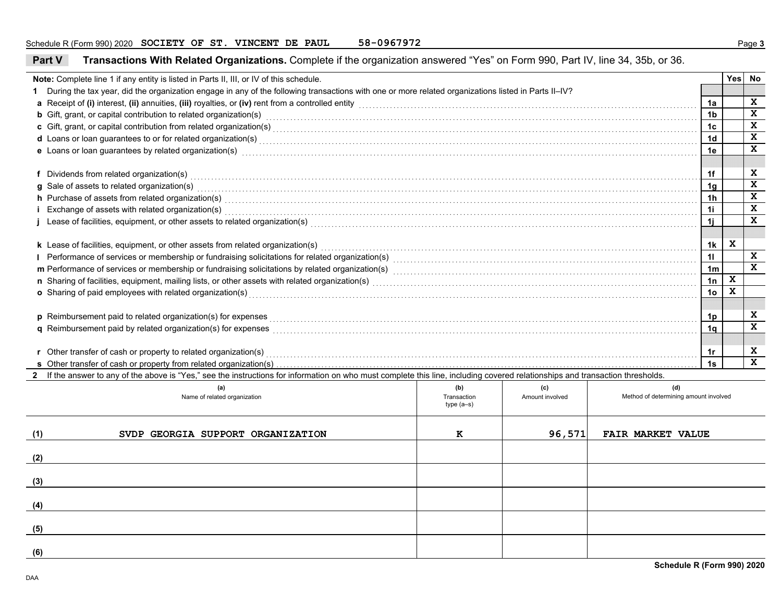| Part V                                                                                                                                                                                                                           | Transactions With Related Organizations. Complete if the organization answered "Yes" on Form 990, Part IV, line 34, 35b, or 36.                                                                                                     |                            |                 |                                       |                |   |             |  |
|----------------------------------------------------------------------------------------------------------------------------------------------------------------------------------------------------------------------------------|-------------------------------------------------------------------------------------------------------------------------------------------------------------------------------------------------------------------------------------|----------------------------|-----------------|---------------------------------------|----------------|---|-------------|--|
|                                                                                                                                                                                                                                  | Note: Complete line 1 if any entity is listed in Parts II, III, or IV of this schedule.                                                                                                                                             |                            |                 |                                       |                |   | Yes No      |  |
|                                                                                                                                                                                                                                  | 1 During the tax year, did the organization engage in any of the following transactions with one or more related organizations listed in Parts II-IV?                                                                               |                            |                 |                                       |                |   |             |  |
|                                                                                                                                                                                                                                  | a Receipt of (i) interest, (ii) annuities, (iii) royalties, or (iv) rent from a controlled entity [1] controlled entity and controlled entity and controlled entity and controlled entity and contained a Receipt of (i) inter      |                            |                 |                                       | 1a             |   | X           |  |
|                                                                                                                                                                                                                                  | <b>b</b> Gift, grant, or capital contribution to related organization(s) encourse consumed and consumed contribution to related organization(s)                                                                                     |                            |                 |                                       | 1 <sub>b</sub> |   | X           |  |
|                                                                                                                                                                                                                                  |                                                                                                                                                                                                                                     |                            |                 |                                       | 1c             |   | X           |  |
|                                                                                                                                                                                                                                  | d Loans or loan guarantees to or for related organization(s) encourance contained and contained a contained and contained a contact the contact of the contact of the contact of the contact of the contact of the contact of       |                            |                 |                                       | 1 <sub>d</sub> |   | X           |  |
|                                                                                                                                                                                                                                  |                                                                                                                                                                                                                                     |                            |                 |                                       | 1e             |   | $\mathbf x$ |  |
|                                                                                                                                                                                                                                  |                                                                                                                                                                                                                                     |                            |                 |                                       |                |   |             |  |
| f Dividends from related organization(s) with contact the control of the control of the control of the control or contact the control or contact the control of the control of the control of the control of the control of th   |                                                                                                                                                                                                                                     |                            |                 |                                       |                |   |             |  |
| g Sale of assets to related organization(s)<br>and the contract to the contract or contract or contract to the contract or contract or contract or contract or contract or contract or contract or contract or contract or contr |                                                                                                                                                                                                                                     |                            |                 |                                       |                |   |             |  |
|                                                                                                                                                                                                                                  | h Purchase of assets from related organization(s) with an example and contained a substitution of a sets from related organization(s) with an example and contained a set of a set of a set of a set of a set of a set of a se      |                            |                 |                                       | 1 <sub>h</sub> |   | $\mathbf x$ |  |
|                                                                                                                                                                                                                                  | i Exchange of assets with related organization(s) encountled assess that contain a substantial container and a                                                                                                                      |                            |                 |                                       | 1i             |   | $\mathbf x$ |  |
|                                                                                                                                                                                                                                  | j Lease of facilities, equipment, or other assets to related organization(s) with the material content to contain the content of facilities, equipment, or other assets to related organization(s) with the material content o      |                            |                 |                                       | 1i             |   | X           |  |
|                                                                                                                                                                                                                                  |                                                                                                                                                                                                                                     |                            |                 |                                       |                |   |             |  |
|                                                                                                                                                                                                                                  | <b>k</b> Lease of facilities, equipment, or other assets from related organization(s)                                                                                                                                               |                            |                 |                                       | 1k             | X |             |  |
|                                                                                                                                                                                                                                  |                                                                                                                                                                                                                                     |                            |                 |                                       | 11             |   | X           |  |
|                                                                                                                                                                                                                                  | m Performance of services or membership or fundraising solicitations by related organization(s) [11] mechanicano material content of services or membership or fundraising solicitations by related organization(s) [11] mecha      |                            |                 |                                       | 1 <sub>m</sub> |   | X           |  |
|                                                                                                                                                                                                                                  |                                                                                                                                                                                                                                     |                            |                 |                                       |                |   |             |  |
| o Sharing of paid employees with related organization(s) encounteral control and contact the state of paid employees with related organization(s) encounteral contact the state of Sharing of paid employees with related orga   |                                                                                                                                                                                                                                     |                            |                 |                                       |                |   |             |  |
|                                                                                                                                                                                                                                  |                                                                                                                                                                                                                                     |                            |                 |                                       |                |   |             |  |
|                                                                                                                                                                                                                                  | p Reimbursement paid to related organization(s) for expenses <b>conserved and conserved and conserved</b> and conserved and conserved and conserved and conserved and conserved and conserved and conserved and conserved and conse |                            |                 |                                       | 1 <sub>p</sub> |   | X           |  |
|                                                                                                                                                                                                                                  |                                                                                                                                                                                                                                     |                            |                 |                                       | 1q             |   | X           |  |
|                                                                                                                                                                                                                                  |                                                                                                                                                                                                                                     |                            |                 |                                       |                |   |             |  |
|                                                                                                                                                                                                                                  | r Other transfer of cash or property to related organization(s)                                                                                                                                                                     |                            |                 |                                       | 1r             |   | x           |  |
|                                                                                                                                                                                                                                  | <b>s</b> Other transfer of cash or property from related organization(s)                                                                                                                                                            |                            |                 |                                       | 1s             |   | x           |  |
|                                                                                                                                                                                                                                  | 2 If the answer to any of the above is "Yes," see the instructions for information on who must complete this line, including covered relationships and transaction thresholds.                                                      |                            |                 |                                       |                |   |             |  |
|                                                                                                                                                                                                                                  | (a)                                                                                                                                                                                                                                 | (b)                        | (c)             | (d)                                   |                |   |             |  |
|                                                                                                                                                                                                                                  | Name of related organization                                                                                                                                                                                                        | Transaction<br>$type(a-s)$ | Amount involved | Method of determining amount involved |                |   |             |  |
|                                                                                                                                                                                                                                  |                                                                                                                                                                                                                                     |                            |                 |                                       |                |   |             |  |
|                                                                                                                                                                                                                                  |                                                                                                                                                                                                                                     |                            |                 |                                       |                |   |             |  |
| (1)                                                                                                                                                                                                                              | SVDP GEORGIA SUPPORT ORGANIZATION                                                                                                                                                                                                   | к                          | 96,571          | <b>FAIR MARKET VALUE</b>              |                |   |             |  |
|                                                                                                                                                                                                                                  |                                                                                                                                                                                                                                     |                            |                 |                                       |                |   |             |  |
| (2)                                                                                                                                                                                                                              |                                                                                                                                                                                                                                     |                            |                 |                                       |                |   |             |  |
|                                                                                                                                                                                                                                  |                                                                                                                                                                                                                                     |                            |                 |                                       |                |   |             |  |
| (3)                                                                                                                                                                                                                              |                                                                                                                                                                                                                                     |                            |                 |                                       |                |   |             |  |
|                                                                                                                                                                                                                                  |                                                                                                                                                                                                                                     |                            |                 |                                       |                |   |             |  |
| (4)                                                                                                                                                                                                                              |                                                                                                                                                                                                                                     |                            |                 |                                       |                |   |             |  |
|                                                                                                                                                                                                                                  |                                                                                                                                                                                                                                     |                            |                 |                                       |                |   |             |  |
| (5)                                                                                                                                                                                                                              |                                                                                                                                                                                                                                     |                            |                 |                                       |                |   |             |  |
|                                                                                                                                                                                                                                  |                                                                                                                                                                                                                                     |                            |                 |                                       |                |   |             |  |
| (6)                                                                                                                                                                                                                              |                                                                                                                                                                                                                                     |                            |                 |                                       |                |   |             |  |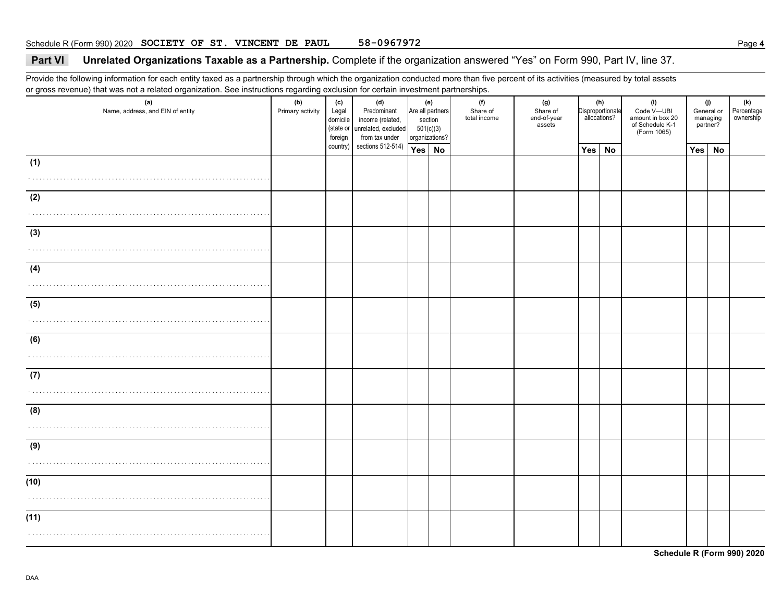### **Part VI Unrelated Organizations Taxable as a Partnership.** Complete if the organization answered "Yes" on Form 990, Part IV, line 37.

Provide the following information for each entity taxed as a partnership through which the organization conducted more than five percent of its activities (measured by total assets or gross revenue) that was not a related organization. See instructions regarding exclusion for certain investment partnerships.

| (a)<br>Name, address, and EIN of entity | . - 9- . - 9   -<br>(b)<br>Primary activity | (c)<br>Legal<br>domicile<br>foreign | (d)<br>Predominant<br>income (related,<br>(state or unrelated, excluded<br>from tax under | Are all partners<br>section<br>501(c)(3)<br>organizations? | (e) | (f)<br>Share of<br>total income | (g)<br>Share of<br>end-of-year<br>assets |     | (h)<br>Disproportionate<br>allocations? | (i)<br>Code V-UBI<br>amount in box 20<br>of Schedule K-1<br>(Form 1065) | (j) | General or<br>managing<br>partner? | (k)<br>Percentage<br>ownership |
|-----------------------------------------|---------------------------------------------|-------------------------------------|-------------------------------------------------------------------------------------------|------------------------------------------------------------|-----|---------------------------------|------------------------------------------|-----|-----------------------------------------|-------------------------------------------------------------------------|-----|------------------------------------|--------------------------------|
|                                         |                                             | country)                            | sections 512-514)                                                                         | Yes No                                                     |     |                                 |                                          | Yes | No                                      |                                                                         | Yes | No                                 |                                |
| (1)                                     |                                             |                                     |                                                                                           |                                                            |     |                                 |                                          |     |                                         |                                                                         |     |                                    |                                |
|                                         |                                             |                                     |                                                                                           |                                                            |     |                                 |                                          |     |                                         |                                                                         |     |                                    |                                |
| (2)                                     |                                             |                                     |                                                                                           |                                                            |     |                                 |                                          |     |                                         |                                                                         |     |                                    |                                |
| (3)                                     |                                             |                                     |                                                                                           |                                                            |     |                                 |                                          |     |                                         |                                                                         |     |                                    |                                |
|                                         |                                             |                                     |                                                                                           |                                                            |     |                                 |                                          |     |                                         |                                                                         |     |                                    |                                |
| (4)                                     |                                             |                                     |                                                                                           |                                                            |     |                                 |                                          |     |                                         |                                                                         |     |                                    |                                |
| (5)                                     |                                             |                                     |                                                                                           |                                                            |     |                                 |                                          |     |                                         |                                                                         |     |                                    |                                |
|                                         |                                             |                                     |                                                                                           |                                                            |     |                                 |                                          |     |                                         |                                                                         |     |                                    |                                |
| (6)                                     |                                             |                                     |                                                                                           |                                                            |     |                                 |                                          |     |                                         |                                                                         |     |                                    |                                |
| (7)                                     |                                             |                                     |                                                                                           |                                                            |     |                                 |                                          |     |                                         |                                                                         |     |                                    |                                |
| (8)                                     |                                             |                                     |                                                                                           |                                                            |     |                                 |                                          |     |                                         |                                                                         |     |                                    |                                |
| (9)                                     |                                             |                                     |                                                                                           |                                                            |     |                                 |                                          |     |                                         |                                                                         |     |                                    |                                |
|                                         |                                             |                                     |                                                                                           |                                                            |     |                                 |                                          |     |                                         |                                                                         |     |                                    |                                |
| (10)<br>$\alpha$ , and a second         |                                             |                                     |                                                                                           |                                                            |     |                                 |                                          |     |                                         |                                                                         |     |                                    |                                |
| (11)                                    |                                             |                                     |                                                                                           |                                                            |     |                                 |                                          |     |                                         |                                                                         |     |                                    |                                |
|                                         |                                             |                                     |                                                                                           |                                                            |     |                                 |                                          |     |                                         |                                                                         |     |                                    |                                |

DAA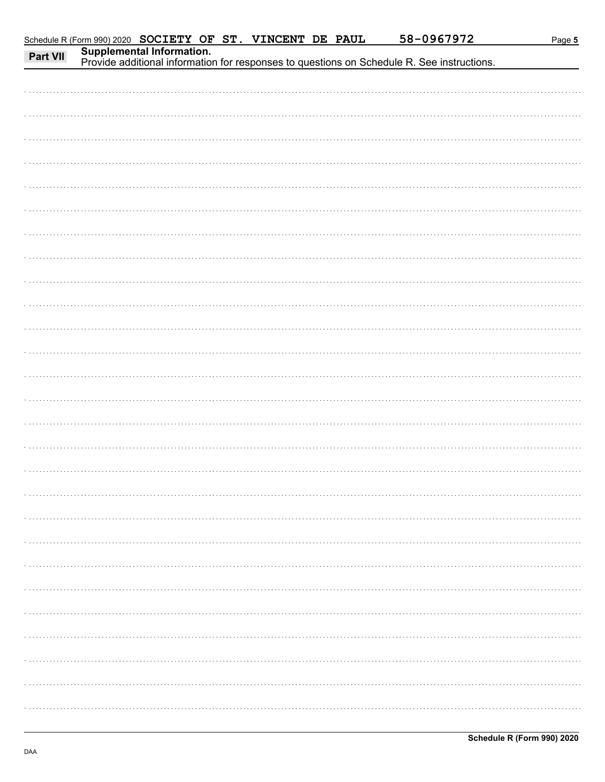|          | Schedule R (Form 990) 2020 SOCIETY OF ST. VINCENT DE PAUL |  | 58-0967972                                                                                                              | Page 5 |
|----------|-----------------------------------------------------------|--|-------------------------------------------------------------------------------------------------------------------------|--------|
| Part VII |                                                           |  | Supplemental Information.<br>Provide additional information for responses to questions on Schedule R. See instructions. |        |
|          |                                                           |  |                                                                                                                         |        |
|          |                                                           |  |                                                                                                                         |        |
|          |                                                           |  |                                                                                                                         |        |
|          |                                                           |  |                                                                                                                         |        |
|          |                                                           |  |                                                                                                                         |        |
|          |                                                           |  |                                                                                                                         |        |
|          |                                                           |  |                                                                                                                         |        |
|          |                                                           |  |                                                                                                                         |        |
|          |                                                           |  |                                                                                                                         |        |
|          |                                                           |  |                                                                                                                         |        |
|          |                                                           |  |                                                                                                                         |        |
|          |                                                           |  |                                                                                                                         |        |
|          |                                                           |  |                                                                                                                         |        |
|          |                                                           |  |                                                                                                                         |        |
|          |                                                           |  |                                                                                                                         |        |
|          |                                                           |  |                                                                                                                         |        |
|          |                                                           |  |                                                                                                                         |        |
|          |                                                           |  |                                                                                                                         |        |
|          |                                                           |  |                                                                                                                         |        |
|          |                                                           |  |                                                                                                                         |        |
|          |                                                           |  |                                                                                                                         |        |
|          |                                                           |  |                                                                                                                         |        |
|          |                                                           |  |                                                                                                                         |        |
|          |                                                           |  |                                                                                                                         |        |
|          |                                                           |  |                                                                                                                         |        |
|          |                                                           |  |                                                                                                                         |        |
|          |                                                           |  |                                                                                                                         |        |
|          |                                                           |  |                                                                                                                         |        |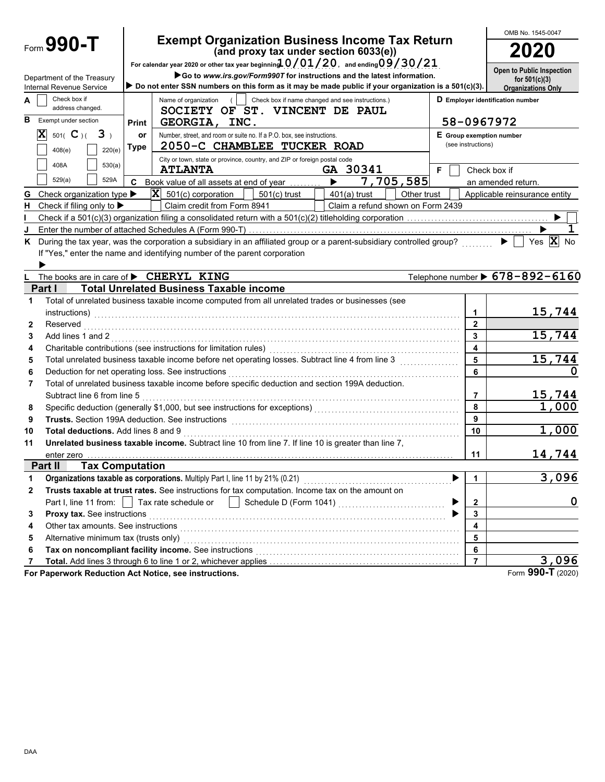| <b>Exempt Organization Business Income Tax Return</b>                                                                                                                                                                                                                                                                                                                      | OMB No. 1545-0047                                                                |
|----------------------------------------------------------------------------------------------------------------------------------------------------------------------------------------------------------------------------------------------------------------------------------------------------------------------------------------------------------------------------|----------------------------------------------------------------------------------|
| Form $990 - T$<br>(and proxy tax under section 6033(e))                                                                                                                                                                                                                                                                                                                    | <b>2020</b>                                                                      |
| For calendar year 2020 or other tax year beginning $0/01/20$ , and ending $09/30/21$<br>Go to www.irs.gov/Form990T for instructions and the latest information.<br>Department of the Treasury<br>Do not enter SSN numbers on this form as it may be made public if your organization is a 501(c)(3).<br>Internal Revenue Service                                           | <b>Open to Public Inspection</b><br>for $501(c)(3)$<br><b>Organizations Only</b> |
| Check box if name changed and see instructions.)<br>Check box if<br>Name of organization $($<br>A<br>address changed.<br>SOCIETY OF ST. VINCENT DE PAUL<br>в<br>Exempt under section                                                                                                                                                                                       | D Employer identification number                                                 |
| GEORGIA, INC.<br>Print<br>$\mathbf{x}$<br>3 <sub>1</sub><br>501( $C$ )(<br>Number, street, and room or suite no. If a P.O. box, see instructions.<br>or<br>(see instructions)<br>2050-C CHAMBLEE TUCKER ROAD<br>Type<br>220(e)<br>408(e)<br>City or town, state or province, country, and ZIP or foreign postal code<br>408A<br>530(a)<br>GA 30341<br><b>ATLANTA</b><br>F. | 58-0967972<br>E Group exemption number<br>Check box if                           |
| 529A<br>529(a)<br>7,705,585<br>$\blacktriangleright$<br>C<br>Book value of all assets at end of year                                                                                                                                                                                                                                                                       | an amended return.                                                               |
| $ \mathbf{X} $ 501(c) corporation<br>$501(c)$ trust<br>Check organization type $\blacktriangleright$<br>Other trust<br>G<br>$401(a)$ trust                                                                                                                                                                                                                                 | Applicable reinsurance entity                                                    |
| Check if filing only to $\blacktriangleright$<br>Claim credit from Form 8941<br>Claim a refund shown on Form 2439<br>H.                                                                                                                                                                                                                                                    |                                                                                  |
|                                                                                                                                                                                                                                                                                                                                                                            | ▶                                                                                |
| J                                                                                                                                                                                                                                                                                                                                                                          | 1                                                                                |
| During the tax year, was the corporation a subsidiary in an affiliated group or a parent-subsidiary controlled group?<br>Κ                                                                                                                                                                                                                                                 | Yes $\overline{\mathbf{X}}$<br>No                                                |
| If "Yes," enter the name and identifying number of the parent corporation                                                                                                                                                                                                                                                                                                  |                                                                                  |
| The books are in care of CHERYL KING                                                                                                                                                                                                                                                                                                                                       | Telephone number ▶ 678-892-6160                                                  |
| <b>Total Unrelated Business Taxable income</b><br>Part I                                                                                                                                                                                                                                                                                                                   |                                                                                  |
| Total of unrelated business taxable income computed from all unrelated trades or businesses (see<br>1                                                                                                                                                                                                                                                                      |                                                                                  |
| 1                                                                                                                                                                                                                                                                                                                                                                          | 15,744                                                                           |
| $\mathbf{2}$<br>Reserved<br>2                                                                                                                                                                                                                                                                                                                                              |                                                                                  |
| 3<br>Add lines 1 and 2<br>3                                                                                                                                                                                                                                                                                                                                                | 15,744                                                                           |
| 4<br>Charitable contributions (see instructions for limitation rules) [[11] Charitable contributions (see instructions for limitation rules)<br>4                                                                                                                                                                                                                          |                                                                                  |
| 5<br>Total unrelated business taxable income before net operating losses. Subtract line 4 from line 3<br>5                                                                                                                                                                                                                                                                 | 15,744                                                                           |
| 6<br>Deduction for net operating loss. See instructions<br>6                                                                                                                                                                                                                                                                                                               | 0                                                                                |
| Total of unrelated business taxable income before specific deduction and section 199A deduction.<br>7                                                                                                                                                                                                                                                                      |                                                                                  |
| $\overline{7}$<br>Subtract line 6 from line 5                                                                                                                                                                                                                                                                                                                              | 15,744                                                                           |
| 8<br>8                                                                                                                                                                                                                                                                                                                                                                     | 1,000                                                                            |
| 9<br>9                                                                                                                                                                                                                                                                                                                                                                     |                                                                                  |
| Total deductions. Add lines 8 and 9<br>10<br>10                                                                                                                                                                                                                                                                                                                            | 1,000                                                                            |
| Unrelated business taxable income. Subtract line 10 from line 7. If line 10 is greater than line 7,<br>11                                                                                                                                                                                                                                                                  |                                                                                  |
| 11<br>enter zero                                                                                                                                                                                                                                                                                                                                                           | 14,744                                                                           |
| Part II<br><b>Tax Computation</b>                                                                                                                                                                                                                                                                                                                                          |                                                                                  |
| Organizations taxable as corporations. Multiply Part I, line 11 by 21% (0.21)<br>1<br>1                                                                                                                                                                                                                                                                                    | 3,096                                                                            |
| Trusts taxable at trust rates. See instructions for tax computation. Income tax on the amount on<br>2                                                                                                                                                                                                                                                                      |                                                                                  |
| Part I, line 11 from:<br>Tax rate schedule or<br>$\sim$<br>2                                                                                                                                                                                                                                                                                                               | 0                                                                                |
| Proxy tax. See instructions<br>3<br>3<br>Other tax amounts. See instructions<br>4                                                                                                                                                                                                                                                                                          |                                                                                  |
| 4<br>Alternative minimum tax (trusts only)<br>5<br>5                                                                                                                                                                                                                                                                                                                       |                                                                                  |
| Tax on noncompliant facility income. See instructions<br>6<br>6                                                                                                                                                                                                                                                                                                            |                                                                                  |
| $\overline{7}$<br>7                                                                                                                                                                                                                                                                                                                                                        | 3,096                                                                            |
| For Paperwork Reduction Act Notice, see instructions.                                                                                                                                                                                                                                                                                                                      | Form 990-T (2020)                                                                |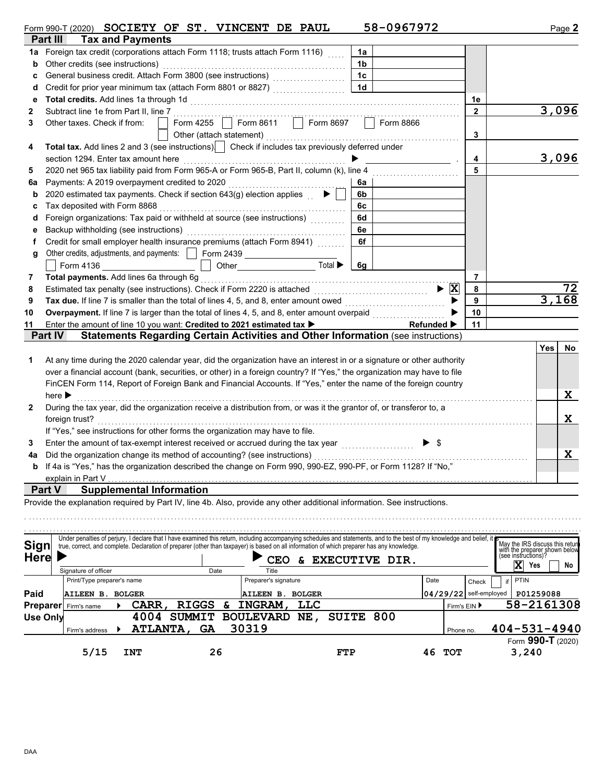| Form 990-T (2020) $\cdot$ SOCIETY OF |  | ST. | <b>VINCENT DE PAUL</b> | 58-0967972 | $\mathsf{a}$ ade $\mathsf{a}$ |
|--------------------------------------|--|-----|------------------------|------------|-------------------------------|
|                                      |  |     |                        |            |                               |

|                                       | <b>Tax and Payments</b><br>Part III                                                                                                                                                                                                                                                                                                                                                                                                                                                                                                                                                                                                                                                                                                                                                                                                                                                                                                                                                                                                                                                                                                                                                                                                                                                                                                                                                                                                 |                  |                                          |                |                                                             |
|---------------------------------------|-------------------------------------------------------------------------------------------------------------------------------------------------------------------------------------------------------------------------------------------------------------------------------------------------------------------------------------------------------------------------------------------------------------------------------------------------------------------------------------------------------------------------------------------------------------------------------------------------------------------------------------------------------------------------------------------------------------------------------------------------------------------------------------------------------------------------------------------------------------------------------------------------------------------------------------------------------------------------------------------------------------------------------------------------------------------------------------------------------------------------------------------------------------------------------------------------------------------------------------------------------------------------------------------------------------------------------------------------------------------------------------------------------------------------------------|------------------|------------------------------------------|----------------|-------------------------------------------------------------|
| 1a l                                  | Foreign tax credit (corporations attach Form 1118; trusts attach Form 1116)                                                                                                                                                                                                                                                                                                                                                                                                                                                                                                                                                                                                                                                                                                                                                                                                                                                                                                                                                                                                                                                                                                                                                                                                                                                                                                                                                         | 1a               |                                          |                |                                                             |
| b                                     | Other credits (see instructions)                                                                                                                                                                                                                                                                                                                                                                                                                                                                                                                                                                                                                                                                                                                                                                                                                                                                                                                                                                                                                                                                                                                                                                                                                                                                                                                                                                                                    | 1b               |                                          |                |                                                             |
| c                                     |                                                                                                                                                                                                                                                                                                                                                                                                                                                                                                                                                                                                                                                                                                                                                                                                                                                                                                                                                                                                                                                                                                                                                                                                                                                                                                                                                                                                                                     | 1 <sub>c</sub>   |                                          |                |                                                             |
| d                                     |                                                                                                                                                                                                                                                                                                                                                                                                                                                                                                                                                                                                                                                                                                                                                                                                                                                                                                                                                                                                                                                                                                                                                                                                                                                                                                                                                                                                                                     | 1 <sub>d</sub>   |                                          |                |                                                             |
| е                                     | Total credits. Add lines 1a through 1d                                                                                                                                                                                                                                                                                                                                                                                                                                                                                                                                                                                                                                                                                                                                                                                                                                                                                                                                                                                                                                                                                                                                                                                                                                                                                                                                                                                              |                  |                                          | 1e             |                                                             |
| 2                                     | Subtract line 1e from Part II, line 7                                                                                                                                                                                                                                                                                                                                                                                                                                                                                                                                                                                                                                                                                                                                                                                                                                                                                                                                                                                                                                                                                                                                                                                                                                                                                                                                                                                               |                  |                                          | $\overline{2}$ | 3,096                                                       |
| 3                                     | Form 4255 Form 8611 Form 8697 Form 8866<br>Other taxes. Check if from:                                                                                                                                                                                                                                                                                                                                                                                                                                                                                                                                                                                                                                                                                                                                                                                                                                                                                                                                                                                                                                                                                                                                                                                                                                                                                                                                                              |                  |                                          |                |                                                             |
|                                       | Other (attach statement)                                                                                                                                                                                                                                                                                                                                                                                                                                                                                                                                                                                                                                                                                                                                                                                                                                                                                                                                                                                                                                                                                                                                                                                                                                                                                                                                                                                                            |                  |                                          | 3              |                                                             |
|                                       | Total tax. Add lines 2 and 3 (see instructions). Check if includes tax previously deferred under                                                                                                                                                                                                                                                                                                                                                                                                                                                                                                                                                                                                                                                                                                                                                                                                                                                                                                                                                                                                                                                                                                                                                                                                                                                                                                                                    |                  |                                          |                |                                                             |
|                                       | section 1294. Enter tax amount here                                                                                                                                                                                                                                                                                                                                                                                                                                                                                                                                                                                                                                                                                                                                                                                                                                                                                                                                                                                                                                                                                                                                                                                                                                                                                                                                                                                                 |                  |                                          | 4              | 3,096                                                       |
| 5                                     | 2020 net 965 tax liability paid from Form 965-A or Form 965-B, Part II, column (k), line 4                                                                                                                                                                                                                                                                                                                                                                                                                                                                                                                                                                                                                                                                                                                                                                                                                                                                                                                                                                                                                                                                                                                                                                                                                                                                                                                                          |                  |                                          | 5              |                                                             |
| 6а                                    | Payments: A 2019 overpayment credited to 2020                                                                                                                                                                                                                                                                                                                                                                                                                                                                                                                                                                                                                                                                                                                                                                                                                                                                                                                                                                                                                                                                                                                                                                                                                                                                                                                                                                                       | 6a               |                                          |                |                                                             |
| b                                     | 2020 estimated tax payments. Check if section 643(g) election applies                                                                                                                                                                                                                                                                                                                                                                                                                                                                                                                                                                                                                                                                                                                                                                                                                                                                                                                                                                                                                                                                                                                                                                                                                                                                                                                                                               | 6b.              |                                          |                |                                                             |
| c                                     | Tax deposited with Form 8868                                                                                                                                                                                                                                                                                                                                                                                                                                                                                                                                                                                                                                                                                                                                                                                                                                                                                                                                                                                                                                                                                                                                                                                                                                                                                                                                                                                                        | 6с               |                                          |                |                                                             |
| d                                     | Foreign organizations: Tax paid or withheld at source (see instructions)                                                                                                                                                                                                                                                                                                                                                                                                                                                                                                                                                                                                                                                                                                                                                                                                                                                                                                                                                                                                                                                                                                                                                                                                                                                                                                                                                            | 6d               |                                          |                |                                                             |
| е                                     |                                                                                                                                                                                                                                                                                                                                                                                                                                                                                                                                                                                                                                                                                                                                                                                                                                                                                                                                                                                                                                                                                                                                                                                                                                                                                                                                                                                                                                     | 6e               |                                          |                |                                                             |
| f                                     | Credit for small employer health insurance premiums (attach Form 8941)                                                                                                                                                                                                                                                                                                                                                                                                                                                                                                                                                                                                                                                                                                                                                                                                                                                                                                                                                                                                                                                                                                                                                                                                                                                                                                                                                              | 6f               |                                          |                |                                                             |
| g                                     | Other credits, adjustments, and payments:     Form 2439 [Consequence of Adjustments]                                                                                                                                                                                                                                                                                                                                                                                                                                                                                                                                                                                                                                                                                                                                                                                                                                                                                                                                                                                                                                                                                                                                                                                                                                                                                                                                                |                  |                                          |                |                                                             |
|                                       | Form 4136                                                                                                                                                                                                                                                                                                                                                                                                                                                                                                                                                                                                                                                                                                                                                                                                                                                                                                                                                                                                                                                                                                                                                                                                                                                                                                                                                                                                                           | 6g               |                                          |                |                                                             |
| 7                                     | Total payments. Add lines 6a through 6g                                                                                                                                                                                                                                                                                                                                                                                                                                                                                                                                                                                                                                                                                                                                                                                                                                                                                                                                                                                                                                                                                                                                                                                                                                                                                                                                                                                             |                  |                                          | 7              |                                                             |
| 8                                     |                                                                                                                                                                                                                                                                                                                                                                                                                                                                                                                                                                                                                                                                                                                                                                                                                                                                                                                                                                                                                                                                                                                                                                                                                                                                                                                                                                                                                                     |                  | $\triangleright$ X                       | 8              | 72                                                          |
| 9                                     |                                                                                                                                                                                                                                                                                                                                                                                                                                                                                                                                                                                                                                                                                                                                                                                                                                                                                                                                                                                                                                                                                                                                                                                                                                                                                                                                                                                                                                     |                  |                                          | 9              | 3,168                                                       |
| 10                                    |                                                                                                                                                                                                                                                                                                                                                                                                                                                                                                                                                                                                                                                                                                                                                                                                                                                                                                                                                                                                                                                                                                                                                                                                                                                                                                                                                                                                                                     |                  |                                          | 10             |                                                             |
| 11                                    | Enter the amount of line 10 you want: Credited to 2021 estimated tax >                                                                                                                                                                                                                                                                                                                                                                                                                                                                                                                                                                                                                                                                                                                                                                                                                                                                                                                                                                                                                                                                                                                                                                                                                                                                                                                                                              |                  | <b>Refunded</b> ▶                        | 11             |                                                             |
|                                       | <b>Statements Regarding Certain Activities and Other Information (see instructions)</b><br>Part IV                                                                                                                                                                                                                                                                                                                                                                                                                                                                                                                                                                                                                                                                                                                                                                                                                                                                                                                                                                                                                                                                                                                                                                                                                                                                                                                                  |                  |                                          |                |                                                             |
|                                       |                                                                                                                                                                                                                                                                                                                                                                                                                                                                                                                                                                                                                                                                                                                                                                                                                                                                                                                                                                                                                                                                                                                                                                                                                                                                                                                                                                                                                                     |                  |                                          |                |                                                             |
| 1<br>2<br>3<br>4a<br>b<br><b>Sign</b> | At any time during the 2020 calendar year, did the organization have an interest in or a signature or other authority<br>over a financial account (bank, securities, or other) in a foreign country? If "Yes," the organization may have to file<br>FinCEN Form 114, Report of Foreign Bank and Financial Accounts. If "Yes," enter the name of the foreign country<br>here $\blacktriangleright$<br>During the tax year, did the organization receive a distribution from, or was it the grantor of, or transferor to, a<br>foreign trust?<br>If "Yes," see instructions for other forms the organization may have to file.<br>Enter the amount of tax-exempt interest received or accrued during the tax year<br>Did the organization change its method of accounting? (see instructions)<br>If 4a is "Yes," has the organization described the change on Form 990, 990-EZ, 990-PF, or Form 1128? If "No,"<br>explain in Part V<br><b>Supplemental Information</b><br>Part V<br>Provide the explanation required by Part IV, line 4b. Also, provide any other additional information. See instructions.<br>Under penalties of perjury, I declare that I have examined this return, including accompanying schedules and statements, and to the best of my knowledge and belief, ii<br>true, correct, and complete. Declaration of preparer (other than taxpayer) is based on all information of which preparer has any knowledge. |                  | $\blacktriangleright$ \$                 |                | Yes<br>No<br>X<br>x<br>X<br>May the IRS discuss this retur  |
| Here                                  | CEO                                                                                                                                                                                                                                                                                                                                                                                                                                                                                                                                                                                                                                                                                                                                                                                                                                                                                                                                                                                                                                                                                                                                                                                                                                                                                                                                                                                                                                 | & EXECUTIVE DIR. |                                          |                | with the preparer shown below<br>(see instructions)?<br>No. |
|                                       | Signature of officer<br>Date<br>Title                                                                                                                                                                                                                                                                                                                                                                                                                                                                                                                                                                                                                                                                                                                                                                                                                                                                                                                                                                                                                                                                                                                                                                                                                                                                                                                                                                                               |                  |                                          |                | $\bf x$<br>Yes                                              |
|                                       | Preparer's signature<br>Print/Type preparer's name                                                                                                                                                                                                                                                                                                                                                                                                                                                                                                                                                                                                                                                                                                                                                                                                                                                                                                                                                                                                                                                                                                                                                                                                                                                                                                                                                                                  |                  | Date                                     | Check<br>if    | PTIN                                                        |
| Paid<br><b>Preparer</b>               | AILEEN B. BOLGER<br>AILEEN B. BOLGER<br><b>RIGGS</b><br>CARR,<br>ه.<br>INGRAM,<br><b>TTC</b><br>Firm's name                                                                                                                                                                                                                                                                                                                                                                                                                                                                                                                                                                                                                                                                                                                                                                                                                                                                                                                                                                                                                                                                                                                                                                                                                                                                                                                         |                  | $04/29/22$ self-employed<br>Firm's EIN ▶ |                | P01259088<br>58-2161308                                     |

| Use Only |        |            |  |    | 4004 SUMMIT BOULEVARD NE, SUITE 800 |     |  |               |                   |
|----------|--------|------------|--|----|-------------------------------------|-----|--|---------------|-------------------|
|          |        |            |  |    | Firm's address > ATLANTA, GA 30319  |     |  | Phone no.     | 404-531-4940      |
|          |        |            |  |    |                                     |     |  |               | Form 990-T (2020) |
|          | $5/15$ | <b>INT</b> |  | 26 |                                     | FTP |  | <b>46 TOT</b> | 3,240             |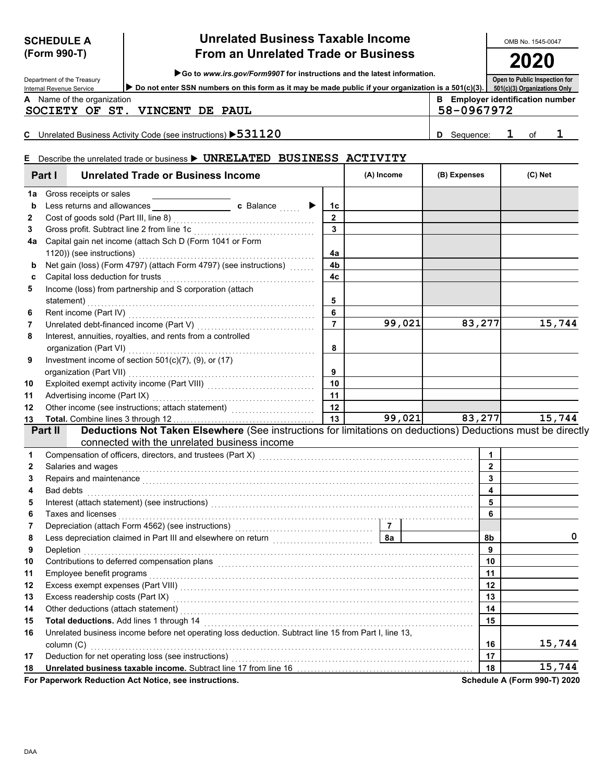| <b>SCHEDULE A</b> |  |
|-------------------|--|
| (Form 990-T)      |  |

# **SCHEDULE A CONTRES ASSESS TO A CONTRES INCOMP AND A CONSUM ROLL OMB No. 1545-0047 From an Unrelated Trade or Business**

**2020**

|        |                                                        |                                                                                                                                                                                                                                    |                         |              |              | ZUZU                                    |
|--------|--------------------------------------------------------|------------------------------------------------------------------------------------------------------------------------------------------------------------------------------------------------------------------------------------|-------------------------|--------------|--------------|-----------------------------------------|
|        | Department of the Treasury                             | Go to www.irs.gov/Form990T for instructions and the latest information.                                                                                                                                                            |                         |              |              | Open to Public Inspection for           |
|        | Internal Revenue Service<br>A Name of the organization | Do not enter SSN numbers on this form as it may be made public if your organization is a 501(c)(3).   501(c)(3) Organizations Only                                                                                                 |                         |              |              | <b>B</b> Employer identification number |
|        |                                                        | SOCIETY OF ST. VINCENT DE PAUL                                                                                                                                                                                                     |                         |              | 58-0967972   |                                         |
|        |                                                        |                                                                                                                                                                                                                                    |                         |              |              |                                         |
|        |                                                        | C Unrelated Business Activity Code (see instructions) $\blacktriangleright$ 531120                                                                                                                                                 |                         |              | D Sequence:  | $\mathbf{1}$<br>1<br>of                 |
|        |                                                        | Describe the unrelated trade or business > UNRELATED BUSINESS ACTIVITY                                                                                                                                                             |                         |              |              |                                         |
| Е.     | Part I                                                 | <b>Unrelated Trade or Business Income</b>                                                                                                                                                                                          |                         | (A) Income   | (B) Expenses | (C) Net                                 |
|        |                                                        |                                                                                                                                                                                                                                    |                         |              |              |                                         |
| 1a     | Gross receipts or sales                                |                                                                                                                                                                                                                                    |                         |              |              |                                         |
| b      |                                                        |                                                                                                                                                                                                                                    | 1c<br>$\mathbf{2}$      |              |              |                                         |
| 2<br>3 | Gross profit. Subtract line 2 from line 1c             |                                                                                                                                                                                                                                    | $\overline{\mathbf{3}}$ |              |              |                                         |
| 4a     |                                                        | Capital gain net income (attach Sch D (Form 1041 or Form                                                                                                                                                                           |                         |              |              |                                         |
|        | 1120)) (see instructions)                              |                                                                                                                                                                                                                                    | 4a                      |              |              |                                         |
| b      |                                                        | Net gain (loss) (Form 4797) (attach Form 4797) (see instructions)                                                                                                                                                                  | 4 <sub>b</sub>          |              |              |                                         |
| C      | Capital loss deduction for trusts                      |                                                                                                                                                                                                                                    | 4c                      |              |              |                                         |
| 5      |                                                        | Income (loss) from partnership and S corporation (attach                                                                                                                                                                           |                         |              |              |                                         |
|        | statement)                                             |                                                                                                                                                                                                                                    | 5                       |              |              |                                         |
| 6      |                                                        |                                                                                                                                                                                                                                    | 6                       |              |              |                                         |
| 7      |                                                        |                                                                                                                                                                                                                                    | $\overline{7}$          | 99,021       | 83,277       | 15,744                                  |
| 8      |                                                        | Interest, annuities, royalties, and rents from a controlled                                                                                                                                                                        |                         |              |              |                                         |
|        | organization (Part VI)                                 |                                                                                                                                                                                                                                    | 8                       |              |              |                                         |
| 9      |                                                        | Investment income of section $501(c)(7)$ , (9), or (17)                                                                                                                                                                            |                         |              |              |                                         |
|        | organization (Part VII)                                |                                                                                                                                                                                                                                    | 9                       |              |              |                                         |
| 10     |                                                        |                                                                                                                                                                                                                                    | 10                      |              |              |                                         |
| 11     |                                                        |                                                                                                                                                                                                                                    | 11                      |              |              |                                         |
| 12     |                                                        |                                                                                                                                                                                                                                    | 12                      |              |              |                                         |
| 13     |                                                        |                                                                                                                                                                                                                                    | 13                      | 99,021       |              | 15,744<br>83,277                        |
|        | Part II                                                | Deductions Not Taken Elsewhere (See instructions for limitations on deductions) Deductions must be directly                                                                                                                        |                         |              |              |                                         |
|        |                                                        | connected with the unrelated business income                                                                                                                                                                                       |                         |              |              |                                         |
| 1      |                                                        | Compensation of officers, directors, and trustees (Part X) [11] Compensation of officers, directors, and trustees (Part X) [11] Compensation of officers, directors, and trustees (Part X) [11] Compensation of the state of t     |                         |              | 1            |                                         |
| 2      | Salaries and wages                                     |                                                                                                                                                                                                                                    |                         |              | $\mathbf{2}$ |                                         |
| 3      |                                                        | Repairs and maintenance <i>communications</i> and all the contract of the contract of the contract of the contract of the contract of the contract of the contract of the contract of the contract of the contract of the contract |                         |              | $\mathbf{3}$ |                                         |
|        | Bad debts                                              |                                                                                                                                                                                                                                    |                         |              | 4            |                                         |
|        |                                                        | Interest (attach statement) (see instructions) [11] match contracts are contracted in the contract of the contract of the contract of the contract of the contract of the contract of the contract of the contract of the cont     |                         |              | 5            |                                         |
| 6      | Taxes and licenses                                     |                                                                                                                                                                                                                                    |                         |              | 6            |                                         |
| 7      |                                                        |                                                                                                                                                                                                                                    |                         | $\mathbf{7}$ |              |                                         |
| 8      |                                                        |                                                                                                                                                                                                                                    |                         | <b>8a</b>    | 8b           | 0                                       |
| 9      | Depletion                                              |                                                                                                                                                                                                                                    |                         |              | 9            |                                         |
| 10     |                                                        |                                                                                                                                                                                                                                    |                         |              | 10           |                                         |
| 11     | Employee benefit programs                              |                                                                                                                                                                                                                                    |                         |              | 11           |                                         |
| 12     |                                                        |                                                                                                                                                                                                                                    |                         |              | 12           |                                         |
| 13     |                                                        |                                                                                                                                                                                                                                    |                         |              | 13           |                                         |
| 14     | Other deductions (attach statement)                    |                                                                                                                                                                                                                                    |                         |              | 14           |                                         |
| 15     |                                                        | Total deductions. Add lines 1 through 14 [11] Martin Martin Martin Martin Martin Martin Martin Martin Martin Ma                                                                                                                    |                         |              | 15           |                                         |
| 16     |                                                        | Unrelated business income before net operating loss deduction. Subtract line 15 from Part I, line 13,                                                                                                                              |                         |              |              |                                         |
|        | column (C)                                             |                                                                                                                                                                                                                                    |                         |              | 16           | 15,744                                  |
| 17     |                                                        |                                                                                                                                                                                                                                    |                         |              | 17           |                                         |
| 18     |                                                        | Unrelated business taxable income. Subtract line 17 from line 16 [19] [19] Unrelated business taxable income. Subtract line 17 from line 16                                                                                        |                         |              | 18           | 15,744                                  |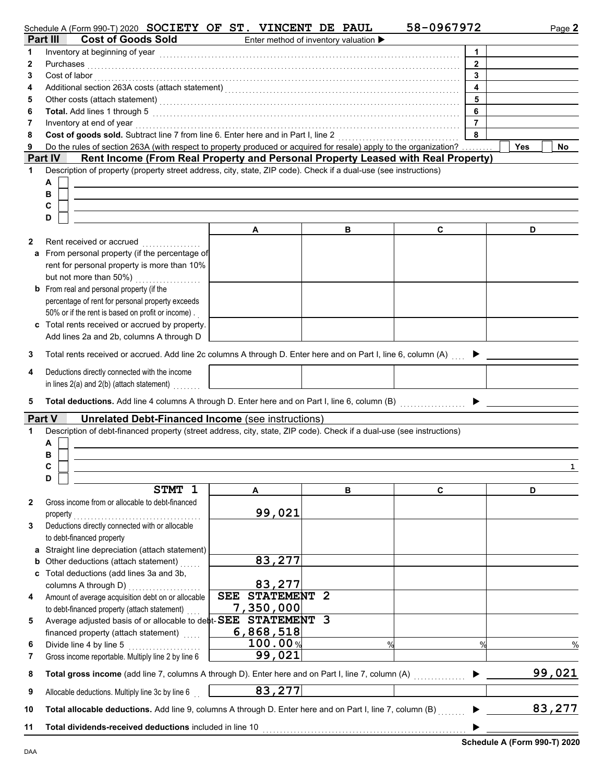|              | Schedule A (Form 990-T) 2020 $SOCIETY OF ST. VINCENT DE PAUL$                                                                                                                                                                  |                                      |                                       | 58-0967972                     | Page 2            |
|--------------|--------------------------------------------------------------------------------------------------------------------------------------------------------------------------------------------------------------------------------|--------------------------------------|---------------------------------------|--------------------------------|-------------------|
|              | Part III<br><b>Cost of Goods Sold</b>                                                                                                                                                                                          |                                      | Enter method of inventory valuation ▶ |                                |                   |
| 1            | Inventory at beginning of year                                                                                                                                                                                                 |                                      |                                       | $\mathbf 1$                    |                   |
| $\mathbf{2}$ | Purchases                                                                                                                                                                                                                      |                                      |                                       | $\mathbf{2}$                   |                   |
| 3            | Cost of labor                                                                                                                                                                                                                  |                                      |                                       | 3                              |                   |
| 4            | Additional section 263A costs (attach statement) [11] match and the control of the section and section 263A costs (attach statement) [11] match and the section of the section of the section of the section of the section of |                                      |                                       | $\overline{4}$                 |                   |
| 5            |                                                                                                                                                                                                                                |                                      |                                       | 5                              |                   |
| 6            | Total. Add lines 1 through 5                                                                                                                                                                                                   |                                      |                                       | 6                              |                   |
| 7            | Inventory at end of year                                                                                                                                                                                                       |                                      |                                       | $\overline{7}$                 |                   |
| 8            | Cost of goods sold. Subtract line 7 from line 6. Enter here and in Part I, line 2                                                                                                                                              |                                      |                                       | 8                              |                   |
| 9            | Do the rules of section 263A (with respect to property produced or acquired for resale) apply to the organization?                                                                                                             |                                      |                                       |                                | <b>Yes</b><br>No. |
|              | Part IV<br>Rent Income (From Real Property and Personal Property Leased with Real Property)                                                                                                                                    |                                      |                                       |                                |                   |
| 1            | Description of property (property street address, city, state, ZIP code). Check if a dual-use (see instructions)                                                                                                               |                                      |                                       |                                |                   |
|              | A                                                                                                                                                                                                                              |                                      |                                       |                                |                   |
|              | в                                                                                                                                                                                                                              |                                      |                                       |                                |                   |
|              | С                                                                                                                                                                                                                              |                                      |                                       |                                |                   |
|              | D                                                                                                                                                                                                                              |                                      |                                       |                                |                   |
|              |                                                                                                                                                                                                                                | A                                    | в                                     | C                              | D                 |
| 2            | Rent received or accrued                                                                                                                                                                                                       |                                      |                                       |                                |                   |
|              | a From personal property (if the percentage of                                                                                                                                                                                 |                                      |                                       |                                |                   |
|              | rent for personal property is more than 10%                                                                                                                                                                                    |                                      |                                       |                                |                   |
|              |                                                                                                                                                                                                                                |                                      |                                       |                                |                   |
|              | but not more than 50%)                                                                                                                                                                                                         |                                      |                                       |                                |                   |
|              | <b>b</b> From real and personal property (if the                                                                                                                                                                               |                                      |                                       |                                |                   |
|              | percentage of rent for personal property exceeds                                                                                                                                                                               |                                      |                                       |                                |                   |
|              | 50% or if the rent is based on profit or income).                                                                                                                                                                              |                                      |                                       |                                |                   |
|              | Total rents received or accrued by property.                                                                                                                                                                                   |                                      |                                       |                                |                   |
|              | Add lines 2a and 2b, columns A through D                                                                                                                                                                                       |                                      |                                       |                                |                   |
| 3            | Total rents received or accrued. Add line 2c columns A through D. Enter here and on Part I, line 6, column (A)                                                                                                                 |                                      |                                       |                                |                   |
|              |                                                                                                                                                                                                                                |                                      |                                       |                                |                   |
| 4            | Deductions directly connected with the income                                                                                                                                                                                  |                                      |                                       |                                |                   |
|              | in lines 2(a) and 2(b) (attach statement)                                                                                                                                                                                      |                                      |                                       |                                |                   |
| 5            | Total deductions. Add line 4 columns A through D. Enter here and on Part I, line 6, column (B)                                                                                                                                 |                                      |                                       |                                |                   |
|              |                                                                                                                                                                                                                                |                                      |                                       |                                |                   |
|              | Part V<br><b>Unrelated Debt-Financed Income (see instructions)</b>                                                                                                                                                             |                                      |                                       |                                |                   |
| 1            | Description of debt-financed property (street address, city, state, ZIP code). Check if a dual-use (see instructions)                                                                                                          |                                      |                                       |                                |                   |
|              | A                                                                                                                                                                                                                              |                                      |                                       |                                |                   |
|              | в                                                                                                                                                                                                                              |                                      |                                       |                                |                   |
|              | C                                                                                                                                                                                                                              |                                      |                                       |                                |                   |
|              | D                                                                                                                                                                                                                              |                                      |                                       |                                |                   |
|              | STMT 1                                                                                                                                                                                                                         | A                                    | в                                     | С                              | D                 |
| $\mathbf{2}$ | Gross income from or allocable to debt-financed                                                                                                                                                                                |                                      |                                       |                                |                   |
|              | property                                                                                                                                                                                                                       | 99,021                               |                                       |                                |                   |
| 3            | Deductions directly connected with or allocable                                                                                                                                                                                |                                      |                                       |                                |                   |
|              | to debt-financed property                                                                                                                                                                                                      |                                      |                                       |                                |                   |
| a            | Straight line depreciation (attach statement)                                                                                                                                                                                  |                                      |                                       |                                |                   |
| b            | Other deductions (attach statement)                                                                                                                                                                                            | 83,277                               |                                       |                                |                   |
| c            | Total deductions (add lines 3a and 3b,                                                                                                                                                                                         |                                      |                                       |                                |                   |
|              | columns A through D)                                                                                                                                                                                                           | 83,277                               |                                       |                                |                   |
| 4            | Amount of average acquisition debt on or allocable                                                                                                                                                                             | STATEMENT <sub>2</sub><br><b>SEE</b> |                                       |                                |                   |
|              | to debt-financed property (attach statement)                                                                                                                                                                                   | 7,350,000                            |                                       |                                |                   |
| 5            | Average adjusted basis of or allocable to debt-SEE                                                                                                                                                                             | STATEMENT 3                          |                                       |                                |                   |
|              | financed property (attach statement)                                                                                                                                                                                           | 6,868,518                            |                                       |                                |                   |
|              | Divide line 4 by line 5                                                                                                                                                                                                        | 100.00%                              |                                       | $\frac{9}{6}$<br>$\frac{0}{6}$ | $\%$              |
| 6            |                                                                                                                                                                                                                                | 99,021                               |                                       |                                |                   |
| 7            | Gross income reportable. Multiply line 2 by line 6                                                                                                                                                                             |                                      |                                       |                                |                   |
| 8            | Total gross income (add line 7, columns A through D). Enter here and on Part I, line 7, column (A)                                                                                                                             |                                      |                                       |                                | 99,021            |
|              |                                                                                                                                                                                                                                | 83,277                               |                                       |                                |                   |
| 9            | Allocable deductions. Multiply line 3c by line 6                                                                                                                                                                               |                                      |                                       |                                |                   |
| 10           | Total allocable deductions. Add line 9, columns A through D. Enter here and on Part I, line 7, column (B)                                                                                                                      |                                      |                                       |                                | 83,277            |
| 11           | Total dividends-received deductions included in line 10                                                                                                                                                                        |                                      |                                       |                                |                   |
|              |                                                                                                                                                                                                                                |                                      |                                       |                                |                   |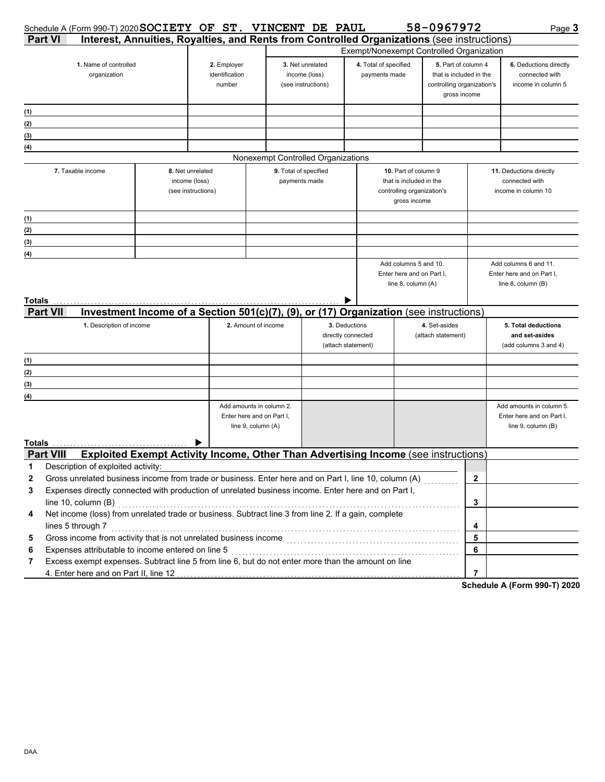| Schedule A (Form 990-T) 2020 SOCIETY OF ST. VINCENT DE PAUL                                                                      |                                          |                     |                       |                                     |                                                                                            | 58-0967972                                 |   | Page 3                                               |
|----------------------------------------------------------------------------------------------------------------------------------|------------------------------------------|---------------------|-----------------------|-------------------------------------|--------------------------------------------------------------------------------------------|--------------------------------------------|---|------------------------------------------------------|
| Part VI                                                                                                                          |                                          |                     |                       |                                     | Interest, Annuities, Royalties, and Rents from Controlled Organizations (see instructions) |                                            |   |                                                      |
|                                                                                                                                  |                                          |                     |                       |                                     | Exempt/Nonexempt Controlled Organization                                                   |                                            |   |                                                      |
| 1. Name of controlled                                                                                                            | 2. Employer                              |                     |                       | 3. Net unrelated                    | 4. Total of specified                                                                      | 5. Part of column 4                        |   | 6. Deductions directly                               |
| organization                                                                                                                     | identification                           |                     |                       | income (loss)                       | payments made                                                                              | that is included in the                    |   | connected with                                       |
|                                                                                                                                  | number                                   |                     |                       | (see instructions)                  |                                                                                            | controlling organization's<br>gross income |   | income in column 5                                   |
|                                                                                                                                  |                                          |                     |                       |                                     |                                                                                            |                                            |   |                                                      |
| (1)                                                                                                                              |                                          |                     |                       |                                     |                                                                                            |                                            |   |                                                      |
| (2)                                                                                                                              |                                          |                     |                       |                                     |                                                                                            |                                            |   |                                                      |
| (3)                                                                                                                              |                                          |                     |                       |                                     |                                                                                            |                                            |   |                                                      |
| (4)                                                                                                                              |                                          |                     |                       | Nonexempt Controlled Organizations  |                                                                                            |                                            |   |                                                      |
| 7. Taxable income                                                                                                                | 8. Net unrelated                         |                     | 9. Total of specified |                                     | 10. Part of column 9                                                                       |                                            |   | 11. Deductions directly                              |
|                                                                                                                                  | income (loss)                            |                     | payments made         |                                     | that is included in the                                                                    |                                            |   | connected with                                       |
|                                                                                                                                  | (see instructions)                       |                     |                       |                                     | controlling organization's                                                                 |                                            |   | income in column 10                                  |
|                                                                                                                                  |                                          |                     |                       |                                     | gross income                                                                               |                                            |   |                                                      |
| (1)                                                                                                                              |                                          |                     |                       |                                     |                                                                                            |                                            |   |                                                      |
| (2)                                                                                                                              |                                          |                     |                       |                                     |                                                                                            |                                            |   |                                                      |
| (3)                                                                                                                              |                                          |                     |                       |                                     |                                                                                            |                                            |   |                                                      |
| (4)                                                                                                                              |                                          |                     |                       |                                     |                                                                                            |                                            |   |                                                      |
|                                                                                                                                  |                                          |                     |                       |                                     | Add columns 5 and 10.                                                                      |                                            |   | Add columns 6 and 11.                                |
|                                                                                                                                  |                                          |                     |                       |                                     | Enter here and on Part I,<br>line $8$ , column $(A)$                                       |                                            |   | Enter here and on Part I,<br>line $8$ , column $(B)$ |
|                                                                                                                                  |                                          |                     |                       |                                     |                                                                                            |                                            |   |                                                      |
| Totals                                                                                                                           |                                          |                     |                       |                                     |                                                                                            |                                            |   |                                                      |
| Part VII                                                                                                                         | Investment Income of a Section 501(c)(7) |                     |                       |                                     | (9), or (17) Organization (see instructions)                                               |                                            |   |                                                      |
| 1. Description of income                                                                                                         |                                          | 2. Amount of income |                       | 3. Deductions<br>directly connected |                                                                                            | 4. Set-asides<br>(attach statement)        |   | 5. Total deductions<br>and set-asides                |
|                                                                                                                                  |                                          |                     |                       | (attach statement)                  |                                                                                            |                                            |   | (add columns 3 and 4)                                |
| (1)                                                                                                                              |                                          |                     |                       |                                     |                                                                                            |                                            |   |                                                      |
| (2)                                                                                                                              |                                          |                     |                       |                                     |                                                                                            |                                            |   |                                                      |
| (3)                                                                                                                              |                                          |                     |                       |                                     |                                                                                            |                                            |   |                                                      |
| (4)                                                                                                                              |                                          |                     |                       |                                     |                                                                                            |                                            |   |                                                      |
|                                                                                                                                  | Add amounts in column 2.                 |                     |                       |                                     |                                                                                            |                                            |   | Add amounts in column 5.                             |
|                                                                                                                                  | Enter here and on Part I,                |                     |                       |                                     |                                                                                            |                                            |   | Enter here and on Part I,                            |
|                                                                                                                                  |                                          | line 9, column (A)  |                       |                                     |                                                                                            |                                            |   | line $9$ , column $(B)$                              |
| Totals                                                                                                                           |                                          |                     |                       |                                     |                                                                                            |                                            |   |                                                      |
| <b>Part VIII</b>                                                                                                                 |                                          |                     |                       |                                     | <b>Exploited Exempt Activity Income, Other Than Advertising Income (see instructions)</b>  |                                            |   |                                                      |
| Description of exploited activity:                                                                                               |                                          |                     |                       |                                     |                                                                                            |                                            |   |                                                      |
| Gross unrelated business income from trade or business. Enter here and on Part I, line 10, column (A)<br>2                       |                                          |                     |                       |                                     |                                                                                            |                                            | 2 |                                                      |
| Expenses directly connected with production of unrelated business income. Enter here and on Part I,<br>3                         |                                          |                     |                       |                                     |                                                                                            |                                            |   |                                                      |
| line 10, column (B)<br>Net income (loss) from unrelated trade or business. Subtract line 3 from line 2. If a gain, complete<br>4 |                                          |                     |                       |                                     |                                                                                            |                                            | 3 |                                                      |
| lines 5 through 7                                                                                                                |                                          |                     |                       |                                     |                                                                                            |                                            | 4 |                                                      |
| Gross income from activity that is not unrelated business income<br>5                                                            |                                          |                     |                       |                                     |                                                                                            |                                            | 5 |                                                      |
| Expenses attributable to income entered on line 5<br>6                                                                           |                                          |                     |                       |                                     |                                                                                            |                                            | 6 |                                                      |
| Excess exempt expenses. Subtract line 5 from line 6, but do not enter more than the amount on line<br>7                          |                                          |                     |                       |                                     |                                                                                            |                                            |   |                                                      |
|                                                                                                                                  |                                          |                     |                       |                                     |                                                                                            |                                            | 7 |                                                      |

**Schedule A (Form 990-T) 2020**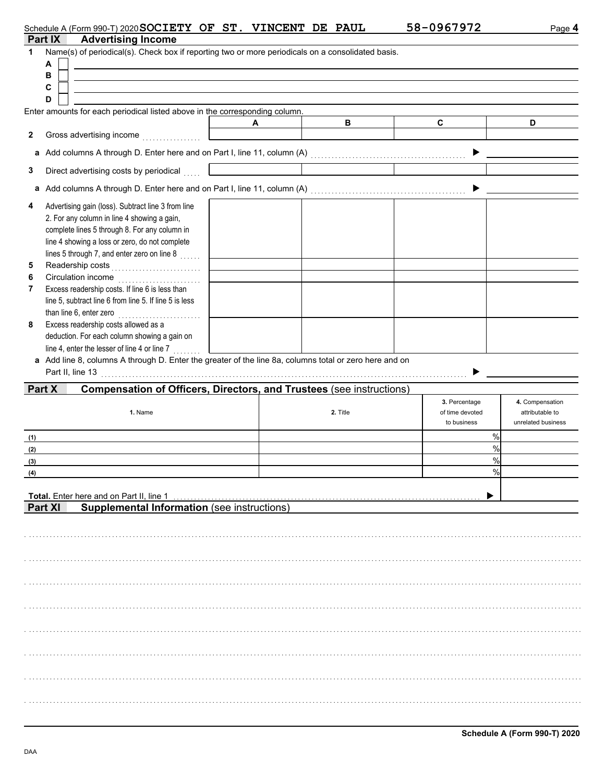|                          | Part IX | <b>Advertising Income</b>                                                                              |   |          |                 |                    |
|--------------------------|---------|--------------------------------------------------------------------------------------------------------|---|----------|-----------------|--------------------|
| 1                        |         | Name(s) of periodical(s). Check box if reporting two or more periodicals on a consolidated basis.      |   |          |                 |                    |
|                          | Α       |                                                                                                        |   |          |                 |                    |
|                          | в       |                                                                                                        |   |          |                 |                    |
|                          | C       |                                                                                                        |   |          |                 |                    |
|                          | D       | Enter amounts for each periodical listed above in the corresponding column.                            |   |          |                 |                    |
|                          |         |                                                                                                        | A | в        | C               | D                  |
| $\mathbf{2}$             |         |                                                                                                        |   |          |                 |                    |
|                          |         |                                                                                                        |   |          |                 |                    |
| a                        |         |                                                                                                        |   |          |                 |                    |
| 3                        |         | Direct advertising costs by periodical                                                                 |   |          |                 |                    |
| a                        |         |                                                                                                        |   |          |                 |                    |
| 4                        |         | Advertising gain (loss). Subtract line 3 from line                                                     |   |          |                 |                    |
|                          |         | 2. For any column in line 4 showing a gain,                                                            |   |          |                 |                    |
|                          |         | complete lines 5 through 8. For any column in                                                          |   |          |                 |                    |
|                          |         | line 4 showing a loss or zero, do not complete                                                         |   |          |                 |                    |
|                          |         | lines 5 through 7, and enter zero on line 8                                                            |   |          |                 |                    |
| 5                        |         |                                                                                                        |   |          |                 |                    |
|                          |         |                                                                                                        |   |          |                 |                    |
| 7                        |         | Excess readership costs. If line 6 is less than                                                        |   |          |                 |                    |
|                          |         | line 5, subtract line 6 from line 5. If line 5 is less                                                 |   |          |                 |                    |
|                          |         | than line 6, enter zero                                                                                |   |          |                 |                    |
| 8                        |         | Excess readership costs allowed as a                                                                   |   |          |                 |                    |
|                          |         | deduction. For each column showing a gain on                                                           |   |          |                 |                    |
|                          |         | line 4, enter the lesser of line 4 or line 7                                                           |   |          |                 |                    |
|                          |         | a Add line 8, columns A through D. Enter the greater of the line 8a, columns total or zero here and on |   |          |                 |                    |
|                          |         | Part II, line 13 <b>Part II, line 13</b>                                                               |   |          |                 |                    |
|                          |         |                                                                                                        |   |          |                 |                    |
|                          | Part X  |                                                                                                        |   |          |                 |                    |
|                          |         | <b>Compensation of Officers, Directors, and Trustees (see instructions)</b>                            |   |          | 3. Percentage   | 4. Compensation    |
|                          |         | 1. Name                                                                                                |   | 2. Title | of time devoted | attributable to    |
|                          |         |                                                                                                        |   |          | to business     | unrelated business |
|                          |         |                                                                                                        |   |          |                 | $\frac{0}{0}$      |
|                          |         |                                                                                                        |   |          |                 | $\%$               |
|                          |         |                                                                                                        |   |          |                 | $\%$               |
|                          |         |                                                                                                        |   |          |                 | $\%$               |
|                          |         |                                                                                                        |   |          |                 |                    |
|                          |         | Total. Enter here and on Part II, line 1                                                               |   |          |                 |                    |
|                          | Part XI | <b>Supplemental Information</b> (see instructions)                                                     |   |          |                 |                    |
|                          |         |                                                                                                        |   |          |                 |                    |
|                          |         |                                                                                                        |   |          |                 |                    |
|                          |         |                                                                                                        |   |          |                 |                    |
|                          |         |                                                                                                        |   |          |                 |                    |
|                          |         |                                                                                                        |   |          |                 |                    |
|                          |         |                                                                                                        |   |          |                 |                    |
|                          |         |                                                                                                        |   |          |                 |                    |
|                          |         |                                                                                                        |   |          |                 |                    |
|                          |         |                                                                                                        |   |          |                 |                    |
|                          |         |                                                                                                        |   |          |                 |                    |
|                          |         |                                                                                                        |   |          |                 |                    |
|                          |         |                                                                                                        |   |          |                 |                    |
|                          |         |                                                                                                        |   |          |                 |                    |
|                          |         |                                                                                                        |   |          |                 |                    |
|                          |         |                                                                                                        |   |          |                 |                    |
| (1)<br>(2)<br>(3)<br>(4) |         |                                                                                                        |   |          |                 |                    |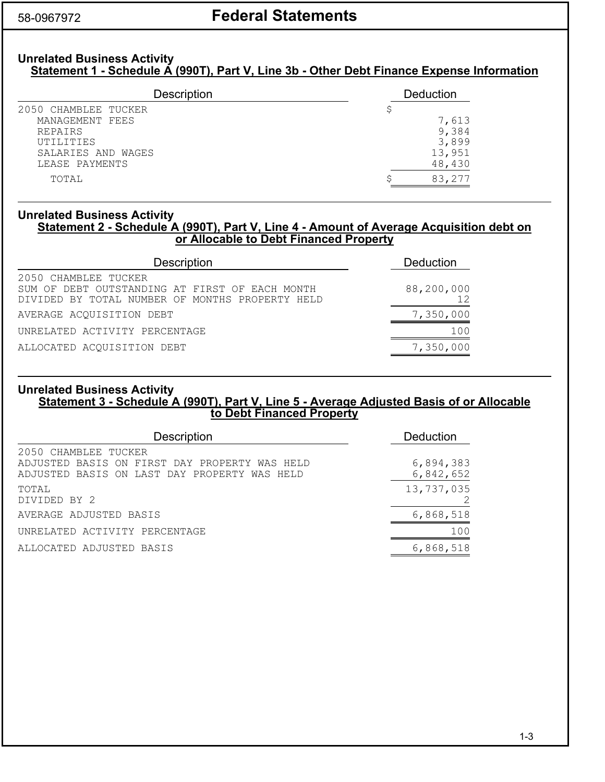## **Unrelated Business Activity Statement 1 - Schedule A (990T), Part V, Line 3b - Other Debt Finance Expense Information**

| <b>Description</b>   | <b>Deduction</b> |
|----------------------|------------------|
| 2050 CHAMBLEE TUCKER |                  |
| MANAGEMENT FEES      | 7,613            |
| REPAIRS              | 9,384            |
| UTILITIES            | 3,899            |
| SALARIES AND WAGES   | 13,951           |
| LEASE PAYMENTS       | 48,430           |
| TOTAL                | 83,277           |

## **Unrelated Business Activity Statement 2 - Schedule A (990T), Part V, Line 4 - Amount of Average Acquisition debt on or Allocable to Debt Financed Property**

| <b>Description</b>                                                                                                        | Deduction        |
|---------------------------------------------------------------------------------------------------------------------------|------------------|
| 2050 CHAMBLEE TUCKER<br>SUM OF DEBT OUTSTANDING AT FIRST OF EACH MONTH<br>DIVIDED BY TOTAL NUMBER OF MONTHS PROPERTY HELD | 88,200,000<br>12 |
| AVERAGE ACOUISITION DEBT                                                                                                  | 7,350,000        |
| UNRELATED ACTIVITY PERCENTAGE                                                                                             | 100              |
| ALLOCATED ACOUISITION DEBT                                                                                                | 7,350,000        |

### **Unrelated Business Activity Statement 3 - Schedule A (990T), Part V, Line 5 - Average Adjusted Basis of or Allocable to Debt Financed Property**

| <b>Description</b>                                                                                                    | Deduction              |  |
|-----------------------------------------------------------------------------------------------------------------------|------------------------|--|
| 2050 CHAMBLEE TUCKER<br>ADJUSTED BASIS ON FIRST DAY PROPERTY WAS HELD<br>ADJUSTED BASIS ON LAST DAY PROPERTY WAS HELD | 6,894,383<br>6,842,652 |  |
| TOTAL<br>DIVIDED BY 2                                                                                                 | 13,737,035             |  |
| AVERAGE ADJUSTED BASIS                                                                                                | 6,868,518              |  |
| UNRELATED ACTIVITY PERCENTAGE                                                                                         | 100                    |  |
| ALLOCATED ADJUSTED BASIS                                                                                              | 6,868,518              |  |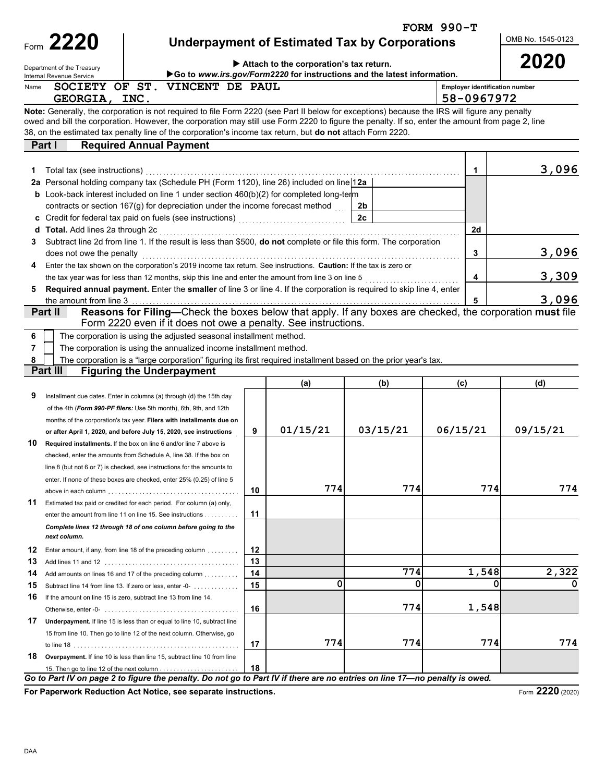|                                                                                                                                                  |          |                                                                                                                    |          | <b>FORM 990-T</b>                     |                   |
|--------------------------------------------------------------------------------------------------------------------------------------------------|----------|--------------------------------------------------------------------------------------------------------------------|----------|---------------------------------------|-------------------|
| Form $2220$                                                                                                                                      |          | <b>Underpayment of Estimated Tax by Corporations</b>                                                               |          |                                       | OMB No. 1545-0123 |
| Department of the Treasury                                                                                                                       |          | Attach to the corporation's tax return.<br>Go to www.irs.gov/Form2220 for instructions and the latest information. |          |                                       | 2020              |
| Internal Revenue Service<br>OF ST.<br>VINCENT DE PAUL<br><b>SOCIETY</b><br>Name                                                                  |          |                                                                                                                    |          | <b>Employer identification number</b> |                   |
| GEORGIA, INC.                                                                                                                                    |          |                                                                                                                    |          | 58-0967972                            |                   |
| Note: Generally, the corporation is not required to file Form 2220 (see Part II below for exceptions) because the IRS will figure any penalty    |          |                                                                                                                    |          |                                       |                   |
| owed and bill the corporation. However, the corporation may still use Form 2220 to figure the penalty. If so, enter the amount from page 2, line |          |                                                                                                                    |          |                                       |                   |
| 38, on the estimated tax penalty line of the corporation's income tax return, but do not attach Form 2220.                                       |          |                                                                                                                    |          |                                       |                   |
| Part I<br><b>Required Annual Payment</b>                                                                                                         |          |                                                                                                                    |          |                                       |                   |
|                                                                                                                                                  |          |                                                                                                                    |          |                                       |                   |
| Total tax (see instructions)<br>1.                                                                                                               |          |                                                                                                                    |          | 1                                     | 3,096             |
| 2a Personal holding company tax (Schedule PH (Form 1120), line 26) included on line 12a                                                          |          |                                                                                                                    |          |                                       |                   |
| <b>b</b> Look-back interest included on line 1 under section $460(b)(2)$ for completed long-term                                                 |          |                                                                                                                    |          |                                       |                   |
| contracts or section 167(g) for depreciation under the income forecast method                                                                    |          |                                                                                                                    | 2b       |                                       |                   |
|                                                                                                                                                  |          |                                                                                                                    | 2c       |                                       |                   |
| d Total. Add lines 2a through 2c                                                                                                                 |          |                                                                                                                    |          | 2d                                    |                   |
| Subtract line 2d from line 1. If the result is less than \$500, do not complete or file this form. The corporation<br>3                          |          |                                                                                                                    |          |                                       |                   |
| does not owe the penalty                                                                                                                         |          |                                                                                                                    |          | 3                                     | 3,096             |
| Enter the tax shown on the corporation's 2019 income tax return. See instructions. Caution: If the tax is zero or<br>4                           |          |                                                                                                                    |          |                                       |                   |
| the tax year was for less than 12 months, skip this line and enter the amount from line 3 on line 5                                              |          |                                                                                                                    |          | 4                                     | 3,309             |
| Required annual payment. Enter the smaller of line 3 or line 4. If the corporation is required to skip line 4, enter<br>5                        |          |                                                                                                                    |          |                                       |                   |
| the amount from line 3                                                                                                                           |          |                                                                                                                    |          | 5                                     | 3,096             |
| Reasons for Filing—Check the boxes below that apply. If any boxes are checked, the corporation must file<br>Part II                              |          |                                                                                                                    |          |                                       |                   |
| Form 2220 even if it does not owe a penalty. See instructions.                                                                                   |          |                                                                                                                    |          |                                       |                   |
| The corporation is using the adjusted seasonal installment method.<br>6                                                                          |          |                                                                                                                    |          |                                       |                   |
| The corporation is using the annualized income installment method.<br>7                                                                          |          |                                                                                                                    |          |                                       |                   |
| The corporation is a "large corporation" figuring its first required installment based on the prior year's tax.<br>8                             |          |                                                                                                                    |          |                                       |                   |
| Part III<br><b>Figuring the Underpayment</b>                                                                                                     |          |                                                                                                                    |          |                                       |                   |
|                                                                                                                                                  |          | (a)                                                                                                                | (b)      | (c)                                   | (d)               |
| 9<br>Installment due dates. Enter in columns (a) through (d) the 15th day                                                                        |          |                                                                                                                    |          |                                       |                   |
| of the 4th (Form 990-PF filers: Use 5th month), 6th, 9th, and 12th                                                                               |          |                                                                                                                    |          |                                       |                   |
| months of the corporation's tax year. Filers with installments due on                                                                            |          |                                                                                                                    |          |                                       |                   |
| or after April 1, 2020, and before July 15, 2020, see instructions                                                                               | 9        | 01/15/21                                                                                                           | 03/15/21 | 06/15/21                              | 09/15/21          |
| 10<br>Required installments. If the box on line 6 and/or line 7 above is                                                                         |          |                                                                                                                    |          |                                       |                   |
| checked, enter the amounts from Schedule A, line 38. If the box on                                                                               |          |                                                                                                                    |          |                                       |                   |
| line 8 (but not 6 or 7) is checked, see instructions for the amounts to                                                                          |          |                                                                                                                    |          |                                       |                   |
| enter. If none of these boxes are checked, enter 25% (0.25) of line 5                                                                            |          |                                                                                                                    |          |                                       |                   |
|                                                                                                                                                  | 10       | 774                                                                                                                | 774      | 774                                   | 774               |
| 11<br>Estimated tax paid or credited for each period. For column (a) only,                                                                       |          |                                                                                                                    |          |                                       |                   |
| enter the amount from line 11 on line 15. See instructions                                                                                       | 11       |                                                                                                                    |          |                                       |                   |
| Complete lines 12 through 18 of one column before going to the                                                                                   |          |                                                                                                                    |          |                                       |                   |
| next column.                                                                                                                                     |          |                                                                                                                    |          |                                       |                   |
| 12<br>Enter amount, if any, from line 18 of the preceding column                                                                                 | 12       |                                                                                                                    |          |                                       |                   |
| 13                                                                                                                                               | 13       |                                                                                                                    | 774      | 1,548                                 | 2,322             |
| 14<br>Add amounts on lines 16 and 17 of the preceding column                                                                                     | 14<br>15 | 0                                                                                                                  | 0        | 0                                     | 0                 |
| 15                                                                                                                                               |          |                                                                                                                    |          |                                       |                   |
| 16<br>If the amount on line 15 is zero, subtract line 13 from line 14.                                                                           |          |                                                                                                                    | 774      | 1,548                                 |                   |
|                                                                                                                                                  | 16       |                                                                                                                    |          |                                       |                   |
| 17<br>Underpayment. If line 15 is less than or equal to line 10, subtract line                                                                   |          |                                                                                                                    |          |                                       |                   |
| 15 from line 10. Then go to line 12 of the next column. Otherwise, go                                                                            | 17       | 774                                                                                                                | 774      | 774                                   | 774               |
|                                                                                                                                                  |          |                                                                                                                    |          |                                       |                   |
| Overpayment. If line 10 is less than line 15, subtract line 10 from line<br>18                                                                   | 18       |                                                                                                                    |          |                                       |                   |
|                                                                                                                                                  |          |                                                                                                                    |          |                                       |                   |

*Go to Part IV on page 2 to figure the penalty. Do not go to Part IV if there are no entries on line 17—no penalty is owed.*

**For Paperwork Reduction Act Notice, see separate instructions.**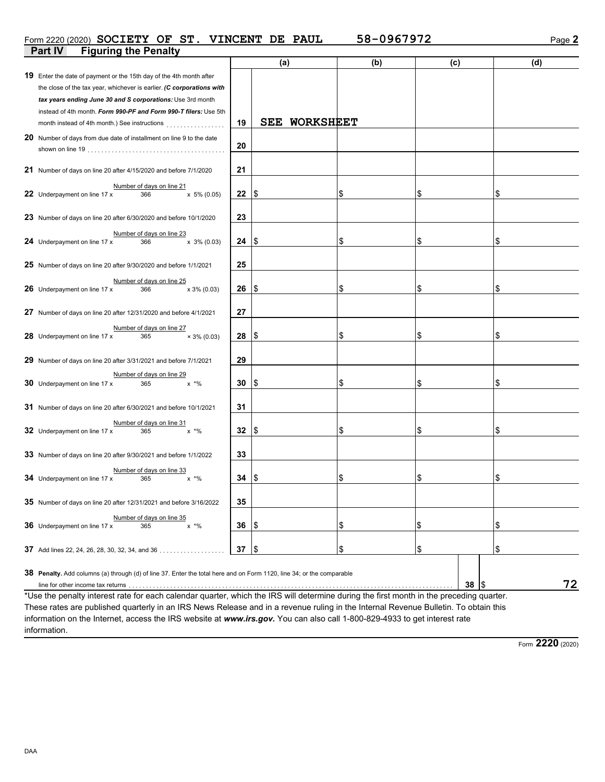## Form 2220 (2020) **SOCIETY OF ST. VINCENT DE PAUL 58-0967972** Page 2

| <b>Figuring the Penalty</b><br>Part IV                                             |    |                         |     |     |     |
|------------------------------------------------------------------------------------|----|-------------------------|-----|-----|-----|
|                                                                                    |    | (a)                     | (b) | (c) | (d) |
| 19 Enter the date of payment or the 15th day of the 4th month after                |    |                         |     |     |     |
| the close of the tax year, whichever is earlier. (C corporations with              |    |                         |     |     |     |
| tax years ending June 30 and S corporations: Use 3rd month                         |    |                         |     |     |     |
| instead of 4th month. Form 990-PF and Form 990-T filers: Use 5th                   |    |                         |     |     |     |
| month instead of 4th month.) See instructions                                      | 19 | <b>WORKSHEET</b><br>SEE |     |     |     |
| 20 Number of days from due date of installment on line 9 to the date               |    |                         |     |     |     |
|                                                                                    | 20 |                         |     |     |     |
|                                                                                    |    |                         |     |     |     |
| 21 Number of days on line 20 after 4/15/2020 and before 7/1/2020                   | 21 |                         |     |     |     |
| Number of days on line 21                                                          |    |                         |     |     |     |
| 22 Underpayment on line 17 x<br>366<br>$x 5\% (0.05)$                              | 22 | \$                      | \$  | \$  | \$  |
|                                                                                    |    |                         |     |     |     |
| 23 Number of days on line 20 after 6/30/2020 and before 10/1/2020                  | 23 |                         |     |     |     |
| Number of days on line 23<br>366                                                   | 24 | \$                      | \$  | \$  | \$  |
| 24 Underpayment on line 17 x<br>$x \frac{3\%}{0.03}$                               |    |                         |     |     |     |
| 25 Number of days on line 20 after 9/30/2020 and before 1/1/2021                   | 25 |                         |     |     |     |
|                                                                                    |    |                         |     |     |     |
| Number of days on line 25<br>26 Underpayment on line 17 x<br>366<br>$x 3\% (0.03)$ | 26 | \$                      | \$  | \$  | \$  |
|                                                                                    |    |                         |     |     |     |
| 27 Number of days on line 20 after 12/31/2020 and before 4/1/2021                  | 27 |                         |     |     |     |
| Number of days on line 27                                                          |    |                         |     |     |     |
| 28 Underpayment on line 17 x<br>365<br>$× 3\% (0.03)$                              | 28 | \$                      | \$  | \$  | \$  |
|                                                                                    |    |                         |     |     |     |
| 29 Number of days on line 20 after 3/31/2021 and before 7/1/2021                   | 29 |                         |     |     |     |
| Number of days on line 29                                                          |    |                         |     |     |     |
| 30 Underpayment on line 17 x<br>365<br>$x * 9/6$                                   | 30 | \$                      | \$  | \$  | \$  |
|                                                                                    |    |                         |     |     |     |
| 31 Number of days on line 20 after 6/30/2021 and before 10/1/2021                  | 31 |                         |     |     |     |
| Number of days on line 31<br>32 Underpayment on line 17 x<br>365<br>$x * 9/6$      | 32 | \$                      | \$  | \$  | \$  |
|                                                                                    |    |                         |     |     |     |
| 33 Number of days on line 20 after 9/30/2021 and before 1/1/2022                   | 33 |                         |     |     |     |
|                                                                                    |    |                         |     |     |     |
| Number of days on line 33<br>34 Underpayment on line 17 x<br>365<br>$x * 9/6$      | 34 | \$                      | \$  | \$  | \$  |
|                                                                                    |    |                         |     |     |     |
| 35 Number of days on line 20 after 12/31/2021 and before 3/16/2022                 | 35 |                         |     |     |     |
| Number of days on line 35                                                          |    |                         |     |     |     |
| 36 Underpayment on line 17 x<br>365<br>$x * 9/6$                                   | 36 | \$                      | \$  | \$  | \$  |
|                                                                                    |    |                         |     |     |     |

**38 Penalty.** Add columns (a) through (d) of line 37. Enter the total here and on Form 1120, line 34; or the comparable line for other income tax returns . . . . . . . . . . . . . . . . . . . . . . . . . . . . . . . . . . . . . . . . . . . . . . . . . . . . . . . . . . . . . . . . . . . . . . . . . . . . . . . . . . . . . . . . . . . . . . \$

 $37$  Add lines 22, 24, 26, 28, 30, 32, 34, and 36  $\ldots \ldots \ldots \ldots$  | 37  $\frac{1}{3}$ 

**72**

**38**

\$

\$

\*Use the penalty interest rate for each calendar quarter, which the IRS will determine during the first month in the preceding quarter. These rates are published quarterly in an IRS News Release and in a revenue ruling in the Internal Revenue Bulletin. To obtain this information on the Internet, access the IRS website at *www.irs.gov.* You can also call 1-800-829-4933 to get interest rate information.

\$

Form **2220** (2020)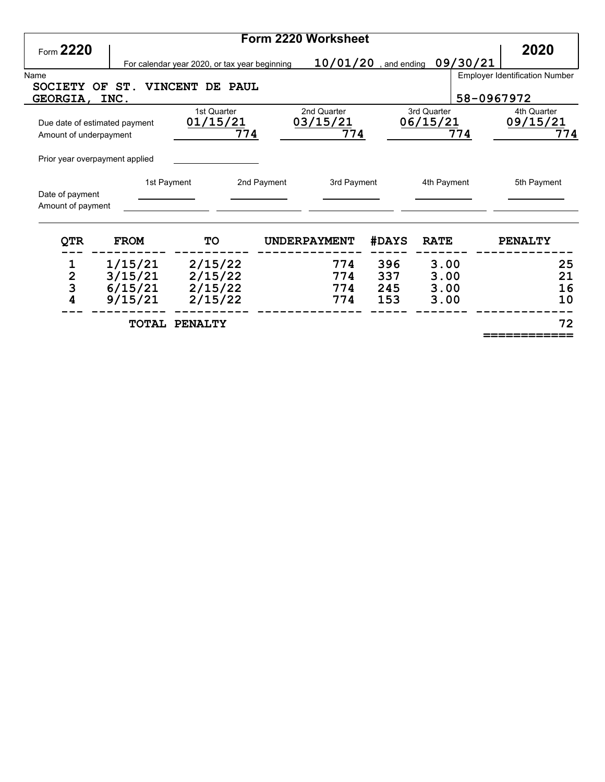| Form 2220                                |             | 2020                                          |                            |                             |             |                                       |
|------------------------------------------|-------------|-----------------------------------------------|----------------------------|-----------------------------|-------------|---------------------------------------|
|                                          |             | For calendar year 2020, or tax year beginning |                            | $10/01/20$ , and ending     | 09/30/21    |                                       |
| Name                                     |             |                                               |                            |                             |             | <b>Employer Identification Number</b> |
| <b>SOCIETY</b><br>OF.<br><b>GEORGIA,</b> | ST.<br>INC. | <b>VINCENT</b><br><b>PAUL</b><br>DE.          |                            |                             | 58-0967972  |                                       |
|                                          |             | 1st Quarter                                   | 2nd Quarter                | 3rd Quarter                 |             | 4th Quarter                           |
| Due date of estimated payment            |             | 01/15/21                                      | 03/15/21                   | 06/15/21                    |             | 09/15/21                              |
| Amount of underpayment                   |             | 774                                           | 774                        |                             | 774         | 774                                   |
| Prior year overpayment applied           | 1st Payment |                                               | 2nd Payment<br>3rd Payment |                             | 4th Payment | 5th Payment                           |
| Date of payment<br>Amount of payment     |             |                                               |                            |                             |             |                                       |
| <b>QTR</b>                               | <b>FROM</b> | TО                                            | <b>UNDERPAYMENT</b>        | <b>#DAYS</b><br><b>RATE</b> |             | <b>PENALTY</b>                        |
| 1                                        | 1/15/21     | 2/15/22                                       | 774                        | 396                         | 3.00        | 25                                    |

|        |         | TOTAL PENALTY       |     |     |      | 72 |
|--------|---------|---------------------|-----|-----|------|----|
|        |         | $9/15/21$ $2/15/22$ | 774 | 153 | 3.00 | 10 |
| 2<br>ર | 6/15/21 | 2/15/22             | 774 | 245 | 3.00 | 16 |
|        | 3/15/21 | 2/15/22             | 774 | 337 | 3.00 |    |

 **============**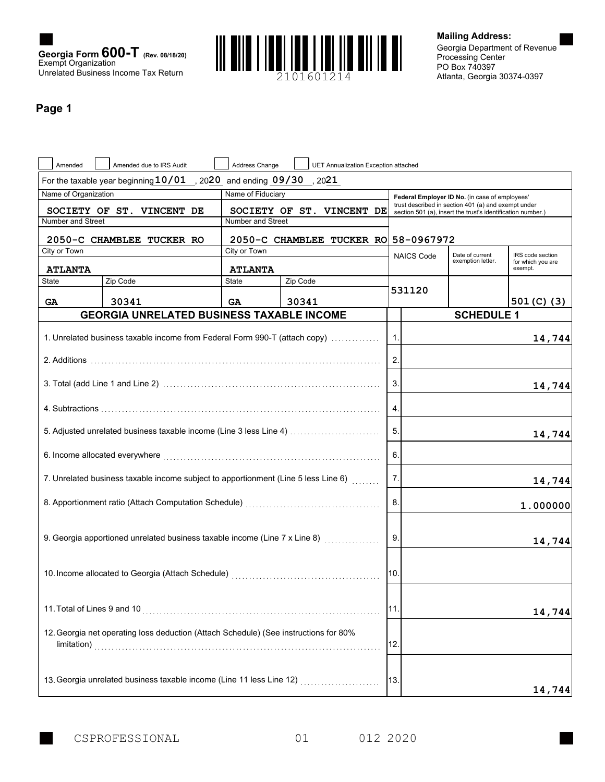



**Mailing Address:**

Atlanta, Georgia 30374-0397 PO Box 740397 Processing Center Georgia Department of Revenue

## **Page 1**

| For the taxable year beginning $10/01$ , 2020 and ending 09/30 , 2021<br>Name of Organization<br>Name of Fiduciary<br>Federal Employer ID No. (in case of employees'<br>trust described in section 401 (a) and exempt under<br>SOCIETY OF ST. VINCENT DE<br>SOCIETY OF ST. VINCENT DE<br>section 501 (a), insert the trust's identification number.)<br><b>Number and Street</b><br>Number and Street<br>2050-C CHAMBLEE TUCKER RO<br>2050-C CHAMBLEE TUCKER RO 58-0967972<br>City or Town<br>City or Town<br><b>NAICS Code</b><br>Date of current<br>IRS code section<br>exemption letter.<br>for which you are<br>exempt.<br><b>ATLANTA</b><br><b>ATLANTA</b><br>Zip Code<br>Zip Code<br>State<br><b>State</b><br>531120<br>30341<br>30341<br>GA.<br>501 (C) (3)<br>GA<br><b>GEORGIA UNRELATED BUSINESS TAXABLE INCOME</b><br><b>SCHEDULE 1</b><br>1. Unrelated business taxable income from Federal Form 990-T (attach copy)<br>1.<br>14,744<br>2.<br>3.<br>14,744<br>4.<br>5.<br>5. Adjusted unrelated business taxable income (Line 3 less Line 4)<br>14,744<br>6. Income allocated everywhere <b>construction and interesting and interesting and interesting and interesting and i</b><br>6.<br>7. Unrelated business taxable income subject to apportionment (Line 5 less Line 6) [<br>7.<br>14,744<br>8.<br>1.000000<br>9. Georgia apportioned unrelated business taxable income (Line 7 x Line 8) [1, 1, 1, 1, 1, 1, 1, 1, 1, 1, 1, 1<br>9.<br>14,744<br>10.<br>11. Total of Lines 9 and 10 <b>Constitution</b> 10 <b>and 20</b> and 20 and 20 and 20 and 20 and 20 and 20 and 20 and 20 and 20 and 20 and 20 and 20 and 20 and 20 and 20 and 20 and 20 and 20 and 20 and 20 and 20 and 20 and 20 and 20<br>11.<br>14,744<br>12. Georgia net operating loss deduction (Attach Schedule) (See instructions for 80%<br>12.<br>13. Georgia unrelated business taxable income (Line 11 less Line 12) [[[[[[[[[[[[[[[[[[[[[[[[[[[[[[[<br>13. | Amended | Amended due to IRS Audit | Address Change |  | <b>UET Annualization Exception attached</b> |  |  |  |  |        |  |
|---------------------------------------------------------------------------------------------------------------------------------------------------------------------------------------------------------------------------------------------------------------------------------------------------------------------------------------------------------------------------------------------------------------------------------------------------------------------------------------------------------------------------------------------------------------------------------------------------------------------------------------------------------------------------------------------------------------------------------------------------------------------------------------------------------------------------------------------------------------------------------------------------------------------------------------------------------------------------------------------------------------------------------------------------------------------------------------------------------------------------------------------------------------------------------------------------------------------------------------------------------------------------------------------------------------------------------------------------------------------------------------------------------------------------------------------------------------------------------------------------------------------------------------------------------------------------------------------------------------------------------------------------------------------------------------------------------------------------------------------------------------------------------------------------------------------------------------------------------------------------------------------------------------------------------------------------|---------|--------------------------|----------------|--|---------------------------------------------|--|--|--|--|--------|--|
|                                                                                                                                                                                                                                                                                                                                                                                                                                                                                                                                                                                                                                                                                                                                                                                                                                                                                                                                                                                                                                                                                                                                                                                                                                                                                                                                                                                                                                                                                                                                                                                                                                                                                                                                                                                                                                                                                                                                                   |         |                          |                |  |                                             |  |  |  |  |        |  |
|                                                                                                                                                                                                                                                                                                                                                                                                                                                                                                                                                                                                                                                                                                                                                                                                                                                                                                                                                                                                                                                                                                                                                                                                                                                                                                                                                                                                                                                                                                                                                                                                                                                                                                                                                                                                                                                                                                                                                   |         |                          |                |  |                                             |  |  |  |  |        |  |
|                                                                                                                                                                                                                                                                                                                                                                                                                                                                                                                                                                                                                                                                                                                                                                                                                                                                                                                                                                                                                                                                                                                                                                                                                                                                                                                                                                                                                                                                                                                                                                                                                                                                                                                                                                                                                                                                                                                                                   |         |                          |                |  |                                             |  |  |  |  |        |  |
|                                                                                                                                                                                                                                                                                                                                                                                                                                                                                                                                                                                                                                                                                                                                                                                                                                                                                                                                                                                                                                                                                                                                                                                                                                                                                                                                                                                                                                                                                                                                                                                                                                                                                                                                                                                                                                                                                                                                                   |         |                          |                |  |                                             |  |  |  |  |        |  |
|                                                                                                                                                                                                                                                                                                                                                                                                                                                                                                                                                                                                                                                                                                                                                                                                                                                                                                                                                                                                                                                                                                                                                                                                                                                                                                                                                                                                                                                                                                                                                                                                                                                                                                                                                                                                                                                                                                                                                   |         |                          |                |  |                                             |  |  |  |  |        |  |
|                                                                                                                                                                                                                                                                                                                                                                                                                                                                                                                                                                                                                                                                                                                                                                                                                                                                                                                                                                                                                                                                                                                                                                                                                                                                                                                                                                                                                                                                                                                                                                                                                                                                                                                                                                                                                                                                                                                                                   |         |                          |                |  |                                             |  |  |  |  |        |  |
|                                                                                                                                                                                                                                                                                                                                                                                                                                                                                                                                                                                                                                                                                                                                                                                                                                                                                                                                                                                                                                                                                                                                                                                                                                                                                                                                                                                                                                                                                                                                                                                                                                                                                                                                                                                                                                                                                                                                                   |         |                          |                |  |                                             |  |  |  |  |        |  |
|                                                                                                                                                                                                                                                                                                                                                                                                                                                                                                                                                                                                                                                                                                                                                                                                                                                                                                                                                                                                                                                                                                                                                                                                                                                                                                                                                                                                                                                                                                                                                                                                                                                                                                                                                                                                                                                                                                                                                   |         |                          |                |  |                                             |  |  |  |  |        |  |
|                                                                                                                                                                                                                                                                                                                                                                                                                                                                                                                                                                                                                                                                                                                                                                                                                                                                                                                                                                                                                                                                                                                                                                                                                                                                                                                                                                                                                                                                                                                                                                                                                                                                                                                                                                                                                                                                                                                                                   |         |                          |                |  |                                             |  |  |  |  |        |  |
|                                                                                                                                                                                                                                                                                                                                                                                                                                                                                                                                                                                                                                                                                                                                                                                                                                                                                                                                                                                                                                                                                                                                                                                                                                                                                                                                                                                                                                                                                                                                                                                                                                                                                                                                                                                                                                                                                                                                                   |         |                          |                |  |                                             |  |  |  |  |        |  |
|                                                                                                                                                                                                                                                                                                                                                                                                                                                                                                                                                                                                                                                                                                                                                                                                                                                                                                                                                                                                                                                                                                                                                                                                                                                                                                                                                                                                                                                                                                                                                                                                                                                                                                                                                                                                                                                                                                                                                   |         |                          |                |  |                                             |  |  |  |  |        |  |
|                                                                                                                                                                                                                                                                                                                                                                                                                                                                                                                                                                                                                                                                                                                                                                                                                                                                                                                                                                                                                                                                                                                                                                                                                                                                                                                                                                                                                                                                                                                                                                                                                                                                                                                                                                                                                                                                                                                                                   |         |                          |                |  |                                             |  |  |  |  |        |  |
|                                                                                                                                                                                                                                                                                                                                                                                                                                                                                                                                                                                                                                                                                                                                                                                                                                                                                                                                                                                                                                                                                                                                                                                                                                                                                                                                                                                                                                                                                                                                                                                                                                                                                                                                                                                                                                                                                                                                                   |         |                          |                |  |                                             |  |  |  |  |        |  |
|                                                                                                                                                                                                                                                                                                                                                                                                                                                                                                                                                                                                                                                                                                                                                                                                                                                                                                                                                                                                                                                                                                                                                                                                                                                                                                                                                                                                                                                                                                                                                                                                                                                                                                                                                                                                                                                                                                                                                   |         |                          |                |  |                                             |  |  |  |  |        |  |
|                                                                                                                                                                                                                                                                                                                                                                                                                                                                                                                                                                                                                                                                                                                                                                                                                                                                                                                                                                                                                                                                                                                                                                                                                                                                                                                                                                                                                                                                                                                                                                                                                                                                                                                                                                                                                                                                                                                                                   |         |                          |                |  |                                             |  |  |  |  |        |  |
|                                                                                                                                                                                                                                                                                                                                                                                                                                                                                                                                                                                                                                                                                                                                                                                                                                                                                                                                                                                                                                                                                                                                                                                                                                                                                                                                                                                                                                                                                                                                                                                                                                                                                                                                                                                                                                                                                                                                                   |         |                          |                |  |                                             |  |  |  |  |        |  |
|                                                                                                                                                                                                                                                                                                                                                                                                                                                                                                                                                                                                                                                                                                                                                                                                                                                                                                                                                                                                                                                                                                                                                                                                                                                                                                                                                                                                                                                                                                                                                                                                                                                                                                                                                                                                                                                                                                                                                   |         |                          |                |  |                                             |  |  |  |  |        |  |
|                                                                                                                                                                                                                                                                                                                                                                                                                                                                                                                                                                                                                                                                                                                                                                                                                                                                                                                                                                                                                                                                                                                                                                                                                                                                                                                                                                                                                                                                                                                                                                                                                                                                                                                                                                                                                                                                                                                                                   |         |                          |                |  |                                             |  |  |  |  |        |  |
|                                                                                                                                                                                                                                                                                                                                                                                                                                                                                                                                                                                                                                                                                                                                                                                                                                                                                                                                                                                                                                                                                                                                                                                                                                                                                                                                                                                                                                                                                                                                                                                                                                                                                                                                                                                                                                                                                                                                                   |         |                          |                |  |                                             |  |  |  |  |        |  |
|                                                                                                                                                                                                                                                                                                                                                                                                                                                                                                                                                                                                                                                                                                                                                                                                                                                                                                                                                                                                                                                                                                                                                                                                                                                                                                                                                                                                                                                                                                                                                                                                                                                                                                                                                                                                                                                                                                                                                   |         |                          |                |  |                                             |  |  |  |  |        |  |
|                                                                                                                                                                                                                                                                                                                                                                                                                                                                                                                                                                                                                                                                                                                                                                                                                                                                                                                                                                                                                                                                                                                                                                                                                                                                                                                                                                                                                                                                                                                                                                                                                                                                                                                                                                                                                                                                                                                                                   |         |                          |                |  |                                             |  |  |  |  |        |  |
|                                                                                                                                                                                                                                                                                                                                                                                                                                                                                                                                                                                                                                                                                                                                                                                                                                                                                                                                                                                                                                                                                                                                                                                                                                                                                                                                                                                                                                                                                                                                                                                                                                                                                                                                                                                                                                                                                                                                                   |         |                          |                |  |                                             |  |  |  |  |        |  |
|                                                                                                                                                                                                                                                                                                                                                                                                                                                                                                                                                                                                                                                                                                                                                                                                                                                                                                                                                                                                                                                                                                                                                                                                                                                                                                                                                                                                                                                                                                                                                                                                                                                                                                                                                                                                                                                                                                                                                   |         |                          |                |  |                                             |  |  |  |  |        |  |
|                                                                                                                                                                                                                                                                                                                                                                                                                                                                                                                                                                                                                                                                                                                                                                                                                                                                                                                                                                                                                                                                                                                                                                                                                                                                                                                                                                                                                                                                                                                                                                                                                                                                                                                                                                                                                                                                                                                                                   |         |                          |                |  |                                             |  |  |  |  |        |  |
|                                                                                                                                                                                                                                                                                                                                                                                                                                                                                                                                                                                                                                                                                                                                                                                                                                                                                                                                                                                                                                                                                                                                                                                                                                                                                                                                                                                                                                                                                                                                                                                                                                                                                                                                                                                                                                                                                                                                                   |         |                          |                |  |                                             |  |  |  |  |        |  |
|                                                                                                                                                                                                                                                                                                                                                                                                                                                                                                                                                                                                                                                                                                                                                                                                                                                                                                                                                                                                                                                                                                                                                                                                                                                                                                                                                                                                                                                                                                                                                                                                                                                                                                                                                                                                                                                                                                                                                   |         |                          |                |  |                                             |  |  |  |  |        |  |
|                                                                                                                                                                                                                                                                                                                                                                                                                                                                                                                                                                                                                                                                                                                                                                                                                                                                                                                                                                                                                                                                                                                                                                                                                                                                                                                                                                                                                                                                                                                                                                                                                                                                                                                                                                                                                                                                                                                                                   |         |                          |                |  |                                             |  |  |  |  |        |  |
|                                                                                                                                                                                                                                                                                                                                                                                                                                                                                                                                                                                                                                                                                                                                                                                                                                                                                                                                                                                                                                                                                                                                                                                                                                                                                                                                                                                                                                                                                                                                                                                                                                                                                                                                                                                                                                                                                                                                                   |         |                          |                |  |                                             |  |  |  |  |        |  |
|                                                                                                                                                                                                                                                                                                                                                                                                                                                                                                                                                                                                                                                                                                                                                                                                                                                                                                                                                                                                                                                                                                                                                                                                                                                                                                                                                                                                                                                                                                                                                                                                                                                                                                                                                                                                                                                                                                                                                   |         |                          |                |  |                                             |  |  |  |  |        |  |
|                                                                                                                                                                                                                                                                                                                                                                                                                                                                                                                                                                                                                                                                                                                                                                                                                                                                                                                                                                                                                                                                                                                                                                                                                                                                                                                                                                                                                                                                                                                                                                                                                                                                                                                                                                                                                                                                                                                                                   |         |                          |                |  |                                             |  |  |  |  |        |  |
|                                                                                                                                                                                                                                                                                                                                                                                                                                                                                                                                                                                                                                                                                                                                                                                                                                                                                                                                                                                                                                                                                                                                                                                                                                                                                                                                                                                                                                                                                                                                                                                                                                                                                                                                                                                                                                                                                                                                                   |         |                          |                |  |                                             |  |  |  |  |        |  |
|                                                                                                                                                                                                                                                                                                                                                                                                                                                                                                                                                                                                                                                                                                                                                                                                                                                                                                                                                                                                                                                                                                                                                                                                                                                                                                                                                                                                                                                                                                                                                                                                                                                                                                                                                                                                                                                                                                                                                   |         |                          |                |  |                                             |  |  |  |  |        |  |
|                                                                                                                                                                                                                                                                                                                                                                                                                                                                                                                                                                                                                                                                                                                                                                                                                                                                                                                                                                                                                                                                                                                                                                                                                                                                                                                                                                                                                                                                                                                                                                                                                                                                                                                                                                                                                                                                                                                                                   |         |                          |                |  |                                             |  |  |  |  | 14,744 |  |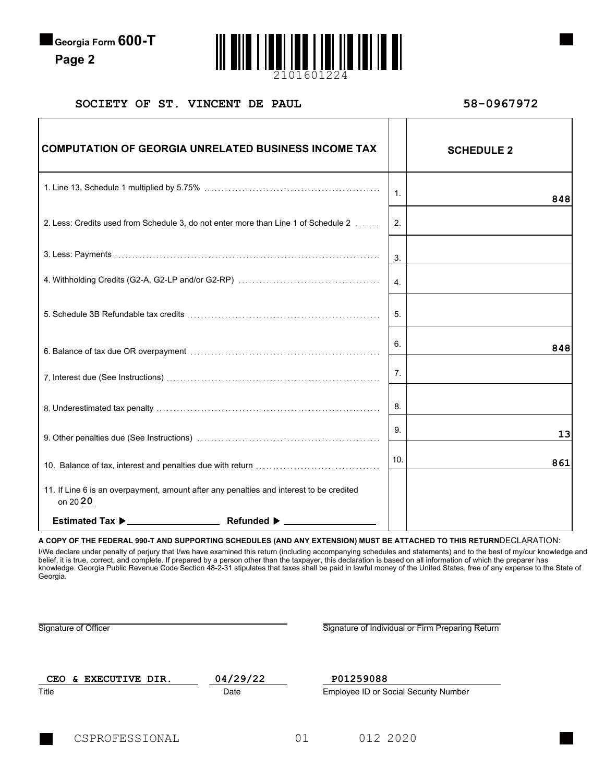



## SOCIETY OF ST. VINCENT DE PAUL 58-0967972

| <b>COMPUTATION OF GEORGIA UNRELATED BUSINESS INCOME TAX</b>                                                                                       |                | <b>SCHEDULE 2</b> |
|---------------------------------------------------------------------------------------------------------------------------------------------------|----------------|-------------------|
|                                                                                                                                                   | $\mathbf{1}$ . | 848               |
| 2. Less: Credits used from Schedule 3, do not enter more than Line 1 of Schedule 2                                                                | 2.             |                   |
|                                                                                                                                                   | 3.             |                   |
|                                                                                                                                                   | 4.             |                   |
|                                                                                                                                                   | 5.             |                   |
|                                                                                                                                                   | 6.             | 848               |
|                                                                                                                                                   | 7 <sub>1</sub> |                   |
|                                                                                                                                                   | 8.             |                   |
|                                                                                                                                                   | 9.             | 13                |
| 10. Balance of tax, interest and penalties due with return [11] [11] [11] 10. Balance of tax, interest and penalties due with return [11] $\cdot$ | 10.            | 861               |
| 11. If Line 6 is an overpayment, amount after any penalties and interest to be credited<br>on 20 20                                               |                |                   |
|                                                                                                                                                   |                |                   |

Georgia. knowledge. Georgia Public Revenue Code Section 48-2-31 stipulates that taxes shall be paid in lawful money of the United States, free of any expense to the State of belief, it is true, correct, and complete. If prepared by a person other than the taxpayer, this declaration is based on all information of which the preparer has I/We declare under penalty of perjury that I/we have examined this return (including accompanying schedules and statements) and to the best of my/our knowledge and A COPY OF THE FEDERAL 990-T AND SUPPORTING SCHEDULES (AND ANY EXTENSION) MUST BE ATTACHED TO THIS RETURNDECLARATION:

| Signature of Officer                       |          | Signature of Individual or Firm Preparing Return |  |  |  |  |
|--------------------------------------------|----------|--------------------------------------------------|--|--|--|--|
| <b>EXECUTIVE DIR.</b><br><b>CEO</b><br>δr. | 04/29/22 | P01259088                                        |  |  |  |  |
| Title                                      | Date     | Employee ID or Social Security Number            |  |  |  |  |
|                                            |          |                                                  |  |  |  |  |